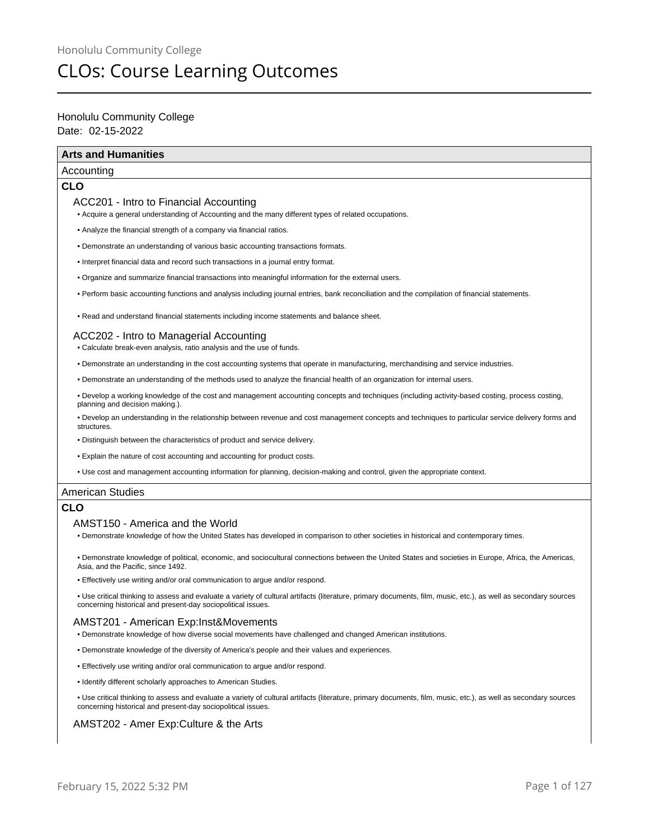# CLOs: Course Learning Outcomes

# Date: 02-15-2022 Honolulu Community College

# **Arts and Humanities**

# Accounting

# **CLO**

# ACC201 - Intro to Financial Accounting

- Acquire a general understanding of Accounting and the many different types of related occupations.
- Analyze the financial strength of a company via financial ratios.
- Demonstrate an understanding of various basic accounting transactions formats.
- Interpret financial data and record such transactions in a journal entry format.
- Organize and summarize financial transactions into meaningful information for the external users.
- Perform basic accounting functions and analysis including journal entries, bank reconciliation and the compilation of financial statements.
- Read and understand financial statements including income statements and balance sheet.

# ACC202 - Intro to Managerial Accounting

- Calculate break-even analysis, ratio analysis and the use of funds.
- Demonstrate an understanding in the cost accounting systems that operate in manufacturing, merchandising and service industries.
- Demonstrate an understanding of the methods used to analyze the financial health of an organization for internal users.
- Develop a working knowledge of the cost and management accounting concepts and techniques (including activity-based costing, process costing, planning and decision making.).
- Develop an understanding in the relationship between revenue and cost management concepts and techniques to particular service delivery forms and structures.
- Distinguish between the characteristics of product and service delivery.
- Explain the nature of cost accounting and accounting for product costs.
- Use cost and management accounting information for planning, decision-making and control, given the appropriate context.

# American Studies

# **CLO**

## AMST150 - America and the World

• Demonstrate knowledge of how the United States has developed in comparison to other societies in historical and contemporary times.

• Demonstrate knowledge of political, economic, and sociocultural connections between the United States and societies in Europe, Africa, the Americas, Asia, and the Pacific, since 1492.

• Effectively use writing and/or oral communication to argue and/or respond.

• Use critical thinking to assess and evaluate a variety of cultural artifacts (literature, primary documents, film, music, etc.), as well as secondary sources concerning historical and present-day sociopolitical issues.

# AMST201 - American Exp:Inst&Movements

- Demonstrate knowledge of how diverse social movements have challenged and changed American institutions.
- Demonstrate knowledge of the diversity of America's people and their values and experiences.
- Effectively use writing and/or oral communication to argue and/or respond.
- Identify different scholarly approaches to American Studies.

• Use critical thinking to assess and evaluate a variety of cultural artifacts (literature, primary documents, film, music, etc.), as well as secondary sources concerning historical and present-day sociopolitical issues.

## AMST202 - Amer Exp:Culture & the Arts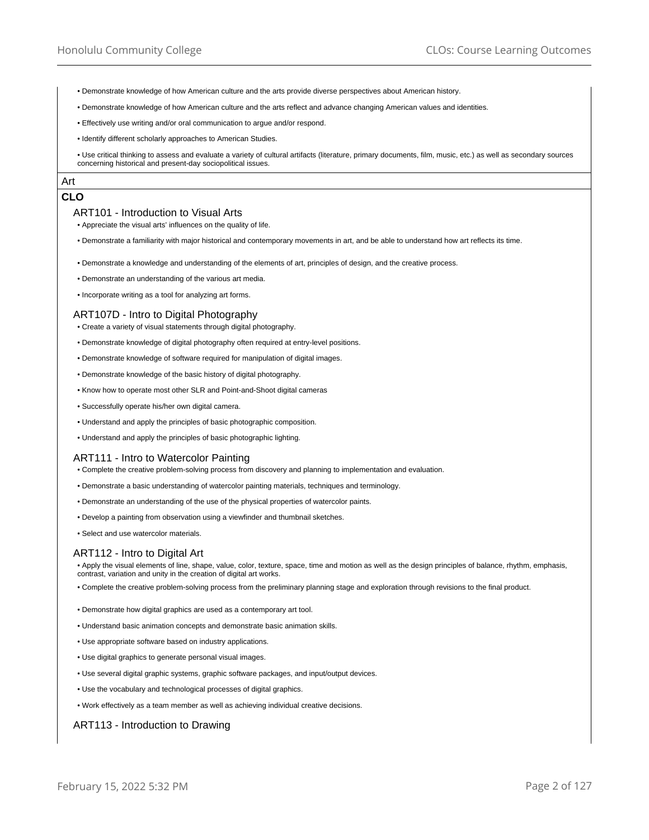- Demonstrate knowledge of how American culture and the arts provide diverse perspectives about American history.
- Demonstrate knowledge of how American culture and the arts reflect and advance changing American values and identities.
- Effectively use writing and/or oral communication to argue and/or respond.
- Identify different scholarly approaches to American Studies.

• Use critical thinking to assess and evaluate a variety of cultural artifacts (literature, primary documents, film, music, etc.) as well as secondary sources concerning historical and present-day sociopolitical issues.

# Art **CLO**

#### ART101 - Introduction to Visual Arts

• Appreciate the visual arts' influences on the quality of life.

- Demonstrate a familiarity with major historical and contemporary movements in art, and be able to understand how art reflects its time.
- Demonstrate a knowledge and understanding of the elements of art, principles of design, and the creative process.
- Demonstrate an understanding of the various art media.
- Incorporate writing as a tool for analyzing art forms.

#### ART107D - Intro to Digital Photography

- Create a variety of visual statements through digital photography.
- Demonstrate knowledge of digital photography often required at entry-level positions.
- Demonstrate knowledge of software required for manipulation of digital images.
- Demonstrate knowledge of the basic history of digital photography.
- Know how to operate most other SLR and Point-and-Shoot digital cameras
- Successfully operate his/her own digital camera.
- Understand and apply the principles of basic photographic composition.
- Understand and apply the principles of basic photographic lighting.

#### ART111 - Intro to Watercolor Painting

- Complete the creative problem-solving process from discovery and planning to implementation and evaluation.
- Demonstrate a basic understanding of watercolor painting materials, techniques and terminology.
- Demonstrate an understanding of the use of the physical properties of watercolor paints.
- Develop a painting from observation using a viewfinder and thumbnail sketches.
- Select and use watercolor materials.

# ART112 - Intro to Digital Art

• Apply the visual elements of line, shape, value, color, texture, space, time and motion as well as the design principles of balance, rhythm, emphasis, contrast, variation and unity in the creation of digital art works.

- Complete the creative problem-solving process from the preliminary planning stage and exploration through revisions to the final product.
- Demonstrate how digital graphics are used as a contemporary art tool.
- Understand basic animation concepts and demonstrate basic animation skills.
- Use appropriate software based on industry applications.
- Use digital graphics to generate personal visual images.
- Use several digital graphic systems, graphic software packages, and input/output devices.
- Use the vocabulary and technological processes of digital graphics.
- Work effectively as a team member as well as achieving individual creative decisions.

## ART113 - Introduction to Drawing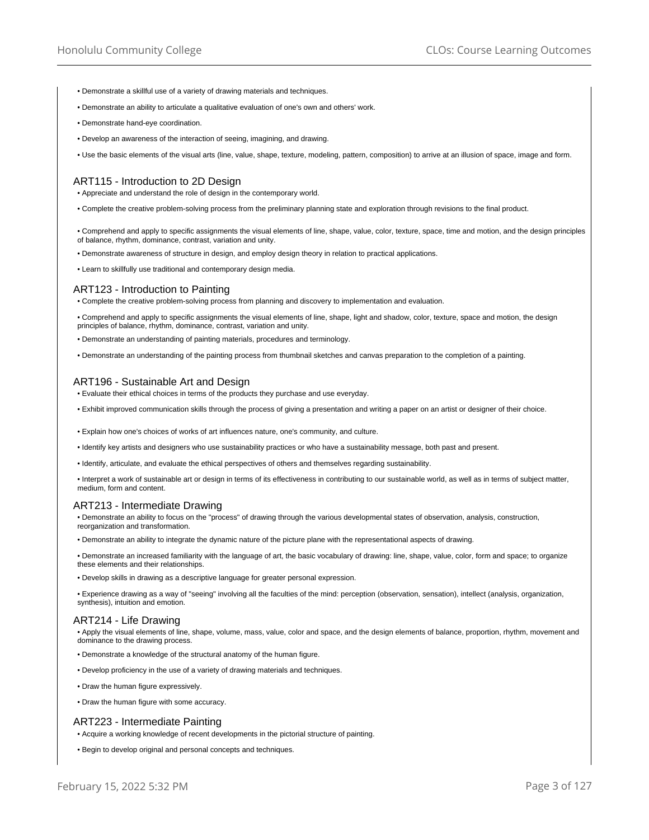- Demonstrate a skillful use of a variety of drawing materials and techniques.
- Demonstrate an ability to articulate a qualitative evaluation of one's own and others' work.
- Demonstrate hand-eye coordination.
- Develop an awareness of the interaction of seeing, imagining, and drawing.
- Use the basic elements of the visual arts (line, value, shape, texture, modeling, pattern, composition) to arrive at an illusion of space, image and form.

# ART115 - Introduction to 2D Design

• Appreciate and understand the role of design in the contemporary world.

• Complete the creative problem-solving process from the preliminary planning state and exploration through revisions to the final product.

• Comprehend and apply to specific assignments the visual elements of line, shape, value, color, texture, space, time and motion, and the design principles of balance, rhythm, dominance, contrast, variation and unity.

• Demonstrate awareness of structure in design, and employ design theory in relation to practical applications.

• Learn to skillfully use traditional and contemporary design media.

## ART123 - Introduction to Painting

• Complete the creative problem-solving process from planning and discovery to implementation and evaluation.

• Comprehend and apply to specific assignments the visual elements of line, shape, light and shadow, color, texture, space and motion, the design principles of balance, rhythm, dominance, contrast, variation and unity.

• Demonstrate an understanding of painting materials, procedures and terminology.

• Demonstrate an understanding of the painting process from thumbnail sketches and canvas preparation to the completion of a painting.

#### ART196 - Sustainable Art and Design

• Evaluate their ethical choices in terms of the products they purchase and use everyday.

• Exhibit improved communication skills through the process of giving a presentation and writing a paper on an artist or designer of their choice.

• Explain how one's choices of works of art influences nature, one's community, and culture.

• Identify key artists and designers who use sustainability practices or who have a sustainability message, both past and present.

• Identify, articulate, and evaluate the ethical perspectives of others and themselves regarding sustainability.

• Interpret a work of sustainable art or design in terms of its effectiveness in contributing to our sustainable world, as well as in terms of subject matter, medium, form and content.

#### ART213 - Intermediate Drawing

• Demonstrate an ability to focus on the "process" of drawing through the various developmental states of observation, analysis, construction, reorganization and transformation.

• Demonstrate an ability to integrate the dynamic nature of the picture plane with the representational aspects of drawing.

• Demonstrate an increased familiarity with the language of art, the basic vocabulary of drawing: line, shape, value, color, form and space; to organize these elements and their relationships.

• Develop skills in drawing as a descriptive language for greater personal expression.

• Experience drawing as a way of "seeing" involving all the faculties of the mind: perception (observation, sensation), intellect (analysis, organization, synthesis), intuition and emotion.

#### ART214 - Life Drawing

• Apply the visual elements of line, shape, volume, mass, value, color and space, and the design elements of balance, proportion, rhythm, movement and dominance to the drawing process.

- Demonstrate a knowledge of the structural anatomy of the human figure.
- Develop proficiency in the use of a variety of drawing materials and techniques.
- Draw the human figure expressively.
- Draw the human figure with some accuracy.

#### ART223 - Intermediate Painting

• Acquire a working knowledge of recent developments in the pictorial structure of painting.

• Begin to develop original and personal concepts and techniques.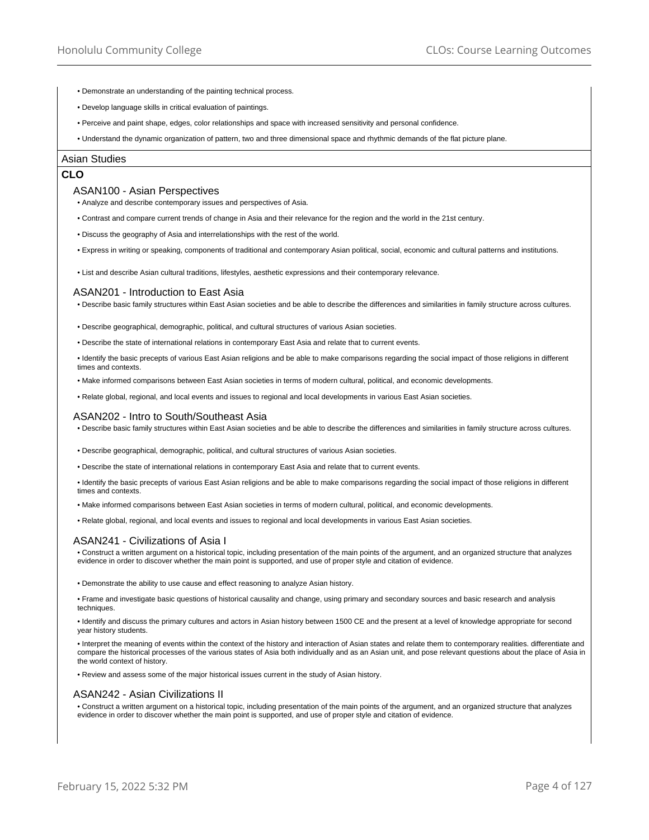- Demonstrate an understanding of the painting technical process.
- Develop language skills in critical evaluation of paintings.
- Perceive and paint shape, edges, color relationships and space with increased sensitivity and personal confidence.
- Understand the dynamic organization of pattern, two and three dimensional space and rhythmic demands of the flat picture plane.

#### Asian Studies

# **CLO**

#### ASAN100 - Asian Perspectives

• Analyze and describe contemporary issues and perspectives of Asia.

- Contrast and compare current trends of change in Asia and their relevance for the region and the world in the 21st century.
- Discuss the geography of Asia and interrelationships with the rest of the world.
- Express in writing or speaking, components of traditional and contemporary Asian political, social, economic and cultural patterns and institutions.

• List and describe Asian cultural traditions, lifestyles, aesthetic expressions and their contemporary relevance.

#### ASAN201 - Introduction to East Asia

• Describe basic family structures within East Asian societies and be able to describe the differences and similarities in family structure across cultures.

• Describe geographical, demographic, political, and cultural structures of various Asian societies.

• Describe the state of international relations in contemporary East Asia and relate that to current events.

• Identify the basic precepts of various East Asian religions and be able to make comparisons regarding the social impact of those religions in different times and contexts.

• Make informed comparisons between East Asian societies in terms of modern cultural, political, and economic developments.

• Relate global, regional, and local events and issues to regional and local developments in various East Asian societies.

#### ASAN202 - Intro to South/Southeast Asia

• Describe basic family structures within East Asian societies and be able to describe the differences and similarities in family structure across cultures.

- Describe geographical, demographic, political, and cultural structures of various Asian societies.
- Describe the state of international relations in contemporary East Asia and relate that to current events.
- Identify the basic precepts of various East Asian religions and be able to make comparisons regarding the social impact of those religions in different times and contexts.
- Make informed comparisons between East Asian societies in terms of modern cultural, political, and economic developments.
- Relate global, regional, and local events and issues to regional and local developments in various East Asian societies.

## ASAN241 - Civilizations of Asia I

• Construct a written argument on a historical topic, including presentation of the main points of the argument, and an organized structure that analyzes evidence in order to discover whether the main point is supported, and use of proper style and citation of evidence.

• Demonstrate the ability to use cause and effect reasoning to analyze Asian history.

• Frame and investigate basic questions of historical causality and change, using primary and secondary sources and basic research and analysis techniques.

• Identify and discuss the primary cultures and actors in Asian history between 1500 CE and the present at a level of knowledge appropriate for second year history students.

• Interpret the meaning of events within the context of the history and interaction of Asian states and relate them to contemporary realities. differentiate and compare the historical processes of the various states of Asia both individually and as an Asian unit, and pose relevant questions about the place of Asia in the world context of history.

• Review and assess some of the major historical issues current in the study of Asian history.

#### ASAN242 - Asian Civilizations II

• Construct a written argument on a historical topic, including presentation of the main points of the argument, and an organized structure that analyzes evidence in order to discover whether the main point is supported, and use of proper style and citation of evidence.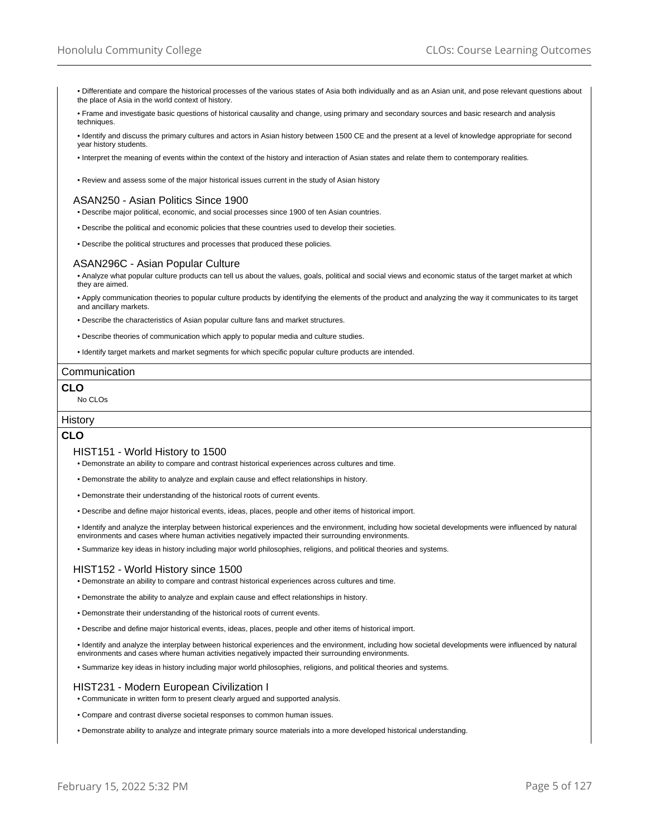- Differentiate and compare the historical processes of the various states of Asia both individually and as an Asian unit, and pose relevant questions about the place of Asia in the world context of history.
- Frame and investigate basic questions of historical causality and change, using primary and secondary sources and basic research and analysis techniques

• Identify and discuss the primary cultures and actors in Asian history between 1500 CE and the present at a level of knowledge appropriate for second year history students.

• Interpret the meaning of events within the context of the history and interaction of Asian states and relate them to contemporary realities.

• Review and assess some of the major historical issues current in the study of Asian history

# ASAN250 - Asian Politics Since 1900

- Describe major political, economic, and social processes since 1900 of ten Asian countries.
- Describe the political and economic policies that these countries used to develop their societies.
- Describe the political structures and processes that produced these policies.

## ASAN296C - Asian Popular Culture

• Analyze what popular culture products can tell us about the values, goals, political and social views and economic status of the target market at which they are aimed.

• Apply communication theories to popular culture products by identifying the elements of the product and analyzing the way it communicates to its target and ancillary markets.

• Describe the characteristics of Asian popular culture fans and market structures.

• Describe theories of communication which apply to popular media and culture studies.

• Identify target markets and market segments for which specific popular culture products are intended.

#### Communication

# **CLO**

# No CLOs

# **History**

# **CLO**

#### HIST151 - World History to 1500

- Demonstrate an ability to compare and contrast historical experiences across cultures and time.
- Demonstrate the ability to analyze and explain cause and effect relationships in history.
- Demonstrate their understanding of the historical roots of current events.
- Describe and define major historical events, ideas, places, people and other items of historical import.
- Identify and analyze the interplay between historical experiences and the environment, including how societal developments were influenced by natural environments and cases where human activities negatively impacted their surrounding environments.
- Summarize key ideas in history including major world philosophies, religions, and political theories and systems.

# HIST152 - World History since 1500

- Demonstrate an ability to compare and contrast historical experiences across cultures and time.
- Demonstrate the ability to analyze and explain cause and effect relationships in history.
- Demonstrate their understanding of the historical roots of current events.
- Describe and define major historical events, ideas, places, people and other items of historical import.
- Identify and analyze the interplay between historical experiences and the environment, including how societal developments were influenced by natural environments and cases where human activities negatively impacted their surrounding environments.
- Summarize key ideas in history including major world philosophies, religions, and political theories and systems.

## HIST231 - Modern European Civilization I

- Communicate in written form to present clearly argued and supported analysis.
- Compare and contrast diverse societal responses to common human issues.
- Demonstrate ability to analyze and integrate primary source materials into a more developed historical understanding.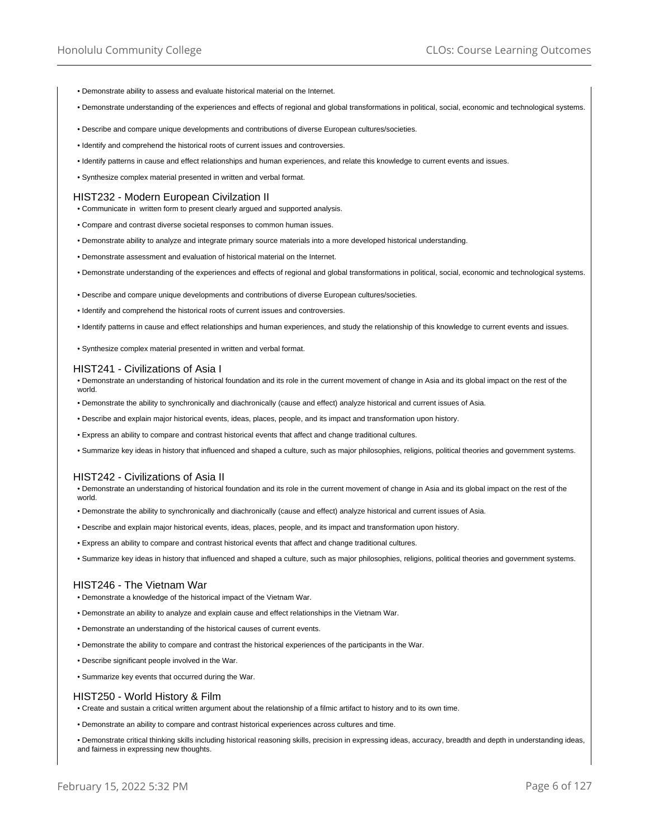- Demonstrate ability to assess and evaluate historical material on the Internet.
- Demonstrate understanding of the experiences and effects of regional and global transformations in political, social, economic and technological systems.
- Describe and compare unique developments and contributions of diverse European cultures/societies.
- Identify and comprehend the historical roots of current issues and controversies.
- Identify patterns in cause and effect relationships and human experiences, and relate this knowledge to current events and issues.
- Synthesize complex material presented in written and verbal format.

## HIST232 - Modern European Civilzation II

- Communicate in written form to present clearly argued and supported analysis.
- Compare and contrast diverse societal responses to common human issues.
- Demonstrate ability to analyze and integrate primary source materials into a more developed historical understanding.
- Demonstrate assessment and evaluation of historical material on the Internet.
- Demonstrate understanding of the experiences and effects of regional and global transformations in political, social, economic and technological systems.
- Describe and compare unique developments and contributions of diverse European cultures/societies.
- Identify and comprehend the historical roots of current issues and controversies.
- Identify patterns in cause and effect relationships and human experiences, and study the relationship of this knowledge to current events and issues.
- Synthesize complex material presented in written and verbal format.

#### HIST241 - Civilizations of Asia I

• Demonstrate an understanding of historical foundation and its role in the current movement of change in Asia and its global impact on the rest of the world.

- Demonstrate the ability to synchronically and diachronically (cause and effect) analyze historical and current issues of Asia.
- Describe and explain major historical events, ideas, places, people, and its impact and transformation upon history.
- Express an ability to compare and contrast historical events that affect and change traditional cultures.
- Summarize key ideas in history that influenced and shaped a culture, such as major philosophies, religions, political theories and government systems.

# HIST242 - Civilizations of Asia II

• Demonstrate an understanding of historical foundation and its role in the current movement of change in Asia and its global impact on the rest of the world.

- Demonstrate the ability to synchronically and diachronically (cause and effect) analyze historical and current issues of Asia.
- Describe and explain major historical events, ideas, places, people, and its impact and transformation upon history.
- Express an ability to compare and contrast historical events that affect and change traditional cultures.
- Summarize key ideas in history that influenced and shaped a culture, such as major philosophies, religions, political theories and government systems.

## HIST246 - The Vietnam War

- Demonstrate a knowledge of the historical impact of the Vietnam War.
- Demonstrate an ability to analyze and explain cause and effect relationships in the Vietnam War.
- Demonstrate an understanding of the historical causes of current events.
- Demonstrate the ability to compare and contrast the historical experiences of the participants in the War.
- Describe significant people involved in the War.
- Summarize key events that occurred during the War.

## HIST250 - World History & Film

- Create and sustain a critical written argument about the relationship of a filmic artifact to history and to its own time.
- Demonstrate an ability to compare and contrast historical experiences across cultures and time.

• Demonstrate critical thinking skills including historical reasoning skills, precision in expressing ideas, accuracy, breadth and depth in understanding ideas, and fairness in expressing new thoughts.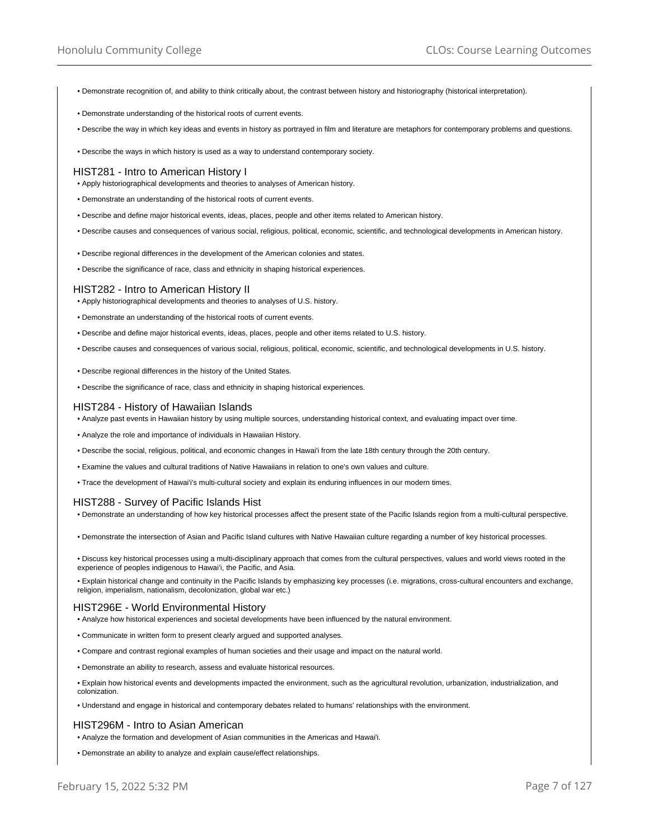- Demonstrate recognition of, and ability to think critically about, the contrast between history and historiography (historical interpretation).
- Demonstrate understanding of the historical roots of current events.
- Describe the way in which key ideas and events in history as portrayed in film and literature are metaphors for contemporary problems and questions.
- Describe the ways in which history is used as a way to understand contemporary society.

#### HIST281 - Intro to American History I

- Apply historiographical developments and theories to analyses of American history.
- Demonstrate an understanding of the historical roots of current events.
- Describe and define major historical events, ideas, places, people and other items related to American history.
- Describe causes and consequences of various social, religious, political, economic, scientific, and technological developments in American history.
- Describe regional differences in the development of the American colonies and states.
- Describe the significance of race, class and ethnicity in shaping historical experiences.

#### HIST282 - Intro to American History II

- Apply historiographical developments and theories to analyses of U.S. history.
- Demonstrate an understanding of the historical roots of current events.
- Describe and define major historical events, ideas, places, people and other items related to U.S. history.
- Describe causes and consequences of various social, religious, political, economic, scientific, and technological developments in U.S. history.
- Describe regional differences in the history of the United States.
- Describe the significance of race, class and ethnicity in shaping historical experiences.

#### HIST284 - History of Hawaiian Islands

- Analyze past events in Hawaiian history by using multiple sources, understanding historical context, and evaluating impact over time.
- Analyze the role and importance of individuals in Hawaiian History.
- Describe the social, religious, political, and economic changes in Hawai'i from the late 18th century through the 20th century.
- Examine the values and cultural traditions of Native Hawaiians in relation to one's own values and culture.
- Trace the development of Hawai'i's multi-cultural society and explain its enduring influences in our modern times.

# HIST288 - Survey of Pacific Islands Hist

- Demonstrate an understanding of how key historical processes affect the present state of the Pacific Islands region from a multi-cultural perspective.
- Demonstrate the intersection of Asian and Pacific Island cultures with Native Hawaiian culture regarding a number of key historical processes.
- Discuss key historical processes using a multi-disciplinary approach that comes from the cultural perspectives, values and world views rooted in the experience of peoples indigenous to Hawai'i, the Pacific, and Asia.
- Explain historical change and continuity in the Pacific Islands by emphasizing key processes (i.e. migrations, cross-cultural encounters and exchange, religion, imperialism, nationalism, decolonization, global war etc.)

## HIST296E - World Environmental History

- Analyze how historical experiences and societal developments have been influenced by the natural environment.
- Communicate in written form to present clearly argued and supported analyses.
- Compare and contrast regional examples of human societies and their usage and impact on the natural world.
- Demonstrate an ability to research, assess and evaluate historical resources.
- Explain how historical events and developments impacted the environment, such as the agricultural revolution, urbanization, industrialization, and colonization.
- Understand and engage in historical and contemporary debates related to humans' relationships with the environment.

## HIST296M - Intro to Asian American

- Analyze the formation and development of Asian communities in the Americas and Hawai'i.
- Demonstrate an ability to analyze and explain cause/effect relationships.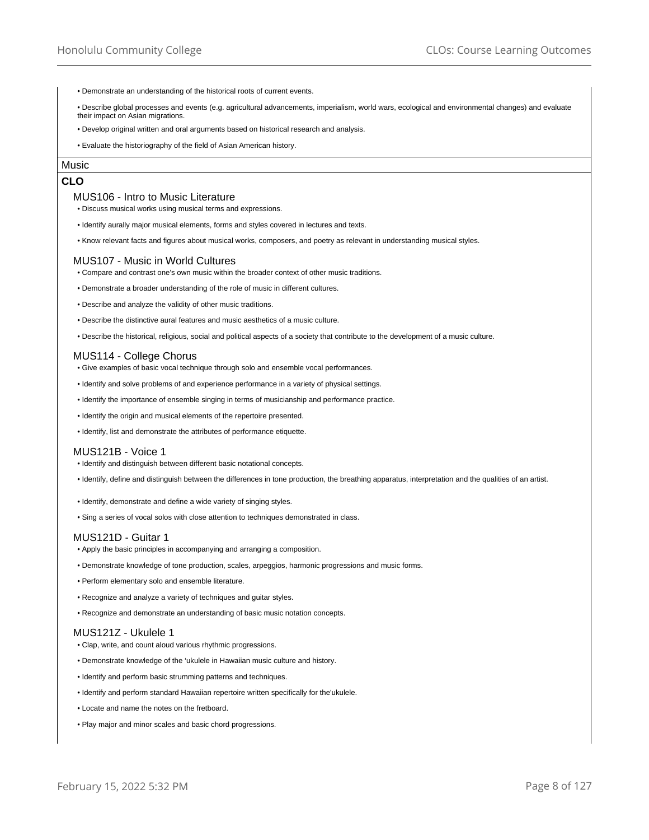- Demonstrate an understanding of the historical roots of current events.
- Describe global processes and events (e.g. agricultural advancements, imperialism, world wars, ecological and environmental changes) and evaluate their impact on Asian migrations.
- Develop original written and oral arguments based on historical research and analysis.
- Evaluate the historiography of the field of Asian American history.

# Music

# **CLO**

## MUS106 - Intro to Music Literature

- Discuss musical works using musical terms and expressions.
- Identify aurally major musical elements, forms and styles covered in lectures and texts.
- Know relevant facts and figures about musical works, composers, and poetry as relevant in understanding musical styles.

#### MUS107 - Music in World Cultures

- Compare and contrast one's own music within the broader context of other music traditions.
- Demonstrate a broader understanding of the role of music in different cultures.
- Describe and analyze the validity of other music traditions.
- Describe the distinctive aural features and music aesthetics of a music culture.
- Describe the historical, religious, social and political aspects of a society that contribute to the development of a music culture.

## MUS114 - College Chorus

- Give examples of basic vocal technique through solo and ensemble vocal performances.
- Identify and solve problems of and experience performance in a variety of physical settings.
- Identify the importance of ensemble singing in terms of musicianship and performance practice.
- Identify the origin and musical elements of the repertoire presented.
- Identify, list and demonstrate the attributes of performance etiquette.

## MUS121B - Voice 1

- Identify and distinguish between different basic notational concepts.
- Identify, define and distinguish between the differences in tone production, the breathing apparatus, interpretation and the qualities of an artist.
- Identify, demonstrate and define a wide variety of singing styles.
- Sing a series of vocal solos with close attention to techniques demonstrated in class.

## MUS121D - Guitar 1

- Apply the basic principles in accompanying and arranging a composition.
- Demonstrate knowledge of tone production, scales, arpeggios, harmonic progressions and music forms.
- Perform elementary solo and ensemble literature.
- Recognize and analyze a variety of techniques and guitar styles.
- Recognize and demonstrate an understanding of basic music notation concepts.

#### MUS121Z - Ukulele 1

- Clap, write, and count aloud various rhythmic progressions.
- Demonstrate knowledge of the 'ukulele in Hawaiian music culture and history.
- Identify and perform basic strumming patterns and techniques.
- Identify and perform standard Hawaiian repertoire written specifically for the'ukulele.
- Locate and name the notes on the fretboard.
- Play major and minor scales and basic chord progressions.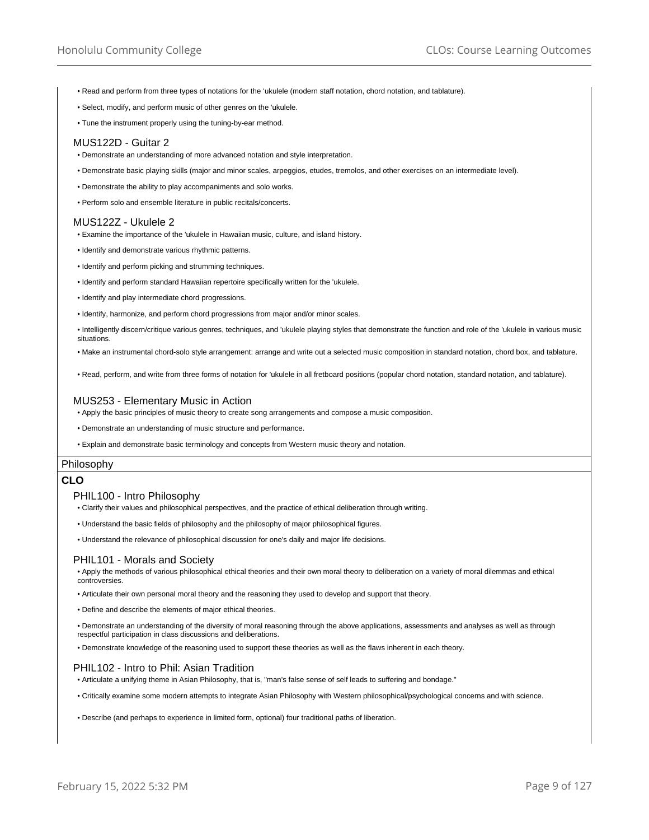- Read and perform from three types of notations for the 'ukulele (modern staff notation, chord notation, and tablature).
- Select, modify, and perform music of other genres on the 'ukulele.
- Tune the instrument properly using the tuning-by-ear method.

#### MUS122D - Guitar 2

- Demonstrate an understanding of more advanced notation and style interpretation.
- Demonstrate basic playing skills (major and minor scales, arpeggios, etudes, tremolos, and other exercises on an intermediate level).
- Demonstrate the ability to play accompaniments and solo works.
- Perform solo and ensemble literature in public recitals/concerts.

## MUS122Z - Ukulele 2

- Examine the importance of the 'ukulele in Hawaiian music, culture, and island history.
- Identify and demonstrate various rhythmic patterns.
- Identify and perform picking and strumming techniques.
- Identify and perform standard Hawaiian repertoire specifically written for the 'ukulele.
- Identify and play intermediate chord progressions.
- Identify, harmonize, and perform chord progressions from major and/or minor scales.

• Intelligently discern/critique various genres, techniques, and 'ukulele playing styles that demonstrate the function and role of the 'ukulele in various music situations.

- Make an instrumental chord-solo style arrangement: arrange and write out a selected music composition in standard notation, chord box, and tablature.
- Read, perform, and write from three forms of notation for 'ukulele in all fretboard positions (popular chord notation, standard notation, and tablature).

## MUS253 - Elementary Music in Action

- Apply the basic principles of music theory to create song arrangements and compose a music composition.
- Demonstrate an understanding of music structure and performance.
- Explain and demonstrate basic terminology and concepts from Western music theory and notation.

## Philosophy

# **CLO**

## PHIL100 - Intro Philosophy

- Clarify their values and philosophical perspectives, and the practice of ethical deliberation through writing.
- Understand the basic fields of philosophy and the philosophy of major philosophical figures.
- Understand the relevance of philosophical discussion for one's daily and major life decisions.

#### PHIL101 - Morals and Society

• Apply the methods of various philosophical ethical theories and their own moral theory to deliberation on a variety of moral dilemmas and ethical controversies.

- Articulate their own personal moral theory and the reasoning they used to develop and support that theory.
- Define and describe the elements of major ethical theories.

• Demonstrate an understanding of the diversity of moral reasoning through the above applications, assessments and analyses as well as through respectful participation in class discussions and deliberations.

• Demonstrate knowledge of the reasoning used to support these theories as well as the flaws inherent in each theory.

## PHIL102 - Intro to Phil: Asian Tradition

• Articulate a unifying theme in Asian Philosophy, that is, "man's false sense of self leads to suffering and bondage."

- Critically examine some modern attempts to integrate Asian Philosophy with Western philosophical/psychological concerns and with science.
- Describe (and perhaps to experience in limited form, optional) four traditional paths of liberation.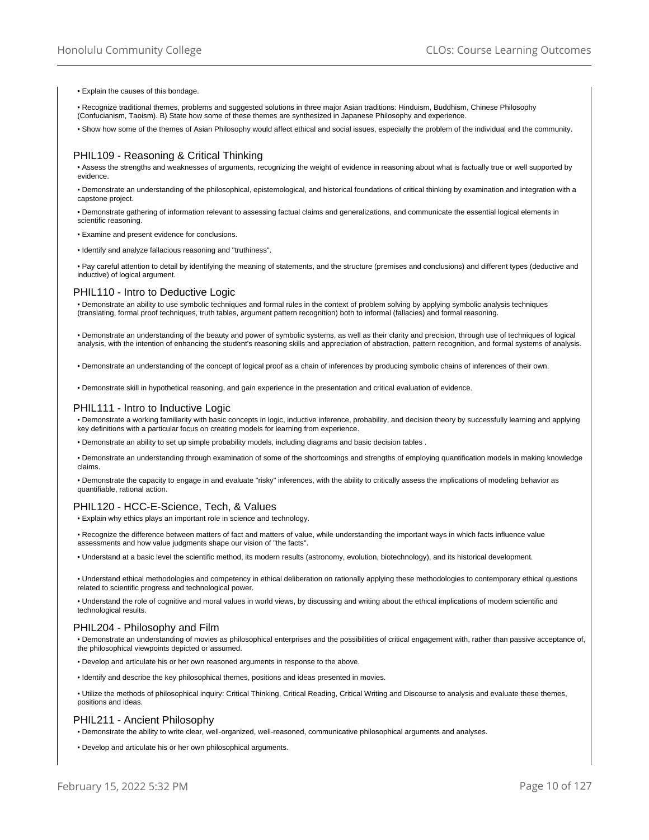#### • Explain the causes of this bondage.

- Recognize traditional themes, problems and suggested solutions in three major Asian traditions: Hinduism, Buddhism, Chinese Philosophy (Confucianism, Taoism). B) State how some of these themes are synthesized in Japanese Philosophy and experience.
- Show how some of the themes of Asian Philosophy would affect ethical and social issues, especially the problem of the individual and the community.

## PHIL109 - Reasoning & Critical Thinking

• Assess the strengths and weaknesses of arguments, recognizing the weight of evidence in reasoning about what is factually true or well supported by evidence.

• Demonstrate an understanding of the philosophical, epistemological, and historical foundations of critical thinking by examination and integration with a capstone project.

• Demonstrate gathering of information relevant to assessing factual claims and generalizations, and communicate the essential logical elements in scientific reasoning.

• Examine and present evidence for conclusions.

• Identify and analyze fallacious reasoning and "truthiness".

• Pay careful attention to detail by identifying the meaning of statements, and the structure (premises and conclusions) and different types (deductive and inductive) of logical argument.

## PHIL110 - Intro to Deductive Logic

• Demonstrate an ability to use symbolic techniques and formal rules in the context of problem solving by applying symbolic analysis techniques (translating, formal proof techniques, truth tables, argument pattern recognition) both to informal (fallacies) and formal reasoning.

• Demonstrate an understanding of the beauty and power of symbolic systems, as well as their clarity and precision, through use of techniques of logical analysis, with the intention of enhancing the student's reasoning skills and appreciation of abstraction, pattern recognition, and formal systems of analysis.

• Demonstrate an understanding of the concept of logical proof as a chain of inferences by producing symbolic chains of inferences of their own.

• Demonstrate skill in hypothetical reasoning, and gain experience in the presentation and critical evaluation of evidence.

#### PHIL111 - Intro to Inductive Logic

• Demonstrate a working familiarity with basic concepts in logic, inductive inference, probability, and decision theory by successfully learning and applying key definitions with a particular focus on creating models for learning from experience.

• Demonstrate an ability to set up simple probability models, including diagrams and basic decision tables .

• Demonstrate an understanding through examination of some of the shortcomings and strengths of employing quantification models in making knowledge claims.

• Demonstrate the capacity to engage in and evaluate "risky" inferences, with the ability to critically assess the implications of modeling behavior as quantifiable, rational action.

#### PHIL120 - HCC-E-Science, Tech, & Values

• Explain why ethics plays an important role in science and technology.

• Recognize the difference between matters of fact and matters of value, while understanding the important ways in which facts influence value assessments and how value judgments shape our vision of "the facts".

• Understand at a basic level the scientific method, its modern results (astronomy, evolution, biotechnology), and its historical development.

• Understand ethical methodologies and competency in ethical deliberation on rationally applying these methodologies to contemporary ethical questions related to scientific progress and technological power.

• Understand the role of cognitive and moral values in world views, by discussing and writing about the ethical implications of modern scientific and technological results.

#### PHIL204 - Philosophy and Film

• Demonstrate an understanding of movies as philosophical enterprises and the possibilities of critical engagement with, rather than passive acceptance of, the philosophical viewpoints depicted or assumed.

- Develop and articulate his or her own reasoned arguments in response to the above.
- Identify and describe the key philosophical themes, positions and ideas presented in movies.

• Utilize the methods of philosophical inquiry: Critical Thinking, Critical Reading, Critical Writing and Discourse to analysis and evaluate these themes, positions and ideas.

#### PHIL211 - Ancient Philosophy

• Demonstrate the ability to write clear, well-organized, well-reasoned, communicative philosophical arguments and analyses.

• Develop and articulate his or her own philosophical arguments.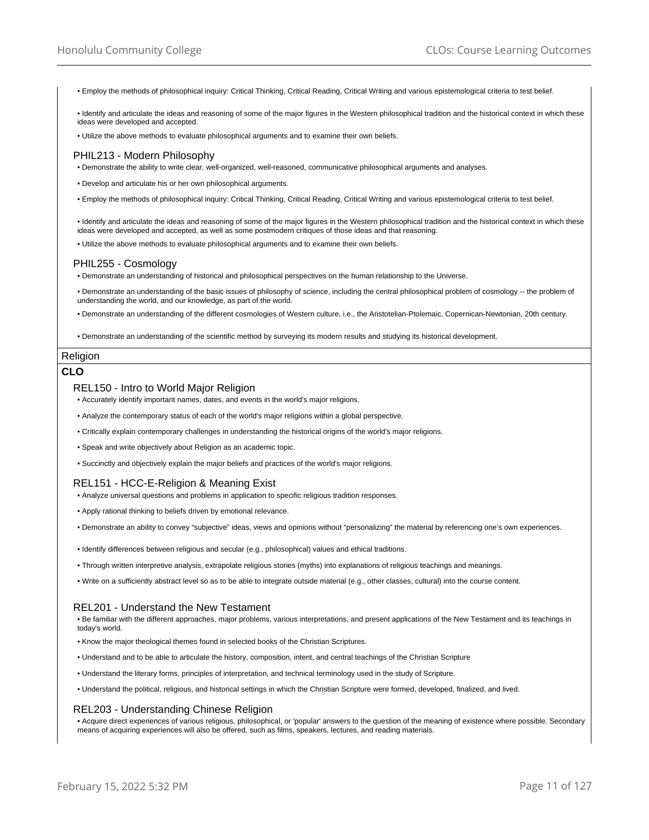• Employ the methods of philosophical inquiry: Critical Thinking, Critical Reading, Critical Writing and various epistemological criteria to test belief.

• Identify and articulate the ideas and reasoning of some of the major figures in the Western philosophical tradition and the historical context in which these ideas were developed and accepted.

• Utilize the above methods to evaluate philosophical arguments and to examine their own beliefs.

#### PHIL213 - Modern Philosophy

• Demonstrate the ability to write clear, well-organized, well-reasoned, communicative philosophical arguments and analyses.

• Develop and articulate his or her own philosophical arguments.

• Employ the methods of philosophical inquiry: Critical Thinking, Critical Reading, Critical Writing and various epistemological criteria to test belief.

• Identify and articulate the ideas and reasoning of some of the major figures in the Western philosophical tradition and the historical context in which these ideas were developed and accepted, as well as some postmodern critiques of those ideas and that reasoning.

• Utilize the above methods to evaluate philosophical arguments and to examine their own beliefs.

#### PHIL255 - Cosmology

• Demonstrate an understanding of historical and philosophical perspectives on the human relationship to the Universe.

• Demonstrate an understanding of the basic issues of philosophy of science, including the central philosophical problem of cosmology -- the problem of understanding the world, and our knowledge, as part of the world.

• Demonstrate an understanding of the different cosmologies of Western culture, i.e., the Aristotelian-Ptolemaic, Copernican-Newtonian, 20th century.

• Demonstrate an understanding of the scientific method by surveying its modern results and studying its historical development.

## Religion

#### **CLO**

#### REL150 - Intro to World Major Religion

• Accurately identify important names, dates, and events in the world's major religions.

- Analyze the contemporary status of each of the world's major religions within a global perspective.
- Critically explain contemporary challenges in understanding the historical origins of the world's major religions.
- Speak and write objectively about Religion as an academic topic.
- Succinctly and objectively explain the major beliefs and practices of the world's major religions.

# REL151 - HCC-E-Religion & Meaning Exist

- Analyze universal questions and problems in application to specific religious tradition responses.
- Apply rational thinking to beliefs driven by emotional relevance.
- Demonstrate an ability to convey "subjective" ideas, views and opinions without "personalizing" the material by referencing one's own experiences.
- Identify differences between religious and secular (e.g., philosophical) values and ethical traditions.
- Through written interpretive analysis, extrapolate religious stories (myths) into explanations of religious teachings and meanings.
- Write on a sufficiently abstract level so as to be able to integrate outside material (e.g., other classes, cultural) into the course content.

# REL201 - Understand the New Testament

• Be familiar with the different approaches, major problems, various interpretations, and present applications of the New Testament and its teachings in today's world.

- Know the major theological themes found in selected books of the Christian Scriptures.
- Understand and to be able to articulate the history, composition, intent, and central teachings of the Christian Scripture
- Understand the literary forms, principles of interpretation, and technical terminology used in the study of Scripture.
- Understand the political, religious, and historical settings in which the Christian Scripture were formed, developed, finalized, and lived.

## REL203 - Understanding Chinese Religion

• Acquire direct experiences of various religious, philosophical, or 'popular' answers to the question of the meaning of existence where possible. Secondary means of acquiring experiences will also be offered, such as films, speakers, lectures, and reading materials.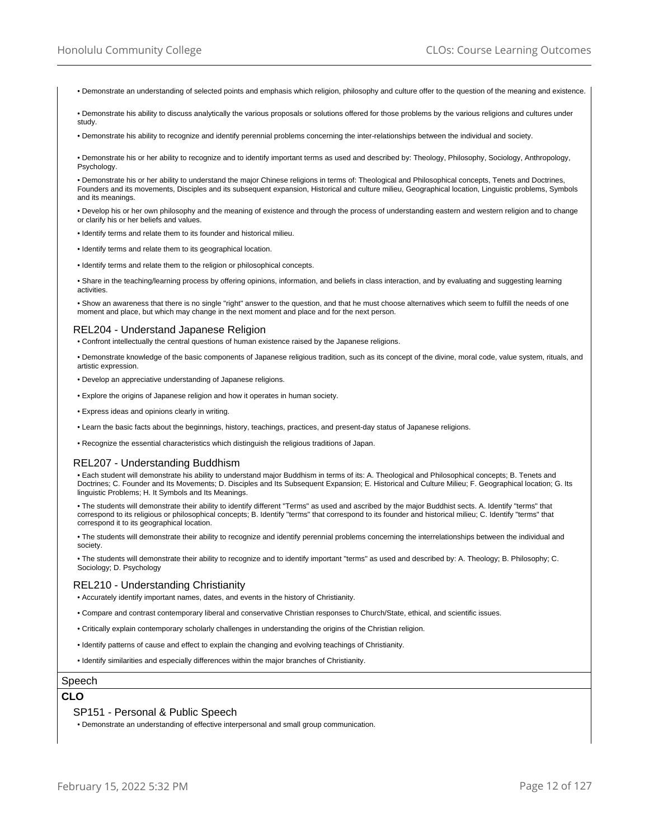• Demonstrate an understanding of selected points and emphasis which religion, philosophy and culture offer to the question of the meaning and existence.

• Demonstrate his ability to discuss analytically the various proposals or solutions offered for those problems by the various religions and cultures under study

• Demonstrate his ability to recognize and identify perennial problems concerning the inter-relationships between the individual and society.

• Demonstrate his or her ability to recognize and to identify important terms as used and described by: Theology, Philosophy, Sociology, Anthropology, Psychology.

• Demonstrate his or her ability to understand the major Chinese religions in terms of: Theological and Philosophical concepts, Tenets and Doctrines, Founders and its movements, Disciples and its subsequent expansion, Historical and culture milieu, Geographical location, Linguistic problems, Symbols and its meanings.

• Develop his or her own philosophy and the meaning of existence and through the process of understanding eastern and western religion and to change or clarify his or her beliefs and values.

• Identify terms and relate them to its founder and historical milieu.

• Identify terms and relate them to its geographical location.

• Identify terms and relate them to the religion or philosophical concepts.

• Share in the teaching/learning process by offering opinions, information, and beliefs in class interaction, and by evaluating and suggesting learning activities.

• Show an awareness that there is no single "right" answer to the question, and that he must choose alternatives which seem to fulfill the needs of one moment and place, but which may change in the next moment and place and for the next person.

#### REL204 - Understand Japanese Religion

• Confront intellectually the central questions of human existence raised by the Japanese religions.

• Demonstrate knowledge of the basic components of Japanese religious tradition, such as its concept of the divine, moral code, value system, rituals, and artistic expression.

• Develop an appreciative understanding of Japanese religions.

• Explore the origins of Japanese religion and how it operates in human society.

• Express ideas and opinions clearly in writing.

• Learn the basic facts about the beginnings, history, teachings, practices, and present-day status of Japanese religions.

• Recognize the essential characteristics which distinguish the religious traditions of Japan.

## REL207 - Understanding Buddhism

• Each student will demonstrate his ability to understand major Buddhism in terms of its: A. Theological and Philosophical concepts; B. Tenets and Doctrines; C. Founder and Its Movements; D. Disciples and Its Subsequent Expansion; E. Historical and Culture Milieu; F. Geographical location; G. Its linguistic Problems; H. It Symbols and Its Meanings.

• The students will demonstrate their ability to identify different "Terms" as used and ascribed by the major Buddhist sects. A. Identify "terms" that correspond to its religious or philosophical concepts; B. Identify "terms" that correspond to its founder and historical milieu; C. Identify "terms" that correspond it to its geographical location.

• The students will demonstrate their ability to recognize and identify perennial problems concerning the interrelationships between the individual and society.

• The students will demonstrate their ability to recognize and to identify important "terms" as used and described by: A. Theology; B. Philosophy; C. Sociology; D. Psychology

## REL210 - Understanding Christianity

• Accurately identify important names, dates, and events in the history of Christianity.

• Compare and contrast contemporary liberal and conservative Christian responses to Church/State, ethical, and scientific issues.

• Critically explain contemporary scholarly challenges in understanding the origins of the Christian religion.

• Identify patterns of cause and effect to explain the changing and evolving teachings of Christianity.

• Identify similarities and especially differences within the major branches of Christianity.

# Speech

# **CLO**

## SP151 - Personal & Public Speech

• Demonstrate an understanding of effective interpersonal and small group communication.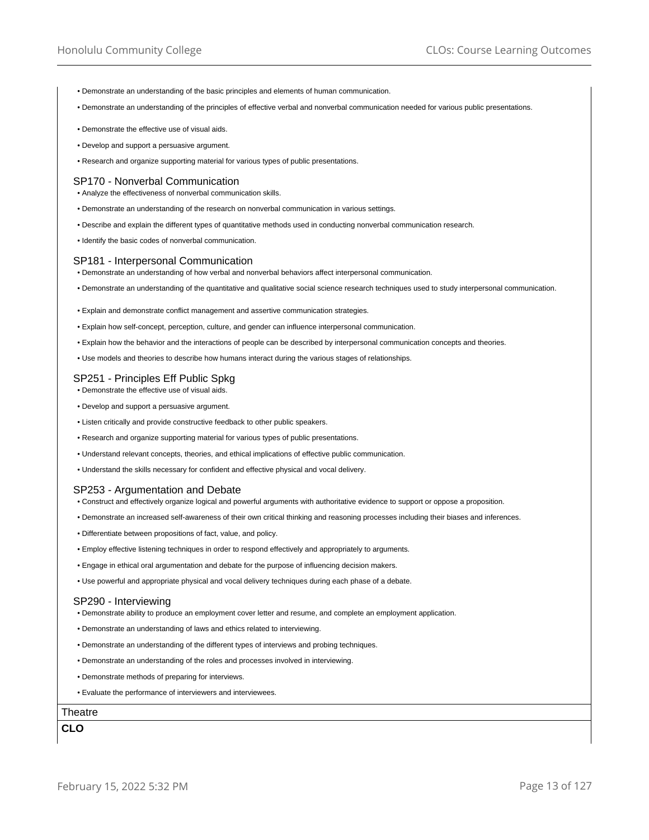- Demonstrate an understanding of the basic principles and elements of human communication.
- Demonstrate an understanding of the principles of effective verbal and nonverbal communication needed for various public presentations.
- Demonstrate the effective use of visual aids.
- Develop and support a persuasive argument.
- Research and organize supporting material for various types of public presentations.

## SP170 - Nonverbal Communication

- Analyze the effectiveness of nonverbal communication skills.
- Demonstrate an understanding of the research on nonverbal communication in various settings.
- Describe and explain the different types of quantitative methods used in conducting nonverbal communication research.
- Identify the basic codes of nonverbal communication.

#### SP181 - Interpersonal Communication

- Demonstrate an understanding of how verbal and nonverbal behaviors affect interpersonal communication.
- Demonstrate an understanding of the quantitative and qualitative social science research techniques used to study interpersonal communication.
- Explain and demonstrate conflict management and assertive communication strategies.
- Explain how self-concept, perception, culture, and gender can influence interpersonal communication.
- Explain how the behavior and the interactions of people can be described by interpersonal communication concepts and theories.
- Use models and theories to describe how humans interact during the various stages of relationships.

# SP251 - Principles Eff Public Spkg

- Demonstrate the effective use of visual aids.
- Develop and support a persuasive argument.
- Listen critically and provide constructive feedback to other public speakers.
- Research and organize supporting material for various types of public presentations.
- Understand relevant concepts, theories, and ethical implications of effective public communication.
- Understand the skills necessary for confident and effective physical and vocal delivery.

#### SP253 - Argumentation and Debate

- Construct and effectively organize logical and powerful arguments with authoritative evidence to support or oppose a proposition.
- Demonstrate an increased self-awareness of their own critical thinking and reasoning processes including their biases and inferences.
- Differentiate between propositions of fact, value, and policy.
- Employ effective listening techniques in order to respond effectively and appropriately to arguments.
- Engage in ethical oral argumentation and debate for the purpose of influencing decision makers.
- Use powerful and appropriate physical and vocal delivery techniques during each phase of a debate.

#### SP290 - Interviewing

- Demonstrate ability to produce an employment cover letter and resume, and complete an employment application.
- Demonstrate an understanding of laws and ethics related to interviewing.
- Demonstrate an understanding of the different types of interviews and probing techniques.
- Demonstrate an understanding of the roles and processes involved in interviewing.
- Demonstrate methods of preparing for interviews.
- Evaluate the performance of interviewers and interviewees.

# **Theatre**

**CLO**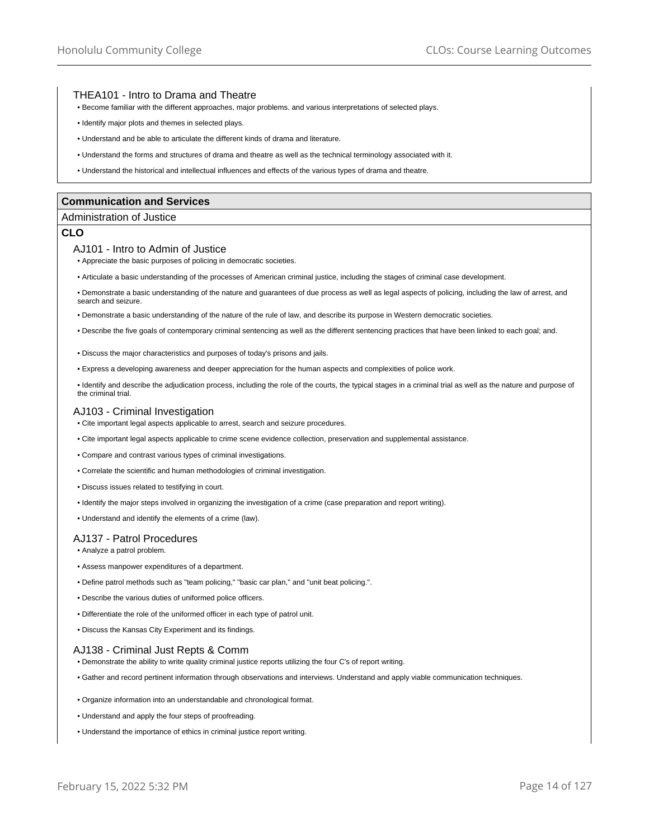## THEA101 - Intro to Drama and Theatre

- Become familiar with the different approaches, major problems. and various interpretations of selected plays.
- Identify major plots and themes in selected plays.
- Understand and be able to articulate the different kinds of drama and literature.
- Understand the forms and structures of drama and theatre as well as the technical terminology associated with it.
- Understand the historical and intellectual influences and effects of the various types of drama and theatre.

## **Communication and Services**

#### Administration of Justice

# **CLO**

#### AJ101 - Intro to Admin of Justice

• Appreciate the basic purposes of policing in democratic societies.

- Articulate a basic understanding of the processes of American criminal justice, including the stages of criminal case development.
- Demonstrate a basic understanding of the nature and guarantees of due process as well as legal aspects of policing, including the law of arrest, and search and seizure.
- Demonstrate a basic understanding of the nature of the rule of law, and describe its purpose in Western democratic societies.
- Describe the five goals of contemporary criminal sentencing as well as the different sentencing practices that have been linked to each goal; and.
- Discuss the major characteristics and purposes of today's prisons and jails.
- Express a developing awareness and deeper appreciation for the human aspects and complexities of police work.

• Identify and describe the adjudication process, including the role of the courts, the typical stages in a criminal trial as well as the nature and purpose of the criminal trial.

## AJ103 - Criminal Investigation

- Cite important legal aspects applicable to arrest, search and seizure procedures.
- Cite important legal aspects applicable to crime scene evidence collection, preservation and supplemental assistance.
- Compare and contrast various types of criminal investigations.
- Correlate the scientific and human methodologies of criminal investigation.
- Discuss issues related to testifying in court.
- Identify the major steps involved in organizing the investigation of a crime (case preparation and report writing).
- Understand and identify the elements of a crime (law).

#### AJ137 - Patrol Procedures

- Analyze a patrol problem.
- Assess manpower expenditures of a department.
- Define patrol methods such as "team policing," "basic car plan," and "unit beat policing.".
- Describe the various duties of uniformed police officers.
- Differentiate the role of the uniformed officer in each type of patrol unit.
- Discuss the Kansas City Experiment and its findings.

#### AJ138 - Criminal Just Repts & Comm

• Demonstrate the ability to write quality criminal justice reports utilizing the four C's of report writing.

- Gather and record pertinent information through observations and interviews. Understand and apply viable communication techniques.
- Organize information into an understandable and chronological format.
- Understand and apply the four steps of proofreading.
- Understand the importance of ethics in criminal justice report writing.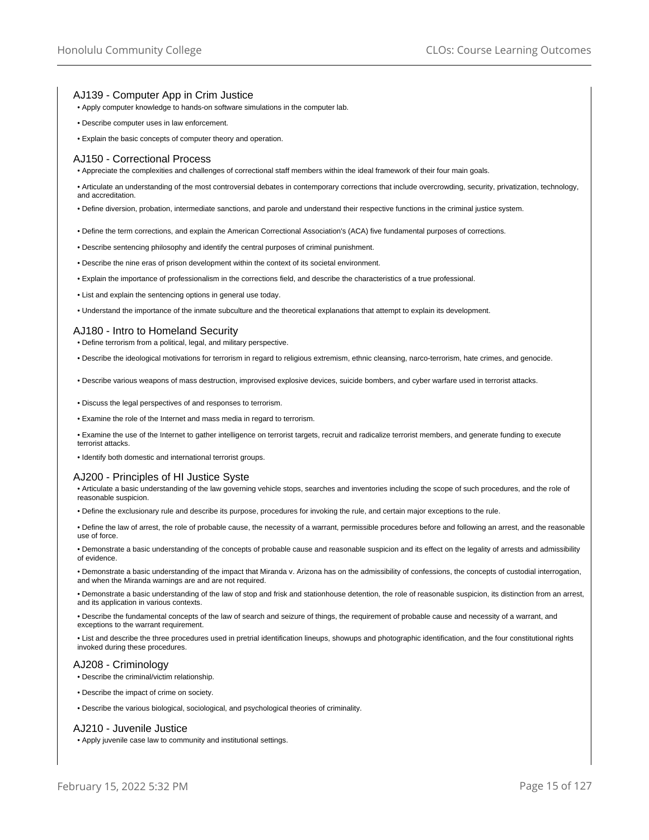# AJ139 - Computer App in Crim Justice

- Apply computer knowledge to hands-on software simulations in the computer lab.
- Describe computer uses in law enforcement.
- Explain the basic concepts of computer theory and operation.

#### AJ150 - Correctional Process

• Appreciate the complexities and challenges of correctional staff members within the ideal framework of their four main goals.

- Articulate an understanding of the most controversial debates in contemporary corrections that include overcrowding, security, privatization, technology, and accreditation.
- Define diversion, probation, intermediate sanctions, and parole and understand their respective functions in the criminal justice system.
- Define the term corrections, and explain the American Correctional Association's (ACA) five fundamental purposes of corrections.
- Describe sentencing philosophy and identify the central purposes of criminal punishment.
- Describe the nine eras of prison development within the context of its societal environment.
- Explain the importance of professionalism in the corrections field, and describe the characteristics of a true professional.
- List and explain the sentencing options in general use today.
- Understand the importance of the inmate subculture and the theoretical explanations that attempt to explain its development.

#### AJ180 - Intro to Homeland Security

• Define terrorism from a political, legal, and military perspective.

- Describe the ideological motivations for terrorism in regard to religious extremism, ethnic cleansing, narco-terrorism, hate crimes, and genocide.
- Describe various weapons of mass destruction, improvised explosive devices, suicide bombers, and cyber warfare used in terrorist attacks.
- Discuss the legal perspectives of and responses to terrorism.
- Examine the role of the Internet and mass media in regard to terrorism.

• Examine the use of the Internet to gather intelligence on terrorist targets, recruit and radicalize terrorist members, and generate funding to execute terrorist attacks.

• Identify both domestic and international terrorist groups.

## AJ200 - Principles of HI Justice Syste

• Articulate a basic understanding of the law governing vehicle stops, searches and inventories including the scope of such procedures, and the role of reasonable suspicion.

- Define the exclusionary rule and describe its purpose, procedures for invoking the rule, and certain major exceptions to the rule.
- Define the law of arrest, the role of probable cause, the necessity of a warrant, permissible procedures before and following an arrest, and the reasonable use of force.
- Demonstrate a basic understanding of the concepts of probable cause and reasonable suspicion and its effect on the legality of arrests and admissibility of evidence.
- Demonstrate a basic understanding of the impact that Miranda v. Arizona has on the admissibility of confessions, the concepts of custodial interrogation, and when the Miranda warnings are and are not required.
- Demonstrate a basic understanding of the law of stop and frisk and stationhouse detention, the role of reasonable suspicion, its distinction from an arrest, and its application in various contexts.

• Describe the fundamental concepts of the law of search and seizure of things, the requirement of probable cause and necessity of a warrant, and exceptions to the warrant requirement.

• List and describe the three procedures used in pretrial identification lineups, showups and photographic identification, and the four constitutional rights invoked during these procedures.

#### AJ208 - Criminology

- Describe the criminal/victim relationship.
- Describe the impact of crime on society.
- Describe the various biological, sociological, and psychological theories of criminality.

## AJ210 - Juvenile Justice

• Apply juvenile case law to community and institutional settings.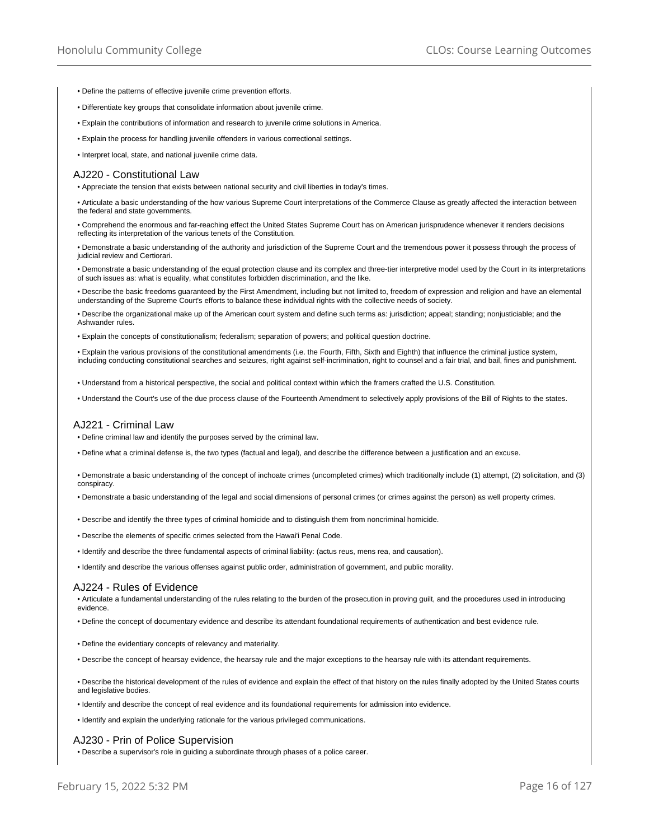- Define the patterns of effective juvenile crime prevention efforts.
- Differentiate key groups that consolidate information about juvenile crime.
- Explain the contributions of information and research to juvenile crime solutions in America.
- Explain the process for handling juvenile offenders in various correctional settings.
- Interpret local, state, and national juvenile crime data.

#### AJ220 - Constitutional Law

• Appreciate the tension that exists between national security and civil liberties in today's times.

• Articulate a basic understanding of the how various Supreme Court interpretations of the Commerce Clause as greatly affected the interaction between the federal and state governments.

• Comprehend the enormous and far-reaching effect the United States Supreme Court has on American jurisprudence whenever it renders decisions reflecting its interpretation of the various tenets of the Constitution.

• Demonstrate a basic understanding of the authority and jurisdiction of the Supreme Court and the tremendous power it possess through the process of judicial review and Certiorari.

• Demonstrate a basic understanding of the equal protection clause and its complex and three-tier interpretive model used by the Court in its interpretations of such issues as: what is equality, what constitutes forbidden discrimination, and the like.

• Describe the basic freedoms guaranteed by the First Amendment, including but not limited to, freedom of expression and religion and have an elemental understanding of the Supreme Court's efforts to balance these individual rights with the collective needs of society.

• Describe the organizational make up of the American court system and define such terms as: jurisdiction; appeal; standing; nonjusticiable; and the Ashwander rules.

• Explain the concepts of constitutionalism; federalism; separation of powers; and political question doctrine.

• Explain the various provisions of the constitutional amendments (i.e. the Fourth, Fifth, Sixth and Eighth) that influence the criminal justice system, including conducting constitutional searches and seizures, right against self-incrimination, right to counsel and a fair trial, and bail, fines and punishment.

• Understand from a historical perspective, the social and political context within which the framers crafted the U.S. Constitution.

• Understand the Court's use of the due process clause of the Fourteenth Amendment to selectively apply provisions of the Bill of Rights to the states.

#### AJ221 - Criminal Law

• Define criminal law and identify the purposes served by the criminal law.

• Define what a criminal defense is, the two types (factual and legal), and describe the difference between a justification and an excuse.

• Demonstrate a basic understanding of the concept of inchoate crimes (uncompleted crimes) which traditionally include (1) attempt, (2) solicitation, and (3) conspiracy.

• Demonstrate a basic understanding of the legal and social dimensions of personal crimes (or crimes against the person) as well property crimes.

- Describe and identify the three types of criminal homicide and to distinguish them from noncriminal homicide.
- Describe the elements of specific crimes selected from the Hawai'i Penal Code.
- Identify and describe the three fundamental aspects of criminal liability: (actus reus, mens rea, and causation).

• Identify and describe the various offenses against public order, administration of government, and public morality.

#### AJ224 - Rules of Evidence

• Articulate a fundamental understanding of the rules relating to the burden of the prosecution in proving guilt, and the procedures used in introducing evidence.

• Define the concept of documentary evidence and describe its attendant foundational requirements of authentication and best evidence rule.

- Define the evidentiary concepts of relevancy and materiality.
- Describe the concept of hearsay evidence, the hearsay rule and the major exceptions to the hearsay rule with its attendant requirements.

• Describe the historical development of the rules of evidence and explain the effect of that history on the rules finally adopted by the United States courts and legislative bodies.

- Identify and describe the concept of real evidence and its foundational requirements for admission into evidence.
- Identify and explain the underlying rationale for the various privileged communications.

## AJ230 - Prin of Police Supervision

• Describe a supervisor's role in guiding a subordinate through phases of a police career.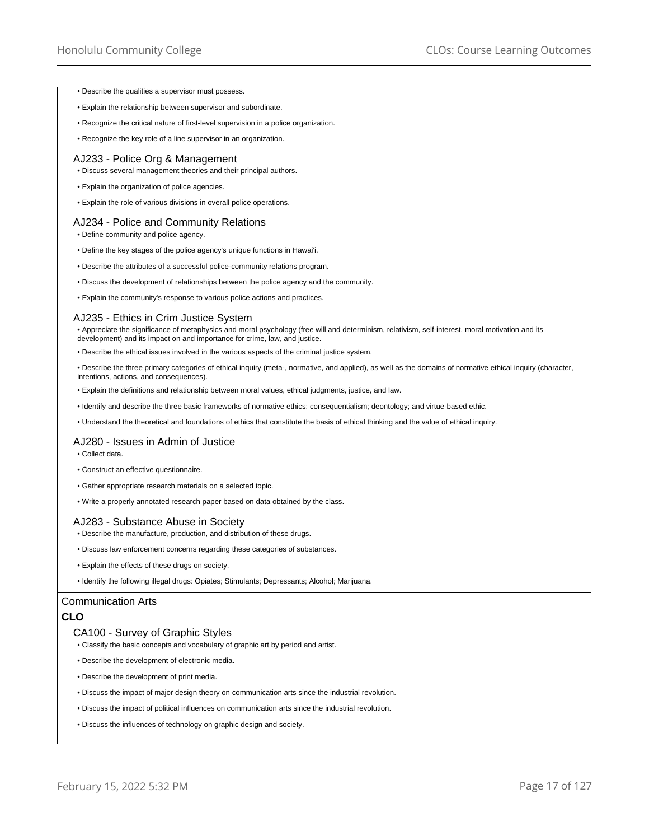- Describe the qualities a supervisor must possess.
- Explain the relationship between supervisor and subordinate.
- Recognize the critical nature of first-level supervision in a police organization.
- Recognize the key role of a line supervisor in an organization.

#### AJ233 - Police Org & Management

- Discuss several management theories and their principal authors.
- Explain the organization of police agencies.
- Explain the role of various divisions in overall police operations.

## AJ234 - Police and Community Relations

- Define community and police agency.
- Define the key stages of the police agency's unique functions in Hawai'i.
- Describe the attributes of a successful police-community relations program.
- Discuss the development of relationships between the police agency and the community.
- Explain the community's response to various police actions and practices.

## AJ235 - Ethics in Crim Justice System

• Appreciate the significance of metaphysics and moral psychology (free will and determinism, relativism, self-interest, moral motivation and its development) and its impact on and importance for crime, law, and justice.

- Describe the ethical issues involved in the various aspects of the criminal justice system.
- Describe the three primary categories of ethical inquiry (meta-, normative, and applied), as well as the domains of normative ethical inquiry (character, intentions, actions, and consequences).
- Explain the definitions and relationship between moral values, ethical judgments, justice, and law.
- Identify and describe the three basic frameworks of normative ethics: consequentialism; deontology; and virtue-based ethic.
- Understand the theoretical and foundations of ethics that constitute the basis of ethical thinking and the value of ethical inquiry.

#### AJ280 - Issues in Admin of Justice

- Collect data.
- Construct an effective questionnaire.
- Gather appropriate research materials on a selected topic.
- Write a properly annotated research paper based on data obtained by the class.

## AJ283 - Substance Abuse in Society

- Describe the manufacture, production, and distribution of these drugs.
- Discuss law enforcement concerns regarding these categories of substances.
- Explain the effects of these drugs on society.
- Identify the following illegal drugs: Opiates; Stimulants; Depressants; Alcohol; Marijuana.

#### Communication Arts

#### **CLO**

## CA100 - Survey of Graphic Styles

- Classify the basic concepts and vocabulary of graphic art by period and artist.
- Describe the development of electronic media.
- Describe the development of print media.
- Discuss the impact of major design theory on communication arts since the industrial revolution.
- Discuss the impact of political influences on communication arts since the industrial revolution.
- Discuss the influences of technology on graphic design and society.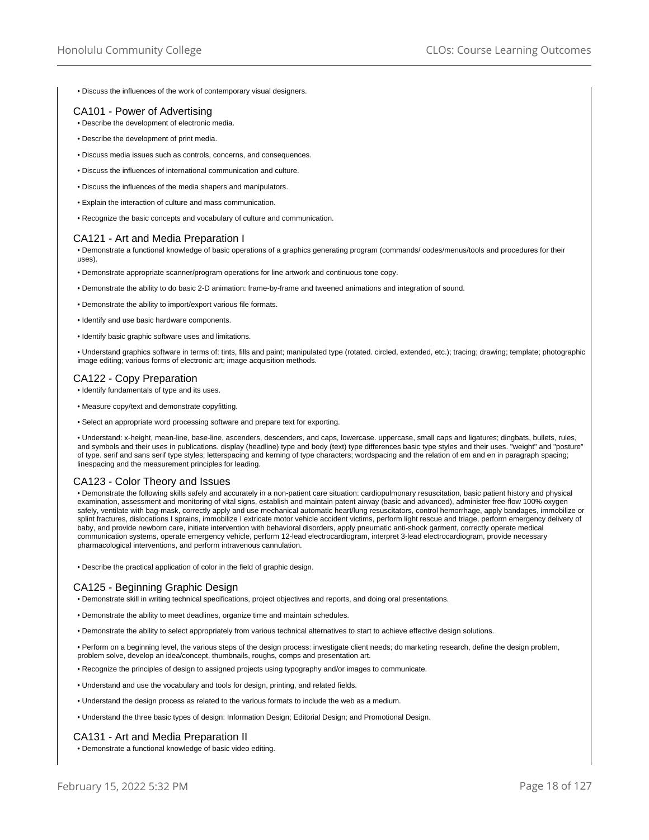• Discuss the influences of the work of contemporary visual designers.

# CA101 - Power of Advertising

- Describe the development of electronic media.
- Describe the development of print media.
- Discuss media issues such as controls, concerns, and consequences.
- Discuss the influences of international communication and culture.
- Discuss the influences of the media shapers and manipulators.
- Explain the interaction of culture and mass communication.
- Recognize the basic concepts and vocabulary of culture and communication.

# CA121 - Art and Media Preparation I

• Demonstrate a functional knowledge of basic operations of a graphics generating program (commands/ codes/menus/tools and procedures for their uses).

- Demonstrate appropriate scanner/program operations for line artwork and continuous tone copy.
- Demonstrate the ability to do basic 2-D animation: frame-by-frame and tweened animations and integration of sound.
- Demonstrate the ability to import/export various file formats.
- Identify and use basic hardware components.
- Identify basic graphic software uses and limitations.
- Understand graphics software in terms of: tints, fills and paint; manipulated type (rotated. circled, extended, etc.); tracing; drawing; template; photographic image editing; various forms of electronic art; image acquisition methods.

# CA122 - Copy Preparation

- Identify fundamentals of type and its uses.
- Measure copy/text and demonstrate copyfitting.
- Select an appropriate word processing software and prepare text for exporting.

• Understand: x-height, mean-line, base-line, ascenders, descenders, and caps, lowercase. uppercase, small caps and ligatures; dingbats, bullets, rules, and symbols and their uses in publications. display (headline) type and body (text) type differences basic type styles and their uses. "weight" and "posture" of type. serif and sans serif type styles; letterspacing and kerning of type characters; wordspacing and the relation of em and en in paragraph spacing; linespacing and the measurement principles for leading.

# CA123 - Color Theory and Issues

• Demonstrate the following skills safely and accurately in a non-patient care situation: cardiopulmonary resuscitation, basic patient history and physical examination, assessment and monitoring of vital signs, establish and maintain patent airway (basic and advanced), administer free-flow 100% oxygen safely, ventilate with bag-mask, correctly apply and use mechanical automatic heart/lung resuscitators, control hemorrhage, apply bandages, immobilize or splint fractures, dislocations I sprains, immobilize I extricate motor vehicle accident victims, perform light rescue and triage, perform emergency delivery of baby, and provide newborn care, initiate intervention with behavioral disorders, apply pneumatic anti-shock garment, correctly operate medical communication systems, operate emergency vehicle, perform 12-lead electrocardiogram, interpret 3-lead electrocardiogram, provide necessary pharmacological interventions, and perform intravenous cannulation.

• Describe the practical application of color in the field of graphic design.

# CA125 - Beginning Graphic Design

- Demonstrate skill in writing technical specifications, project objectives and reports, and doing oral presentations.
- Demonstrate the ability to meet deadlines, organize time and maintain schedules.
- Demonstrate the ability to select appropriately from various technical alternatives to start to achieve effective design solutions.

• Perform on a beginning level, the various steps of the design process: investigate client needs; do marketing research, define the design problem, problem solve, develop an idea/concept, thumbnails, roughs, comps and presentation art.

- Recognize the principles of design to assigned projects using typography and/or images to communicate.
- Understand and use the vocabulary and tools for design, printing, and related fields.
- Understand the design process as related to the various formats to include the web as a medium.
- Understand the three basic types of design: Information Design; Editorial Design; and Promotional Design.

## CA131 - Art and Media Preparation II

• Demonstrate a functional knowledge of basic video editing.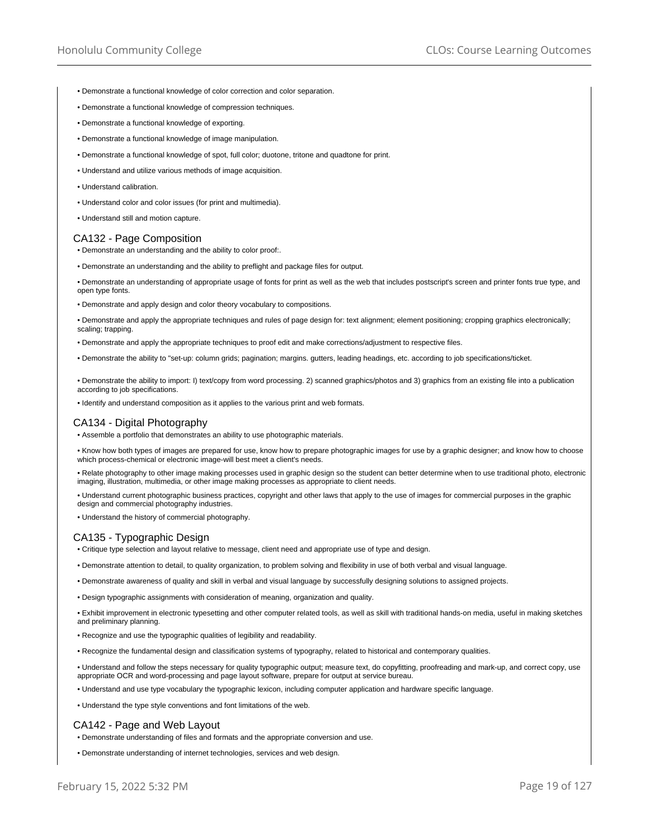- Demonstrate a functional knowledge of color correction and color separation.
- Demonstrate a functional knowledge of compression techniques.
- Demonstrate a functional knowledge of exporting.
- Demonstrate a functional knowledge of image manipulation.
- Demonstrate a functional knowledge of spot, full color; duotone, tritone and quadtone for print.
- Understand and utilize various methods of image acquisition.
- Understand calibration.
- Understand color and color issues (for print and multimedia).
- Understand still and motion capture.

## CA132 - Page Composition

- Demonstrate an understanding and the ability to color proof:.
- Demonstrate an understanding and the ability to preflight and package files for output.
- Demonstrate an understanding of appropriate usage of fonts for print as well as the web that includes postscript's screen and printer fonts true type, and open type fonts.
- Demonstrate and apply design and color theory vocabulary to compositions.
- Demonstrate and apply the appropriate techniques and rules of page design for: text alignment; element positioning; cropping graphics electronically; scaling; trapping.
- Demonstrate and apply the appropriate techniques to proof edit and make corrections/adjustment to respective files.
- Demonstrate the ability to "set-up: column grids; pagination; margins. gutters, leading headings, etc. according to job specifications/ticket.
- Demonstrate the ability to import: I) text/copy from word processing. 2) scanned graphics/photos and 3) graphics from an existing file into a publication according to job specifications.
- Identify and understand composition as it applies to the various print and web formats.

## CA134 - Digital Photography

• Assemble a portfolio that demonstrates an ability to use photographic materials.

- Know how both types of images are prepared for use, know how to prepare photographic images for use by a graphic designer; and know how to choose which process-chemical or electronic image-will best meet a client's needs.
- Relate photography to other image making processes used in graphic design so the student can better determine when to use traditional photo, electronic imaging, illustration, multimedia, or other image making processes as appropriate to client needs.
- Understand current photographic business practices, copyright and other laws that apply to the use of images for commercial purposes in the graphic design and commercial photography industries.
- Understand the history of commercial photography.

# CA135 - Typographic Design

- Critique type selection and layout relative to message, client need and appropriate use of type and design.
- Demonstrate attention to detail, to quality organization, to problem solving and flexibility in use of both verbal and visual language.
- Demonstrate awareness of quality and skill in verbal and visual language by successfully designing solutions to assigned projects.
- Design typographic assignments with consideration of meaning, organization and quality.
- Exhibit improvement in electronic typesetting and other computer related tools, as well as skill with traditional hands-on media, useful in making sketches and preliminary planning.
- Recognize and use the typographic qualities of legibility and readability.
- Recognize the fundamental design and classification systems of typography, related to historical and contemporary qualities.
- Understand and follow the steps necessary for quality typographic output; measure text, do copyfitting, proofreading and mark-up, and correct copy, use appropriate OCR and word-processing and page layout software, prepare for output at service bureau.
- Understand and use type vocabulary the typographic lexicon, including computer application and hardware specific language.
- Understand the type style conventions and font limitations of the web.

## CA142 - Page and Web Layout

- Demonstrate understanding of files and formats and the appropriate conversion and use.
- Demonstrate understanding of internet technologies, services and web design.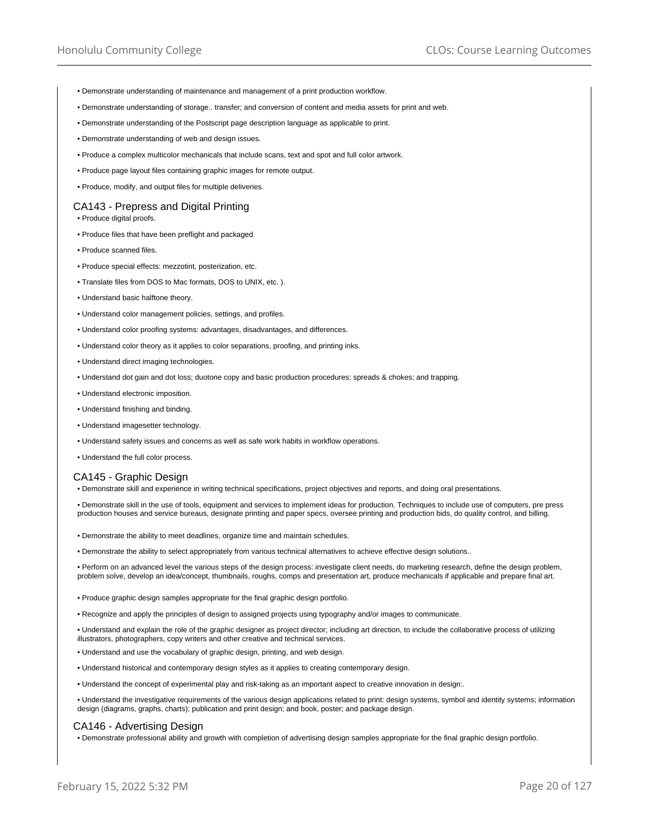- Demonstrate understanding of maintenance and management of a print production workflow.
- Demonstrate understanding of storage.. transfer; and conversion of content and media assets for print and web.
- Demonstrate understanding of the Postscript page description language as applicable to print.
- Demonstrate understanding of web and design issues.
- Produce a complex multicolor mechanicals that include scans, text and spot and full color artwork.
- Produce page layout files containing graphic images for remote output.
- Produce, modify, and output files for multiple deliveries.

#### CA143 - Prepress and Digital Printing

• Produce digital proofs.

- Produce files that have been preflight and packaged.
- Produce scanned files.
- Produce special effects: mezzotint, posterization, etc.
- Translate files from DOS to Mac formats, DOS to UNIX, etc. ).
- Understand basic halftone theory.
- Understand color management policies, settings, and profiles.
- Understand color proofing systems: advantages, disadvantages, and differences.
- Understand color theory as it applies to color separations, proofing, and printing inks.
- Understand direct imaging technologies.
- Understand dot gain and dot loss; duotone copy and basic production procedures; spreads & chokes; and trapping.
- Understand electronic imposition.
- Understand finishing and binding.
- Understand imagesetter technology.
- Understand safety issues and concerns as well as safe work habits in workflow operations.
- Understand the full color process.

#### CA145 - Graphic Design

• Demonstrate skill and experience in writing technical specifications, project objectives and reports, and doing oral presentations.

• Demonstrate skill in the use of tools, equipment and services to implement ideas for production. Techniques to include use of computers, pre press production houses and service bureaus, designate printing and paper specs, oversee printing and production bids, do quality control, and billing.

- Demonstrate the ability to meet deadlines, organize time and maintain schedules.
- Demonstrate the ability to select appropriately from various technical alternatives to achieve effective design solutions..

• Perform on an advanced level the various steps of the design process: investigate client needs, do marketing research, define the design problem, problem solve, develop an idea/concept, thumbnails, roughs, comps and presentation art, produce mechanicals if applicable and prepare final art.

- Produce graphic design samples appropriate for the final graphic design portfolio.
- Recognize and apply the principles of design to assigned projects using typography and/or images to communicate.

• Understand and explain the role of the graphic designer as project director; including art direction, to include the collaborative process of utilizing illustrators, photographers, copy writers and other creative and technical services.

- Understand and use the vocabulary of graphic design, printing, and web design.
- Understand historical and contemporary design styles as it applies to creating contemporary design.
- Understand the concept of experimental play and risk-taking as an important aspect to creative innovation in design:.

• Understand the investigative requirements of the various design applications related to print: design systems, symbol and identity systems; information design (diagrams, graphs, charts); publication and print design; and book, poster; and package design.

## CA146 - Advertising Design

• Demonstrate professional ability and growth with completion of advertising design samples appropriate for the final graphic design portfolio.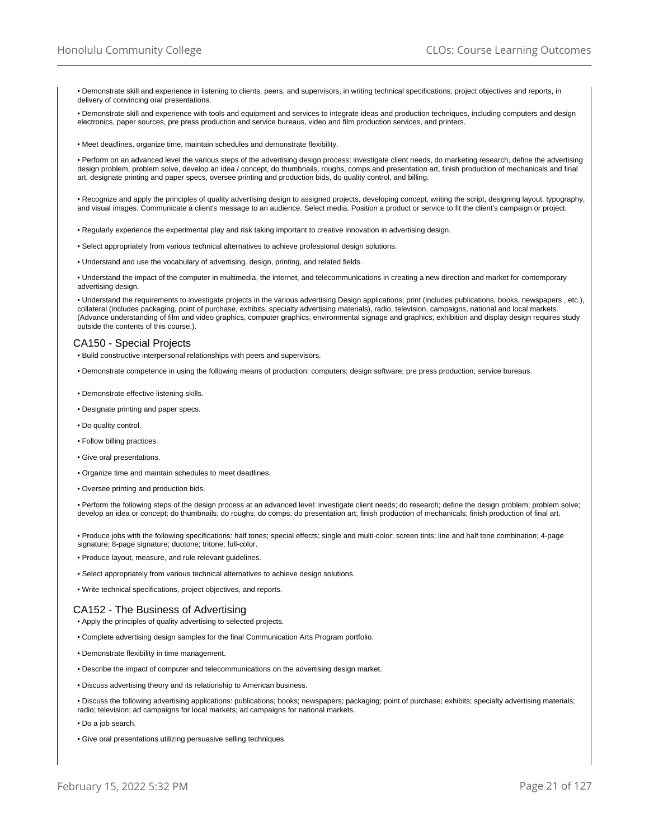• Demonstrate skill and experience in listening to clients, peers, and supervisors, in writing technical specifications, project objectives and reports, in delivery of convincing oral presentations.

• Demonstrate skill and experience with tools and equipment and services to integrate ideas and production techniques, including computers and design electronics, paper sources, pre press production and service bureaus, video and film production services, and printers.

• Meet deadlines, organize time, maintain schedules and demonstrate flexibility.

• Perform on an advanced level the various steps of the advertising design process; investigate client needs, do marketing research, define the advertising design problem, problem solve, develop an idea / concept, do thumbnails, roughs, comps and presentation art, finish production of mechanicals and final art, designate printing and paper specs, oversee printing and production bids, do quality control, and billing.

• Recognize and apply the principles of quality advertising design to assigned projects, developing concept, writing the script, designing layout, typography, and visual images. Communicate a client's message to an audience. Select media. Position a product or service to fit the client's campaign or project.

- Regularly experience the experimental play and risk taking important to creative innovation in advertising design.
- Select appropriately from various technical alternatives to achieve professional design solutions.
- Understand and use the vocabulary of advertising. design, printing, and related fields.

• Understand the impact of the computer in multimedia, the internet, and telecommunications in creating a new direction and market for contemporary advertising design.

• Understand the requirements to investigate projects in the various advertising Design applications; print (includes publications, books, newspapers , etc.), collateral (includes packaging, point of purchase, exhibits, specialty advertising materials), radio, television, campaigns, national and local markets. (Advance understanding of film and video graphics, computer graphics, environmental signage and graphics; exhibition and display design requires study outside the contents of this course.).

# CA150 - Special Projects

- Build constructive interpersonal relationships with peers and supervisors.
- Demonstrate competence in using the following means of production: computers; design software; pre press production; service bureaus.
- Demonstrate effective listening skills.
- Designate printing and paper specs.
- Do quality control.
- Follow billing practices.
- Give oral presentations.
- Organize time and maintain schedules to meet deadlines.
- Oversee printing and production bids.

• Perform the following steps of the design process at an advanced level: investigate client needs; do research; define the design problem; problem solve; develop an idea or concept; do thumbnails; do roughs; do comps; do presentation art; finish production of mechanicals; finish production of final art.

• Produce jobs with the following specifications: half tones; special effects; single and multi-color; screen tints; line and half tone combination; 4-page signature; 8-page signature; duotone; tritone; full-color.

- Produce layout, measure, and rule relevant guidelines.
- Select appropriately from various technical alternatives to achieve design solutions.
- Write technical specifications, project objectives, and reports.

#### CA152 - The Business of Advertising

- Apply the principles of quality advertising to selected projects.
- Complete advertising design samples for the final Communication Arts Program portfolio.
- Demonstrate flexibility in time management.
- Describe the impact of computer and telecommunications on the advertising design market.
- Discuss advertising theory and its relationship to American business.

• Discuss the following advertising applications: publications; books; newspapers; packaging; point of purchase; exhibits; specialty advertising materials; radio; television; ad campaigns for local markets; ad campaigns for national markets.

- Do a job search.
- Give oral presentations utilizing persuasive selling techniques.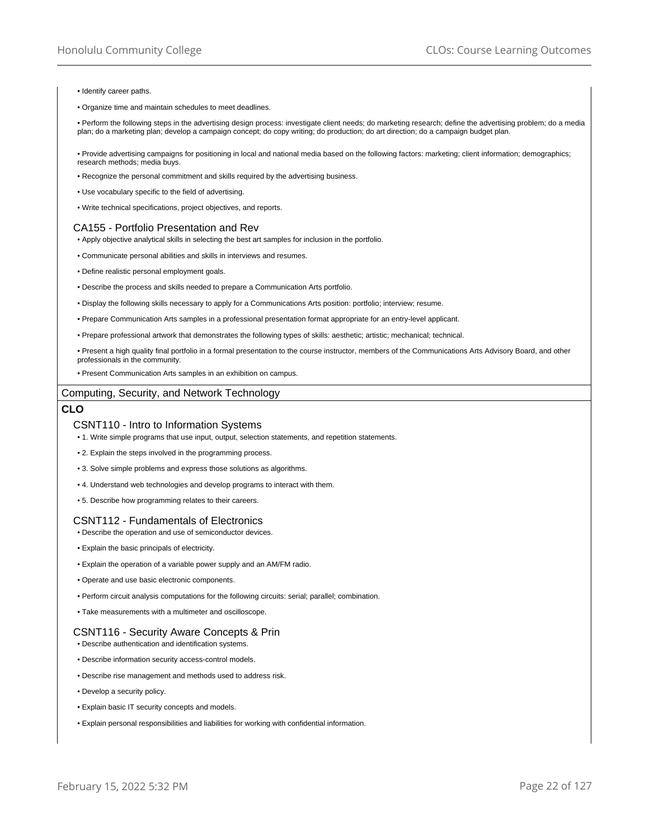- Identify career paths.
- Organize time and maintain schedules to meet deadlines.

• Perform the following steps in the advertising design process: investigate client needs; do marketing research; define the advertising problem; do a media plan; do a marketing plan; develop a campaign concept; do copy writing; do production; do art direction; do a campaign budget plan.

• Provide advertising campaigns for positioning in local and national media based on the following factors: marketing; client information; demographics; research methods; media buys.

- Recognize the personal commitment and skills required by the advertising business.
- Use vocabulary specific to the field of advertising.
- Write technical specifications, project objectives, and reports.

## CA155 - Portfolio Presentation and Rev

- Apply objective analytical skills in selecting the best art samples for inclusion in the portfolio.
- Communicate personal abilities and skills in interviews and resumes.
- Define realistic personal employment goals.
- Describe the process and skills needed to prepare a Communication Arts portfolio.
- Display the following skills necessary to apply for a Communications Arts position: portfolio; interview; resume.
- Prepare Communication Arts samples in a professional presentation format appropriate for an entry-level applicant.
- Prepare professional artwork that demonstrates the following types of skills: aesthetic; artistic; mechanical; technical.
- Present a high quality final portfolio in a formal presentation to the course instructor, members of the Communications Arts Advisory Board, and other professionals in the community.
- Present Communication Arts samples in an exhibition on campus.

## Computing, Security, and Network Technology

# **CLO**

## CSNT110 - Intro to Information Systems

- 1. Write simple programs that use input, output, selection statements, and repetition statements.
- 2. Explain the steps involved in the programming process.
- 3. Solve simple problems and express those solutions as algorithms.
- 4. Understand web technologies and develop programs to interact with them.
- 5. Describe how programming relates to their careers.

## CSNT112 - Fundamentals of Electronics

- Describe the operation and use of semiconductor devices.
- Explain the basic principals of electricity.
- Explain the operation of a variable power supply and an AM/FM radio.
- Operate and use basic electronic components.
- Perform circuit analysis computations for the following circuits: serial; parallel; combination.
- Take measurements with a multimeter and oscilloscope.

## CSNT116 - Security Aware Concepts & Prin

• Describe authentication and identification systems.

- Describe information security access-control models.
- Describe rise management and methods used to address risk.
- Develop a security policy.
- Explain basic IT security concepts and models.
- Explain personal responsibilities and liabilities for working with confidential information.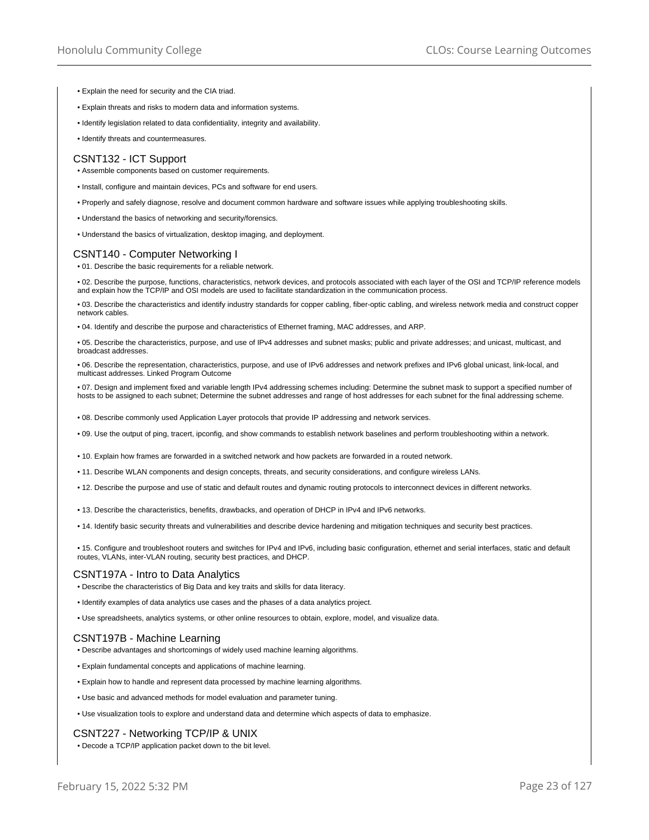- Explain the need for security and the CIA triad.
- Explain threats and risks to modern data and information systems.
- Identify legislation related to data confidentiality, integrity and availability.
- Identify threats and countermeasures.

#### CSNT132 - ICT Support

- Assemble components based on customer requirements.
- Install, configure and maintain devices, PCs and software for end users.
- Properly and safely diagnose, resolve and document common hardware and software issues while applying troubleshooting skills.
- Understand the basics of networking and security/forensics.
- Understand the basics of virtualization, desktop imaging, and deployment.

# CSNT140 - Computer Networking I

• 01. Describe the basic requirements for a reliable network.

• 02. Describe the purpose, functions, characteristics, network devices, and protocols associated with each layer of the OSI and TCP/IP reference models and explain how the TCP/IP and OSI models are used to facilitate standardization in the communication process.

• 03. Describe the characteristics and identify industry standards for copper cabling, fiber-optic cabling, and wireless network media and construct copper network cables.

• 04. Identify and describe the purpose and characteristics of Ethernet framing, MAC addresses, and ARP.

• 05. Describe the characteristics, purpose, and use of IPv4 addresses and subnet masks; public and private addresses; and unicast, multicast, and broadcast addresses.

• 06. Describe the representation, characteristics, purpose, and use of IPv6 addresses and network prefixes and IPv6 global unicast, link-local, and multicast addresses. Linked Program Outcome

• 07. Design and implement fixed and variable length IPv4 addressing schemes including: Determine the subnet mask to support a specified number of hosts to be assigned to each subnet; Determine the subnet addresses and range of host addresses for each subnet for the final addressing scheme.

• 08. Describe commonly used Application Layer protocols that provide IP addressing and network services.

• 09. Use the output of ping, tracert, ipconfig, and show commands to establish network baselines and perform troubleshooting within a network.

• 10. Explain how frames are forwarded in a switched network and how packets are forwarded in a routed network.

- 11. Describe WLAN components and design concepts, threats, and security considerations, and configure wireless LANs.
- 12. Describe the purpose and use of static and default routes and dynamic routing protocols to interconnect devices in different networks.
- 13. Describe the characteristics, benefits, drawbacks, and operation of DHCP in IPv4 and IPv6 networks.

• 14. Identify basic security threats and vulnerabilities and describe device hardening and mitigation techniques and security best practices.

• 15. Configure and troubleshoot routers and switches for IPv4 and IPv6, including basic configuration, ethernet and serial interfaces, static and default routes, VLANs, inter-VLAN routing, security best practices, and DHCP.

## CSNT197A - Intro to Data Analytics

• Describe the characteristics of Big Data and key traits and skills for data literacy.

• Identify examples of data analytics use cases and the phases of a data analytics project.

• Use spreadsheets, analytics systems, or other online resources to obtain, explore, model, and visualize data.

# CSNT197B - Machine Learning

- Describe advantages and shortcomings of widely used machine learning algorithms.
- Explain fundamental concepts and applications of machine learning.
- Explain how to handle and represent data processed by machine learning algorithms.
- Use basic and advanced methods for model evaluation and parameter tuning.
- Use visualization tools to explore and understand data and determine which aspects of data to emphasize.

## CSNT227 - Networking TCP/IP & UNIX

• Decode a TCP/IP application packet down to the bit level.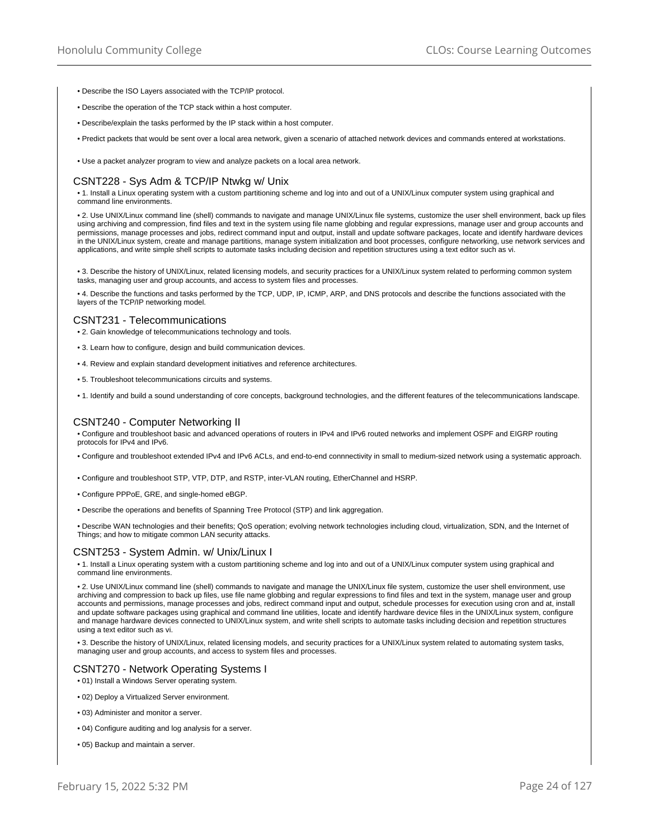- Describe the ISO Layers associated with the TCP/IP protocol.
- Describe the operation of the TCP stack within a host computer.
- Describe/explain the tasks performed by the IP stack within a host computer.
- Predict packets that would be sent over a local area network, given a scenario of attached network devices and commands entered at workstations.
- Use a packet analyzer program to view and analyze packets on a local area network.

# CSNT228 - Sys Adm & TCP/IP Ntwkg w/ Unix

• 1. Install a Linux operating system with a custom partitioning scheme and log into and out of a UNIX/Linux computer system using graphical and command line environments.

• 2. Use UNIX/Linux command line (shell) commands to navigate and manage UNIX/Linux file systems, customize the user shell environment, back up files using archiving and compression, find files and text in the system using file name globbing and regular expressions, manage user and group accounts and permissions, manage processes and jobs, redirect command input and output, install and update software packages, locate and identify hardware devices in the UNIX/Linux system, create and manage partitions, manage system initialization and boot processes, configure networking, use network services and applications, and write simple shell scripts to automate tasks including decision and repetition structures using a text editor such as vi.

• 3. Describe the history of UNIX/Linux, related licensing models, and security practices for a UNIX/Linux system related to performing common system tasks, managing user and group accounts, and access to system files and processes.

• 4. Describe the functions and tasks performed by the TCP, UDP, IP, ICMP, ARP, and DNS protocols and describe the functions associated with the layers of the TCP/IP networking model.

#### CSNT231 - Telecommunications

• 2. Gain knowledge of telecommunications technology and tools.

- 3. Learn how to configure, design and build communication devices.
- 4. Review and explain standard development initiatives and reference architectures.
- 5. Troubleshoot telecommunications circuits and systems.

• 1. Identify and build a sound understanding of core concepts, background technologies, and the different features of the telecommunications landscape.

#### CSNT240 - Computer Networking II

• Configure and troubleshoot basic and advanced operations of routers in IPv4 and IPv6 routed networks and implement OSPF and EIGRP routing protocols for IPv4 and IPv6.

- Configure and troubleshoot extended IPv4 and IPv6 ACLs, and end-to-end connnectivity in small to medium-sized network using a systematic approach.
- Configure and troubleshoot STP, VTP, DTP, and RSTP, inter-VLAN routing, EtherChannel and HSRP.
- Configure PPPoE, GRE, and single-homed eBGP.
- Describe the operations and benefits of Spanning Tree Protocol (STP) and link aggregation.

• Describe WAN technologies and their benefits; QoS operation; evolving network technologies including cloud, virtualization, SDN, and the Internet of Things; and how to mitigate common LAN security attacks.

## CSNT253 - System Admin. w/ Unix/Linux I

• 1. Install a Linux operating system with a custom partitioning scheme and log into and out of a UNIX/Linux computer system using graphical and command line environments.

• 2. Use UNIX/Linux command line (shell) commands to navigate and manage the UNIX/Linux file system, customize the user shell environment, use archiving and compression to back up files, use file name globbing and regular expressions to find files and text in the system, manage user and group accounts and permissions, manage processes and jobs, redirect command input and output, schedule processes for execution using cron and at, install and update software packages using graphical and command line utilities, locate and identify hardware device files in the UNIX/Linux system, configure and manage hardware devices connected to UNIX/Linux system, and write shell scripts to automate tasks including decision and repetition structures using a text editor such as vi.

• 3. Describe the history of UNIX/Linux, related licensing models, and security practices for a UNIX/Linux system related to automating system tasks, managing user and group accounts, and access to system files and processes.

# CSNT270 - Network Operating Systems I

- 01) Install a Windows Server operating system.
- 02) Deploy a Virtualized Server environment.
- 03) Administer and monitor a server.
- 04) Configure auditing and log analysis for a server.
- 05) Backup and maintain a server.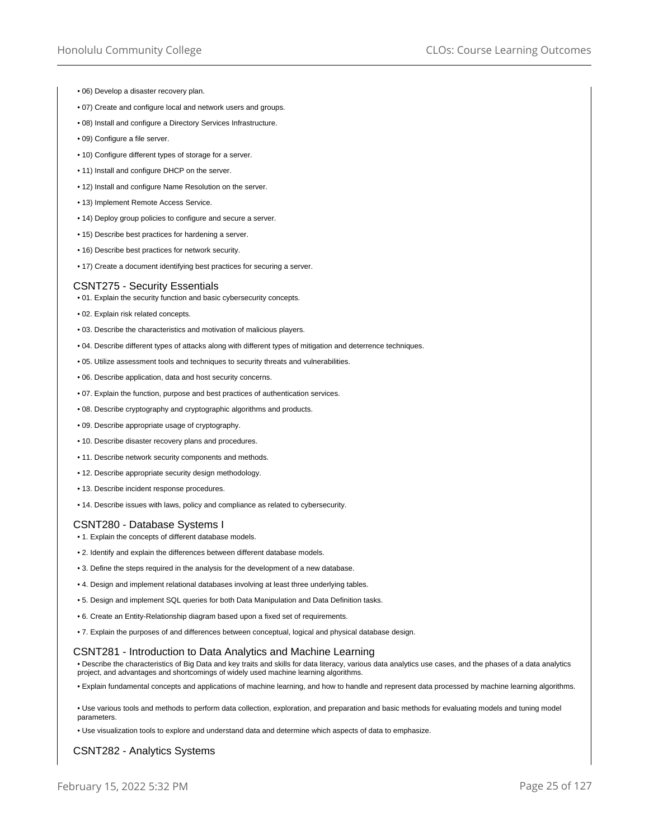- 06) Develop a disaster recovery plan.
- 07) Create and configure local and network users and groups.
- 08) Install and configure a Directory Services Infrastructure.
- 09) Configure a file server.
- 10) Configure different types of storage for a server.
- 11) Install and configure DHCP on the server.
- 12) Install and configure Name Resolution on the server.
- 13) Implement Remote Access Service.
- 14) Deploy group policies to configure and secure a server.
- 15) Describe best practices for hardening a server.
- 16) Describe best practices for network security.
- 17) Create a document identifying best practices for securing a server.

## CSNT275 - Security Essentials

- 01. Explain the security function and basic cybersecurity concepts.
- 02. Explain risk related concepts.
- 03. Describe the characteristics and motivation of malicious players.
- 04. Describe different types of attacks along with different types of mitigation and deterrence techniques.
- 05. Utilize assessment tools and techniques to security threats and vulnerabilities.
- 06. Describe application, data and host security concerns.
- 07. Explain the function, purpose and best practices of authentication services.
- 08. Describe cryptography and cryptographic algorithms and products.
- 09. Describe appropriate usage of cryptography.
- 10. Describe disaster recovery plans and procedures.
- 11. Describe network security components and methods.
- 12. Describe appropriate security design methodology.
- 13. Describe incident response procedures.
- 14. Describe issues with laws, policy and compliance as related to cybersecurity.

#### CSNT280 - Database Systems I

- 1. Explain the concepts of different database models.
- 2. Identify and explain the differences between different database models.
- 3. Define the steps required in the analysis for the development of a new database.
- 4. Design and implement relational databases involving at least three underlying tables.
- 5. Design and implement SQL queries for both Data Manipulation and Data Definition tasks.
- 6. Create an Entity-Relationship diagram based upon a fixed set of requirements.
- 7. Explain the purposes of and differences between conceptual, logical and physical database design.

## CSNT281 - Introduction to Data Analytics and Machine Learning

• Describe the characteristics of Big Data and key traits and skills for data literacy, various data analytics use cases, and the phases of a data analytics project, and advantages and shortcomings of widely used machine learning algorithms.

• Explain fundamental concepts and applications of machine learning, and how to handle and represent data processed by machine learning algorithms.

• Use various tools and methods to perform data collection, exploration, and preparation and basic methods for evaluating models and tuning model parameters.

• Use visualization tools to explore and understand data and determine which aspects of data to emphasize.

## CSNT282 - Analytics Systems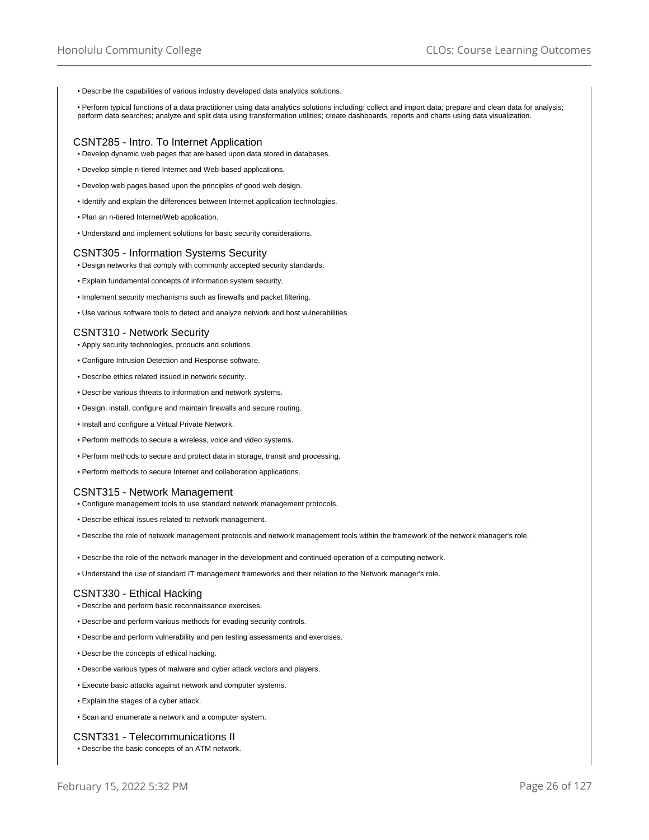• Describe the capabilities of various industry developed data analytics solutions.

• Perform typical functions of a data practitioner using data analytics solutions including: collect and import data; prepare and clean data for analysis; perform data searches; analyze and split data using transformation utilities; create dashboards, reports and charts using data visualization.

## CSNT285 - Intro. To Internet Application

• Develop dynamic web pages that are based upon data stored in databases.

- Develop simple n-tiered Internet and Web-based applications.
- Develop web pages based upon the principles of good web design.
- Identify and explain the differences between Internet application technologies.
- Plan an n-tiered Internet/Web application.
- Understand and implement solutions for basic security considerations.

## CSNT305 - Information Systems Security

- Design networks that comply with commonly accepted security standards.
- Explain fundamental concepts of information system security.
- Implement security mechanisms such as firewalls and packet filtering.
- Use various software tools to detect and analyze network and host vulnerabilities.

#### CSNT310 - Network Security

- Apply security technologies, products and solutions.
- Configure Intrusion Detection and Response software.
- Describe ethics related issued in network security.
- Describe various threats to information and network systems.
- Design, install, configure and maintain firewalls and secure routing.
- Install and configure a Virtual Private Network.
- Perform methods to secure a wireless, voice and video systems.
- Perform methods to secure and protect data in storage, transit and processing.
- Perform methods to secure Internet and collaboration applications.

#### CSNT315 - Network Management

- Configure management tools to use standard network management protocols.
- Describe ethical issues related to network management.
- Describe the role of network management protocols and network management tools within the framework of the network manager's role.
- Describe the role of the network manager in the development and continued operation of a computing network.
- Understand the use of standard IT management frameworks and their relation to the Network manager's role.

#### CSNT330 - Ethical Hacking

- Describe and perform basic reconnaissance exercises.
- Describe and perform various methods for evading security controls.
- Describe and perform vulnerability and pen testing assessments and exercises.
- Describe the concepts of ethical hacking.
- Describe various types of malware and cyber attack vectors and players.
- Execute basic attacks against network and computer systems.
- Explain the stages of a cyber attack.
- Scan and enumerate a network and a computer system.

## CSNT331 - Telecommunications II

• Describe the basic concepts of an ATM network.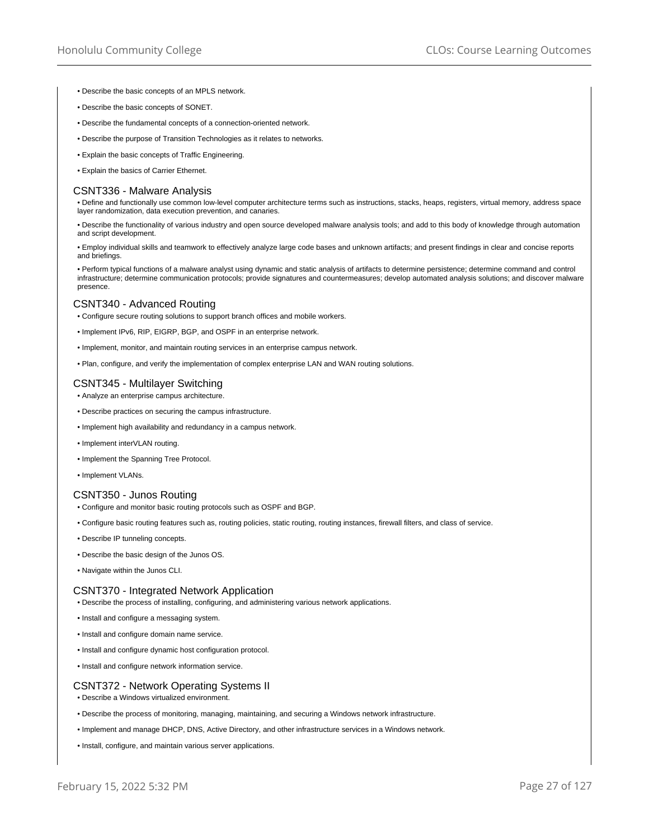- Describe the basic concepts of an MPLS network.
- Describe the basic concepts of SONET.
- Describe the fundamental concepts of a connection-oriented network.
- Describe the purpose of Transition Technologies as it relates to networks.
- Explain the basic concepts of Traffic Engineering.
- Explain the basics of Carrier Ethernet.

#### CSNT336 - Malware Analysis

• Define and functionally use common low-level computer architecture terms such as instructions, stacks, heaps, registers, virtual memory, address space layer randomization, data execution prevention, and canaries.

• Describe the functionality of various industry and open source developed malware analysis tools; and add to this body of knowledge through automation and script development.

• Employ individual skills and teamwork to effectively analyze large code bases and unknown artifacts; and present findings in clear and concise reports and briefings.

• Perform typical functions of a malware analyst using dynamic and static analysis of artifacts to determine persistence; determine command and control infrastructure; determine communication protocols; provide signatures and countermeasures; develop automated analysis solutions; and discover malware presence.

# CSNT340 - Advanced Routing

- Configure secure routing solutions to support branch offices and mobile workers.
- Implement IPv6, RIP, EIGRP, BGP, and OSPF in an enterprise network.
- Implement, monitor, and maintain routing services in an enterprise campus network.
- Plan, configure, and verify the implementation of complex enterprise LAN and WAN routing solutions.

## CSNT345 - Multilayer Switching

- Analyze an enterprise campus architecture.
- Describe practices on securing the campus infrastructure.
- Implement high availability and redundancy in a campus network.
- Implement interVLAN routing.
- Implement the Spanning Tree Protocol.
- Implement VLANs.

## CSNT350 - Junos Routing

- Configure and monitor basic routing protocols such as OSPF and BGP.
- Configure basic routing features such as, routing policies, static routing, routing instances, firewall filters, and class of service.
- Describe IP tunneling concepts.
- Describe the basic design of the Junos OS.
- Navigate within the Junos CLI.

## CSNT370 - Integrated Network Application

- Describe the process of installing, configuring, and administering various network applications.
- Install and configure a messaging system.
- Install and configure domain name service.
- Install and configure dynamic host configuration protocol.
- Install and configure network information service.

## CSNT372 - Network Operating Systems II

- Describe a Windows virtualized environment.
- Describe the process of monitoring, managing, maintaining, and securing a Windows network infrastructure.
- Implement and manage DHCP, DNS, Active Directory, and other infrastructure services in a Windows network.
- Install, configure, and maintain various server applications.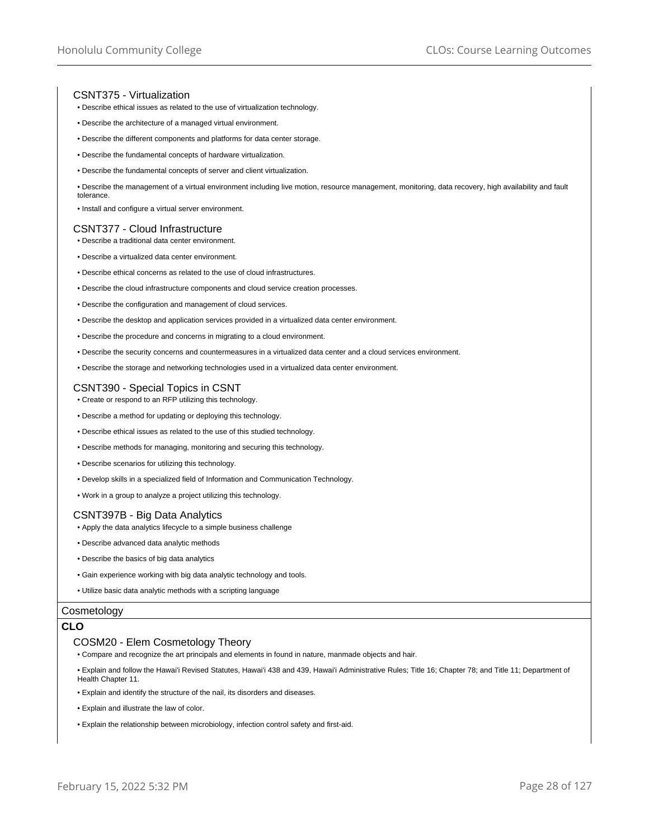# CSNT375 - Virtualization

- Describe ethical issues as related to the use of virtualization technology.
- Describe the architecture of a managed virtual environment.
- Describe the different components and platforms for data center storage.
- Describe the fundamental concepts of hardware virtualization.
- Describe the fundamental concepts of server and client virtualization.
- Describe the management of a virtual environment including live motion, resource management, monitoring, data recovery, high availability and fault tolerance.
- Install and configure a virtual server environment.

#### CSNT377 - Cloud Infrastructure

- Describe a traditional data center environment.
- Describe a virtualized data center environment.
- Describe ethical concerns as related to the use of cloud infrastructures.
- Describe the cloud infrastructure components and cloud service creation processes.
- Describe the configuration and management of cloud services.
- Describe the desktop and application services provided in a virtualized data center environment.
- Describe the procedure and concerns in migrating to a cloud environment.
- Describe the security concerns and countermeasures in a virtualized data center and a cloud services environment.
- Describe the storage and networking technologies used in a virtualized data center environment.

## CSNT390 - Special Topics in CSNT

• Create or respond to an RFP utilizing this technology.

- Describe a method for updating or deploying this technology.
- Describe ethical issues as related to the use of this studied technology.
- Describe methods for managing, monitoring and securing this technology.
- Describe scenarios for utilizing this technology.
- Develop skills in a specialized field of Information and Communication Technology.
- Work in a group to analyze a project utilizing this technology.

# CSNT397B - Big Data Analytics

- Apply the data analytics lifecycle to a simple business challenge
- Describe advanced data analytic methods
- Describe the basics of big data analytics
- Gain experience working with big data analytic technology and tools.
- Utilize basic data analytic methods with a scripting language

## **Cosmetology**

# **CLO**

#### COSM20 - Elem Cosmetology Theory

- Compare and recognize the art principals and elements in found in nature, manmade objects and hair.
- Explain and follow the Hawai'i Revised Statutes, Hawai'i 438 and 439, Hawai'i Administrative Rules; Title 16; Chapter 78; and Title 11; Department of Health Chapter 11.
- Explain and identify the structure of the nail, its disorders and diseases.
- Explain and illustrate the law of color.
- Explain the relationship between microbiology, infection control safety and first-aid.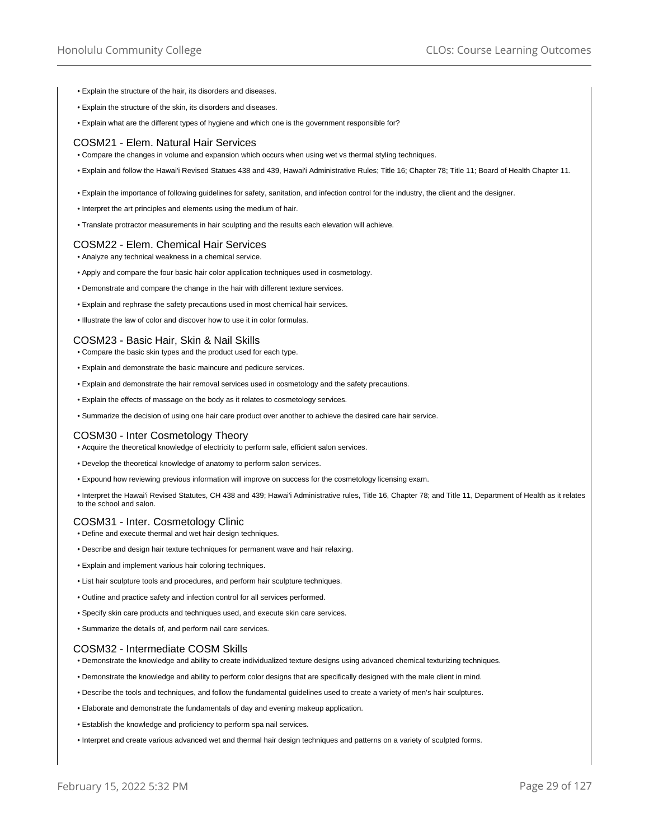- Explain the structure of the hair, its disorders and diseases.
- Explain the structure of the skin, its disorders and diseases.
- Explain what are the different types of hygiene and which one is the government responsible for?

## COSM21 - Elem. Natural Hair Services

- Compare the changes in volume and expansion which occurs when using wet vs thermal styling techniques.
- Explain and follow the Hawai'i Revised Statues 438 and 439, Hawai'i Administrative Rules; Title 16; Chapter 78; Title 11; Board of Health Chapter 11.
- Explain the importance of following guidelines for safety, sanitation, and infection control for the industry, the client and the designer.
- Interpret the art principles and elements using the medium of hair.
- Translate protractor measurements in hair sculpting and the results each elevation will achieve.

#### COSM22 - Elem. Chemical Hair Services

• Analyze any technical weakness in a chemical service.

- Apply and compare the four basic hair color application techniques used in cosmetology.
- Demonstrate and compare the change in the hair with different texture services.
- Explain and rephrase the safety precautions used in most chemical hair services.
- Illustrate the law of color and discover how to use it in color formulas.

#### COSM23 - Basic Hair, Skin & Nail Skills

- Compare the basic skin types and the product used for each type.
- Explain and demonstrate the basic maincure and pedicure services.
- Explain and demonstrate the hair removal services used in cosmetology and the safety precautions.
- Explain the effects of massage on the body as it relates to cosmetology services.
- Summarize the decision of using one hair care product over another to achieve the desired care hair service.

#### COSM30 - Inter Cosmetology Theory

• Acquire the theoretical knowledge of electricity to perform safe, efficient salon services.

- Develop the theoretical knowledge of anatomy to perform salon services.
- Expound how reviewing previous information will improve on success for the cosmetology licensing exam.

• Interpret the Hawai'i Revised Statutes, CH 438 and 439; Hawai'i Administrative rules, Title 16, Chapter 78; and Title 11, Department of Health as it relates to the school and salon.

# COSM31 - Inter. Cosmetology Clinic

- Define and execute thermal and wet hair design techniques.
- Describe and design hair texture techniques for permanent wave and hair relaxing.
- Explain and implement various hair coloring techniques.
- List hair sculpture tools and procedures, and perform hair sculpture techniques.
- Outline and practice safety and infection control for all services performed.
- Specify skin care products and techniques used, and execute skin care services.
- Summarize the details of, and perform nail care services.

#### COSM32 - Intermediate COSM Skills

- Demonstrate the knowledge and ability to create individualized texture designs using advanced chemical texturizing techniques.
- Demonstrate the knowledge and ability to perform color designs that are specifically designed with the male client in mind.
- Describe the tools and techniques, and follow the fundamental guidelines used to create a variety of men's hair sculptures.
- Elaborate and demonstrate the fundamentals of day and evening makeup application.
- Establish the knowledge and proficiency to perform spa nail services.
- Interpret and create various advanced wet and thermal hair design techniques and patterns on a variety of sculpted forms.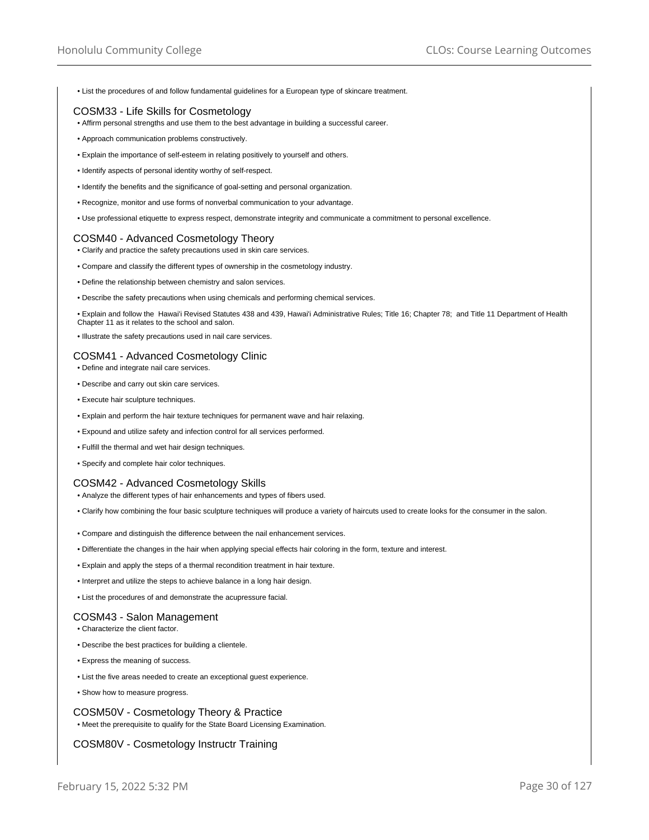• List the procedures of and follow fundamental guidelines for a European type of skincare treatment.

# COSM33 - Life Skills for Cosmetology

- Affirm personal strengths and use them to the best advantage in building a successful career.
- Approach communication problems constructively.
- Explain the importance of self-esteem in relating positively to yourself and others.
- Identify aspects of personal identity worthy of self-respect.
- Identify the benefits and the significance of goal-setting and personal organization.
- Recognize, monitor and use forms of nonverbal communication to your advantage.
- Use professional etiquette to express respect, demonstrate integrity and communicate a commitment to personal excellence.

# COSM40 - Advanced Cosmetology Theory

- Clarify and practice the safety precautions used in skin care services.
- Compare and classify the different types of ownership in the cosmetology industry.
- Define the relationship between chemistry and salon services.
- Describe the safety precautions when using chemicals and performing chemical services.

• Explain and follow the Hawai'i Revised Statutes 438 and 439, Hawai'i Administrative Rules; Title 16; Chapter 78; and Title 11 Department of Health Chapter 11 as it relates to the school and salon.

• Illustrate the safety precautions used in nail care services.

# COSM41 - Advanced Cosmetology Clinic

- Define and integrate nail care services.
- Describe and carry out skin care services.
- Execute hair sculpture techniques.
- Explain and perform the hair texture techniques for permanent wave and hair relaxing.
- Expound and utilize safety and infection control for all services performed.
- Fulfill the thermal and wet hair design techniques.
- Specify and complete hair color techniques.

## COSM42 - Advanced Cosmetology Skills

- Analyze the different types of hair enhancements and types of fibers used.
- Clarify how combining the four basic sculpture techniques will produce a variety of haircuts used to create looks for the consumer in the salon.
- Compare and distinguish the difference between the nail enhancement services.
- Differentiate the changes in the hair when applying special effects hair coloring in the form, texture and interest.
- Explain and apply the steps of a thermal recondition treatment in hair texture.
- Interpret and utilize the steps to achieve balance in a long hair design.
- List the procedures of and demonstrate the acupressure facial.

## COSM43 - Salon Management

- Characterize the client factor.
- Describe the best practices for building a clientele.
- Express the meaning of success.
- List the five areas needed to create an exceptional guest experience.
- Show how to measure progress.

# COSM50V - Cosmetology Theory & Practice • Meet the prerequisite to qualify for the State Board Licensing Examination.

# COSM80V - Cosmetology Instructr Training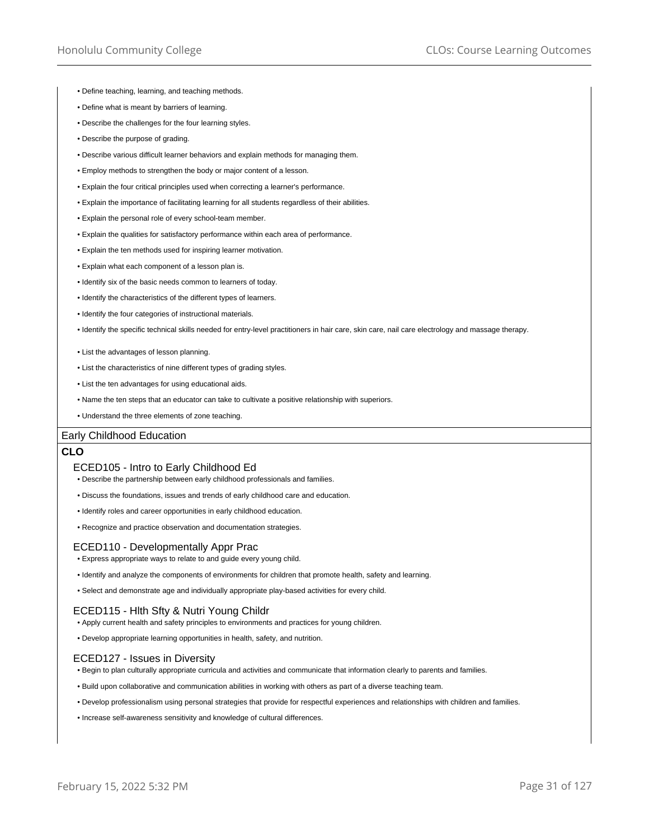• Define teaching, learning, and teaching methods.

- Define what is meant by barriers of learning.
- Describe the challenges for the four learning styles.
- Describe the purpose of grading.
- Describe various difficult learner behaviors and explain methods for managing them.
- Employ methods to strengthen the body or major content of a lesson.
- Explain the four critical principles used when correcting a learner's performance.
- Explain the importance of facilitating learning for all students regardless of their abilities.
- Explain the personal role of every school-team member.
- Explain the qualities for satisfactory performance within each area of performance.
- Explain the ten methods used for inspiring learner motivation.
- Explain what each component of a lesson plan is.
- Identify six of the basic needs common to learners of today.
- Identify the characteristics of the different types of learners.
- Identify the four categories of instructional materials.
- Identify the specific technical skills needed for entry-level practitioners in hair care, skin care, nail care electrology and massage therapy.
- List the advantages of lesson planning.
- List the characteristics of nine different types of grading styles.
- List the ten advantages for using educational aids.
- Name the ten steps that an educator can take to cultivate a positive relationship with superiors.
- Understand the three elements of zone teaching.

## Early Childhood Education

## **CLO**

## ECED105 - Intro to Early Childhood Ed

- Describe the partnership between early childhood professionals and families.
- Discuss the foundations, issues and trends of early childhood care and education.
- Identify roles and career opportunities in early childhood education.
- Recognize and practice observation and documentation strategies.

#### ECED110 - Developmentally Appr Prac

- Express appropriate ways to relate to and guide every young child.
- Identify and analyze the components of environments for children that promote health, safety and learning.
- Select and demonstrate age and individually appropriate play-based activities for every child.

## ECED115 - Hlth Sfty & Nutri Young Childr

- Apply current health and safety principles to environments and practices for young children.
- Develop appropriate learning opportunities in health, safety, and nutrition.

## ECED127 - Issues in Diversity

- Begin to plan culturally appropriate curricula and activities and communicate that information clearly to parents and families.
- Build upon collaborative and communication abilities in working with others as part of a diverse teaching team.
- Develop professionalism using personal strategies that provide for respectful experiences and relationships with children and families.
- Increase self-awareness sensitivity and knowledge of cultural differences.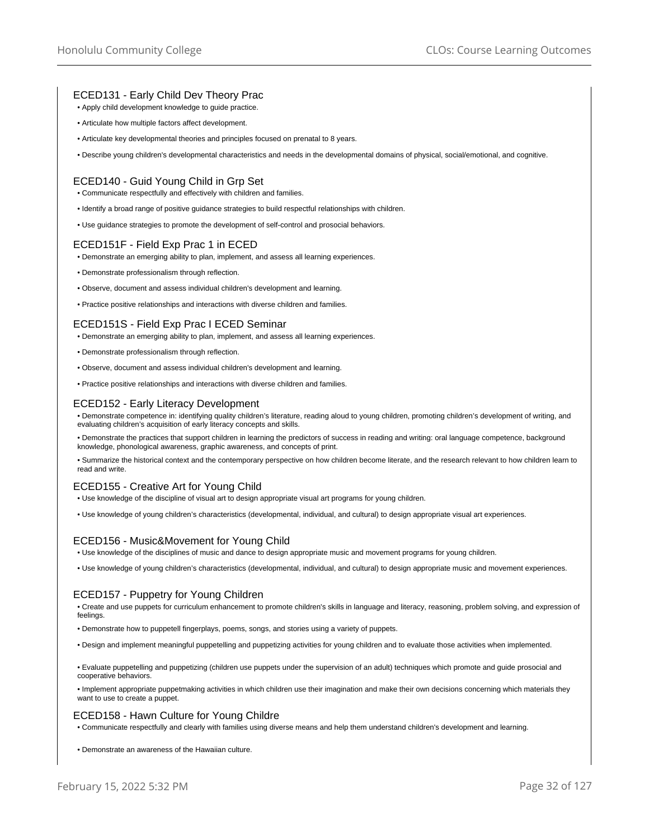# ECED131 - Early Child Dev Theory Prac

- Apply child development knowledge to guide practice.
- Articulate how multiple factors affect development.
- Articulate key developmental theories and principles focused on prenatal to 8 years.

• Describe young children's developmental characteristics and needs in the developmental domains of physical, social/emotional, and cognitive.

# ECED140 - Guid Young Child in Grp Set

- Communicate respectfully and effectively with children and families.
- Identify a broad range of positive guidance strategies to build respectful relationships with children.
- Use guidance strategies to promote the development of self-control and prosocial behaviors.

# ECED151F - Field Exp Prac 1 in ECED

• Demonstrate an emerging ability to plan, implement, and assess all learning experiences.

- Demonstrate professionalism through reflection.
- Observe, document and assess individual children's development and learning.
- Practice positive relationships and interactions with diverse children and families.

# ECED151S - Field Exp Prac I ECED Seminar

- Demonstrate an emerging ability to plan, implement, and assess all learning experiences.
- Demonstrate professionalism through reflection.
- Observe, document and assess individual children's development and learning.
- Practice positive relationships and interactions with diverse children and families.

## ECED152 - Early Literacy Development

• Demonstrate competence in: identifying quality children's literature, reading aloud to young children, promoting children's development of writing, and evaluating children's acquisition of early literacy concepts and skills.

• Demonstrate the practices that support children in learning the predictors of success in reading and writing: oral language competence, background knowledge, phonological awareness, graphic awareness, and concepts of print.

• Summarize the historical context and the contemporary perspective on how children become literate, and the research relevant to how children learn to read and write.

## ECED155 - Creative Art for Young Child

- Use knowledge of the discipline of visual art to design appropriate visual art programs for young children.
- Use knowledge of young children's characteristics (developmental, individual, and cultural) to design appropriate visual art experiences.

# ECED156 - Music&Movement for Young Child

- Use knowledge of the disciplines of music and dance to design appropriate music and movement programs for young children.
- Use knowledge of young children's characteristics (developmental, individual, and cultural) to design appropriate music and movement experiences.

## ECED157 - Puppetry for Young Children

• Create and use puppets for curriculum enhancement to promote children's skills in language and literacy, reasoning, problem solving, and expression of feelings

- Demonstrate how to puppetell fingerplays, poems, songs, and stories using a variety of puppets.
- Design and implement meaningful puppetelling and puppetizing activities for young children and to evaluate those activities when implemented.

• Evaluate puppetelling and puppetizing (children use puppets under the supervision of an adult) techniques which promote and guide prosocial and cooperative behaviors.

• Implement appropriate puppetmaking activities in which children use their imagination and make their own decisions concerning which materials they want to use to create a puppet.

#### ECED158 - Hawn Culture for Young Childre

• Communicate respectfully and clearly with families using diverse means and help them understand children's development and learning.

• Demonstrate an awareness of the Hawaiian culture.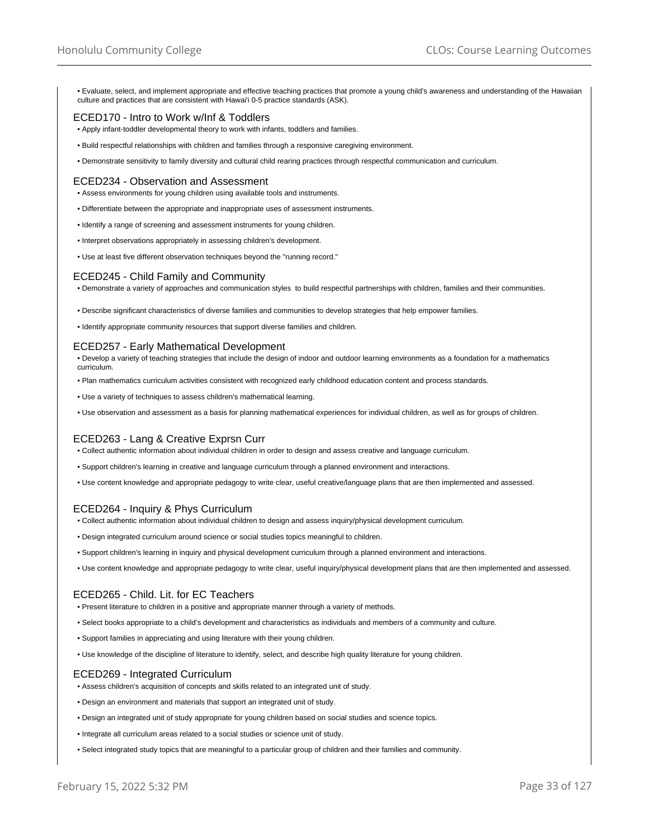• Evaluate, select, and implement appropriate and effective teaching practices that promote a young child's awareness and understanding of the Hawaiian culture and practices that are consistent with Hawai'i 0-5 practice standards (ASK).

# ECED170 - Intro to Work w/Inf & Toddlers

- Apply infant-toddler developmental theory to work with infants, toddlers and families.
- Build respectful relationships with children and families through a responsive caregiving environment.
- Demonstrate sensitivity to family diversity and cultural child rearing practices through respectful communication and curriculum.

# ECED234 - Observation and Assessment

- Assess environments for young children using available tools and instruments.
- Differentiate between the appropriate and inappropriate uses of assessment instruments.
- Identify a range of screening and assessment instruments for young children.
- Interpret observations appropriately in assessing children's development.
- Use at least five different observation techniques beyond the "running record."

## ECED245 - Child Family and Community

• Demonstrate a variety of approaches and communication styles to build respectful partnerships with children, families and their communities.

- Describe significant characteristics of diverse families and communities to develop strategies that help empower families.
- Identify appropriate community resources that support diverse families and children.

## ECED257 - Early Mathematical Development

- Develop a variety of teaching strategies that include the design of indoor and outdoor learning environments as a foundation for a mathematics curriculum.
- Plan mathematics curriculum activities consistent with recognized early childhood education content and process standards.
- Use a variety of techniques to assess children's mathematical learning.
- Use observation and assessment as a basis for planning mathematical experiences for individual children, as well as for groups of children.

## ECED263 - Lang & Creative Exprsn Curr

• Collect authentic information about individual children in order to design and assess creative and language curriculum.

- Support children's learning in creative and language curriculum through a planned environment and interactions.
- Use content knowledge and appropriate pedagogy to write clear, useful creative/language plans that are then implemented and assessed.

## ECED264 - Inquiry & Phys Curriculum

- Collect authentic information about individual children to design and assess inquiry/physical development curriculum.
- Design integrated curriculum around science or social studies topics meaningful to children.
- Support children's learning in inquiry and physical development curriculum through a planned environment and interactions.
- Use content knowledge and appropriate pedagogy to write clear, useful inquiry/physical development plans that are then implemented and assessed.

## ECED265 - Child. Lit. for EC Teachers

• Present literature to children in a positive and appropriate manner through a variety of methods.

- Select books appropriate to a child's development and characteristics as individuals and members of a community and culture.
- Support families in appreciating and using literature with their young children.
- Use knowledge of the discipline of literature to identify, select, and describe high quality literature for young children.

# ECED269 - Integrated Curriculum

- Assess children's acquisition of concepts and skills related to an integrated unit of study.
- Design an environment and materials that support an integrated unit of study.
- Design an integrated unit of study appropriate for young children based on social studies and science topics.
- Integrate all curriculum areas related to a social studies or science unit of study.
- Select integrated study topics that are meaningful to a particular group of children and their families and community.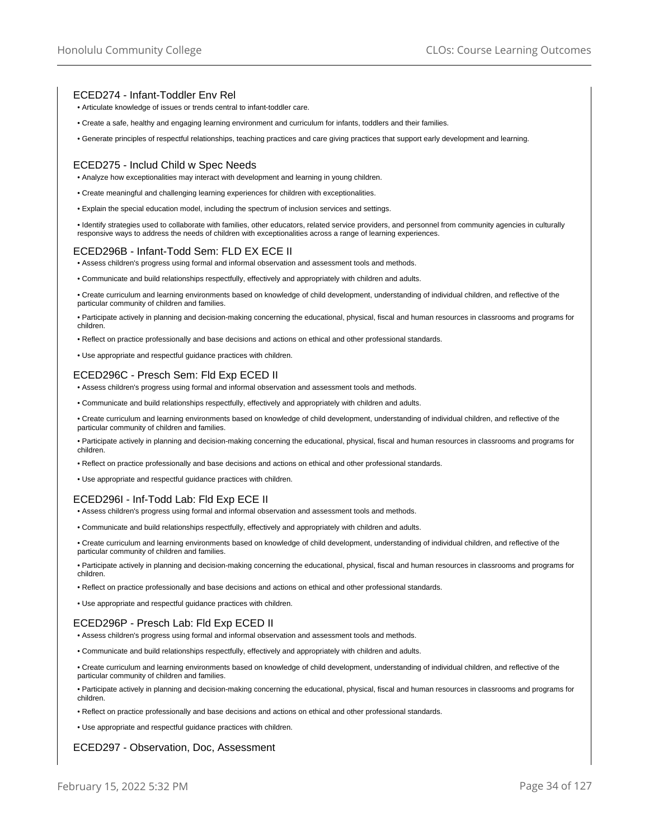# ECED274 - Infant-Toddler Env Rel

- Articulate knowledge of issues or trends central to infant-toddler care.
- Create a safe, healthy and engaging learning environment and curriculum for infants, toddlers and their families.
- Generate principles of respectful relationships, teaching practices and care giving practices that support early development and learning.

## ECED275 - Includ Child w Spec Needs

- Analyze how exceptionalities may interact with development and learning in young children.
- Create meaningful and challenging learning experiences for children with exceptionalities.
- Explain the special education model, including the spectrum of inclusion services and settings.

• Identify strategies used to collaborate with families, other educators, related service providers, and personnel from community agencies in culturally responsive ways to address the needs of children with exceptionalities across a range of learning experiences.

# ECED296B - Infant-Todd Sem: FLD EX ECE II

- Assess children's progress using formal and informal observation and assessment tools and methods.
- Communicate and build relationships respectfully, effectively and appropriately with children and adults.

• Create curriculum and learning environments based on knowledge of child development, understanding of individual children, and reflective of the particular community of children and families.

• Participate actively in planning and decision-making concerning the educational, physical, fiscal and human resources in classrooms and programs for children.

• Reflect on practice professionally and base decisions and actions on ethical and other professional standards.

• Use appropriate and respectful guidance practices with children.

# ECED296C - Presch Sem: Fld Exp ECED II

- Assess children's progress using formal and informal observation and assessment tools and methods.
- Communicate and build relationships respectfully, effectively and appropriately with children and adults.

• Create curriculum and learning environments based on knowledge of child development, understanding of individual children, and reflective of the particular community of children and families.

• Participate actively in planning and decision-making concerning the educational, physical, fiscal and human resources in classrooms and programs for children.

- Reflect on practice professionally and base decisions and actions on ethical and other professional standards.
- Use appropriate and respectful guidance practices with children.

# ECED296I - Inf-Todd Lab: Fld Exp ECE II

- Assess children's progress using formal and informal observation and assessment tools and methods.
- Communicate and build relationships respectfully, effectively and appropriately with children and adults.

• Create curriculum and learning environments based on knowledge of child development, understanding of individual children, and reflective of the particular community of children and families.

• Participate actively in planning and decision-making concerning the educational, physical, fiscal and human resources in classrooms and programs for children.

- Reflect on practice professionally and base decisions and actions on ethical and other professional standards.
- Use appropriate and respectful guidance practices with children.

## ECED296P - Presch Lab: Fld Exp ECED II

- Assess children's progress using formal and informal observation and assessment tools and methods.
- Communicate and build relationships respectfully, effectively and appropriately with children and adults.
- Create curriculum and learning environments based on knowledge of child development, understanding of individual children, and reflective of the particular community of children and families.

• Participate actively in planning and decision-making concerning the educational, physical, fiscal and human resources in classrooms and programs for children.

- Reflect on practice professionally and base decisions and actions on ethical and other professional standards.
- Use appropriate and respectful guidance practices with children.

# ECED297 - Observation, Doc, Assessment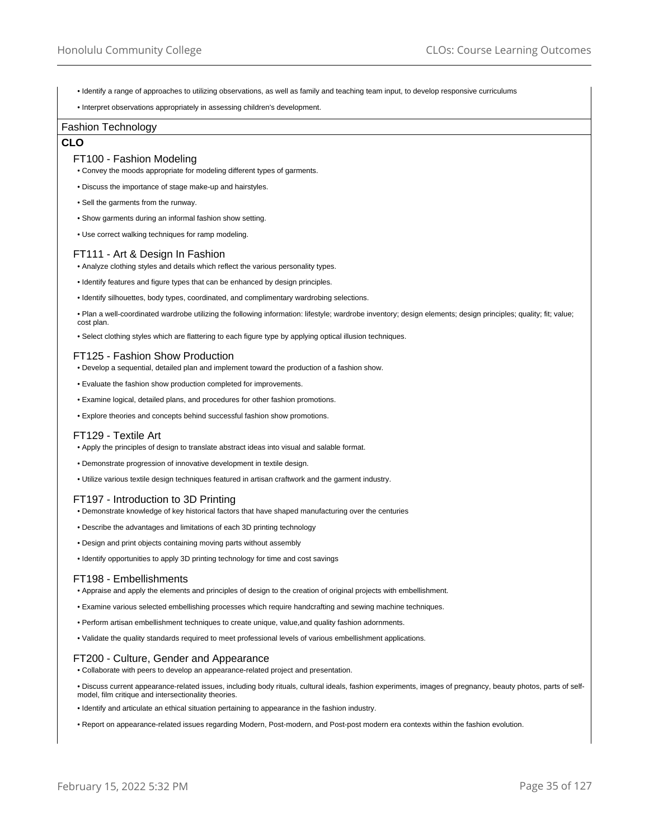• Identify a range of approaches to utilizing observations, as well as family and teaching team input, to develop responsive curriculums

• Interpret observations appropriately in assessing children's development.

#### Fashion Technology

# **CLO**

## FT100 - Fashion Modeling

• Convey the moods appropriate for modeling different types of garments.

- Discuss the importance of stage make-up and hairstyles.
- Sell the garments from the runway.
- Show garments during an informal fashion show setting.
- Use correct walking techniques for ramp modeling.

# FT111 - Art & Design In Fashion

- Analyze clothing styles and details which reflect the various personality types.
- Identify features and figure types that can be enhanced by design principles.
- Identify silhouettes, body types, coordinated, and complimentary wardrobing selections.
- Plan a well-coordinated wardrobe utilizing the following information: lifestyle; wardrobe inventory; design elements; design principles; quality; fit; value; cost plan.
- Select clothing styles which are flattering to each figure type by applying optical illusion techniques.

## FT125 - Fashion Show Production

- Develop a sequential, detailed plan and implement toward the production of a fashion show.
- Evaluate the fashion show production completed for improvements.
- Examine logical, detailed plans, and procedures for other fashion promotions.
- Explore theories and concepts behind successful fashion show promotions.

#### FT129 - Textile Art

- Apply the principles of design to translate abstract ideas into visual and salable format.
- Demonstrate progression of innovative development in textile design.
- Utilize various textile design techniques featured in artisan craftwork and the garment industry.

# FT197 - Introduction to 3D Printing

- Demonstrate knowledge of key historical factors that have shaped manufacturing over the centuries
- Describe the advantages and limitations of each 3D printing technology
- Design and print objects containing moving parts without assembly
- Identify opportunities to apply 3D printing technology for time and cost savings

#### FT198 - Embellishments

- Appraise and apply the elements and principles of design to the creation of original projects with embellishment.
- Examine various selected embellishing processes which require handcrafting and sewing machine techniques.
- Perform artisan embellishment techniques to create unique, value,and quality fashion adornments.
- Validate the quality standards required to meet professional levels of various embellishment applications.

# FT200 - Culture, Gender and Appearance

- Collaborate with peers to develop an appearance-related project and presentation.
- Discuss current appearance-related issues, including body rituals, cultural ideals, fashion experiments, images of pregnancy, beauty photos, parts of selfmodel, film critique and intersectionality theories.
- Identify and articulate an ethical situation pertaining to appearance in the fashion industry.
- Report on appearance-related issues regarding Modern, Post-modern, and Post-post modern era contexts within the fashion evolution.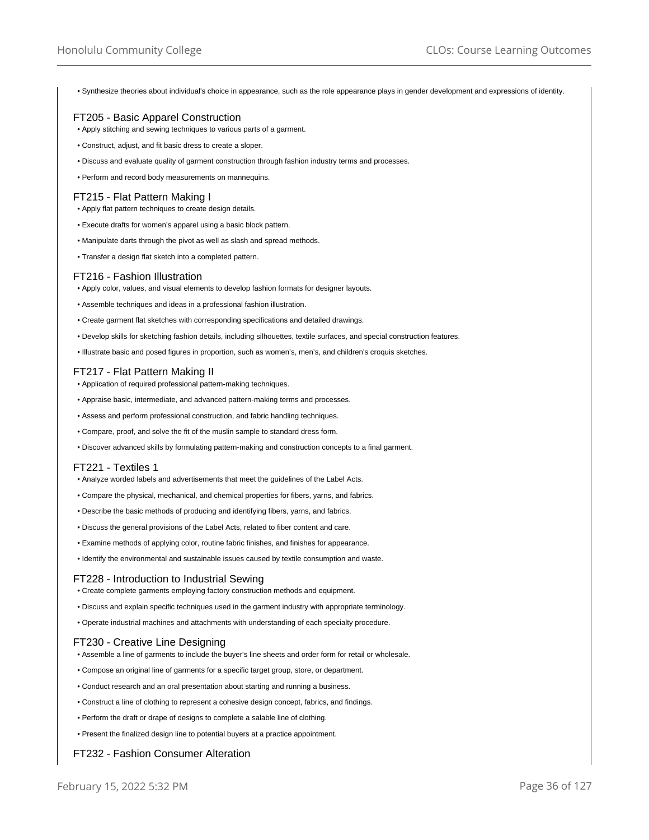• Synthesize theories about individual's choice in appearance, such as the role appearance plays in gender development and expressions of identity.

# FT205 - Basic Apparel Construction

- Apply stitching and sewing techniques to various parts of a garment.
- Construct, adjust, and fit basic dress to create a sloper.
- Discuss and evaluate quality of garment construction through fashion industry terms and processes.
- Perform and record body measurements on mannequins.

# FT215 - Flat Pattern Making I

- Apply flat pattern techniques to create design details.
- Execute drafts for women's apparel using a basic block pattern.
- Manipulate darts through the pivot as well as slash and spread methods.
- Transfer a design flat sketch into a completed pattern.

## FT216 - Fashion Illustration

- Apply color, values, and visual elements to develop fashion formats for designer layouts.
- Assemble techniques and ideas in a professional fashion illustration.
- Create garment flat sketches with corresponding specifications and detailed drawings.
- Develop skills for sketching fashion details, including silhouettes, textile surfaces, and special construction features.
- Illustrate basic and posed figures in proportion, such as women's, men's, and children's croquis sketches.

## FT217 - Flat Pattern Making II

- Application of required professional pattern-making techniques.
- Appraise basic, intermediate, and advanced pattern-making terms and processes.
- Assess and perform professional construction, and fabric handling techniques.
- Compare, proof, and solve the fit of the muslin sample to standard dress form.
- Discover advanced skills by formulating pattern-making and construction concepts to a final garment.

## FT221 - Textiles 1

- Analyze worded labels and advertisements that meet the guidelines of the Label Acts.
- Compare the physical, mechanical, and chemical properties for fibers, yarns, and fabrics.
- Describe the basic methods of producing and identifying fibers, yarns, and fabrics.
- Discuss the general provisions of the Label Acts, related to fiber content and care.
- Examine methods of applying color, routine fabric finishes, and finishes for appearance.
- Identify the environmental and sustainable issues caused by textile consumption and waste.

#### FT228 - Introduction to Industrial Sewing

- Create complete garments employing factory construction methods and equipment.
- Discuss and explain specific techniques used in the garment industry with appropriate terminology.
- Operate industrial machines and attachments with understanding of each specialty procedure.

# FT230 - Creative Line Designing

- Assemble a line of garments to include the buyer's line sheets and order form for retail or wholesale.
- Compose an original line of garments for a specific target group, store, or department.
- Conduct research and an oral presentation about starting and running a business.
- Construct a line of clothing to represent a cohesive design concept, fabrics, and findings.
- Perform the draft or drape of designs to complete a salable line of clothing.
- Present the finalized design line to potential buyers at a practice appointment.

# FT232 - Fashion Consumer Alteration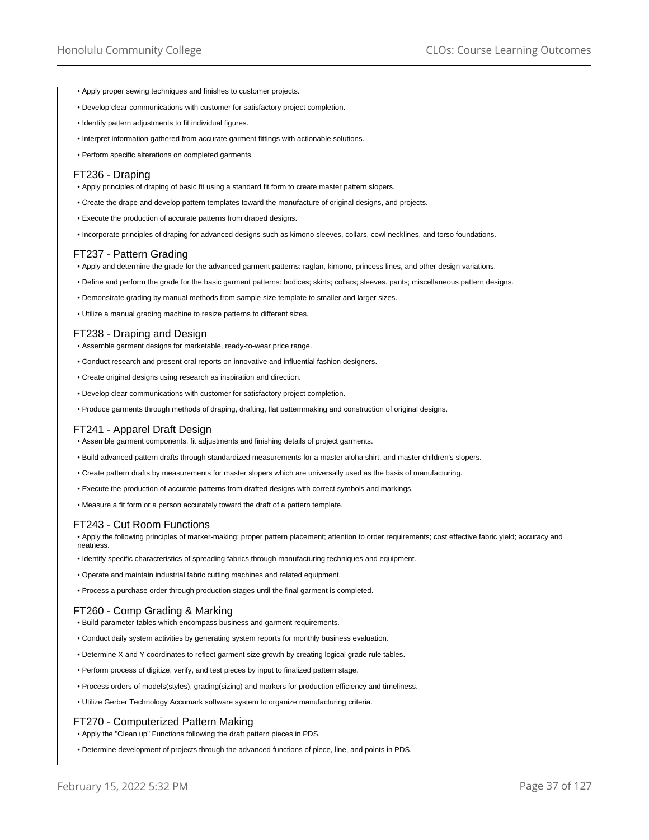- Apply proper sewing techniques and finishes to customer projects.
- Develop clear communications with customer for satisfactory project completion.
- Identify pattern adjustments to fit individual figures.
- Interpret information gathered from accurate garment fittings with actionable solutions.
- Perform specific alterations on completed garments.

#### FT236 - Draping

- Apply principles of draping of basic fit using a standard fit form to create master pattern slopers.
- Create the drape and develop pattern templates toward the manufacture of original designs, and projects.
- Execute the production of accurate patterns from draped designs.
- Incorporate principles of draping for advanced designs such as kimono sleeves, collars, cowl necklines, and torso foundations.

## FT237 - Pattern Grading

• Apply and determine the grade for the advanced garment patterns: raglan, kimono, princess lines, and other design variations.

- Define and perform the grade for the basic garment patterns: bodices; skirts; collars; sleeves. pants; miscellaneous pattern designs.
- Demonstrate grading by manual methods from sample size template to smaller and larger sizes.
- Utilize a manual grading machine to resize patterns to different sizes.

#### FT238 - Draping and Design

- Assemble garment designs for marketable, ready-to-wear price range.
- Conduct research and present oral reports on innovative and influential fashion designers.
- Create original designs using research as inspiration and direction.
- Develop clear communications with customer for satisfactory project completion.
- Produce garments through methods of draping, drafting, flat patternmaking and construction of original designs.

### FT241 - Apparel Draft Design

- Assemble garment components, fit adjustments and finishing details of project garments.
- Build advanced pattern drafts through standardized measurements for a master aloha shirt, and master children's slopers.
- Create pattern drafts by measurements for master slopers which are universally used as the basis of manufacturing.
- Execute the production of accurate patterns from drafted designs with correct symbols and markings.

• Measure a fit form or a person accurately toward the draft of a pattern template.

### FT243 - Cut Room Functions

• Apply the following principles of marker-making: proper pattern placement; attention to order requirements; cost effective fabric yield; accuracy and neatness.

- Identify specific characteristics of spreading fabrics through manufacturing techniques and equipment.
- Operate and maintain industrial fabric cutting machines and related equipment.
- Process a purchase order through production stages until the final garment is completed.

### FT260 - Comp Grading & Marking

- Build parameter tables which encompass business and garment requirements.
- Conduct daily system activities by generating system reports for monthly business evaluation.
- Determine X and Y coordinates to reflect garment size growth by creating logical grade rule tables.
- Perform process of digitize, verify, and test pieces by input to finalized pattern stage.
- Process orders of models(styles), grading(sizing) and markers for production efficiency and timeliness.
- Utilize Gerber Technology Accumark software system to organize manufacturing criteria.

#### FT270 - Computerized Pattern Making

- Apply the "Clean up" Functions following the draft pattern pieces in PDS.
- Determine development of projects through the advanced functions of piece, line, and points in PDS.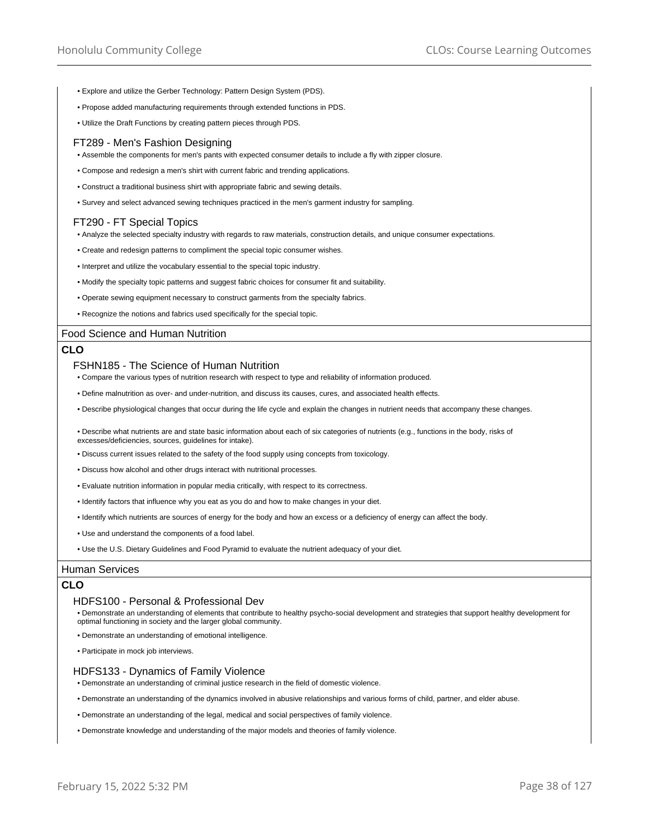- Explore and utilize the Gerber Technology: Pattern Design System (PDS).
- Propose added manufacturing requirements through extended functions in PDS.
- Utilize the Draft Functions by creating pattern pieces through PDS.

### FT289 - Men's Fashion Designing

- Assemble the components for men's pants with expected consumer details to include a fly with zipper closure.
- Compose and redesign a men's shirt with current fabric and trending applications.
- Construct a traditional business shirt with appropriate fabric and sewing details.
- Survey and select advanced sewing techniques practiced in the men's garment industry for sampling.

## FT290 - FT Special Topics

- Analyze the selected specialty industry with regards to raw materials, construction details, and unique consumer expectations.
- Create and redesign patterns to compliment the special topic consumer wishes.
- Interpret and utilize the vocabulary essential to the special topic industry.
- Modify the specialty topic patterns and suggest fabric choices for consumer fit and suitability.
- Operate sewing equipment necessary to construct garments from the specialty fabrics.
- Recognize the notions and fabrics used specifically for the special topic.

### Food Science and Human Nutrition

### **CLO**

#### FSHN185 - The Science of Human Nutrition

- Compare the various types of nutrition research with respect to type and reliability of information produced.
- Define malnutrition as over- and under-nutrition, and discuss its causes, cures, and associated health effects.
- Describe physiological changes that occur during the life cycle and explain the changes in nutrient needs that accompany these changes.
- Describe what nutrients are and state basic information about each of six categories of nutrients (e.g., functions in the body, risks of excesses/deficiencies, sources, guidelines for intake).
- Discuss current issues related to the safety of the food supply using concepts from toxicology.
- Discuss how alcohol and other drugs interact with nutritional processes.
- Evaluate nutrition information in popular media critically, with respect to its correctness.
- Identify factors that influence why you eat as you do and how to make changes in your diet.
- Identify which nutrients are sources of energy for the body and how an excess or a deficiency of energy can affect the body.
- Use and understand the components of a food label.
- Use the U.S. Dietary Guidelines and Food Pyramid to evaluate the nutrient adequacy of your diet.

### Human Services

### **CLO**

#### HDFS100 - Personal & Professional Dev

- Demonstrate an understanding of elements that contribute to healthy psycho-social development and strategies that support healthy development for optimal functioning in society and the larger global community.
- Demonstrate an understanding of emotional intelligence.
- Participate in mock job interviews.

#### HDFS133 - Dynamics of Family Violence

- Demonstrate an understanding of criminal justice research in the field of domestic violence.
- Demonstrate an understanding of the dynamics involved in abusive relationships and various forms of child, partner, and elder abuse.
- Demonstrate an understanding of the legal, medical and social perspectives of family violence.
- Demonstrate knowledge and understanding of the major models and theories of family violence.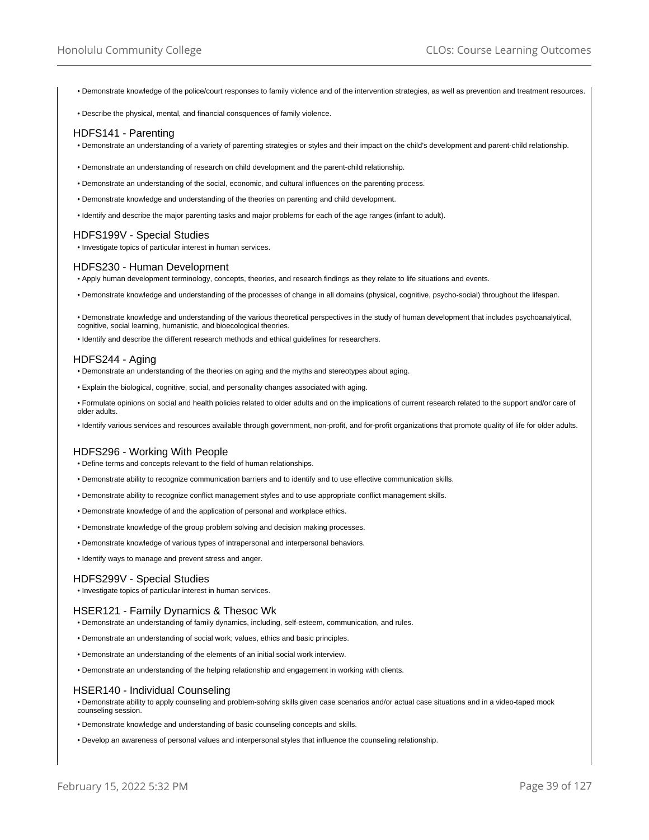• Demonstrate knowledge of the police/court responses to family violence and of the intervention strategies, as well as prevention and treatment resources.

• Describe the physical, mental, and financial consquences of family violence.

### HDFS141 - Parenting

- Demonstrate an understanding of a variety of parenting strategies or styles and their impact on the child's development and parent-child relationship.
- Demonstrate an understanding of research on child development and the parent-child relationship.
- Demonstrate an understanding of the social, economic, and cultural influences on the parenting process.
- Demonstrate knowledge and understanding of the theories on parenting and child development.
- Identify and describe the major parenting tasks and major problems for each of the age ranges (infant to adult).

## HDFS199V - Special Studies

• Investigate topics of particular interest in human services.

#### HDFS230 - Human Development

- Apply human development terminology, concepts, theories, and research findings as they relate to life situations and events.
- Demonstrate knowledge and understanding of the processes of change in all domains (physical, cognitive, psycho-social) throughout the lifespan.
- Demonstrate knowledge and understanding of the various theoretical perspectives in the study of human development that includes psychoanalytical, cognitive, social learning, humanistic, and bioecological theories.
- Identify and describe the different research methods and ethical guidelines for researchers.

### HDFS244 - Aging

- Demonstrate an understanding of the theories on aging and the myths and stereotypes about aging.
- Explain the biological, cognitive, social, and personality changes associated with aging.
- Formulate opinions on social and health policies related to older adults and on the implications of current research related to the support and/or care of older adults.
- Identify various services and resources available through government, non-profit, and for-profit organizations that promote quality of life for older adults.

### HDFS296 - Working With People

- Define terms and concepts relevant to the field of human relationships.
- Demonstrate ability to recognize communication barriers and to identify and to use effective communication skills.
- Demonstrate ability to recognize conflict management styles and to use appropriate conflict management skills.
- Demonstrate knowledge of and the application of personal and workplace ethics.
- Demonstrate knowledge of the group problem solving and decision making processes.
- Demonstrate knowledge of various types of intrapersonal and interpersonal behaviors.
- Identify ways to manage and prevent stress and anger.

#### HDFS299V - Special Studies

• Investigate topics of particular interest in human services.

#### HSER121 - Family Dynamics & Thesoc Wk

- Demonstrate an understanding of family dynamics, including, self-esteem, communication, and rules.
- Demonstrate an understanding of social work; values, ethics and basic principles.
- Demonstrate an understanding of the elements of an initial social work interview.
- Demonstrate an understanding of the helping relationship and engagement in working with clients.

#### HSER140 - Individual Counseling

- Demonstrate ability to apply counseling and problem-solving skills given case scenarios and/or actual case situations and in a video-taped mock counseling session.
- Demonstrate knowledge and understanding of basic counseling concepts and skills.
- Develop an awareness of personal values and interpersonal styles that influence the counseling relationship.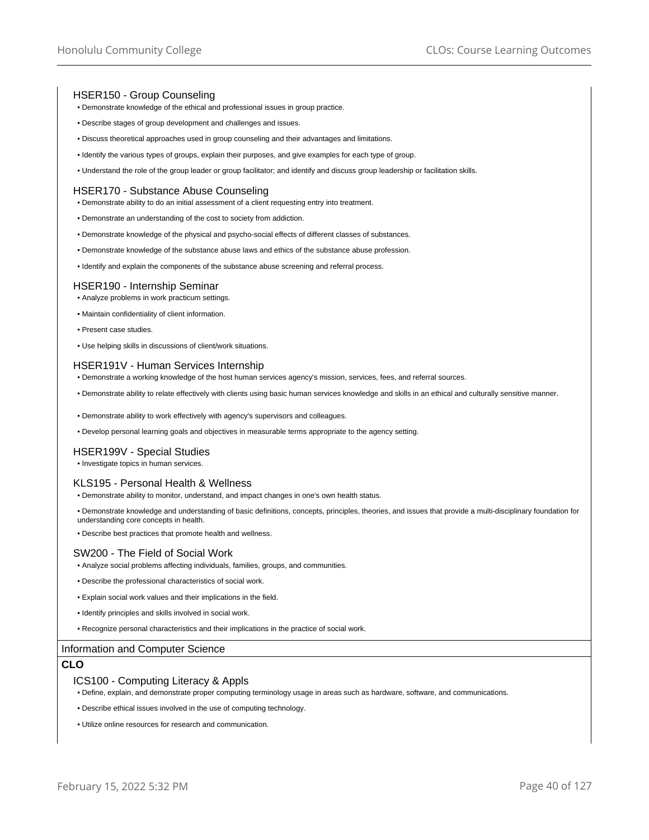## HSER150 - Group Counseling

- Demonstrate knowledge of the ethical and professional issues in group practice.
- Describe stages of group development and challenges and issues.
- Discuss theoretical approaches used in group counseling and their advantages and limitations.
- Identify the various types of groups, explain their purposes, and give examples for each type of group.
- Understand the role of the group leader or group facilitator; and identify and discuss group leadership or facilitation skills.

#### HSER170 - Substance Abuse Counseling

- Demonstrate ability to do an initial assessment of a client requesting entry into treatment.
- Demonstrate an understanding of the cost to society from addiction.
- Demonstrate knowledge of the physical and psycho-social effects of different classes of substances.
- Demonstrate knowledge of the substance abuse laws and ethics of the substance abuse profession.
- Identify and explain the components of the substance abuse screening and referral process.

### HSER190 - Internship Seminar

- Analyze problems in work practicum settings.
- Maintain confidentiality of client information.
- Present case studies.
- Use helping skills in discussions of client/work situations.

#### HSER191V - Human Services Internship

- Demonstrate a working knowledge of the host human services agency's mission, services, fees, and referral sources.
- Demonstrate ability to relate effectively with clients using basic human services knowledge and skills in an ethical and culturally sensitive manner.
- Demonstrate ability to work effectively with agency's supervisors and colleagues.
- Develop personal learning goals and objectives in measurable terms appropriate to the agency setting.

## HSER199V - Special Studies

• Investigate topics in human services.

### KLS195 - Personal Health & Wellness

- Demonstrate ability to monitor, understand, and impact changes in one's own health status.
- Demonstrate knowledge and understanding of basic definitions, concepts, principles, theories, and issues that provide a multi-disciplinary foundation for understanding core concepts in health.
- Describe best practices that promote health and wellness.

## SW200 - The Field of Social Work

- Analyze social problems affecting individuals, families, groups, and communities.
- Describe the professional characteristics of social work.
- Explain social work values and their implications in the field.
- Identify principles and skills involved in social work.
- Recognize personal characteristics and their implications in the practice of social work.

#### Information and Computer Science

## **CLO**

#### ICS100 - Computing Literacy & Appls

- Define, explain, and demonstrate proper computing terminology usage in areas such as hardware, software, and communications.
- Describe ethical issues involved in the use of computing technology.
- Utilize online resources for research and communication.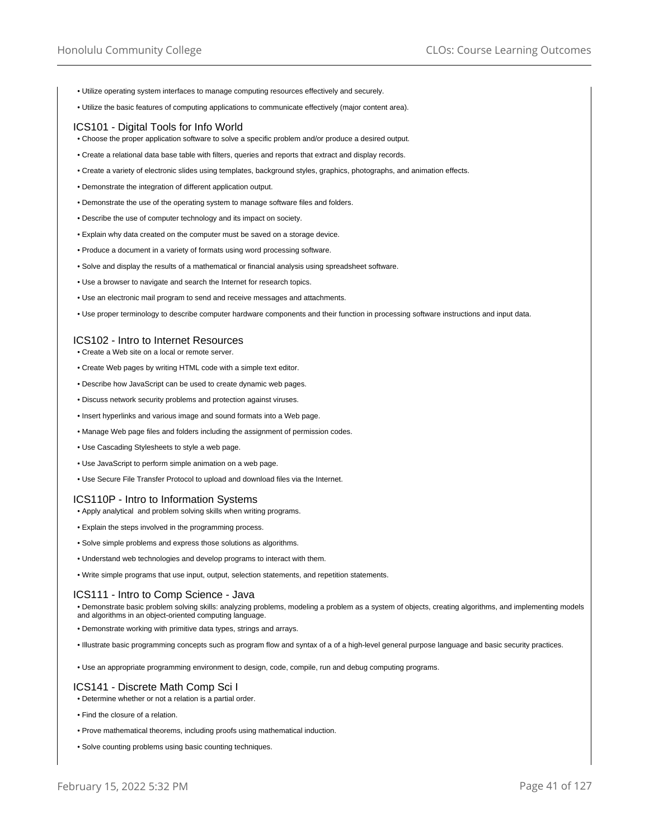- Utilize operating system interfaces to manage computing resources effectively and securely.
- Utilize the basic features of computing applications to communicate effectively (major content area).

### ICS101 - Digital Tools for Info World

- Choose the proper application software to solve a specific problem and/or produce a desired output.
- Create a relational data base table with filters, queries and reports that extract and display records.
- Create a variety of electronic slides using templates, background styles, graphics, photographs, and animation effects.
- Demonstrate the integration of different application output.
- Demonstrate the use of the operating system to manage software files and folders.
- Describe the use of computer technology and its impact on society.
- Explain why data created on the computer must be saved on a storage device.
- Produce a document in a variety of formats using word processing software.
- Solve and display the results of a mathematical or financial analysis using spreadsheet software.
- Use a browser to navigate and search the Internet for research topics.
- Use an electronic mail program to send and receive messages and attachments.
- Use proper terminology to describe computer hardware components and their function in processing software instructions and input data.

## ICS102 - Intro to Internet Resources

- Create a Web site on a local or remote server.
- Create Web pages by writing HTML code with a simple text editor.
- Describe how JavaScript can be used to create dynamic web pages.
- Discuss network security problems and protection against viruses.
- Insert hyperlinks and various image and sound formats into a Web page.
- Manage Web page files and folders including the assignment of permission codes.
- Use Cascading Stylesheets to style a web page.
- Use JavaScript to perform simple animation on a web page.
- Use Secure File Transfer Protocol to upload and download files via the Internet.

# ICS110P - Intro to Information Systems

- Apply analytical and problem solving skills when writing programs.
- Explain the steps involved in the programming process.
- Solve simple problems and express those solutions as algorithms.
- Understand web technologies and develop programs to interact with them.
- Write simple programs that use input, output, selection statements, and repetition statements.

#### ICS111 - Intro to Comp Science - Java

• Demonstrate basic problem solving skills: analyzing problems, modeling a problem as a system of objects, creating algorithms, and implementing models and algorithms in an object-oriented computing language.

- Demonstrate working with primitive data types, strings and arrays.
- Illustrate basic programming concepts such as program flow and syntax of a of a high-level general purpose language and basic security practices.
- Use an appropriate programming environment to design, code, compile, run and debug computing programs.

## ICS141 - Discrete Math Comp Sci I

- Determine whether or not a relation is a partial order.
- Find the closure of a relation.
- Prove mathematical theorems, including proofs using mathematical induction.
- Solve counting problems using basic counting techniques.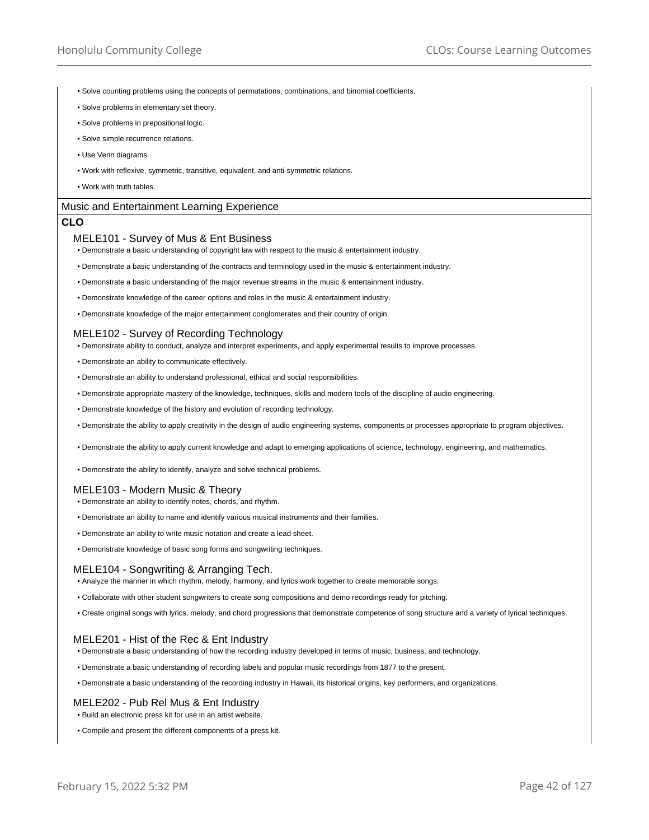- Solve counting problems using the concepts of permutations, combinations, and binomial coefficients.
- Solve problems in elementary set theory.
- Solve problems in prepositional logic.
- Solve simple recurrence relations.
- Use Venn diagrams.
- Work with reflexive, symmetric, transitive, equivalent, and anti-symmetric relations.
- Work with truth tables.

#### Music and Entertainment Learning Experience

## **CLO**

#### MELE101 - Survey of Mus & Ent Business

- Demonstrate a basic understanding of copyright law with respect to the music & entertainment industry.
- Demonstrate a basic understanding of the contracts and terminology used in the music & entertainment industry.
- Demonstrate a basic understanding of the major revenue streams in the music & entertainment industry.
- Demonstrate knowledge of the career options and roles in the music & entertainment industry.
- Demonstrate knowledge of the major entertainment conglomerates and their country of origin.

#### MELE102 - Survey of Recording Technology

- Demonstrate ability to conduct, analyze and interpret experiments, and apply experimental results to improve processes.
- Demonstrate an ability to communicate effectively.
- Demonstrate an ability to understand professional, ethical and social responsibilities.
- Demonstrate appropriate mastery of the knowledge, techniques, skills and modern tools of the discipline of audio engineering.
- Demonstrate knowledge of the history and evolution of recording technology.
- Demonstrate the ability to apply creativity in the design of audio engineering systems, components or processes appropriate to program objectives.
- Demonstrate the ability to apply current knowledge and adapt to emerging applications of science, technology, engineering, and mathematics.
- Demonstrate the ability to identify, analyze and solve technical problems.

#### MELE103 - Modern Music & Theory

- Demonstrate an ability to identify notes, chords, and rhythm.
- Demonstrate an ability to name and identify various musical instruments and their families.
- Demonstrate an ability to write music notation and create a lead sheet.
- Demonstrate knowledge of basic song forms and songwriting techniques.

### MELE104 - Songwriting & Arranging Tech.

- Analyze the manner in which rhythm, melody, harmony, and lyrics work together to create memorable songs.
- Collaborate with other student songwriters to create song compositions and demo recordings ready for pitching.
- Create original songs with lyrics, melody, and chord progressions that demonstrate competence of song structure and a variety of lyrical techniques.

### MELE201 - Hist of the Rec & Ent Industry

- Demonstrate a basic understanding of how the recording industry developed in terms of music, business, and technology.
- Demonstrate a basic understanding of recording labels and popular music recordings from 1877 to the present.
- Demonstrate a basic understanding of the recording industry in Hawaii, its historical origins, key performers, and organizations.

## MELE202 - Pub Rel Mus & Ent Industry

• Build an electronic press kit for use in an artist website.

• Compile and present the different components of a press kit.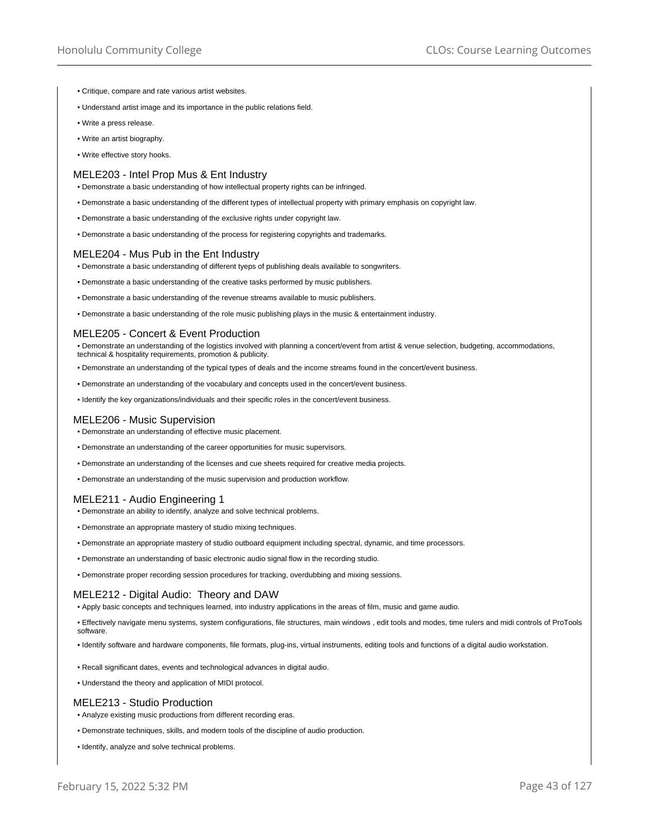- Critique, compare and rate various artist websites.
- Understand artist image and its importance in the public relations field.
- Write a press release.
- Write an artist biography.
- Write effective story hooks.

## MELE203 - Intel Prop Mus & Ent Industry

• Demonstrate a basic understanding of how intellectual property rights can be infringed.

- Demonstrate a basic understanding of the different types of intellectual property with primary emphasis on copyright law.
- Demonstrate a basic understanding of the exclusive rights under copyright law.
- Demonstrate a basic understanding of the process for registering copyrights and trademarks.

## MELE204 - Mus Pub in the Ent Industry

• Demonstrate a basic understanding of different tyeps of publishing deals available to songwriters.

- Demonstrate a basic understanding of the creative tasks performed by music publishers.
- Demonstrate a basic understanding of the revenue streams available to music publishers.
- Demonstrate a basic understanding of the role music publishing plays in the music & entertainment industry.

### MELE205 - Concert & Event Production

• Demonstrate an understanding of the logistics involved with planning a concert/event from artist & venue selection, budgeting, accommodations, technical & hospitality requirements, promotion & publicity.

- Demonstrate an understanding of the typical types of deals and the income streams found in the concert/event business.
- Demonstrate an understanding of the vocabulary and concepts used in the concert/event business.
- Identify the key organizations/individuals and their specific roles in the concert/event business.

#### MELE206 - Music Supervision

- Demonstrate an understanding of effective music placement.
- Demonstrate an understanding of the career opportunities for music supervisors.
- Demonstrate an understanding of the licenses and cue sheets required for creative media projects.
- Demonstrate an understanding of the music supervision and production workflow.

# MELE211 - Audio Engineering 1

- Demonstrate an ability to identify, analyze and solve technical problems.
- Demonstrate an appropriate mastery of studio mixing techniques.
- Demonstrate an appropriate mastery of studio outboard equipment including spectral, dynamic, and time processors.
- Demonstrate an understanding of basic electronic audio signal flow in the recording studio.
- Demonstrate proper recording session procedures for tracking, overdubbing and mixing sessions.

### MELE212 - Digital Audio: Theory and DAW

• Apply basic concepts and techniques learned, into industry applications in the areas of film, music and game audio.

- Effectively navigate menu systems, system configurations, file structures, main windows , edit tools and modes, time rulers and midi controls of ProTools software.
- Identify software and hardware components, file formats, plug-ins, virtual instruments, editing tools and functions of a digital audio workstation.
- Recall significant dates, events and technological advances in digital audio.
- Understand the theory and application of MIDI protocol.

### MELE213 - Studio Production

- Analyze existing music productions from different recording eras.
- Demonstrate techniques, skills, and modern tools of the discipline of audio production.
- Identify, analyze and solve technical problems.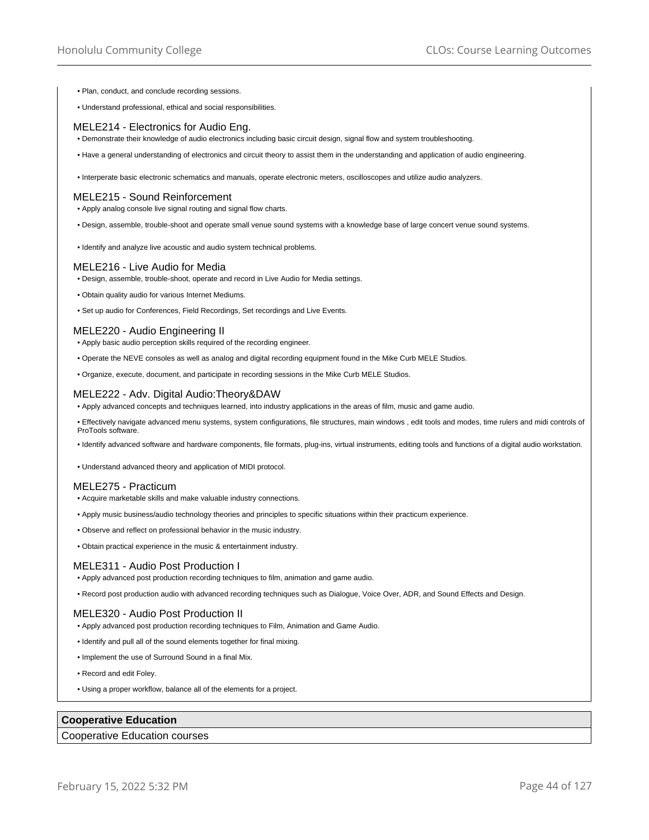- Plan, conduct, and conclude recording sessions.
- Understand professional, ethical and social responsibilities.

### MELE214 - Electronics for Audio Eng.

• Demonstrate their knowledge of audio electronics including basic circuit design, signal flow and system troubleshooting.

• Have a general understanding of electronics and circuit theory to assist them in the understanding and application of audio engineering.

• Interperate basic electronic schematics and manuals, operate electronic meters, oscilloscopes and utilize audio analyzers.

#### MELE215 - Sound Reinforcement

• Apply analog console live signal routing and signal flow charts.

• Design, assemble, trouble-shoot and operate small venue sound systems with a knowledge base of large concert venue sound systems.

• Identify and analyze live acoustic and audio system technical problems.

#### MELE216 - Live Audio for Media

- Design, assemble, trouble-shoot, operate and record in Live Audio for Media settings.
- Obtain quality audio for various Internet Mediums.
- Set up audio for Conferences, Field Recordings, Set recordings and Live Events.

#### MELE220 - Audio Engineering II

- Apply basic audio perception skills required of the recording engineer.
- Operate the NEVE consoles as well as analog and digital recording equipment found in the Mike Curb MELE Studios.
- Organize, execute, document, and participate in recording sessions in the Mike Curb MELE Studios.

### MELE222 - Adv. Digital Audio:Theory&DAW

• Apply advanced concepts and techniques learned, into industry applications in the areas of film, music and game audio.

• Effectively navigate advanced menu systems, system configurations, file structures, main windows , edit tools and modes, time rulers and midi controls of ProTools software.

• Identify advanced software and hardware components, file formats, plug-ins, virtual instruments, editing tools and functions of a digital audio workstation.

• Understand advanced theory and application of MIDI protocol.

### MELE275 - Practicum

- Acquire marketable skills and make valuable industry connections.
- Apply music business/audio technology theories and principles to specific situations within their practicum experience.
- Observe and reflect on professional behavior in the music industry.

• Obtain practical experience in the music & entertainment industry.

### MELE311 - Audio Post Production I

- Apply advanced post production recording techniques to film, animation and game audio.
- Record post production audio with advanced recording techniques such as Dialogue, Voice Over, ADR, and Sound Effects and Design.

### MELE320 - Audio Post Production II

- Apply advanced post production recording techniques to Film, Animation and Game Audio.
- Identify and pull all of the sound elements together for final mixing.
- Implement the use of Surround Sound in a final Mix.
- Record and edit Foley.
- Using a proper workflow, balance all of the elements for a project.

## **Cooperative Education**

## Cooperative Education courses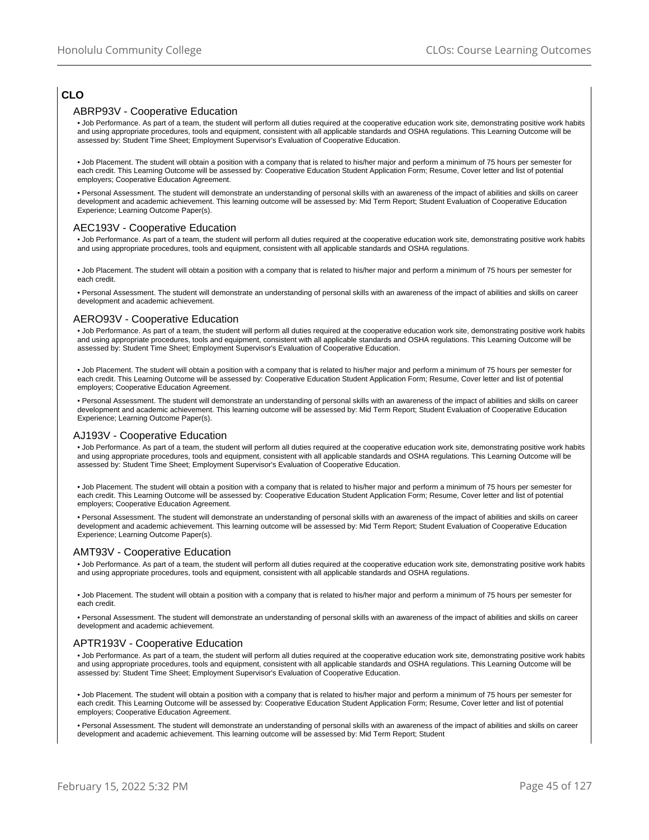# **CLO**

## ABRP93V - Cooperative Education

• Job Performance. As part of a team, the student will perform all duties required at the cooperative education work site, demonstrating positive work habits and using appropriate procedures, tools and equipment, consistent with all applicable standards and OSHA regulations. This Learning Outcome will be assessed by: Student Time Sheet; Employment Supervisor's Evaluation of Cooperative Education.

• Job Placement. The student will obtain a position with a company that is related to his/her major and perform a minimum of 75 hours per semester for each credit. This Learning Outcome will be assessed by: Cooperative Education Student Application Form; Resume, Cover letter and list of potential employers; Cooperative Education Agreement.

• Personal Assessment. The student will demonstrate an understanding of personal skills with an awareness of the impact of abilities and skills on career development and academic achievement. This learning outcome will be assessed by: Mid Term Report; Student Evaluation of Cooperative Education Experience; Learning Outcome Paper(s).

### AEC193V - Cooperative Education

• Job Performance. As part of a team, the student will perform all duties required at the cooperative education work site, demonstrating positive work habits and using appropriate procedures, tools and equipment, consistent with all applicable standards and OSHA regulations.

• Job Placement. The student will obtain a position with a company that is related to his/her major and perform a minimum of 75 hours per semester for each credit.

• Personal Assessment. The student will demonstrate an understanding of personal skills with an awareness of the impact of abilities and skills on career development and academic achievement.

## AERO93V - Cooperative Education

• Job Performance. As part of a team, the student will perform all duties required at the cooperative education work site, demonstrating positive work habits and using appropriate procedures, tools and equipment, consistent with all applicable standards and OSHA regulations. This Learning Outcome will be assessed by: Student Time Sheet; Employment Supervisor's Evaluation of Cooperative Education.

• Job Placement. The student will obtain a position with a company that is related to his/her major and perform a minimum of 75 hours per semester for each credit. This Learning Outcome will be assessed by: Cooperative Education Student Application Form; Resume, Cover letter and list of potential employers; Cooperative Education Agreement.

• Personal Assessment. The student will demonstrate an understanding of personal skills with an awareness of the impact of abilities and skills on career development and academic achievement. This learning outcome will be assessed by: Mid Term Report; Student Evaluation of Cooperative Education Experience; Learning Outcome Paper(s).

### AJ193V - Cooperative Education

• Job Performance. As part of a team, the student will perform all duties required at the cooperative education work site, demonstrating positive work habits and using appropriate procedures, tools and equipment, consistent with all applicable standards and OSHA regulations. This Learning Outcome will be assessed by: Student Time Sheet; Employment Supervisor's Evaluation of Cooperative Education.

• Job Placement. The student will obtain a position with a company that is related to his/her major and perform a minimum of 75 hours per semester for each credit. This Learning Outcome will be assessed by: Cooperative Education Student Application Form; Resume, Cover letter and list of potential employers; Cooperative Education Agreement.

• Personal Assessment. The student will demonstrate an understanding of personal skills with an awareness of the impact of abilities and skills on career development and academic achievement. This learning outcome will be assessed by: Mid Term Report; Student Evaluation of Cooperative Education Experience; Learning Outcome Paper(s).

# AMT93V - Cooperative Education

• Job Performance. As part of a team, the student will perform all duties required at the cooperative education work site, demonstrating positive work habits and using appropriate procedures, tools and equipment, consistent with all applicable standards and OSHA regulations.

• Job Placement. The student will obtain a position with a company that is related to his/her major and perform a minimum of 75 hours per semester for each credit.

• Personal Assessment. The student will demonstrate an understanding of personal skills with an awareness of the impact of abilities and skills on career development and academic achievement.

### APTR193V - Cooperative Education

• Job Performance. As part of a team, the student will perform all duties required at the cooperative education work site, demonstrating positive work habits and using appropriate procedures, tools and equipment, consistent with all applicable standards and OSHA regulations. This Learning Outcome will be assessed by: Student Time Sheet; Employment Supervisor's Evaluation of Cooperative Education.

• Job Placement. The student will obtain a position with a company that is related to his/her major and perform a minimum of 75 hours per semester for each credit. This Learning Outcome will be assessed by: Cooperative Education Student Application Form; Resume, Cover letter and list of potential employers; Cooperative Education Agreement.

• Personal Assessment. The student will demonstrate an understanding of personal skills with an awareness of the impact of abilities and skills on career development and academic achievement. This learning outcome will be assessed by: Mid Term Report; Student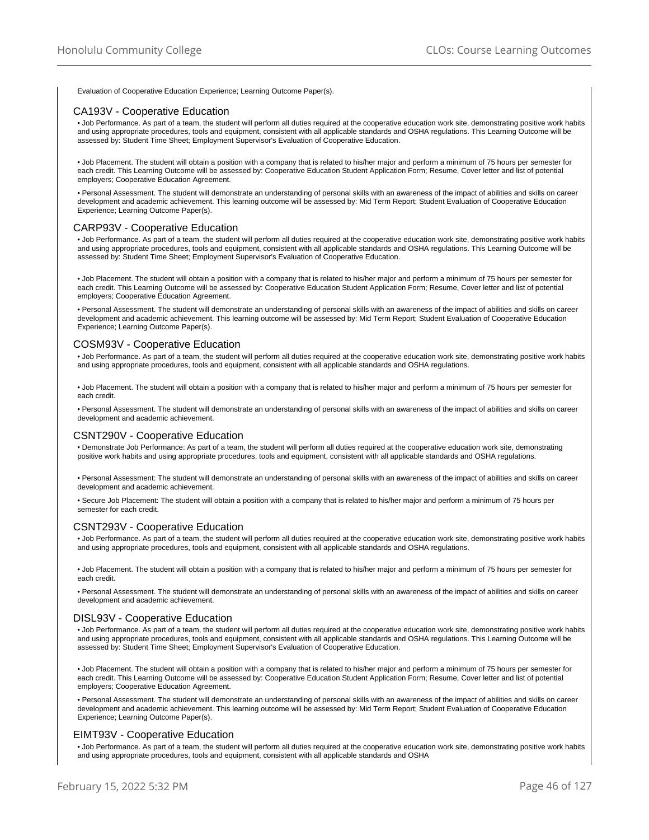Evaluation of Cooperative Education Experience; Learning Outcome Paper(s).

## CA193V - Cooperative Education

• Job Performance. As part of a team, the student will perform all duties required at the cooperative education work site, demonstrating positive work habits and using appropriate procedures, tools and equipment, consistent with all applicable standards and OSHA regulations. This Learning Outcome will be assessed by: Student Time Sheet; Employment Supervisor's Evaluation of Cooperative Education.

• Job Placement. The student will obtain a position with a company that is related to his/her major and perform a minimum of 75 hours per semester for each credit. This Learning Outcome will be assessed by: Cooperative Education Student Application Form; Resume, Cover letter and list of potential employers; Cooperative Education Agreement.

• Personal Assessment. The student will demonstrate an understanding of personal skills with an awareness of the impact of abilities and skills on career development and academic achievement. This learning outcome will be assessed by: Mid Term Report; Student Evaluation of Cooperative Education Experience; Learning Outcome Paper(s).

### CARP93V - Cooperative Education

• Job Performance. As part of a team, the student will perform all duties required at the cooperative education work site, demonstrating positive work habits and using appropriate procedures, tools and equipment, consistent with all applicable standards and OSHA regulations. This Learning Outcome will be assessed by: Student Time Sheet; Employment Supervisor's Evaluation of Cooperative Education.

• Job Placement. The student will obtain a position with a company that is related to his/her major and perform a minimum of 75 hours per semester for each credit. This Learning Outcome will be assessed by: Cooperative Education Student Application Form; Resume, Cover letter and list of potential employers; Cooperative Education Agreement.

• Personal Assessment. The student will demonstrate an understanding of personal skills with an awareness of the impact of abilities and skills on career development and academic achievement. This learning outcome will be assessed by: Mid Term Report; Student Evaluation of Cooperative Education Experience; Learning Outcome Paper(s).

## COSM93V - Cooperative Education

• Job Performance. As part of a team, the student will perform all duties required at the cooperative education work site, demonstrating positive work habits and using appropriate procedures, tools and equipment, consistent with all applicable standards and OSHA regulations.

• Job Placement. The student will obtain a position with a company that is related to his/her major and perform a minimum of 75 hours per semester for each credit.

• Personal Assessment. The student will demonstrate an understanding of personal skills with an awareness of the impact of abilities and skills on career development and academic achievement.

#### CSNT290V - Cooperative Education

• Demonstrate Job Performance: As part of a team, the student will perform all duties required at the cooperative education work site, demonstrating positive work habits and using appropriate procedures, tools and equipment, consistent with all applicable standards and OSHA regulations.

• Personal Assessment: The student will demonstrate an understanding of personal skills with an awareness of the impact of abilities and skills on career development and academic achievement.

• Secure Job Placement: The student will obtain a position with a company that is related to his/her major and perform a minimum of 75 hours per semester for each credit.

#### CSNT293V - Cooperative Education

• Job Performance. As part of a team, the student will perform all duties required at the cooperative education work site, demonstrating positive work habits and using appropriate procedures, tools and equipment, consistent with all applicable standards and OSHA regulations.

• Job Placement. The student will obtain a position with a company that is related to his/her major and perform a minimum of 75 hours per semester for each credit.

• Personal Assessment. The student will demonstrate an understanding of personal skills with an awareness of the impact of abilities and skills on career development and academic achievement.

## DISL93V - Cooperative Education

• Job Performance. As part of a team, the student will perform all duties required at the cooperative education work site, demonstrating positive work habits and using appropriate procedures, tools and equipment, consistent with all applicable standards and OSHA regulations. This Learning Outcome will be assessed by: Student Time Sheet; Employment Supervisor's Evaluation of Cooperative Education.

• Job Placement. The student will obtain a position with a company that is related to his/her major and perform a minimum of 75 hours per semester for each credit. This Learning Outcome will be assessed by: Cooperative Education Student Application Form; Resume, Cover letter and list of potential employers; Cooperative Education Agreement.

• Personal Assessment. The student will demonstrate an understanding of personal skills with an awareness of the impact of abilities and skills on career development and academic achievement. This learning outcome will be assessed by: Mid Term Report; Student Evaluation of Cooperative Education Experience; Learning Outcome Paper(s).

### EIMT93V - Cooperative Education

• Job Performance. As part of a team, the student will perform all duties required at the cooperative education work site, demonstrating positive work habits and using appropriate procedures, tools and equipment, consistent with all applicable standards and OSHA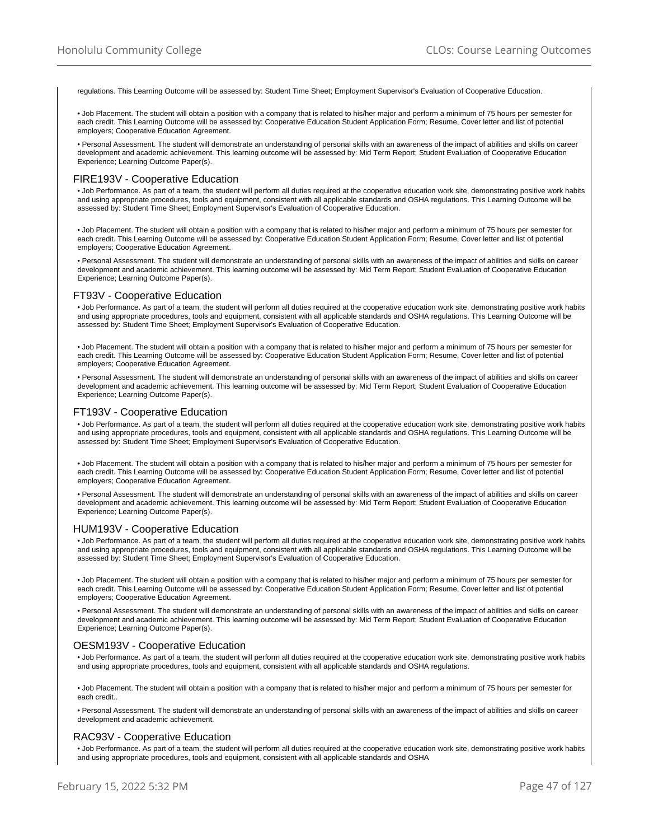regulations. This Learning Outcome will be assessed by: Student Time Sheet; Employment Supervisor's Evaluation of Cooperative Education.

• Job Placement. The student will obtain a position with a company that is related to his/her major and perform a minimum of 75 hours per semester for each credit. This Learning Outcome will be assessed by: Cooperative Education Student Application Form; Resume, Cover letter and list of potential employers; Cooperative Education Agreement.

• Personal Assessment. The student will demonstrate an understanding of personal skills with an awareness of the impact of abilities and skills on career development and academic achievement. This learning outcome will be assessed by: Mid Term Report; Student Evaluation of Cooperative Education Experience; Learning Outcome Paper(s).

#### FIRE193V - Cooperative Education

• Job Performance. As part of a team, the student will perform all duties required at the cooperative education work site, demonstrating positive work habits and using appropriate procedures, tools and equipment, consistent with all applicable standards and OSHA regulations. This Learning Outcome will be assessed by: Student Time Sheet; Employment Supervisor's Evaluation of Cooperative Education.

• Job Placement. The student will obtain a position with a company that is related to his/her major and perform a minimum of 75 hours per semester for each credit. This Learning Outcome will be assessed by: Cooperative Education Student Application Form; Resume, Cover letter and list of potential employers; Cooperative Education Agreement.

• Personal Assessment. The student will demonstrate an understanding of personal skills with an awareness of the impact of abilities and skills on career development and academic achievement. This learning outcome will be assessed by: Mid Term Report; Student Evaluation of Cooperative Education Experience; Learning Outcome Paper(s).

#### FT93V - Cooperative Education

• Job Performance. As part of a team, the student will perform all duties required at the cooperative education work site, demonstrating positive work habits and using appropriate procedures, tools and equipment, consistent with all applicable standards and OSHA regulations. This Learning Outcome will be assessed by: Student Time Sheet; Employment Supervisor's Evaluation of Cooperative Education.

• Job Placement. The student will obtain a position with a company that is related to his/her major and perform a minimum of 75 hours per semester for each credit. This Learning Outcome will be assessed by: Cooperative Education Student Application Form; Resume, Cover letter and list of potential employers; Cooperative Education Agreement.

• Personal Assessment. The student will demonstrate an understanding of personal skills with an awareness of the impact of abilities and skills on career development and academic achievement. This learning outcome will be assessed by: Mid Term Report; Student Evaluation of Cooperative Education Experience; Learning Outcome Paper(s).

## FT193V - Cooperative Education

• Job Performance. As part of a team, the student will perform all duties required at the cooperative education work site, demonstrating positive work habits and using appropriate procedures, tools and equipment, consistent with all applicable standards and OSHA regulations. This Learning Outcome will be assessed by: Student Time Sheet; Employment Supervisor's Evaluation of Cooperative Education.

• Job Placement. The student will obtain a position with a company that is related to his/her major and perform a minimum of 75 hours per semester for each credit. This Learning Outcome will be assessed by: Cooperative Education Student Application Form; Resume, Cover letter and list of potential employers; Cooperative Education Agreement.

• Personal Assessment. The student will demonstrate an understanding of personal skills with an awareness of the impact of abilities and skills on career development and academic achievement. This learning outcome will be assessed by: Mid Term Report; Student Evaluation of Cooperative Education Experience; Learning Outcome Paper(s).

#### HUM193V - Cooperative Education

• Job Performance. As part of a team, the student will perform all duties required at the cooperative education work site, demonstrating positive work habits and using appropriate procedures, tools and equipment, consistent with all applicable standards and OSHA regulations. This Learning Outcome will be assessed by: Student Time Sheet; Employment Supervisor's Evaluation of Cooperative Education.

• Job Placement. The student will obtain a position with a company that is related to his/her major and perform a minimum of 75 hours per semester for each credit. This Learning Outcome will be assessed by: Cooperative Education Student Application Form; Resume, Cover letter and list of potential employers; Cooperative Education Agreement.

• Personal Assessment. The student will demonstrate an understanding of personal skills with an awareness of the impact of abilities and skills on career development and academic achievement. This learning outcome will be assessed by: Mid Term Report; Student Evaluation of Cooperative Education Experience; Learning Outcome Paper(s).

#### OESM193V - Cooperative Education

• Job Performance. As part of a team, the student will perform all duties required at the cooperative education work site, demonstrating positive work habits and using appropriate procedures, tools and equipment, consistent with all applicable standards and OSHA regulations.

• Job Placement. The student will obtain a position with a company that is related to his/her major and perform a minimum of 75 hours per semester for each credit..

• Personal Assessment. The student will demonstrate an understanding of personal skills with an awareness of the impact of abilities and skills on career development and academic achievement.

### RAC93V - Cooperative Education

• Job Performance. As part of a team, the student will perform all duties required at the cooperative education work site, demonstrating positive work habits and using appropriate procedures, tools and equipment, consistent with all applicable standards and OSHA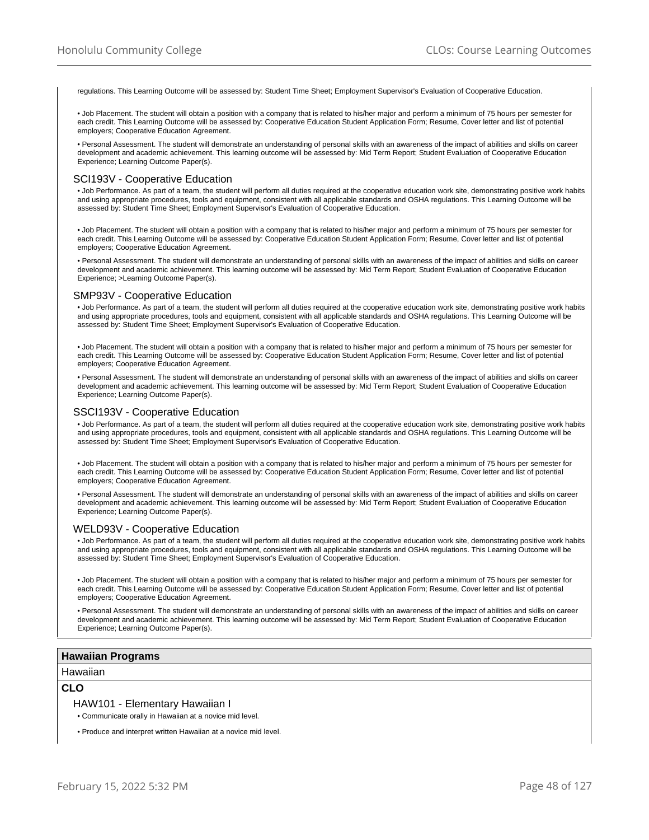regulations. This Learning Outcome will be assessed by: Student Time Sheet; Employment Supervisor's Evaluation of Cooperative Education.

• Job Placement. The student will obtain a position with a company that is related to his/her major and perform a minimum of 75 hours per semester for each credit. This Learning Outcome will be assessed by: Cooperative Education Student Application Form; Resume, Cover letter and list of potential employers; Cooperative Education Agreement.

• Personal Assessment. The student will demonstrate an understanding of personal skills with an awareness of the impact of abilities and skills on career development and academic achievement. This learning outcome will be assessed by: Mid Term Report; Student Evaluation of Cooperative Education Experience; Learning Outcome Paper(s).

### SCI193V - Cooperative Education

• Job Performance. As part of a team, the student will perform all duties required at the cooperative education work site, demonstrating positive work habits and using appropriate procedures, tools and equipment, consistent with all applicable standards and OSHA regulations. This Learning Outcome will be assessed by: Student Time Sheet; Employment Supervisor's Evaluation of Cooperative Education.

• Job Placement. The student will obtain a position with a company that is related to his/her major and perform a minimum of 75 hours per semester for each credit. This Learning Outcome will be assessed by: Cooperative Education Student Application Form; Resume, Cover letter and list of potential employers; Cooperative Education Agreement.

• Personal Assessment. The student will demonstrate an understanding of personal skills with an awareness of the impact of abilities and skills on career development and academic achievement. This learning outcome will be assessed by: Mid Term Report; Student Evaluation of Cooperative Education Experience; >Learning Outcome Paper(s).

#### SMP93V - Cooperative Education

• Job Performance. As part of a team, the student will perform all duties required at the cooperative education work site, demonstrating positive work habits and using appropriate procedures, tools and equipment, consistent with all applicable standards and OSHA regulations. This Learning Outcome will be assessed by: Student Time Sheet; Employment Supervisor's Evaluation of Cooperative Education.

• Job Placement. The student will obtain a position with a company that is related to his/her major and perform a minimum of 75 hours per semester for each credit. This Learning Outcome will be assessed by: Cooperative Education Student Application Form; Resume, Cover letter and list of potential employers; Cooperative Education Agreement.

• Personal Assessment. The student will demonstrate an understanding of personal skills with an awareness of the impact of abilities and skills on career development and academic achievement. This learning outcome will be assessed by: Mid Term Report; Student Evaluation of Cooperative Education Experience; Learning Outcome Paper(s).

## SSCI193V - Cooperative Education

• Job Performance. As part of a team, the student will perform all duties required at the cooperative education work site, demonstrating positive work habits and using appropriate procedures, tools and equipment, consistent with all applicable standards and OSHA regulations. This Learning Outcome will be assessed by: Student Time Sheet; Employment Supervisor's Evaluation of Cooperative Education.

• Job Placement. The student will obtain a position with a company that is related to his/her major and perform a minimum of 75 hours per semester for each credit. This Learning Outcome will be assessed by: Cooperative Education Student Application Form; Resume, Cover letter and list of potential employers; Cooperative Education Agreement.

• Personal Assessment. The student will demonstrate an understanding of personal skills with an awareness of the impact of abilities and skills on career development and academic achievement. This learning outcome will be assessed by: Mid Term Report; Student Evaluation of Cooperative Education Experience; Learning Outcome Paper(s).

#### WELD93V - Cooperative Education

• Job Performance. As part of a team, the student will perform all duties required at the cooperative education work site, demonstrating positive work habits and using appropriate procedures, tools and equipment, consistent with all applicable standards and OSHA regulations. This Learning Outcome will be assessed by: Student Time Sheet; Employment Supervisor's Evaluation of Cooperative Education.

• Job Placement. The student will obtain a position with a company that is related to his/her major and perform a minimum of 75 hours per semester for each credit. This Learning Outcome will be assessed by: Cooperative Education Student Application Form; Resume, Cover letter and list of potential employers; Cooperative Education Agreement.

• Personal Assessment. The student will demonstrate an understanding of personal skills with an awareness of the impact of abilities and skills on career development and academic achievement. This learning outcome will be assessed by: Mid Term Report; Student Evaluation of Cooperative Education Experience; Learning Outcome Paper(s).

### **Hawaiian Programs**

#### **Hawaiian**

## **CLO**

HAW101 - Elementary Hawaiian I

• Communicate orally in Hawaiian at a novice mid level.

• Produce and interpret written Hawaiian at a novice mid level.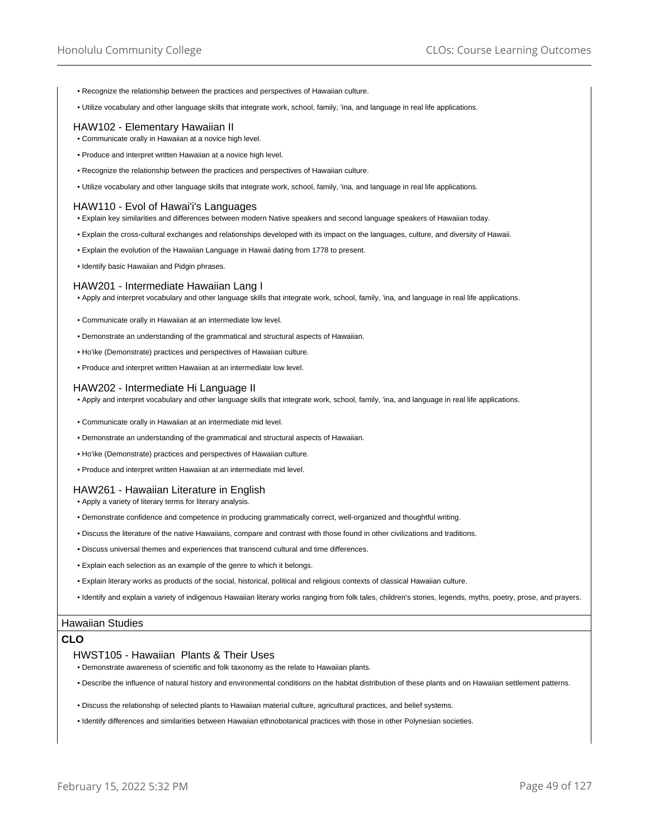- Recognize the relationship between the practices and perspectives of Hawaiian culture.
- Utilize vocabulary and other language skills that integrate work, school, family, 'ina, and language in real life applications.

## HAW102 - Elementary Hawaiian II

- Communicate orally in Hawaiian at a novice high level.
- Produce and interpret written Hawaiian at a novice high level.
- Recognize the relationship between the practices and perspectives of Hawaiian culture.
- Utilize vocabulary and other language skills that integrate work, school, family, 'ina, and language in real life applications.

#### HAW110 - Evol of Hawai'i's Languages

- Explain key similarities and differences between modern Native speakers and second language speakers of Hawaiian today.
- Explain the cross-cultural exchanges and relationships developed with its impact on the languages, culture, and diversity of Hawaii.
- Explain the evolution of the Hawaiian Language in Hawaii dating from 1778 to present.
- Identify basic Hawaiian and Pidgin phrases.

### HAW201 - Intermediate Hawaiian Lang I

• Apply and interpret vocabulary and other language skills that integrate work, school, family, 'ina, and language in real life applications.

- Communicate orally in Hawaiian at an intermediate low level.
- Demonstrate an understanding of the grammatical and structural aspects of Hawaiian.
- Ho'ike (Demonstrate) practices and perspectives of Hawaiian culture.
- Produce and interpret written Hawaiian at an intermediate low level.

#### HAW202 - Intermediate Hi Language II

• Apply and interpret vocabulary and other language skills that integrate work, school, family, 'ina, and language in real life applications.

- Communicate orally in Hawaiian at an intermediate mid level.
- Demonstrate an understanding of the grammatical and structural aspects of Hawaiian.
- Ho'ike (Demonstrate) practices and perspectives of Hawaiian culture.
- Produce and interpret written Hawaiian at an intermediate mid level.

## HAW261 - Hawaiian Literature in English

• Apply a variety of literary terms for literary analysis.

- Demonstrate confidence and competence in producing grammatically correct, well-organized and thoughtful writing.
- Discuss the literature of the native Hawaiians, compare and contrast with those found in other civilizations and traditions.
- Discuss universal themes and experiences that transcend cultural and time differences.
- Explain each selection as an example of the genre to which it belongs.
- Explain literary works as products of the social, historical, political and religious contexts of classical Hawaiian culture.
- Identify and explain a variety of indigenous Hawaiian literary works ranging from folk tales, children's stories, legends, myths, poetry, prose, and prayers.

## Hawaiian Studies

## **CLO**

#### HWST105 - Hawaiian Plants & Their Uses

- Demonstrate awareness of scientific and folk taxonomy as the relate to Hawaiian plants.
- Describe the influence of natural history and environmental conditions on the habitat distribution of these plants and on Hawaiian settlement patterns.
- Discuss the relationship of selected plants to Hawaiian material culture, agricultural practices, and belief systems.
- Identify differences and similarities between Hawaiian ethnobotanical practices with those in other Polynesian societies.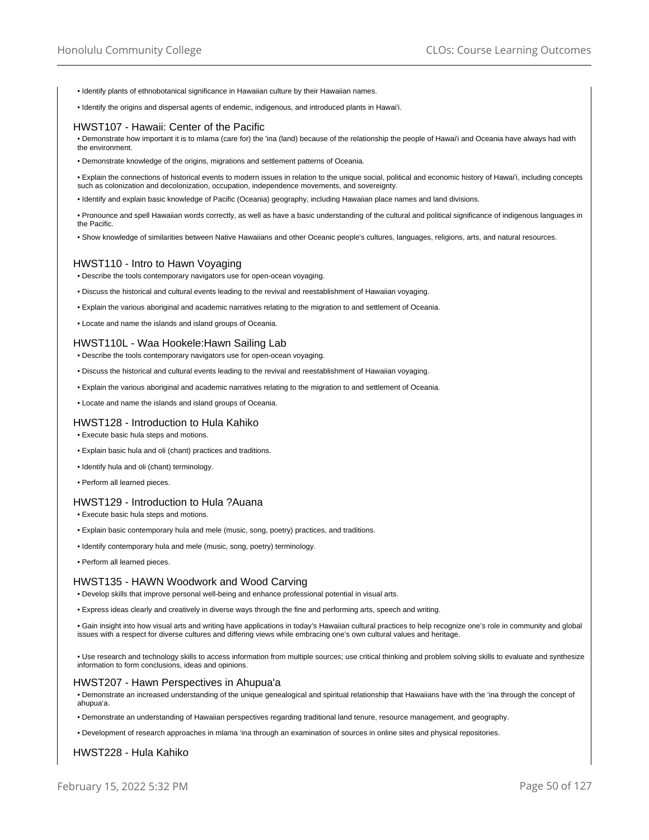- Identify plants of ethnobotanical significance in Hawaiian culture by their Hawaiian names.
- Identify the origins and dispersal agents of endemic, indigenous, and introduced plants in Hawai'i.

#### HWST107 - Hawaii: Center of the Pacific

• Demonstrate how important it is to mlama (care for) the 'ina (land) because of the relationship the people of Hawai'i and Oceania have always had with the environment.

• Demonstrate knowledge of the origins, migrations and settlement patterns of Oceania.

• Explain the connections of historical events to modern issues in relation to the unique social, political and economic history of Hawai'i, including concepts such as colonization and decolonization, occupation, independence movements, and sovereignty.

• Identify and explain basic knowledge of Pacific (Oceania) geography, including Hawaiian place names and land divisions.

• Pronounce and spell Hawaiian words correctly, as well as have a basic understanding of the cultural and political significance of indigenous languages in the Pacific.

• Show knowledge of similarities between Native Hawaiians and other Oceanic people's cultures, languages, religions, arts, and natural resources.

#### HWST110 - Intro to Hawn Voyaging

• Describe the tools contemporary navigators use for open-ocean voyaging.

- Discuss the historical and cultural events leading to the revival and reestablishment of Hawaiian voyaging.
- Explain the various aboriginal and academic narratives relating to the migration to and settlement of Oceania.
- Locate and name the islands and island groups of Oceania.

### HWST110L - Waa Hookele:Hawn Sailing Lab

- Describe the tools contemporary navigators use for open-ocean voyaging.
- Discuss the historical and cultural events leading to the revival and reestablishment of Hawaiian voyaging.
- Explain the various aboriginal and academic narratives relating to the migration to and settlement of Oceania.
- Locate and name the islands and island groups of Oceania.

### HWST128 - Introduction to Hula Kahiko

- Execute basic hula steps and motions.
- Explain basic hula and oli (chant) practices and traditions.
- Identify hula and oli (chant) terminology.
- Perform all learned pieces.

### HWST129 - Introduction to Hula ?Auana

- Execute basic hula steps and motions.
- Explain basic contemporary hula and mele (music, song, poetry) practices, and traditions.
- Identify contemporary hula and mele (music, song, poetry) terminology.
- Perform all learned pieces.

### HWST135 - HAWN Woodwork and Wood Carving

• Develop skills that improve personal well-being and enhance professional potential in visual arts.

• Express ideas clearly and creatively in diverse ways through the fine and performing arts, speech and writing.

• Gain insight into how visual arts and writing have applications in today's Hawaiian cultural practices to help recognize one's role in community and global issues with a respect for diverse cultures and differing views while embracing one's own cultural values and heritage.

• Use research and technology skills to access information from multiple sources; use critical thinking and problem solving skills to evaluate and synthesize information to form conclusions, ideas and opinions.

#### HWST207 - Hawn Perspectives in Ahupua'a

• Demonstrate an increased understanding of the unique genealogical and spiritual relationship that Hawaiians have with the 'ina through the concept of ahupua'a.

• Demonstrate an understanding of Hawaiian perspectives regarding traditional land tenure, resource management, and geography.

• Development of research approaches in mlama 'ina through an examination of sources in online sites and physical repositories.

## HWST228 - Hula Kahiko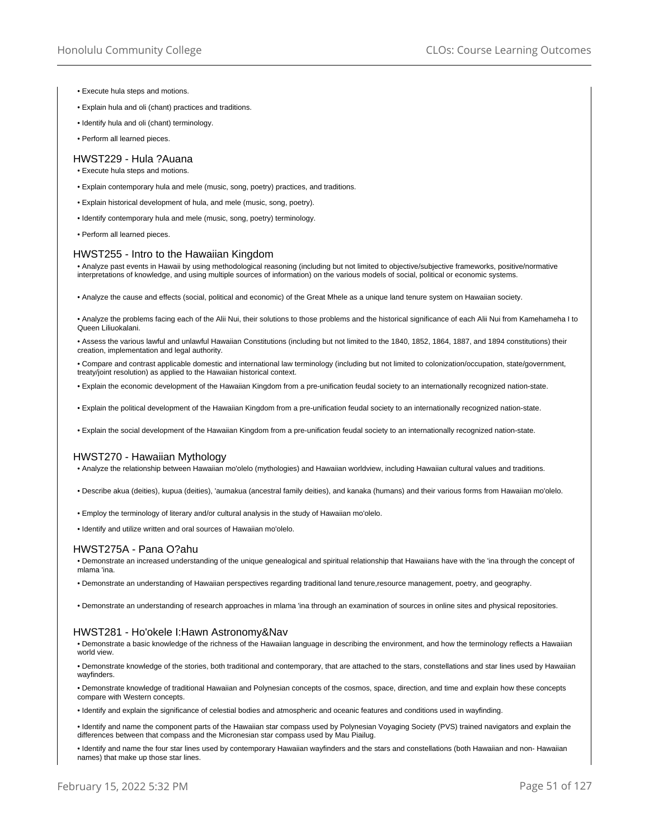- Execute hula steps and motions.
- Explain hula and oli (chant) practices and traditions.
- Identify hula and oli (chant) terminology.
- Perform all learned pieces.

#### HWST229 - Hula ?Auana

- Execute hula steps and motions.
- Explain contemporary hula and mele (music, song, poetry) practices, and traditions.
- Explain historical development of hula, and mele (music, song, poetry).
- Identify contemporary hula and mele (music, song, poetry) terminology.
- Perform all learned pieces.

### HWST255 - Intro to the Hawaiian Kingdom

• Analyze past events in Hawaii by using methodological reasoning (including but not limited to objective/subjective frameworks, positive/normative interpretations of knowledge, and using multiple sources of information) on the various models of social, political or economic systems.

• Analyze the cause and effects (social, political and economic) of the Great Mhele as a unique land tenure system on Hawaiian society.

• Analyze the problems facing each of the Alii Nui, their solutions to those problems and the historical significance of each Alii Nui from Kamehameha I to Queen Liliuokalani.

• Assess the various lawful and unlawful Hawaiian Constitutions (including but not limited to the 1840, 1852, 1864, 1887, and 1894 constitutions) their creation, implementation and legal authority.

• Compare and contrast applicable domestic and international law terminology (including but not limited to colonization/occupation, state/government, treaty/joint resolution) as applied to the Hawaiian historical context.

• Explain the economic development of the Hawaiian Kingdom from a pre-unification feudal society to an internationally recognized nation-state.

• Explain the political development of the Hawaiian Kingdom from a pre-unification feudal society to an internationally recognized nation-state.

• Explain the social development of the Hawaiian Kingdom from a pre-unification feudal society to an internationally recognized nation-state.

#### HWST270 - Hawaiian Mythology

• Analyze the relationship between Hawaiian mo'olelo (mythologies) and Hawaiian worldview, including Hawaiian cultural values and traditions.

• Describe akua (deities), kupua (deities), 'aumakua (ancestral family deities), and kanaka (humans) and their various forms from Hawaiian mo'olelo.

• Employ the terminology of literary and/or cultural analysis in the study of Hawaiian mo'olelo.

• Identify and utilize written and oral sources of Hawaiian mo'olelo.

### HWST275A - Pana O?ahu

• Demonstrate an increased understanding of the unique genealogical and spiritual relationship that Hawaiians have with the 'ina through the concept of mlama 'ina.

• Demonstrate an understanding of Hawaiian perspectives regarding traditional land tenure,resource management, poetry, and geography.

• Demonstrate an understanding of research approaches in mlama 'ina through an examination of sources in online sites and physical repositories.

#### HWST281 - Ho'okele I:Hawn Astronomy&Nav

• Demonstrate a basic knowledge of the richness of the Hawaiian language in describing the environment, and how the terminology reflects a Hawaiian world view.

• Demonstrate knowledge of the stories, both traditional and contemporary, that are attached to the stars, constellations and star lines used by Hawaiian wayfinders.

• Demonstrate knowledge of traditional Hawaiian and Polynesian concepts of the cosmos, space, direction, and time and explain how these concepts compare with Western concepts.

• Identify and explain the significance of celestial bodies and atmospheric and oceanic features and conditions used in wayfinding.

• Identify and name the component parts of the Hawaiian star compass used by Polynesian Voyaging Society (PVS) trained navigators and explain the differences between that compass and the Micronesian star compass used by Mau Piailug.

• Identify and name the four star lines used by contemporary Hawaiian wayfinders and the stars and constellations (both Hawaiian and non- Hawaiian names) that make up those star lines.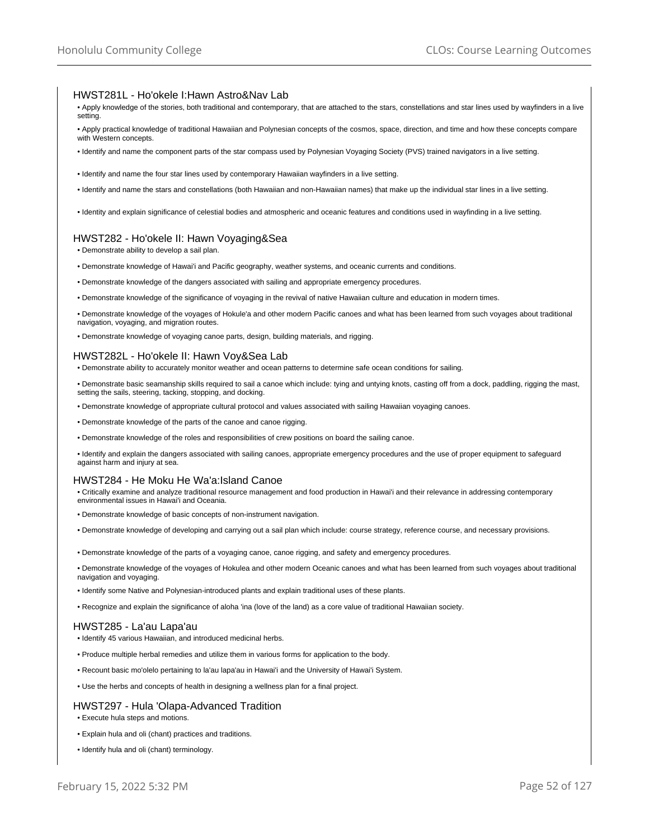### HWST281L - Ho'okele I:Hawn Astro&Nav Lab

- Apply knowledge of the stories, both traditional and contemporary, that are attached to the stars, constellations and star lines used by wayfinders in a live setting.
- Apply practical knowledge of traditional Hawaiian and Polynesian concepts of the cosmos, space, direction, and time and how these concepts compare with Western concepts.
- Identify and name the component parts of the star compass used by Polynesian Voyaging Society (PVS) trained navigators in a live setting.
- Identify and name the four star lines used by contemporary Hawaiian wayfinders in a live setting.
- Identify and name the stars and constellations (both Hawaiian and non-Hawaiian names) that make up the individual star lines in a live setting.
- Identity and explain significance of celestial bodies and atmospheric and oceanic features and conditions used in wayfinding in a live setting.

## HWST282 - Ho'okele II: Hawn Voyaging&Sea

- Demonstrate ability to develop a sail plan.
- Demonstrate knowledge of Hawai'i and Pacific geography, weather systems, and oceanic currents and conditions.
- Demonstrate knowledge of the dangers associated with sailing and appropriate emergency procedures.
- Demonstrate knowledge of the significance of voyaging in the revival of native Hawaiian culture and education in modern times.
- Demonstrate knowledge of the voyages of Hokule'a and other modern Pacific canoes and what has been learned from such voyages about traditional navigation, voyaging, and migration routes.
- Demonstrate knowledge of voyaging canoe parts, design, building materials, and rigging.

## HWST282L - Ho'okele II: Hawn Voy&Sea Lab

- Demonstrate ability to accurately monitor weather and ocean patterns to determine safe ocean conditions for sailing.
- Demonstrate basic seamanship skills required to sail a canoe which include: tying and untying knots, casting off from a dock, paddling, rigging the mast, setting the sails, steering, tacking, stopping, and docking.
- Demonstrate knowledge of appropriate cultural protocol and values associated with sailing Hawaiian voyaging canoes.
- Demonstrate knowledge of the parts of the canoe and canoe rigging.
- Demonstrate knowledge of the roles and responsibilities of crew positions on board the sailing canoe.
- Identify and explain the dangers associated with sailing canoes, appropriate emergency procedures and the use of proper equipment to safeguard against harm and injury at sea.

### HWST284 - He Moku He Wa'a:Island Canoe

- Critically examine and analyze traditional resource management and food production in Hawai'i and their relevance in addressing contemporary environmental issues in Hawai'i and Oceania.
- Demonstrate knowledge of basic concepts of non-instrument navigation.
- Demonstrate knowledge of developing and carrying out a sail plan which include: course strategy, reference course, and necessary provisions.
- Demonstrate knowledge of the parts of a voyaging canoe, canoe rigging, and safety and emergency procedures.
- Demonstrate knowledge of the voyages of Hokulea and other modern Oceanic canoes and what has been learned from such voyages about traditional navigation and voyaging.
- Identify some Native and Polynesian-introduced plants and explain traditional uses of these plants.
- Recognize and explain the significance of aloha 'ina (love of the land) as a core value of traditional Hawaiian society.

### HWST285 - La'au Lapa'au

- Identify 45 various Hawaiian, and introduced medicinal herbs.
- Produce multiple herbal remedies and utilize them in various forms for application to the body.
- Recount basic mo'olelo pertaining to la'au lapa'au in Hawai'i and the University of Hawai'i System.
- Use the herbs and concepts of health in designing a wellness plan for a final project.

### HWST297 - Hula 'Olapa-Advanced Tradition

- Execute hula steps and motions.
- Explain hula and oli (chant) practices and traditions.
- Identify hula and oli (chant) terminology.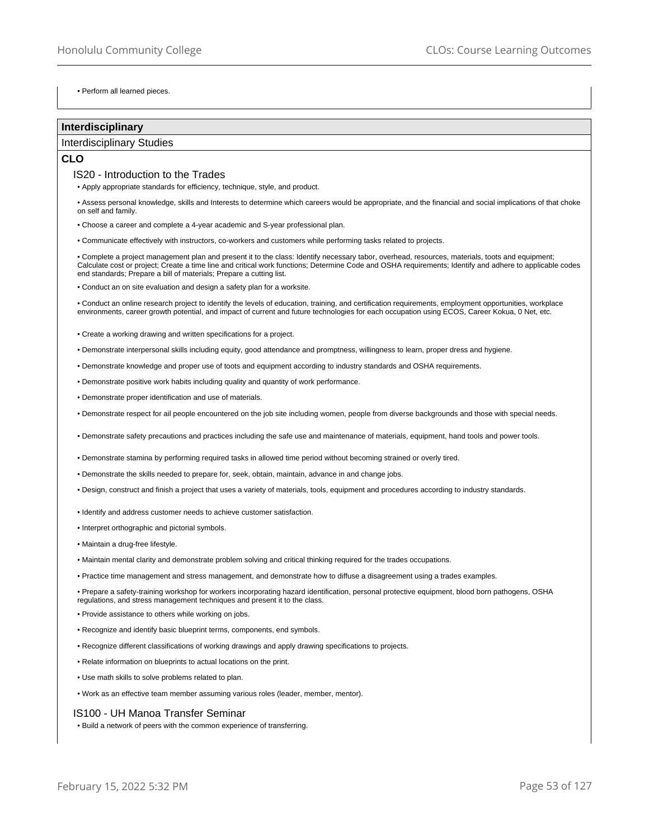• Perform all learned pieces.

### **Interdisciplinary**

## Interdisciplinary Studies

## **CLO**

### IS20 - Introduction to the Trades

• Apply appropriate standards for efficiency, technique, style, and product.

• Assess personal knowledge, skills and Interests to determine which careers would be appropriate, and the financial and social implications of that choke on self and family.

• Choose a career and complete a 4-year academic and S-year professional plan.

• Communicate effectively with instructors, co-workers and customers while performing tasks related to projects.

• Complete a project management plan and present it to the class: Identify necessary tabor, overhead, resources, materials, toots and equipment; Calculate cost or project; Create a time line and critical work functions; Determine Code and OSHA requirements; Identify and adhere to applicable codes end standards; Prepare a bill of materials; Prepare a cutting list.

• Conduct an on site evaluation and design a safety plan for a worksite.

• Conduct an online research project to identify the levels of education, training, and certification requirements, employment opportunities, workplace environments, career growth potential, and impact of current and future technologies for each occupation using ECOS, Career Kokua, 0 Net, etc.

• Create a working drawing and written specifications for a project.

• Demonstrate interpersonal skills including equity, good attendance and promptness, willingness to learn, proper dress and hygiene.

• Demonstrate knowledge and proper use of toots and equipment according to industry standards and OSHA requirements.

• Demonstrate positive work habits including quality and quantity of work performance.

• Demonstrate proper identification and use of materials.

• Demonstrate respect for ail people encountered on the job site including women, people from diverse backgrounds and those with special needs.

• Demonstrate safety precautions and practices including the safe use and maintenance of materials, equipment, hand tools and power tools.

• Demonstrate stamina by performing required tasks in allowed time period without becoming strained or overly tired.

• Demonstrate the skills needed to prepare for, seek, obtain, maintain, advance in and change jobs.

• Design, construct and finish a project that uses a variety of materials, tools, equipment and procedures according to industry standards.

• Identify and address customer needs to achieve customer satisfaction.

• Interpret orthographic and pictorial symbols.

- Maintain a drug-free lifestyle.
- Maintain mental clarity and demonstrate problem solving and critical thinking required for the trades occupations.
- Practice time management and stress management, and demonstrate how to diffuse a disagreement using a trades examples.

• Prepare a safety-training workshop for workers incorporating hazard identification, personal protective equipment, blood born pathogens, OSHA regulations, and stress management techniques and present it to the class.

- Provide assistance to others while working on jobs.
- Recognize and identify basic blueprint terms, components, end symbols.
- Recognize different classifications of working drawings and apply drawing specifications to projects.
- Relate information on blueprints to actual locations on the print.
- Use math skills to solve problems related to plan.
- Work as an effective team member assuming various roles (leader, member, mentor).

### IS100 - UH Manoa Transfer Seminar

• Build a network of peers with the common experience of transferring.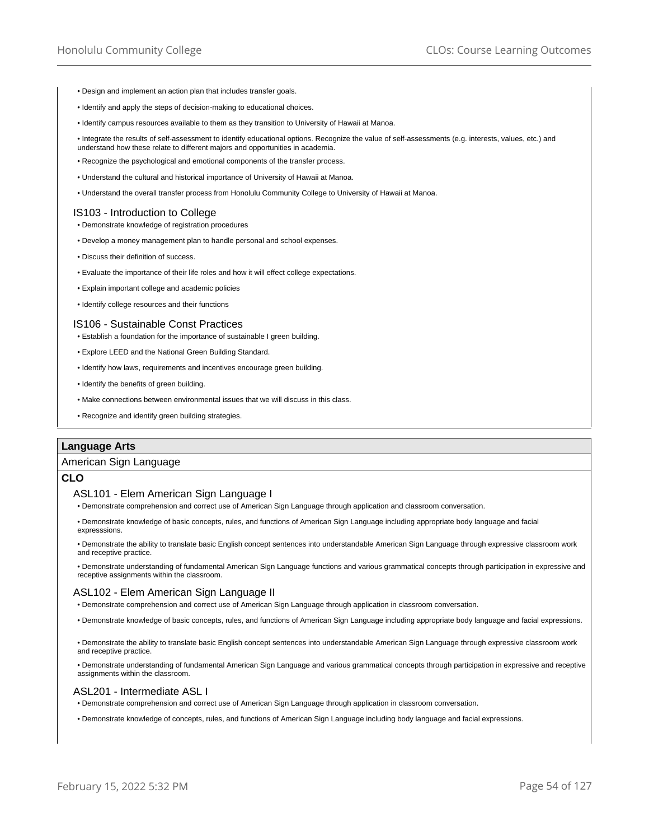- Design and implement an action plan that includes transfer goals.
- Identify and apply the steps of decision-making to educational choices.
- Identify campus resources available to them as they transition to University of Hawaii at Manoa.

• Integrate the results of self-assessment to identify educational options. Recognize the value of self-assessments (e.g. interests, values, etc.) and understand how these relate to different majors and opportunities in academia.

- Recognize the psychological and emotional components of the transfer process.
- Understand the cultural and historical importance of University of Hawaii at Manoa.
- Understand the overall transfer process from Honolulu Community College to University of Hawaii at Manoa.

### IS103 - Introduction to College

- Demonstrate knowledge of registration procedures
- Develop a money management plan to handle personal and school expenses.
- Discuss their definition of success.
- Evaluate the importance of their life roles and how it will effect college expectations.
- Explain important college and academic policies
- Identify college resources and their functions

#### IS106 - Sustainable Const Practices

- Establish a foundation for the importance of sustainable I green building.
- Explore LEED and the National Green Building Standard.
- Identify how laws, requirements and incentives encourage green building.
- Identify the benefits of green building.
- Make connections between environmental issues that we will discuss in this class.
- Recognize and identify green building strategies.

### **Language Arts**

#### American Sign Language

## **CLO**

#### ASL101 - Elem American Sign Language I

- Demonstrate comprehension and correct use of American Sign Language through application and classroom conversation.
- Demonstrate knowledge of basic concepts, rules, and functions of American Sign Language including appropriate body language and facial expresssions.
- Demonstrate the ability to translate basic English concept sentences into understandable American Sign Language through expressive classroom work and receptive practice.
- Demonstrate understanding of fundamental American Sign Language functions and various grammatical concepts through participation in expressive and receptive assignments within the classroom.

### ASL102 - Elem American Sign Language II

- Demonstrate comprehension and correct use of American Sign Language through application in classroom conversation.
- Demonstrate knowledge of basic concepts, rules, and functions of American Sign Language including appropriate body language and facial expressions.
- Demonstrate the ability to translate basic English concept sentences into understandable American Sign Language through expressive classroom work and receptive practice.
- Demonstrate understanding of fundamental American Sign Language and various grammatical concepts through participation in expressive and receptive assignments within the classroom.

### ASL201 - Intermediate ASL I

- Demonstrate comprehension and correct use of American Sign Language through application in classroom conversation.
- Demonstrate knowledge of concepts, rules, and functions of American Sign Language including body language and facial expressions.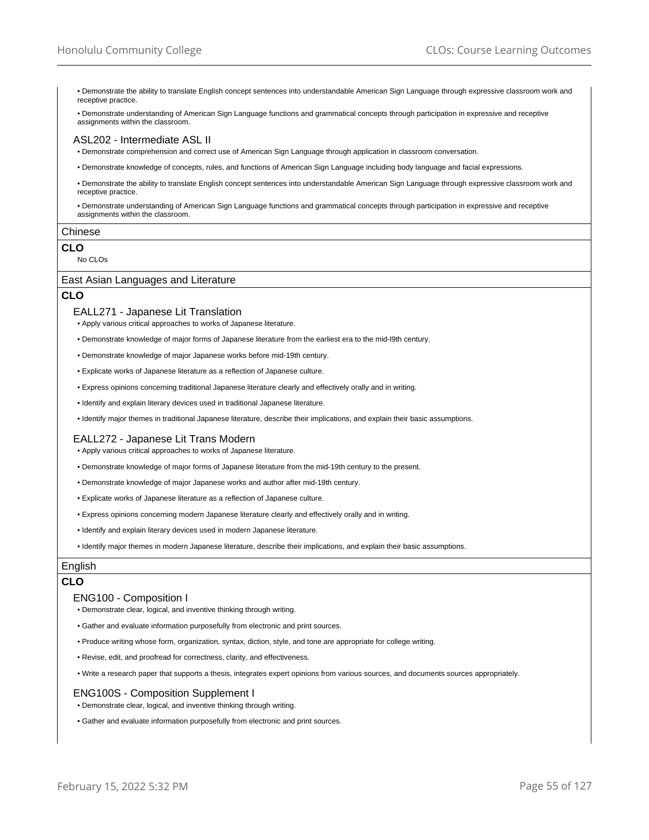• Demonstrate the ability to translate English concept sentences into understandable American Sign Language through expressive classroom work and receptive practice.

• Demonstrate understanding of American Sign Language functions and grammatical concepts through participation in expressive and receptive assignments within the classroom.

#### ASL202 - Intermediate ASL II

• Demonstrate comprehension and correct use of American Sign Language through application in classroom conversation.

• Demonstrate knowledge of concepts, rules, and functions of American Sign Language including body language and facial expressions.

• Demonstrate the ability to translate English concept sentences into understandable American Sign Language through expressive classroom work and receptive practice.

• Demonstrate understanding of American Sign Language functions and grammatical concepts through participation in expressive and receptive assignments within the classroom.

#### Chinese

## **CLO**

No CLOs

## East Asian Languages and Literature

## **CLO**

- EALL271 Japanese Lit Translation
- Apply various critical approaches to works of Japanese literature.
- Demonstrate knowledge of major forms of Japanese literature from the earliest era to the mid-l9th century.
- Demonstrate knowledge of major Japanese works before mid-19th century.
- Explicate works of Japanese literature as a reflection of Japanese culture.
- Express opinions concerning traditional Japanese literature clearly and effectively orally and in writing.
- Identify and explain literary devices used in traditional Japanese literature.
- Identify major themes in traditional Japanese literature, describe their implications, and explain their basic assumptions.

### EALL272 - Japanese Lit Trans Modern

• Apply various critical approaches to works of Japanese literature.

- Demonstrate knowledge of major forms of Japanese literature from the mid-19th century to the present.
- Demonstrate knowledge of major Japanese works and author after mid-19th century.
- Explicate works of Japanese literature as a reflection of Japanese culture.
- Express opinions concerning modern Japanese literature clearly and effectively orally and in writing.
- Identify and explain literary devices used in modern Japanese literature.

• Identify major themes in modern Japanese literature, describe their implications, and explain their basic assumptions.

## English

### **CLO**

### ENG100 - Composition I

• Demonstrate clear, logical, and inventive thinking through writing.

- Gather and evaluate information purposefully from electronic and print sources.
- Produce writing whose form, organization, syntax, diction, style, and tone are appropriate for college writing.
- Revise, edit, and proofread for correctness, clarity, and effectiveness.
- Write a research paper that supports a thesis, integrates expert opinions from various sources, and documents sources appropriately.

## ENG100S - Composition Supplement I

- Demonstrate clear, logical, and inventive thinking through writing.
- Gather and evaluate information purposefully from electronic and print sources.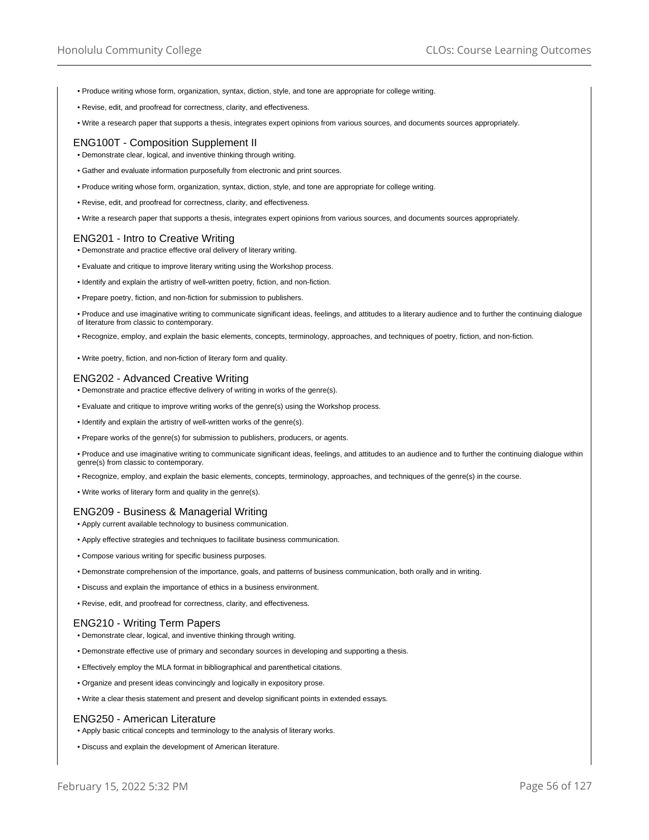- Produce writing whose form, organization, syntax, diction, style, and tone are appropriate for college writing.
- Revise, edit, and proofread for correctness, clarity, and effectiveness.
- Write a research paper that supports a thesis, integrates expert opinions from various sources, and documents sources appropriately.

### ENG100T - Composition Supplement II

• Demonstrate clear, logical, and inventive thinking through writing.

- Gather and evaluate information purposefully from electronic and print sources.
- Produce writing whose form, organization, syntax, diction, style, and tone are appropriate for college writing.
- Revise, edit, and proofread for correctness, clarity, and effectiveness.
- Write a research paper that supports a thesis, integrates expert opinions from various sources, and documents sources appropriately.

### ENG201 - Intro to Creative Writing

- Demonstrate and practice effective oral delivery of literary writing.
- Evaluate and critique to improve literary writing using the Workshop process.
- Identify and explain the artistry of well-written poetry, fiction, and non-fiction.
- Prepare poetry, fiction, and non-fiction for submission to publishers.
- Produce and use imaginative writing to communicate significant ideas, feelings, and attitudes to a literary audience and to further the continuing dialogue of literature from classic to contemporary.
- Recognize, employ, and explain the basic elements, concepts, terminology, approaches, and techniques of poetry, fiction, and non-fiction.
- Write poetry, fiction, and non-fiction of literary form and quality.

### ENG202 - Advanced Creative Writing

- Demonstrate and practice effective delivery of writing in works of the genre(s).
- Evaluate and critique to improve writing works of the genre(s) using the Workshop process.
- Identify and explain the artistry of well-written works of the genre(s).
- Prepare works of the genre(s) for submission to publishers, producers, or agents.

• Produce and use imaginative writing to communicate significant ideas, feelings, and attitudes to an audience and to further the continuing dialogue within genre(s) from classic to contemporary.

- Recognize, employ, and explain the basic elements, concepts, terminology, approaches, and techniques of the genre(s) in the course.
- Write works of literary form and quality in the genre(s).

### ENG209 - Business & Managerial Writing

- Apply current available technology to business communication.
- Apply effective strategies and techniques to facilitate business communication.
- Compose various writing for specific business purposes.
- Demonstrate comprehension of the importance, goals, and patterns of business communication, both orally and in writing.
- Discuss and explain the importance of ethics in a business environment.
- Revise, edit, and proofread for correctness, clarity, and effectiveness.

### ENG210 - Writing Term Papers

- Demonstrate clear, logical, and inventive thinking through writing.
- Demonstrate effective use of primary and secondary sources in developing and supporting a thesis.
- Effectively employ the MLA format in bibliographical and parenthetical citations.
- Organize and present ideas convincingly and logically in expository prose.
- Write a clear thesis statement and present and develop significant points in extended essays.

#### ENG250 - American Literature

- Apply basic critical concepts and terminology to the analysis of literary works.
- Discuss and explain the development of American literature.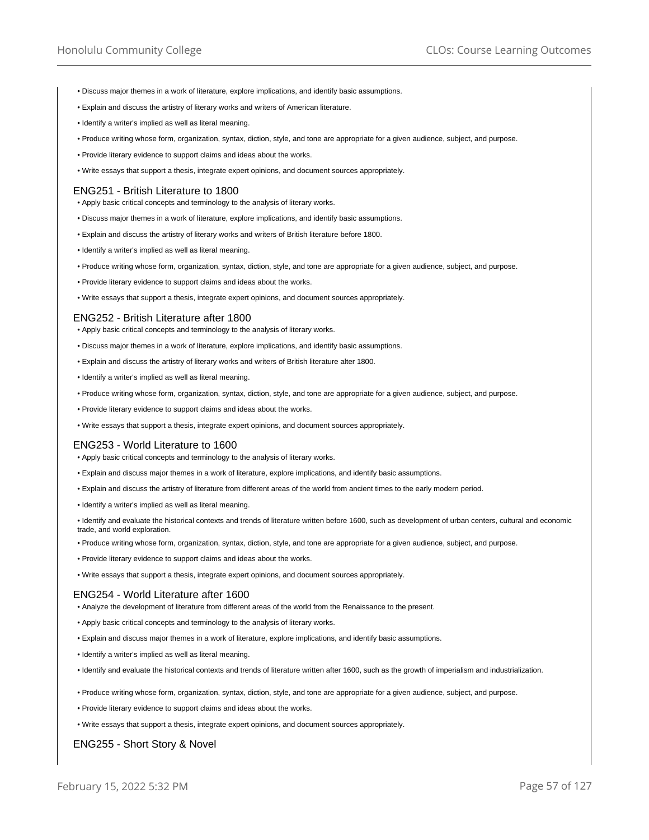- Discuss major themes in a work of literature, explore implications, and identify basic assumptions.
- Explain and discuss the artistry of literary works and writers of American literature.
- Identify a writer's implied as well as literal meaning.
- Produce writing whose form, organization, syntax, diction, style, and tone are appropriate for a given audience, subject, and purpose.
- Provide literary evidence to support claims and ideas about the works.
- Write essays that support a thesis, integrate expert opinions, and document sources appropriately.

#### ENG251 - British Literature to 1800

- Apply basic critical concepts and terminology to the analysis of literary works.
- Discuss major themes in a work of literature, explore implications, and identify basic assumptions.
- Explain and discuss the artistry of literary works and writers of British literature before 1800.
- Identify a writer's implied as well as literal meaning.
- Produce writing whose form, organization, syntax, diction, style, and tone are appropriate for a given audience, subject, and purpose.
- Provide literary evidence to support claims and ideas about the works.
- Write essays that support a thesis, integrate expert opinions, and document sources appropriately.

#### ENG252 - British Literature after 1800

• Apply basic critical concepts and terminology to the analysis of literary works.

- Discuss major themes in a work of literature, explore implications, and identify basic assumptions.
- Explain and discuss the artistry of literary works and writers of British literature alter 1800.
- Identify a writer's implied as well as literal meaning.
- Produce writing whose form, organization, syntax, diction, style, and tone are appropriate for a given audience, subject, and purpose.
- Provide literary evidence to support claims and ideas about the works.
- Write essays that support a thesis, integrate expert opinions, and document sources appropriately.

### ENG253 - World Literature to 1600

- Apply basic critical concepts and terminology to the analysis of literary works.
- Explain and discuss major themes in a work of literature, explore implications, and identify basic assumptions.
- Explain and discuss the artistry of literature from different areas of the world from ancient times to the early modern period.
- Identify a writer's implied as well as literal meaning.

• Identify and evaluate the historical contexts and trends of literature written before 1600, such as development of urban centers, cultural and economic trade, and world exploration.

- Produce writing whose form, organization, syntax, diction, style, and tone are appropriate for a given audience, subject, and purpose.
- Provide literary evidence to support claims and ideas about the works.
- Write essays that support a thesis, integrate expert opinions, and document sources appropriately.

#### ENG254 - World Literature after 1600

• Analyze the development of literature from different areas of the world from the Renaissance to the present.

- Apply basic critical concepts and terminology to the analysis of literary works.
- Explain and discuss major themes in a work of literature, explore implications, and identify basic assumptions.
- Identify a writer's implied as well as literal meaning.
- Identify and evaluate the historical contexts and trends of literature written after 1600, such as the growth of imperialism and industrialization.
- Produce writing whose form, organization, syntax, diction, style, and tone are appropriate for a given audience, subject, and purpose.
- Provide literary evidence to support claims and ideas about the works.
- Write essays that support a thesis, integrate expert opinions, and document sources appropriately.

## ENG255 - Short Story & Novel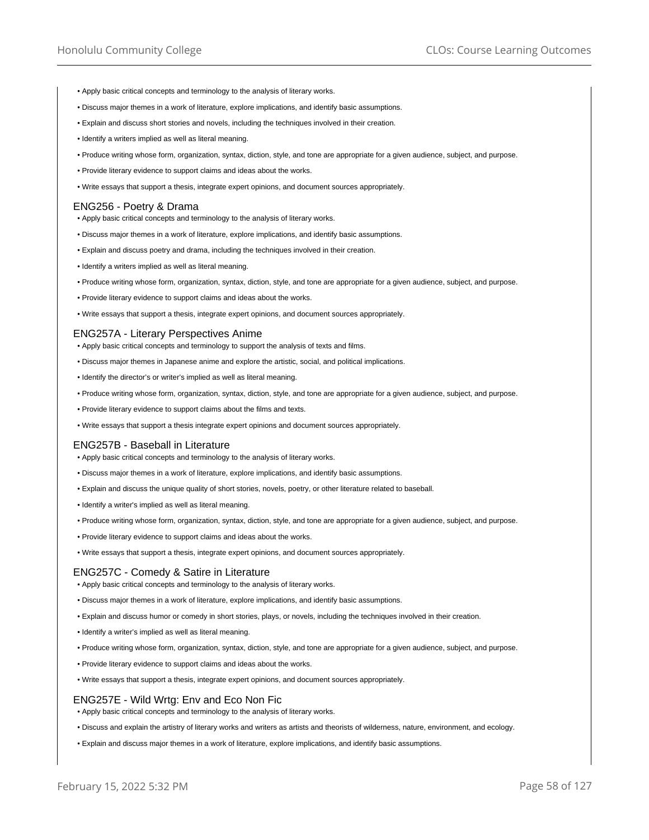- Apply basic critical concepts and terminology to the analysis of literary works.
- Discuss major themes in a work of literature, explore implications, and identify basic assumptions.
- Explain and discuss short stories and novels, including the techniques involved in their creation.
- Identify a writers implied as well as literal meaning.
- Produce writing whose form, organization, syntax, diction, style, and tone are appropriate for a given audience, subject, and purpose.
- Provide literary evidence to support claims and ideas about the works.
- Write essays that support a thesis, integrate expert opinions, and document sources appropriately.

### ENG256 - Poetry & Drama

- Apply basic critical concepts and terminology to the analysis of literary works.
- Discuss major themes in a work of literature, explore implications, and identify basic assumptions.
- Explain and discuss poetry and drama, including the techniques involved in their creation.
- Identify a writers implied as well as literal meaning.
- Produce writing whose form, organization, syntax, diction, style, and tone are appropriate for a given audience, subject, and purpose.
- Provide literary evidence to support claims and ideas about the works.
- Write essays that support a thesis, integrate expert opinions, and document sources appropriately.

#### ENG257A - Literary Perspectives Anime

- Apply basic critical concepts and terminology to support the analysis of texts and films.
- Discuss major themes in Japanese anime and explore the artistic, social, and political implications.
- Identify the director's or writer's implied as well as literal meaning.
- Produce writing whose form, organization, syntax, diction, style, and tone are appropriate for a given audience, subject, and purpose.
- Provide literary evidence to support claims about the films and texts.
- Write essays that support a thesis integrate expert opinions and document sources appropriately.

#### ENG257B - Baseball in Literature

- Apply basic critical concepts and terminology to the analysis of literary works.
- Discuss major themes in a work of literature, explore implications, and identify basic assumptions.
- Explain and discuss the unique quality of short stories, novels, poetry, or other literature related to baseball.
- Identify a writer's implied as well as literal meaning.
- Produce writing whose form, organization, syntax, diction, style, and tone are appropriate for a given audience, subject, and purpose.
- Provide literary evidence to support claims and ideas about the works.
- Write essays that support a thesis, integrate expert opinions, and document sources appropriately.

### ENG257C - Comedy & Satire in Literature

- Apply basic critical concepts and terminology to the analysis of literary works.
- Discuss major themes in a work of literature, explore implications, and identify basic assumptions.
- Explain and discuss humor or comedy in short stories, plays, or novels, including the techniques involved in their creation.
- Identify a writer's implied as well as literal meaning.
- Produce writing whose form, organization, syntax, diction, style, and tone are appropriate for a given audience, subject, and purpose.
- Provide literary evidence to support claims and ideas about the works.
- Write essays that support a thesis, integrate expert opinions, and document sources appropriately.

#### ENG257E - Wild Wrtg: Env and Eco Non Fic

• Apply basic critical concepts and terminology to the analysis of literary works.

- Discuss and explain the artistry of literary works and writers as artists and theorists of wilderness, nature, environment, and ecology.
- Explain and discuss major themes in a work of literature, explore implications, and identify basic assumptions.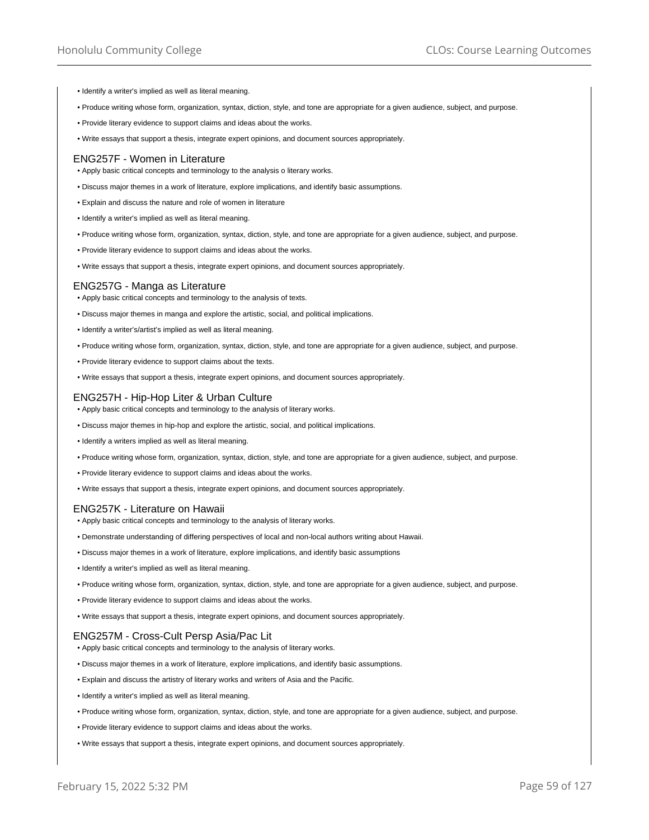- Identify a writer's implied as well as literal meaning.
- Produce writing whose form, organization, syntax, diction, style, and tone are appropriate for a given audience, subject, and purpose.
- Provide literary evidence to support claims and ideas about the works.
- Write essays that support a thesis, integrate expert opinions, and document sources appropriately.

#### ENG257F - Women in Literature

- Apply basic critical concepts and terminology to the analysis o literary works.
- Discuss major themes in a work of literature, explore implications, and identify basic assumptions.
- Explain and discuss the nature and role of women in literature
- Identify a writer's implied as well as literal meaning.
- Produce writing whose form, organization, syntax, diction, style, and tone are appropriate for a given audience, subject, and purpose.
- Provide literary evidence to support claims and ideas about the works.
- Write essays that support a thesis, integrate expert opinions, and document sources appropriately.

## ENG257G - Manga as Literature

- Apply basic critical concepts and terminology to the analysis of texts.
- Discuss major themes in manga and explore the artistic, social, and political implications.
- Identify a writer's/artist's implied as well as literal meaning.
- Produce writing whose form, organization, syntax, diction, style, and tone are appropriate for a given audience, subject, and purpose.
- Provide literary evidence to support claims about the texts.
- Write essays that support a thesis, integrate expert opinions, and document sources appropriately.

## ENG257H - Hip-Hop Liter & Urban Culture

- Apply basic critical concepts and terminology to the analysis of literary works.
- Discuss major themes in hip-hop and explore the artistic, social, and political implications.
- Identify a writers implied as well as literal meaning.
- Produce writing whose form, organization, syntax, diction, style, and tone are appropriate for a given audience, subject, and purpose.
- Provide literary evidence to support claims and ideas about the works.
- Write essays that support a thesis, integrate expert opinions, and document sources appropriately.

### ENG257K - Literature on Hawaii

- Apply basic critical concepts and terminology to the analysis of literary works.
- Demonstrate understanding of differing perspectives of local and non-local authors writing about Hawaii.
- Discuss major themes in a work of literature, explore implications, and identify basic assumptions
- Identify a writer's implied as well as literal meaning.
- Produce writing whose form, organization, syntax, diction, style, and tone are appropriate for a given audience, subject, and purpose.
- Provide literary evidence to support claims and ideas about the works.
- Write essays that support a thesis, integrate expert opinions, and document sources appropriately.

## ENG257M - Cross-Cult Persp Asia/Pac Lit

- Apply basic critical concepts and terminology to the analysis of literary works.
- Discuss major themes in a work of literature, explore implications, and identify basic assumptions.
- Explain and discuss the artistry of literary works and writers of Asia and the Pacific.
- Identify a writer's implied as well as literal meaning.
- Produce writing whose form, organization, syntax, diction, style, and tone are appropriate for a given audience, subject, and purpose.
- Provide literary evidence to support claims and ideas about the works.
- Write essays that support a thesis, integrate expert opinions, and document sources appropriately.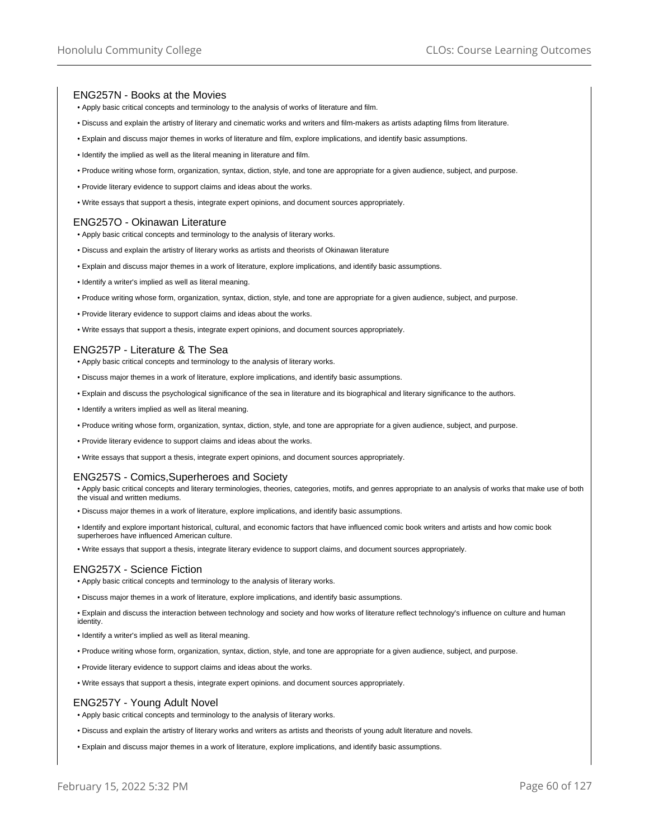## ENG257N - Books at the Movies

- Apply basic critical concepts and terminology to the analysis of works of literature and film.
- Discuss and explain the artistry of literary and cinematic works and writers and film-makers as artists adapting films from literature.
- Explain and discuss major themes in works of literature and film, explore implications, and identify basic assumptions.
- Identify the implied as well as the literal meaning in literature and film.
- Produce writing whose form, organization, syntax, diction, style, and tone are appropriate for a given audience, subject, and purpose.
- Provide literary evidence to support claims and ideas about the works.
- Write essays that support a thesis, integrate expert opinions, and document sources appropriately.

## ENG257O - Okinawan Literature

- Apply basic critical concepts and terminology to the analysis of literary works.
- Discuss and explain the artistry of literary works as artists and theorists of Okinawan literature
- Explain and discuss major themes in a work of literature, explore implications, and identify basic assumptions.
- Identify a writer's implied as well as literal meaning.
- Produce writing whose form, organization, syntax, diction, style, and tone are appropriate for a given audience, subject, and purpose.
- Provide literary evidence to support claims and ideas about the works.
- Write essays that support a thesis, integrate expert opinions, and document sources appropriately.

### ENG257P - Literature & The Sea

- Apply basic critical concepts and terminology to the analysis of literary works.
- Discuss major themes in a work of literature, explore implications, and identify basic assumptions.
- Explain and discuss the psychological significance of the sea in literature and its biographical and literary significance to the authors.
- Identify a writers implied as well as literal meaning.
- Produce writing whose form, organization, syntax, diction, style, and tone are appropriate for a given audience, subject, and purpose.
- Provide literary evidence to support claims and ideas about the works.
- Write essays that support a thesis, integrate expert opinions, and document sources appropriately.

### ENG257S - Comics,Superheroes and Society

• Apply basic critical concepts and literary terminologies, theories, categories, motifs, and genres appropriate to an analysis of works that make use of both the visual and written mediums.

- Discuss major themes in a work of literature, explore implications, and identify basic assumptions.
- Identify and explore important historical, cultural, and economic factors that have influenced comic book writers and artists and how comic book superheroes have influenced American culture.
- Write essays that support a thesis, integrate literary evidence to support claims, and document sources appropriately.

## ENG257X - Science Fiction

- Apply basic critical concepts and terminology to the analysis of literary works.
- Discuss major themes in a work of literature, explore implications, and identify basic assumptions.
- Explain and discuss the interaction between technology and society and how works of literature reflect technology's influence on culture and human identity.
- Identify a writer's implied as well as literal meaning.
- Produce writing whose form, organization, syntax, diction, style, and tone are appropriate for a given audience, subject, and purpose.
- Provide literary evidence to support claims and ideas about the works.
- Write essays that support a thesis, integrate expert opinions. and document sources appropriately.

### ENG257Y - Young Adult Novel

- Apply basic critical concepts and terminology to the analysis of literary works.
- Discuss and explain the artistry of literary works and writers as artists and theorists of young adult literature and novels.
- Explain and discuss major themes in a work of literature, explore implications, and identify basic assumptions.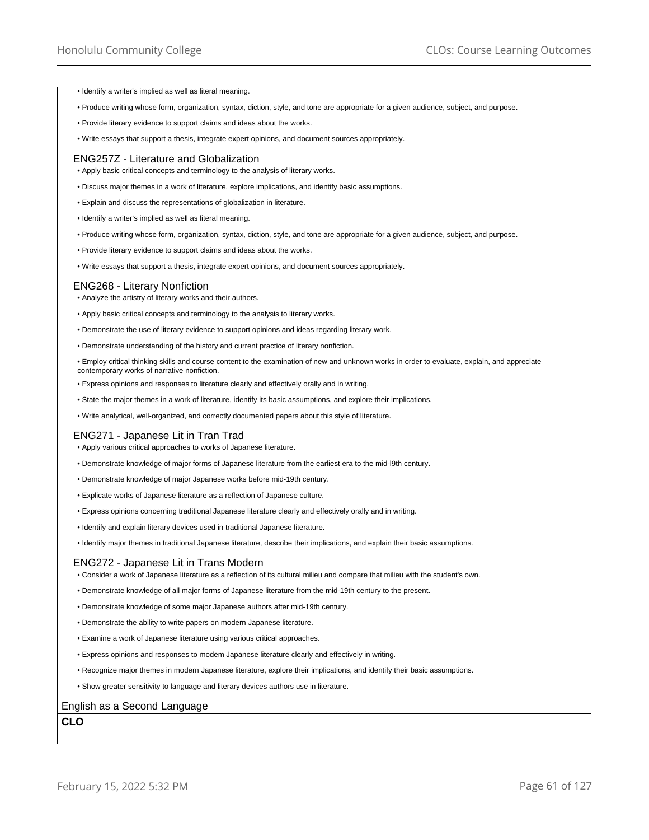- Identify a writer's implied as well as literal meaning.
- Produce writing whose form, organization, syntax, diction, style, and tone are appropriate for a given audience, subject, and purpose.
- Provide literary evidence to support claims and ideas about the works.
- Write essays that support a thesis, integrate expert opinions, and document sources appropriately.

#### ENG257Z - Literature and Globalization

• Apply basic critical concepts and terminology to the analysis of literary works.

- Discuss major themes in a work of literature, explore implications, and identify basic assumptions.
- Explain and discuss the representations of globalization in literature.
- Identify a writer's implied as well as literal meaning.
- Produce writing whose form, organization, syntax, diction, style, and tone are appropriate for a given audience, subject, and purpose.
- Provide literary evidence to support claims and ideas about the works.
- Write essays that support a thesis, integrate expert opinions, and document sources appropriately.

## ENG268 - Literary Nonfiction

- Analyze the artistry of literary works and their authors.
- Apply basic critical concepts and terminology to the analysis to literary works.
- Demonstrate the use of literary evidence to support opinions and ideas regarding literary work.
- Demonstrate understanding of the history and current practice of literary nonfiction.
- Employ critical thinking skills and course content to the examination of new and unknown works in order to evaluate, explain, and appreciate contemporary works of narrative nonfiction.
- Express opinions and responses to literature clearly and effectively orally and in writing.
- State the major themes in a work of literature, identify its basic assumptions, and explore their implications.
- Write analytical, well-organized, and correctly documented papers about this style of literature.

### ENG271 - Japanese Lit in Tran Trad

• Apply various critical approaches to works of Japanese literature.

- Demonstrate knowledge of major forms of Japanese literature from the earliest era to the mid-l9th century.
- Demonstrate knowledge of major Japanese works before mid-19th century.
- Explicate works of Japanese literature as a reflection of Japanese culture.
- Express opinions concerning traditional Japanese literature clearly and effectively orally and in writing.
- Identify and explain literary devices used in traditional Japanese literature.
- Identify major themes in traditional Japanese literature, describe their implications, and explain their basic assumptions.

#### ENG272 - Japanese Lit in Trans Modern

- Consider a work of Japanese literature as a reflection of its cultural milieu and compare that milieu with the student's own.
- Demonstrate knowledge of all major forms of Japanese literature from the mid-19th century to the present.
- Demonstrate knowledge of some major Japanese authors after mid-19th century.
- Demonstrate the ability to write papers on modern Japanese literature.
- Examine a work of Japanese literature using various critical approaches.
- Express opinions and responses to modem Japanese literature clearly and effectively in writing.
- Recognize major themes in modern Japanese literature, explore their implications, and identify their basic assumptions.
- Show greater sensitivity to language and literary devices authors use in literature.

## English as a Second Language

**CLO**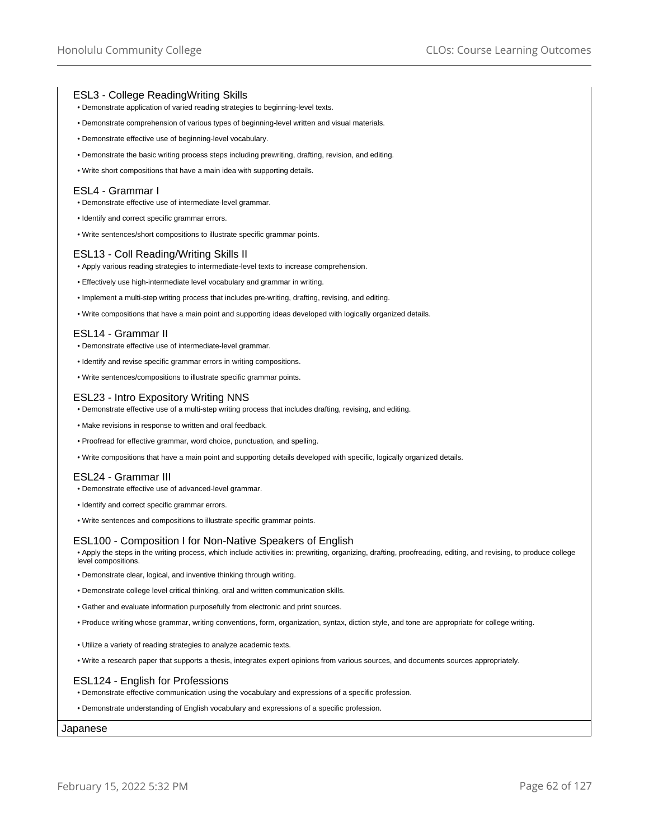## ESL3 - College ReadingWriting Skills

- Demonstrate application of varied reading strategies to beginning-level texts.
- Demonstrate comprehension of various types of beginning-level written and visual materials.
- Demonstrate effective use of beginning-level vocabulary.
- Demonstrate the basic writing process steps including prewriting, drafting, revision, and editing.
- Write short compositions that have a main idea with supporting details.

## ESL4 - Grammar I

- Demonstrate effective use of intermediate-level grammar.
- Identify and correct specific grammar errors.
- Write sentences/short compositions to illustrate specific grammar points.

## ESL13 - Coll Reading/Writing Skills II

- Apply various reading strategies to intermediate-level texts to increase comprehension.
- Effectively use high-intermediate level vocabulary and grammar in writing.
- Implement a multi-step writing process that includes pre-writing, drafting, revising, and editing.
- Write compositions that have a main point and supporting ideas developed with logically organized details.

## ESL14 - Grammar II

- Demonstrate effective use of intermediate-level grammar.
- Identify and revise specific grammar errors in writing compositions.
- Write sentences/compositions to illustrate specific grammar points.

## ESL23 - Intro Expository Writing NNS

- Demonstrate effective use of a multi-step writing process that includes drafting, revising, and editing.
- Make revisions in response to written and oral feedback.
- Proofread for effective grammar, word choice, punctuation, and spelling.
- Write compositions that have a main point and supporting details developed with specific, logically organized details.

## ESL24 - Grammar III

- Demonstrate effective use of advanced-level grammar.
- Identify and correct specific grammar errors.
- Write sentences and compositions to illustrate specific grammar points.

## ESL100 - Composition I for Non-Native Speakers of English

• Apply the steps in the writing process, which include activities in: prewriting, organizing, drafting, proofreading, editing, and revising, to produce college level compositions.

- Demonstrate clear, logical, and inventive thinking through writing.
- Demonstrate college level critical thinking, oral and written communication skills.
- Gather and evaluate information purposefully from electronic and print sources.
- Produce writing whose grammar, writing conventions, form, organization, syntax, diction style, and tone are appropriate for college writing.
- Utilize a variety of reading strategies to analyze academic texts.
- Write a research paper that supports a thesis, integrates expert opinions from various sources, and documents sources appropriately.

## ESL124 - English for Professions

• Demonstrate effective communication using the vocabulary and expressions of a specific profession.

• Demonstrate understanding of English vocabulary and expressions of a specific profession.

### Japanese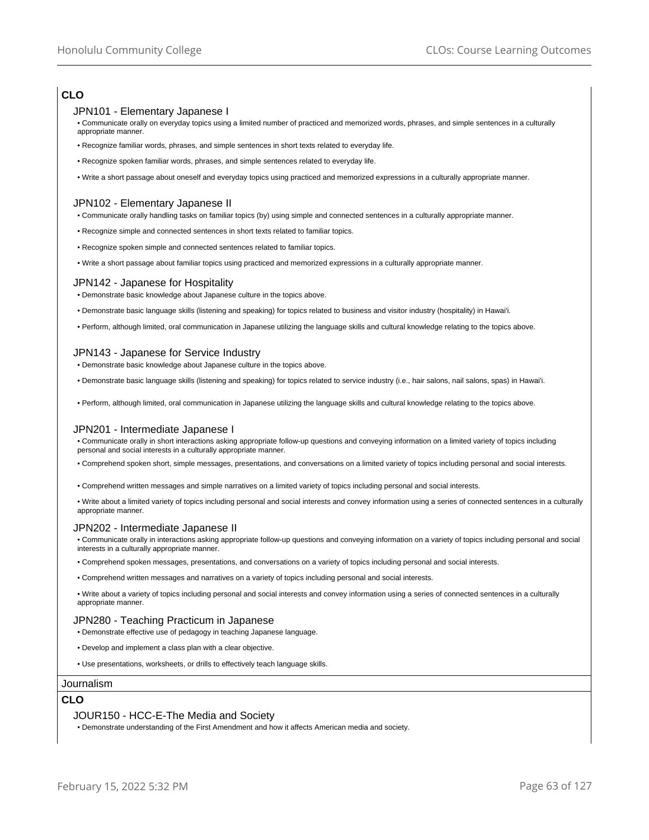# **CLO**

## JPN101 - Elementary Japanese I

• Communicate orally on everyday topics using a limited number of practiced and memorized words, phrases, and simple sentences in a culturally appropriate manner.

- Recognize familiar words, phrases, and simple sentences in short texts related to everyday life.
- Recognize spoken familiar words, phrases, and simple sentences related to everyday life.
- Write a short passage about oneself and everyday topics using practiced and memorized expressions in a culturally appropriate manner.

## JPN102 - Elementary Japanese II

- Communicate orally handling tasks on familiar topics (by) using simple and connected sentences in a culturally appropriate manner.
- Recognize simple and connected sentences in short texts related to familiar topics.
- Recognize spoken simple and connected sentences related to familiar topics.
- Write a short passage about familiar topics using practiced and memorized expressions in a culturally appropriate manner.

## JPN142 - Japanese for Hospitality

• Demonstrate basic knowledge about Japanese culture in the topics above.

- Demonstrate basic language skills (listening and speaking) for topics related to business and visitor industry (hospitality) in Hawai'i.
- Perform, although limited, oral communication in Japanese utilizing the language skills and cultural knowledge relating to the topics above.

## JPN143 - Japanese for Service Industry

• Demonstrate basic knowledge about Japanese culture in the topics above.

- Demonstrate basic language skills (listening and speaking) for topics related to service industry (i.e., hair salons, nail salons, spas) in Hawai'i.
- Perform, although limited, oral communication in Japanese utilizing the language skills and cultural knowledge relating to the topics above.

# JPN201 - Intermediate Japanese I

• Communicate orally in short interactions asking appropriate follow-up questions and conveying information on a limited variety of topics including personal and social interests in a culturally appropriate manner.

- Comprehend spoken short, simple messages, presentations, and conversations on a limited variety of topics including personal and social interests.
- Comprehend written messages and simple narratives on a limited variety of topics including personal and social interests.
- Write about a limited variety of topics including personal and social interests and convey information using a series of connected sentences in a culturally appropriate manner.

## JPN202 - Intermediate Japanese II

• Communicate orally in interactions asking appropriate follow-up questions and conveying information on a variety of topics including personal and social interests in a culturally appropriate manner.

- Comprehend spoken messages, presentations, and conversations on a variety of topics including personal and social interests.
- Comprehend written messages and narratives on a variety of topics including personal and social interests.

• Write about a variety of topics including personal and social interests and convey information using a series of connected sentences in a culturally appropriate manner.

### JPN280 - Teaching Practicum in Japanese

- Demonstrate effective use of pedagogy in teaching Japanese language.
- Develop and implement a class plan with a clear objective.
- Use presentations, worksheets, or drills to effectively teach language skills.

### Journalism

# **CLO**

### JOUR150 - HCC-E-The Media and Society

• Demonstrate understanding of the First Amendment and how it affects American media and society.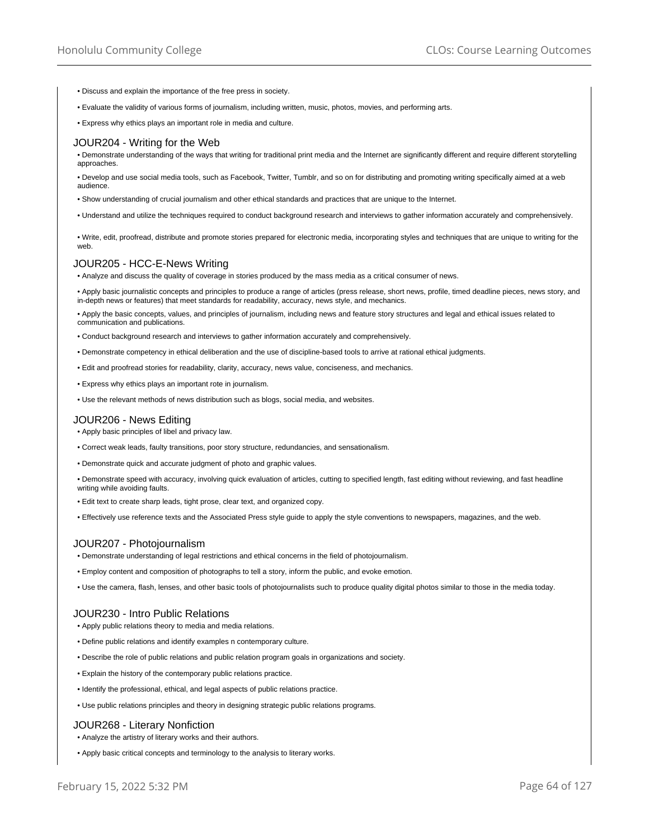- Discuss and explain the importance of the free press in society.
- Evaluate the validity of various forms of journalism, including written, music, photos, movies, and performing arts.
- Express why ethics plays an important role in media and culture.

#### JOUR204 - Writing for the Web

• Demonstrate understanding of the ways that writing for traditional print media and the Internet are significantly different and require different storytelling approaches.

• Develop and use social media tools, such as Facebook, Twitter, Tumblr, and so on for distributing and promoting writing specifically aimed at a web audience.

- Show understanding of crucial journalism and other ethical standards and practices that are unique to the Internet.
- Understand and utilize the techniques required to conduct background research and interviews to gather information accurately and comprehensively.

• Write, edit, proofread, distribute and promote stories prepared for electronic media, incorporating styles and techniques that are unique to writing for the web.

#### JOUR205 - HCC-E-News Writing

• Analyze and discuss the quality of coverage in stories produced by the mass media as a critical consumer of news.

• Apply basic journalistic concepts and principles to produce a range of articles (press release, short news, profile, timed deadline pieces, news story, and in-depth news or features) that meet standards for readability, accuracy, news style, and mechanics.

• Apply the basic concepts, values, and principles of journalism, including news and feature story structures and legal and ethical issues related to communication and publications.

- Conduct background research and interviews to gather information accurately and comprehensively.
- Demonstrate competency in ethical deliberation and the use of discipline-based tools to arrive at rational ethical judgments.
- Edit and proofread stories for readability, clarity, accuracy, news value, conciseness, and mechanics.
- Express why ethics plays an important rote in journalism.
- Use the relevant methods of news distribution such as blogs, social media, and websites.

#### JOUR206 - News Editing

• Apply basic principles of libel and privacy law.

- Correct weak leads, faulty transitions, poor story structure, redundancies, and sensationalism.
- Demonstrate quick and accurate judgment of photo and graphic values.
- Demonstrate speed with accuracy, involving quick evaluation of articles, cutting to specified length, fast editing without reviewing, and fast headline writing while avoiding faults.
- Edit text to create sharp leads, tight prose, clear text, and organized copy.
- Effectively use reference texts and the Associated Press style guide to apply the style conventions to newspapers, magazines, and the web.

#### JOUR207 - Photojournalism

• Demonstrate understanding of legal restrictions and ethical concerns in the field of photojournalism.

- Employ content and composition of photographs to tell a story, inform the public, and evoke emotion.
- Use the camera, flash, lenses, and other basic tools of photojournalists such to produce quality digital photos similar to those in the media today.

### JOUR230 - Intro Public Relations

• Apply public relations theory to media and media relations.

- Define public relations and identify examples n contemporary culture.
- Describe the role of public relations and public relation program goals in organizations and society.
- Explain the history of the contemporary public relations practice.
- Identify the professional, ethical, and legal aspects of public relations practice.
- Use public relations principles and theory in designing strategic public relations programs.

### JOUR268 - Literary Nonfiction

- Analyze the artistry of literary works and their authors.
- Apply basic critical concepts and terminology to the analysis to literary works.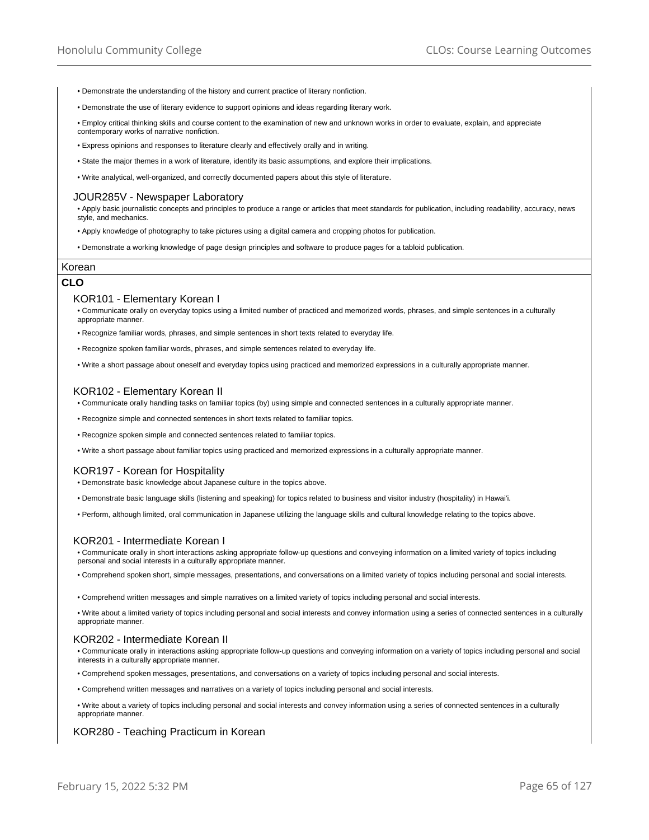- Demonstrate the understanding of the history and current practice of literary nonfiction.
- Demonstrate the use of literary evidence to support opinions and ideas regarding literary work.

• Employ critical thinking skills and course content to the examination of new and unknown works in order to evaluate, explain, and appreciate contemporary works of narrative nonfiction.

- Express opinions and responses to literature clearly and effectively orally and in writing.
- State the major themes in a work of literature, identify its basic assumptions, and explore their implications.
- Write analytical, well-organized, and correctly documented papers about this style of literature.

## JOUR285V - Newspaper Laboratory

• Apply basic journalistic concepts and principles to produce a range or articles that meet standards for publication, including readability, accuracy, news style, and mechanics.

- Apply knowledge of photography to take pictures using a digital camera and cropping photos for publication.
- Demonstrate a working knowledge of page design principles and software to produce pages for a tabloid publication.

### Korean

## **CLO**

## KOR101 - Elementary Korean I

• Communicate orally on everyday topics using a limited number of practiced and memorized words, phrases, and simple sentences in a culturally appropriate manner.

- Recognize familiar words, phrases, and simple sentences in short texts related to everyday life.
- Recognize spoken familiar words, phrases, and simple sentences related to everyday life.
- Write a short passage about oneself and everyday topics using practiced and memorized expressions in a culturally appropriate manner.

## KOR102 - Elementary Korean II

• Communicate orally handling tasks on familiar topics (by) using simple and connected sentences in a culturally appropriate manner.

- Recognize simple and connected sentences in short texts related to familiar topics.
- Recognize spoken simple and connected sentences related to familiar topics.
- Write a short passage about familiar topics using practiced and memorized expressions in a culturally appropriate manner.

### KOR197 - Korean for Hospitality

• Demonstrate basic knowledge about Japanese culture in the topics above.

- Demonstrate basic language skills (listening and speaking) for topics related to business and visitor industry (hospitality) in Hawai'i.
- Perform, although limited, oral communication in Japanese utilizing the language skills and cultural knowledge relating to the topics above.

## KOR201 - Intermediate Korean I

• Communicate orally in short interactions asking appropriate follow-up questions and conveying information on a limited variety of topics including personal and social interests in a culturally appropriate manner.

• Comprehend spoken short, simple messages, presentations, and conversations on a limited variety of topics including personal and social interests.

• Comprehend written messages and simple narratives on a limited variety of topics including personal and social interests.

• Write about a limited variety of topics including personal and social interests and convey information using a series of connected sentences in a culturally appropriate manner.

# KOR202 - Intermediate Korean II

• Communicate orally in interactions asking appropriate follow-up questions and conveying information on a variety of topics including personal and social interests in a culturally appropriate manner.

- Comprehend spoken messages, presentations, and conversations on a variety of topics including personal and social interests.
- Comprehend written messages and narratives on a variety of topics including personal and social interests.
- Write about a variety of topics including personal and social interests and convey information using a series of connected sentences in a culturally appropriate manner.

## KOR280 - Teaching Practicum in Korean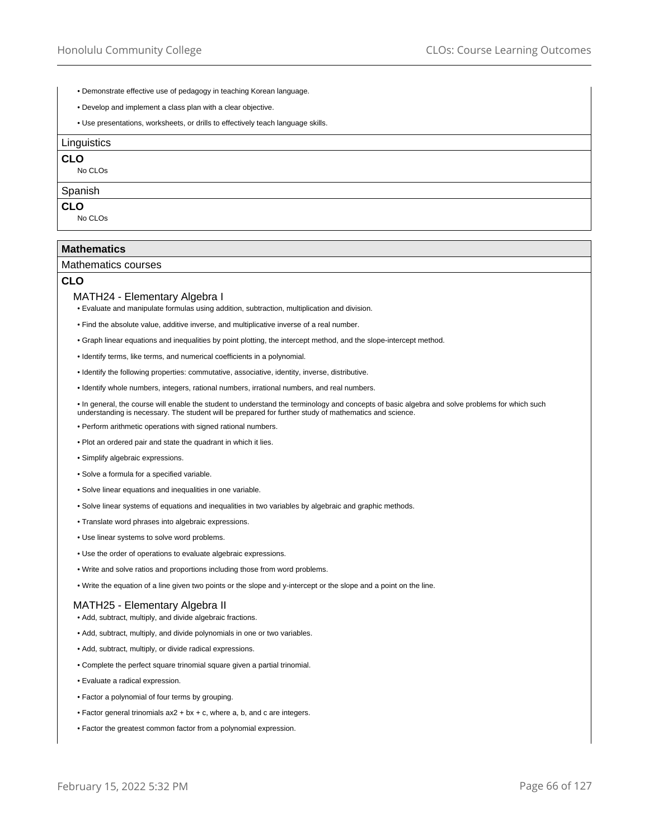- Demonstrate effective use of pedagogy in teaching Korean language.
- Develop and implement a class plan with a clear objective.
- Use presentations, worksheets, or drills to effectively teach language skills.

#### **Linguistics**

# **CLO**

No CLOs

#### **Spanish**

## **CLO**

No CLOs

### **Mathematics**

#### Mathematics courses

## **CLO**

## MATH24 - Elementary Algebra I

• Evaluate and manipulate formulas using addition, subtraction, multiplication and division.

- Find the absolute value, additive inverse, and multiplicative inverse of a real number.
- Graph linear equations and inequalities by point plotting, the intercept method, and the slope-intercept method.
- Identify terms, like terms, and numerical coefficients in a polynomial.
- Identify the following properties: commutative, associative, identity, inverse, distributive.
- Identify whole numbers, integers, rational numbers, irrational numbers, and real numbers.

• In general, the course will enable the student to understand the terminology and concepts of basic algebra and solve problems for which such understanding is necessary. The student will be prepared for further study of mathematics and science.

- Perform arithmetic operations with signed rational numbers.
- Plot an ordered pair and state the quadrant in which it lies.
- Simplify algebraic expressions.
- Solve a formula for a specified variable.
- Solve linear equations and inequalities in one variable.
- Solve linear systems of equations and inequalities in two variables by algebraic and graphic methods.
- Translate word phrases into algebraic expressions.
- Use linear systems to solve word problems.
- Use the order of operations to evaluate algebraic expressions.
- Write and solve ratios and proportions including those from word problems.
- Write the equation of a line given two points or the slope and y-intercept or the slope and a point on the line.

## MATH25 - Elementary Algebra II

- Add, subtract, multiply, and divide algebraic fractions.
- Add, subtract, multiply, and divide polynomials in one or two variables.
- Add, subtract, multiply, or divide radical expressions.
- Complete the perfect square trinomial square given a partial trinomial.
- Evaluate a radical expression.
- Factor a polynomial of four terms by grouping.
- Factor general trinomials ax2 + bx + c, where a, b, and c are integers.
- Factor the greatest common factor from a polynomial expression.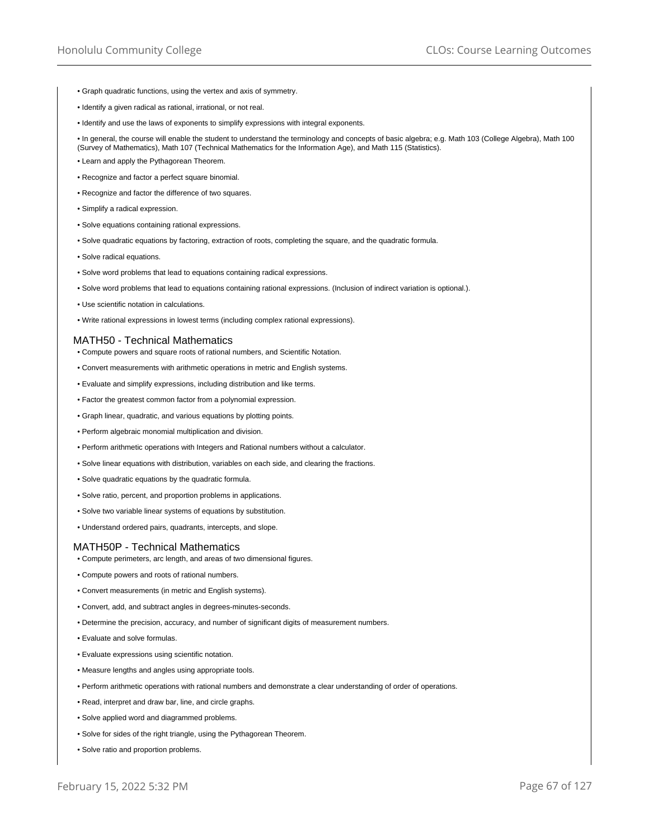- Graph quadratic functions, using the vertex and axis of symmetry.
- Identify a given radical as rational, irrational, or not real.
- Identify and use the laws of exponents to simplify expressions with integral exponents.

• In general, the course will enable the student to understand the terminology and concepts of basic algebra; e.g. Math 103 (College Algebra), Math 100 (Survey of Mathematics), Math 107 (Technical Mathematics for the Information Age), and Math 115 (Statistics).

- Learn and apply the Pythagorean Theorem.
- Recognize and factor a perfect square binomial.
- Recognize and factor the difference of two squares.
- Simplify a radical expression.
- Solve equations containing rational expressions.
- Solve quadratic equations by factoring, extraction of roots, completing the square, and the quadratic formula.
- Solve radical equations.
- Solve word problems that lead to equations containing radical expressions.
- Solve word problems that lead to equations containing rational expressions. (Inclusion of indirect variation is optional.).
- Use scientific notation in calculations.
- Write rational expressions in lowest terms (including complex rational expressions).

## MATH50 - Technical Mathematics

- Compute powers and square roots of rational numbers, and Scientific Notation.
- Convert measurements with arithmetic operations in metric and English systems.
- Evaluate and simplify expressions, including distribution and like terms.
- Factor the greatest common factor from a polynomial expression.
- Graph linear, quadratic, and various equations by plotting points.
- Perform algebraic monomial multiplication and division.
- Perform arithmetic operations with Integers and Rational numbers without a calculator.
- Solve linear equations with distribution, variables on each side, and clearing the fractions.
- Solve quadratic equations by the quadratic formula.
- Solve ratio, percent, and proportion problems in applications.
- Solve two variable linear systems of equations by substitution.
- Understand ordered pairs, quadrants, intercepts, and slope.

### MATH50P - Technical Mathematics

- Compute perimeters, arc length, and areas of two dimensional figures.
- Compute powers and roots of rational numbers.
- Convert measurements (in metric and English systems).
- Convert, add, and subtract angles in degrees-minutes-seconds.
- Determine the precision, accuracy, and number of significant digits of measurement numbers.
- Evaluate and solve formulas.
- Evaluate expressions using scientific notation.
- Measure lengths and angles using appropriate tools.
- Perform arithmetic operations with rational numbers and demonstrate a clear understanding of order of operations.
- Read, interpret and draw bar, line, and circle graphs.
- Solve applied word and diagrammed problems.
- Solve for sides of the right triangle, using the Pythagorean Theorem.
- Solve ratio and proportion problems.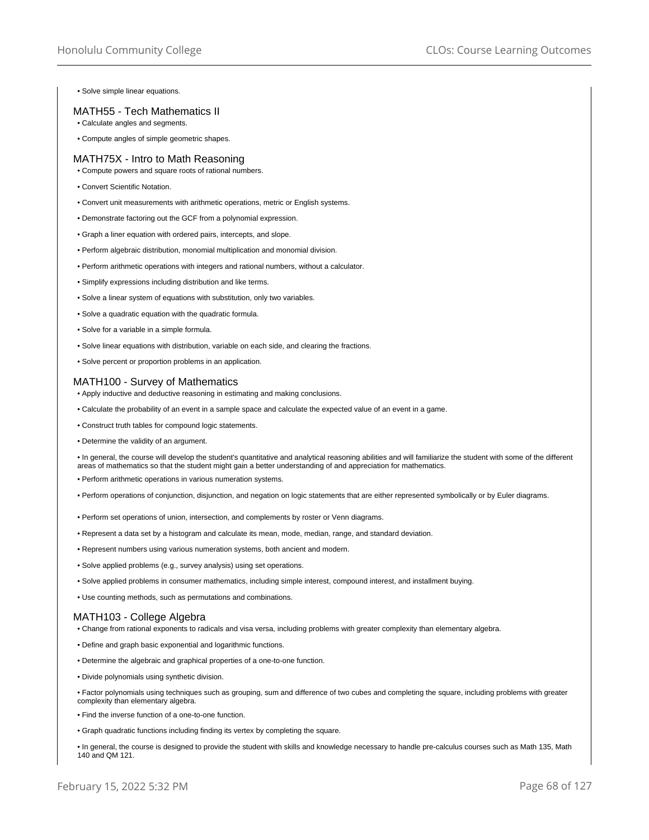• Solve simple linear equations.

## MATH55 - Tech Mathematics II

• Calculate angles and segments.

• Compute angles of simple geometric shapes.

## MATH75X - Intro to Math Reasoning

- Compute powers and square roots of rational numbers.
- Convert Scientific Notation.
- Convert unit measurements with arithmetic operations, metric or English systems.
- Demonstrate factoring out the GCF from a polynomial expression.
- Graph a liner equation with ordered pairs, intercepts, and slope.
- Perform algebraic distribution, monomial multiplication and monomial division.
- Perform arithmetic operations with integers and rational numbers, without a calculator.
- Simplify expressions including distribution and like terms.
- Solve a linear system of equations with substitution, only two variables.
- Solve a quadratic equation with the quadratic formula.
- Solve for a variable in a simple formula.
- Solve linear equations with distribution, variable on each side, and clearing the fractions.
- Solve percent or proportion problems in an application.

## MATH100 - Survey of Mathematics

- Apply inductive and deductive reasoning in estimating and making conclusions.
- Calculate the probability of an event in a sample space and calculate the expected value of an event in a game.
- Construct truth tables for compound logic statements.
- Determine the validity of an argument.

• In general, the course will develop the student's quantitative and analytical reasoning abilities and will familiarize the student with some of the different areas of mathematics so that the student might gain a better understanding of and appreciation for mathematics.

- Perform arithmetic operations in various numeration systems.
- Perform operations of conjunction, disjunction, and negation on logic statements that are either represented symbolically or by Euler diagrams.
- Perform set operations of union, intersection, and complements by roster or Venn diagrams.
- Represent a data set by a histogram and calculate its mean, mode, median, range, and standard deviation.
- Represent numbers using various numeration systems, both ancient and modern.
- Solve applied problems (e.g., survey analysis) using set operations.
- Solve applied problems in consumer mathematics, including simple interest, compound interest, and installment buying.
- Use counting methods, such as permutations and combinations.

### MATH103 - College Algebra

- Change from rational exponents to radicals and visa versa, including problems with greater complexity than elementary algebra.
- Define and graph basic exponential and logarithmic functions.
- Determine the algebraic and graphical properties of a one-to-one function.
- Divide polynomials using synthetic division.
- Factor polynomials using techniques such as grouping, sum and difference of two cubes and completing the square, including problems with greater complexity than elementary algebra.
- Find the inverse function of a one-to-one function.
- Graph quadratic functions including finding its vertex by completing the square.
- In general, the course is designed to provide the student with skills and knowledge necessary to handle pre-calculus courses such as Math 135, Math 140 and QM 121.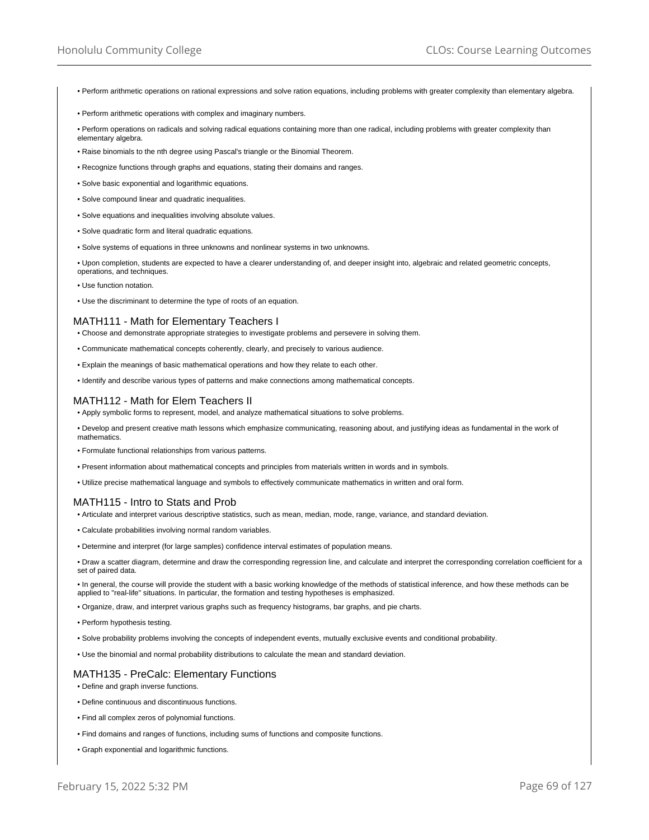- Perform arithmetic operations on rational expressions and solve ration equations, including problems with greater complexity than elementary algebra.
- Perform arithmetic operations with complex and imaginary numbers.
- Perform operations on radicals and solving radical equations containing more than one radical, including problems with greater complexity than elementary algebra.
- Raise binomials to the nth degree using Pascal's triangle or the Binomial Theorem.
- Recognize functions through graphs and equations, stating their domains and ranges.
- Solve basic exponential and logarithmic equations.
- Solve compound linear and quadratic inequalities.
- Solve equations and inequalities involving absolute values.
- Solve quadratic form and literal quadratic equations.
- Solve systems of equations in three unknowns and nonlinear systems in two unknowns.

• Upon completion, students are expected to have a clearer understanding of, and deeper insight into, algebraic and related geometric concepts, operations, and techniques.

- Use function notation.
- Use the discriminant to determine the type of roots of an equation.

## MATH111 - Math for Elementary Teachers I

- Choose and demonstrate appropriate strategies to investigate problems and persevere in solving them.
- Communicate mathematical concepts coherently, clearly, and precisely to various audience.
- Explain the meanings of basic mathematical operations and how they relate to each other.
- Identify and describe various types of patterns and make connections among mathematical concepts.

## MATH112 - Math for Elem Teachers II

• Apply symbolic forms to represent, model, and analyze mathematical situations to solve problems.

• Develop and present creative math lessons which emphasize communicating, reasoning about, and justifying ideas as fundamental in the work of mathematics.

- Formulate functional relationships from various patterns.
- Present information about mathematical concepts and principles from materials written in words and in symbols.
- Utilize precise mathematical language and symbols to effectively communicate mathematics in written and oral form.

# MATH115 - Intro to Stats and Prob

- Articulate and interpret various descriptive statistics, such as mean, median, mode, range, variance, and standard deviation.
- Calculate probabilities involving normal random variables.
- Determine and interpret (for large samples) confidence interval estimates of population means.

• Draw a scatter diagram, determine and draw the corresponding regression line, and calculate and interpret the corresponding correlation coefficient for a set of paired data

• In general, the course will provide the student with a basic working knowledge of the methods of statistical inference, and how these methods can be applied to "real-life" situations. In particular, the formation and testing hypotheses is emphasized.

• Organize, draw, and interpret various graphs such as frequency histograms, bar graphs, and pie charts.

- Perform hypothesis testing.
- Solve probability problems involving the concepts of independent events, mutually exclusive events and conditional probability.
- Use the binomial and normal probability distributions to calculate the mean and standard deviation.

# MATH135 - PreCalc: Elementary Functions

• Define and graph inverse functions.

- Define continuous and discontinuous functions.
- Find all complex zeros of polynomial functions.
- Find domains and ranges of functions, including sums of functions and composite functions.
- Graph exponential and logarithmic functions.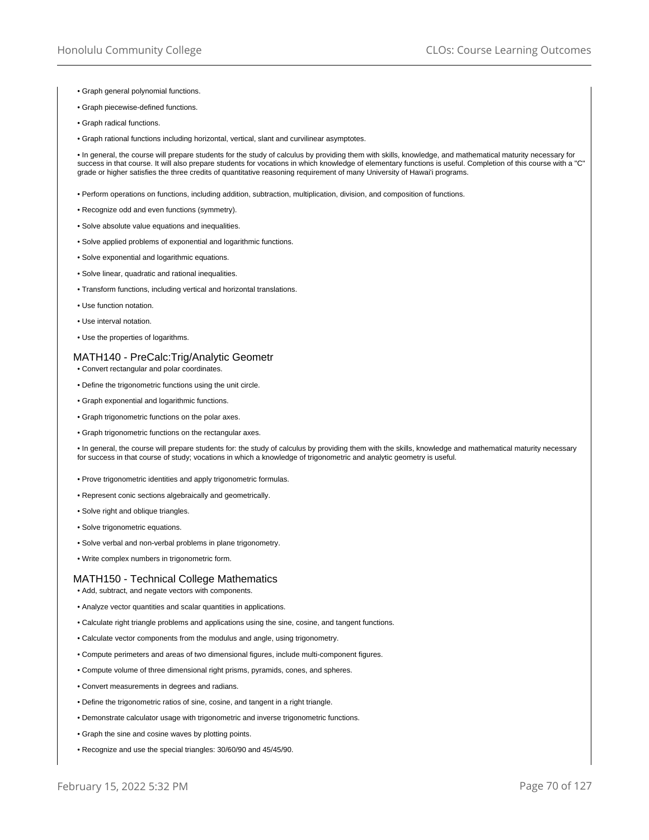- Graph general polynomial functions.
- Graph piecewise-defined functions.
- Graph radical functions.
- Graph rational functions including horizontal, vertical, slant and curvilinear asymptotes.

• In general, the course will prepare students for the study of calculus by providing them with skills, knowledge, and mathematical maturity necessary for success in that course. It will also prepare students for vocations in which knowledge of elementary functions is useful. Completion of this course with a "C" grade or higher satisfies the three credits of quantitative reasoning requirement of many University of Hawai'i programs.

- Perform operations on functions, including addition, subtraction, multiplication, division, and composition of functions.
- Recognize odd and even functions (symmetry).
- Solve absolute value equations and inequalities.
- Solve applied problems of exponential and logarithmic functions.
- Solve exponential and logarithmic equations.
- Solve linear, quadratic and rational inequalities.
- Transform functions, including vertical and horizontal translations.
- Use function notation.
- Use interval notation.
- Use the properties of logarithms.

### MATH140 - PreCalc:Trig/Analytic Geometr

- Convert rectangular and polar coordinates.
- Define the trigonometric functions using the unit circle.
- Graph exponential and logarithmic functions.
- Graph trigonometric functions on the polar axes.
- Graph trigonometric functions on the rectangular axes.

• In general, the course will prepare students for: the study of calculus by providing them with the skills, knowledge and mathematical maturity necessary for success in that course of study; vocations in which a knowledge of trigonometric and analytic geometry is useful.

- Prove trigonometric identities and apply trigonometric formulas.
- Represent conic sections algebraically and geometrically.
- Solve right and oblique triangles.
- Solve trigonometric equations.
- Solve verbal and non-verbal problems in plane trigonometry.
- Write complex numbers in trigonometric form.

#### MATH150 - Technical College Mathematics

• Add, subtract, and negate vectors with components.

- Analyze vector quantities and scalar quantities in applications.
- Calculate right triangle problems and applications using the sine, cosine, and tangent functions.
- Calculate vector components from the modulus and angle, using trigonometry.
- Compute perimeters and areas of two dimensional figures, include multi-component figures.
- Compute volume of three dimensional right prisms, pyramids, cones, and spheres.
- Convert measurements in degrees and radians.
- Define the trigonometric ratios of sine, cosine, and tangent in a right triangle.
- Demonstrate calculator usage with trigonometric and inverse trigonometric functions.
- Graph the sine and cosine waves by plotting points.
- Recognize and use the special triangles: 30/60/90 and 45/45/90.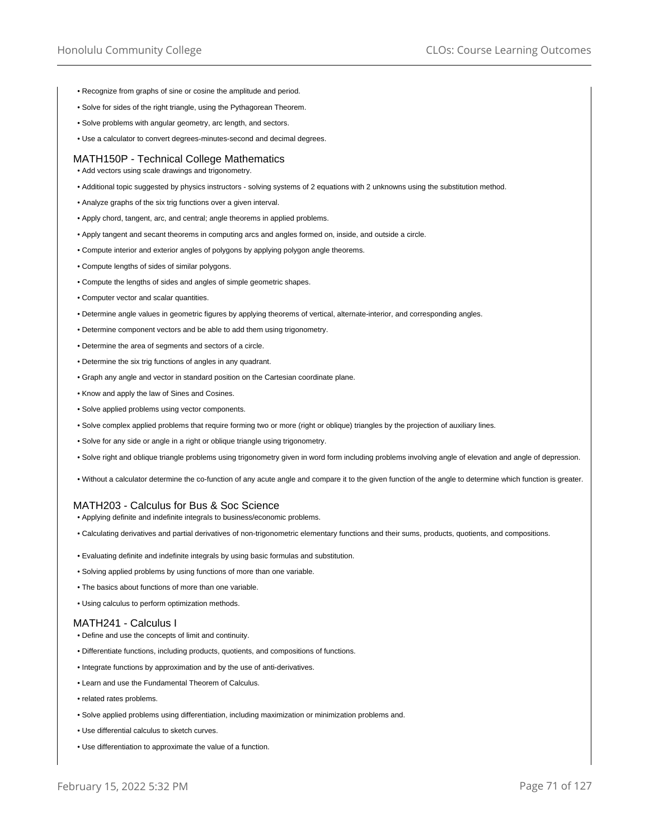- Recognize from graphs of sine or cosine the amplitude and period.
- Solve for sides of the right triangle, using the Pythagorean Theorem.
- Solve problems with angular geometry, arc length, and sectors.
- Use a calculator to convert degrees-minutes-second and decimal degrees.

#### MATH150P - Technical College Mathematics

• Add vectors using scale drawings and trigonometry.

- Additional topic suggested by physics instructors solving systems of 2 equations with 2 unknowns using the substitution method.
- Analyze graphs of the six trig functions over a given interval.
- Apply chord, tangent, arc, and central; angle theorems in applied problems.
- Apply tangent and secant theorems in computing arcs and angles formed on, inside, and outside a circle.
- Compute interior and exterior angles of polygons by applying polygon angle theorems.
- Compute lengths of sides of similar polygons.
- Compute the lengths of sides and angles of simple geometric shapes.
- Computer vector and scalar quantities.
- Determine angle values in geometric figures by applying theorems of vertical, alternate-interior, and corresponding angles.
- Determine component vectors and be able to add them using trigonometry.
- Determine the area of segments and sectors of a circle.
- Determine the six trig functions of angles in any quadrant.
- Graph any angle and vector in standard position on the Cartesian coordinate plane.
- Know and apply the law of Sines and Cosines.
- Solve applied problems using vector components.
- Solve complex applied problems that require forming two or more (right or oblique) triangles by the projection of auxiliary lines.
- Solve for any side or angle in a right or oblique triangle using trigonometry.
- Solve right and oblique triangle problems using trigonometry given in word form including problems involving angle of elevation and angle of depression.
- Without a calculator determine the co-function of any acute angle and compare it to the given function of the angle to determine which function is greater.

## MATH203 - Calculus for Bus & Soc Science

- Applying definite and indefinite integrals to business/economic problems.
- Calculating derivatives and partial derivatives of non-trigonometric elementary functions and their sums, products, quotients, and compositions.
- Evaluating definite and indefinite integrals by using basic formulas and substitution.
- Solving applied problems by using functions of more than one variable.
- The basics about functions of more than one variable.
- Using calculus to perform optimization methods.

#### MATH241 - Calculus I

- Define and use the concepts of limit and continuity.
- Differentiate functions, including products, quotients, and compositions of functions.
- Integrate functions by approximation and by the use of anti-derivatives.
- Learn and use the Fundamental Theorem of Calculus.
- related rates problems.
- Solve applied problems using differentiation, including maximization or minimization problems and.
- Use differential calculus to sketch curves.
- Use differentiation to approximate the value of a function.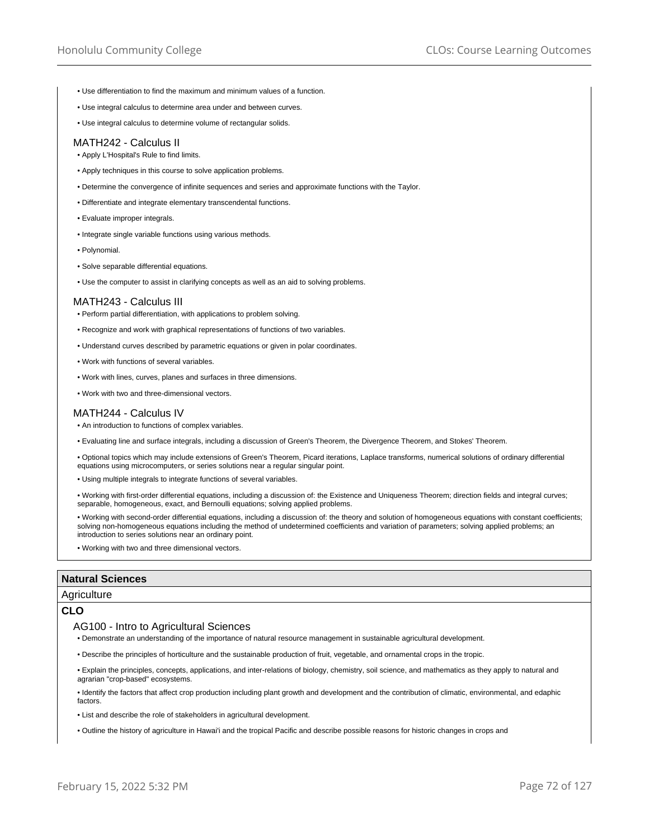- Use differentiation to find the maximum and minimum values of a function.
- Use integral calculus to determine area under and between curves.
- Use integral calculus to determine volume of rectangular solids.

### MATH242 - Calculus II

- Apply L'Hospital's Rule to find limits.
- Apply techniques in this course to solve application problems.
- Determine the convergence of infinite sequences and series and approximate functions with the Taylor.
- Differentiate and integrate elementary transcendental functions.
- Evaluate improper integrals.
- Integrate single variable functions using various methods.
- Polynomial.
- Solve separable differential equations.
- Use the computer to assist in clarifying concepts as well as an aid to solving problems.

#### MATH243 - Calculus III

- Perform partial differentiation, with applications to problem solving.
- Recognize and work with graphical representations of functions of two variables.
- Understand curves described by parametric equations or given in polar coordinates.
- Work with functions of several variables.
- Work with lines, curves, planes and surfaces in three dimensions.
- Work with two and three-dimensional vectors.

## MATH244 - Calculus IV

- An introduction to functions of complex variables.
- Evaluating line and surface integrals, including a discussion of Green's Theorem, the Divergence Theorem, and Stokes' Theorem.
- Optional topics which may include extensions of Green's Theorem, Picard iterations, Laplace transforms, numerical solutions of ordinary differential equations using microcomputers, or series solutions near a regular singular point.
- Using multiple integrals to integrate functions of several variables.
- Working with first-order differential equations, including a discussion of: the Existence and Uniqueness Theorem; direction fields and integral curves; separable, homogeneous, exact, and Bernoulli equations; solving applied problems.
- Working with second-order differential equations, including a discussion of: the theory and solution of homogeneous equations with constant coefficients; solving non-homogeneous equations including the method of undetermined coefficients and variation of parameters; solving applied problems; an introduction to series solutions near an ordinary point.
- Working with two and three dimensional vectors.

## **Natural Sciences**

## **Agriculture**

### **CLO**

- AG100 Intro to Agricultural Sciences
- Demonstrate an understanding of the importance of natural resource management in sustainable agricultural development.
- Describe the principles of horticulture and the sustainable production of fruit, vegetable, and ornamental crops in the tropic.
- Explain the principles, concepts, applications, and inter-relations of biology, chemistry, soil science, and mathematics as they apply to natural and agrarian "crop-based" ecosystems.
- Identify the factors that affect crop production including plant growth and development and the contribution of climatic, environmental, and edaphic factors.
- List and describe the role of stakeholders in agricultural development.
- Outline the history of agriculture in Hawai'i and the tropical Pacific and describe possible reasons for historic changes in crops and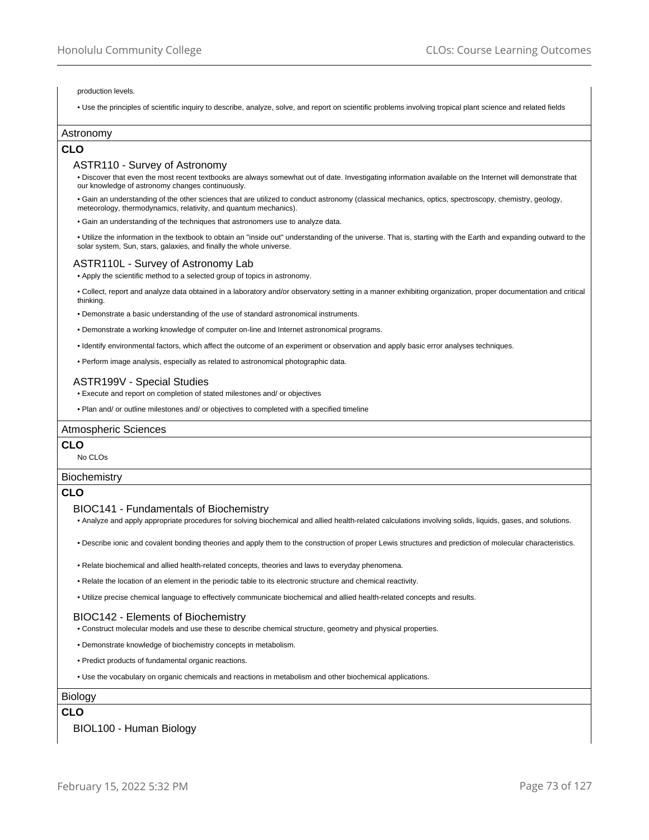#### production levels.

• Use the principles of scientific inquiry to describe, analyze, solve, and report on scientific problems involving tropical plant science and related fields

### Astronomy

### **CLO**

### ASTR110 - Survey of Astronomy

• Discover that even the most recent textbooks are always somewhat out of date. Investigating information available on the Internet will demonstrate that our knowledge of astronomy changes continuously.

• Gain an understanding of the other sciences that are utilized to conduct astronomy (classical mechanics, optics, spectroscopy, chemistry, geology, meteorology, thermodynamics, relativity, and quantum mechanics).

• Gain an understanding of the techniques that astronomers use to analyze data.

• Utilize the information in the textbook to obtain an "inside out" understanding of the universe. That is, starting with the Earth and expanding outward to the solar system, Sun, stars, galaxies, and finally the whole universe.

#### ASTR110L - Survey of Astronomy Lab

• Apply the scientific method to a selected group of topics in astronomy.

• Collect, report and analyze data obtained in a laboratory and/or observatory setting in a manner exhibiting organization, proper documentation and critical thinking.

• Demonstrate a basic understanding of the use of standard astronomical instruments.

• Demonstrate a working knowledge of computer on-line and Internet astronomical programs.

• Identify environmental factors, which affect the outcome of an experiment or observation and apply basic error analyses techniques.

• Perform image analysis, especially as related to astronomical photographic data.

### ASTR199V - Special Studies

• Execute and report on completion of stated milestones and/ or objectives

• Plan and/ or outline milestones and/ or objectives to completed with a specified timeline

#### Atmospheric Sciences

#### **CLO**

No CLOs

#### **Biochemistry**

### **CLO**

#### BIOC141 - Fundamentals of Biochemistry

• Analyze and apply appropriate procedures for solving biochemical and allied health-related calculations involving solids, liquids, gases, and solutions.

• Describe ionic and covalent bonding theories and apply them to the construction of proper Lewis structures and prediction of molecular characteristics.

• Relate biochemical and allied health-related concepts, theories and laws to everyday phenomena.

• Relate the location of an element in the periodic table to its electronic structure and chemical reactivity.

• Utilize precise chemical language to effectively communicate biochemical and allied health-related concepts and results.

### BIOC142 - Elements of Biochemistry

• Construct molecular models and use these to describe chemical structure, geometry and physical properties.

• Demonstrate knowledge of biochemistry concepts in metabolism.

• Predict products of fundamental organic reactions.

• Use the vocabulary on organic chemicals and reactions in metabolism and other biochemical applications.

#### Biology

## **CLO**

BIOL100 - Human Biology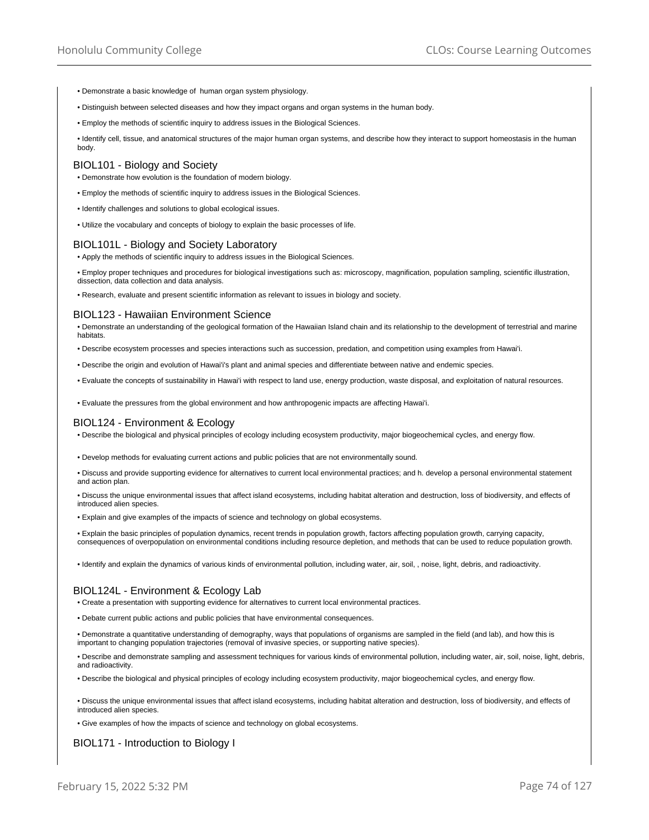- Demonstrate a basic knowledge of human organ system physiology.
- Distinguish between selected diseases and how they impact organs and organ systems in the human body.
- Employ the methods of scientific inquiry to address issues in the Biological Sciences.

• Identify cell, tissue, and anatomical structures of the major human organ systems, and describe how they interact to support homeostasis in the human body.

#### BIOL101 - Biology and Society

- Demonstrate how evolution is the foundation of modern biology.
- Employ the methods of scientific inquiry to address issues in the Biological Sciences.
- Identify challenges and solutions to global ecological issues.

• Utilize the vocabulary and concepts of biology to explain the basic processes of life.

#### BIOL101L - Biology and Society Laboratory

• Apply the methods of scientific inquiry to address issues in the Biological Sciences.

• Employ proper techniques and procedures for biological investigations such as: microscopy, magnification, population sampling, scientific illustration, dissection, data collection and data analysis.

• Research, evaluate and present scientific information as relevant to issues in biology and society.

#### BIOL123 - Hawaiian Environment Science

• Demonstrate an understanding of the geological formation of the Hawaiian Island chain and its relationship to the development of terrestrial and marine habitats.

• Describe ecosystem processes and species interactions such as succession, predation, and competition using examples from Hawai'i.

• Describe the origin and evolution of Hawai'i's plant and animal species and differentiate between native and endemic species.

• Evaluate the concepts of sustainability in Hawai'i with respect to land use, energy production, waste disposal, and exploitation of natural resources.

• Evaluate the pressures from the global environment and how anthropogenic impacts are affecting Hawai'i.

#### BIOL124 - Environment & Ecology

• Describe the biological and physical principles of ecology including ecosystem productivity, major biogeochemical cycles, and energy flow.

• Develop methods for evaluating current actions and public policies that are not environmentally sound.

• Discuss and provide supporting evidence for alternatives to current local environmental practices; and h. develop a personal environmental statement and action plan.

• Discuss the unique environmental issues that affect island ecosystems, including habitat alteration and destruction, loss of biodiversity, and effects of introduced alien species.

• Explain and give examples of the impacts of science and technology on global ecosystems.

• Explain the basic principles of population dynamics, recent trends in population growth, factors affecting population growth, carrying capacity, consequences of overpopulation on environmental conditions including resource depletion, and methods that can be used to reduce population growth.

• Identify and explain the dynamics of various kinds of environmental pollution, including water, air, soil, , noise, light, debris, and radioactivity.

### BIOL124L - Environment & Ecology Lab

• Create a presentation with supporting evidence for alternatives to current local environmental practices.

• Debate current public actions and public policies that have environmental consequences.

• Demonstrate a quantitative understanding of demography, ways that populations of organisms are sampled in the field (and lab), and how this is important to changing population trajectories (removal of invasive species, or supporting native species).

• Describe and demonstrate sampling and assessment techniques for various kinds of environmental pollution, including water, air, soil, noise, light, debris, and radioactivity.

• Describe the biological and physical principles of ecology including ecosystem productivity, major biogeochemical cycles, and energy flow.

• Discuss the unique environmental issues that affect island ecosystems, including habitat alteration and destruction, loss of biodiversity, and effects of introduced alien species.

• Give examples of how the impacts of science and technology on global ecosystems.

BIOL171 - Introduction to Biology I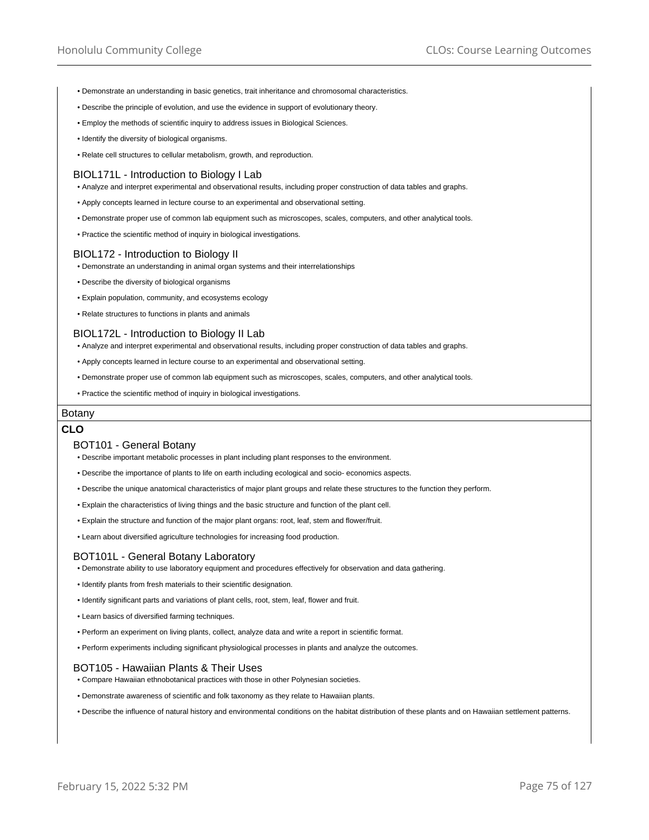- Demonstrate an understanding in basic genetics, trait inheritance and chromosomal characteristics.
- Describe the principle of evolution, and use the evidence in support of evolutionary theory.
- Employ the methods of scientific inquiry to address issues in Biological Sciences.
- Identify the diversity of biological organisms.
- Relate cell structures to cellular metabolism, growth, and reproduction.

### BIOL171L - Introduction to Biology I Lab

• Analyze and interpret experimental and observational results, including proper construction of data tables and graphs.

- Apply concepts learned in lecture course to an experimental and observational setting.
- Demonstrate proper use of common lab equipment such as microscopes, scales, computers, and other analytical tools.
- Practice the scientific method of inquiry in biological investigations.

#### BIOL172 - Introduction to Biology II

- Demonstrate an understanding in animal organ systems and their interrelationships
- Describe the diversity of biological organisms
- Explain population, community, and ecosystems ecology
- Relate structures to functions in plants and animals

#### BIOL172L - Introduction to Biology II Lab

• Analyze and interpret experimental and observational results, including proper construction of data tables and graphs.

- Apply concepts learned in lecture course to an experimental and observational setting.
- Demonstrate proper use of common lab equipment such as microscopes, scales, computers, and other analytical tools.
- Practice the scientific method of inquiry in biological investigations.

### Botany

## **CLO**

#### BOT101 - General Botany

- Describe important metabolic processes in plant including plant responses to the environment.
- Describe the importance of plants to life on earth including ecological and socio- economics aspects.
- Describe the unique anatomical characteristics of major plant groups and relate these structures to the function they perform.
- Explain the characteristics of living things and the basic structure and function of the plant cell.
- Explain the structure and function of the major plant organs: root, leaf, stem and flower/fruit.
- Learn about diversified agriculture technologies for increasing food production.

### BOT101L - General Botany Laboratory

- Demonstrate ability to use laboratory equipment and procedures effectively for observation and data gathering.
- Identify plants from fresh materials to their scientific designation.
- Identify significant parts and variations of plant cells, root, stem, leaf, flower and fruit.
- Learn basics of diversified farming techniques.
- Perform an experiment on living plants, collect, analyze data and write a report in scientific format.
- Perform experiments including significant physiological processes in plants and analyze the outcomes.

#### BOT105 - Hawaiian Plants & Their Uses

- Compare Hawaiian ethnobotanical practices with those in other Polynesian societies.
- Demonstrate awareness of scientific and folk taxonomy as they relate to Hawaiian plants.
- Describe the influence of natural history and environmental conditions on the habitat distribution of these plants and on Hawaiian settlement patterns.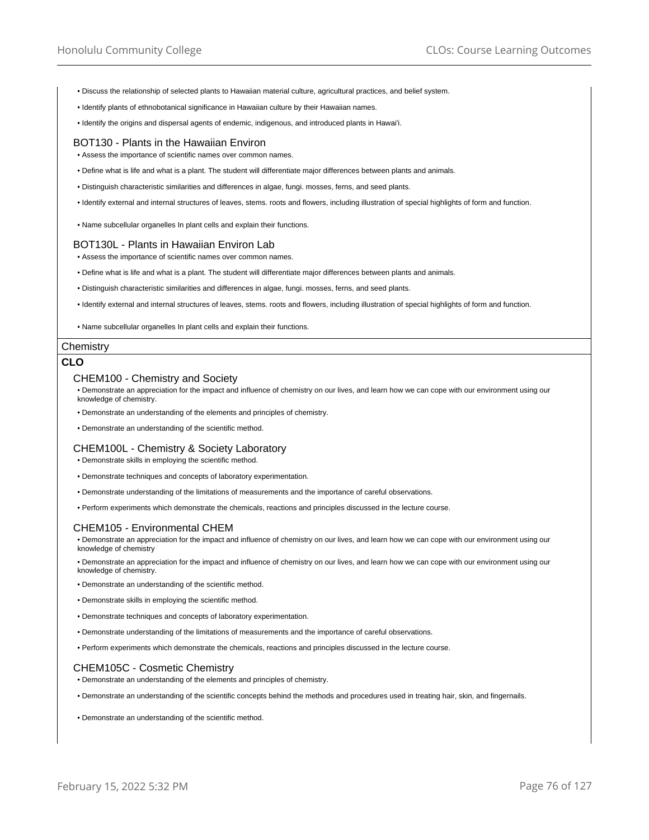- Discuss the relationship of selected plants to Hawaiian material culture, agricultural practices, and belief system.
- Identify plants of ethnobotanical significance in Hawaiian culture by their Hawaiian names.
- Identify the origins and dispersal agents of endemic, indigenous, and introduced plants in Hawai'i.

### BOT130 - Plants in the Hawaiian Environ

• Assess the importance of scientific names over common names.

- Define what is life and what is a plant. The student will differentiate major differences between plants and animals.
- Distinguish characteristic similarities and differences in algae, fungi. mosses, ferns, and seed plants.
- Identify external and internal structures of leaves, stems. roots and flowers, including illustration of special highlights of form and function.
- Name subcellular organelles In plant cells and explain their functions.

#### BOT130L - Plants in Hawaiian Environ Lab

• Assess the importance of scientific names over common names.

- Define what is life and what is a plant. The student will differentiate major differences between plants and animals.
- Distinguish characteristic similarities and differences in algae, fungi. mosses, ferns, and seed plants.
- Identify external and internal structures of leaves, stems. roots and flowers, including illustration of special highlights of form and function.
- Name subcellular organelles In plant cells and explain their functions.

#### **Chemistry**

## **CLO**

#### CHEM100 - Chemistry and Society

• Demonstrate an appreciation for the impact and influence of chemistry on our lives, and learn how we can cope with our environment using our knowledge of chemistry.

- Demonstrate an understanding of the elements and principles of chemistry.
- Demonstrate an understanding of the scientific method.

#### CHEM100L - Chemistry & Society Laboratory

- Demonstrate skills in employing the scientific method.
- Demonstrate techniques and concepts of laboratory experimentation.
- Demonstrate understanding of the limitations of measurements and the importance of careful observations.
- Perform experiments which demonstrate the chemicals, reactions and principles discussed in the lecture course.

### CHEM105 - Environmental CHEM

• Demonstrate an appreciation for the impact and influence of chemistry on our lives, and learn how we can cope with our environment using our knowledge of chemistry

• Demonstrate an appreciation for the impact and influence of chemistry on our lives, and learn how we can cope with our environment using our knowledge of chemistry.

- Demonstrate an understanding of the scientific method.
- Demonstrate skills in employing the scientific method.
- Demonstrate techniques and concepts of laboratory experimentation.
- Demonstrate understanding of the limitations of measurements and the importance of careful observations.
- Perform experiments which demonstrate the chemicals, reactions and principles discussed in the lecture course.

### CHEM105C - Cosmetic Chemistry

• Demonstrate an understanding of the elements and principles of chemistry.

- Demonstrate an understanding of the scientific concepts behind the methods and procedures used in treating hair, skin, and fingernails.
- Demonstrate an understanding of the scientific method.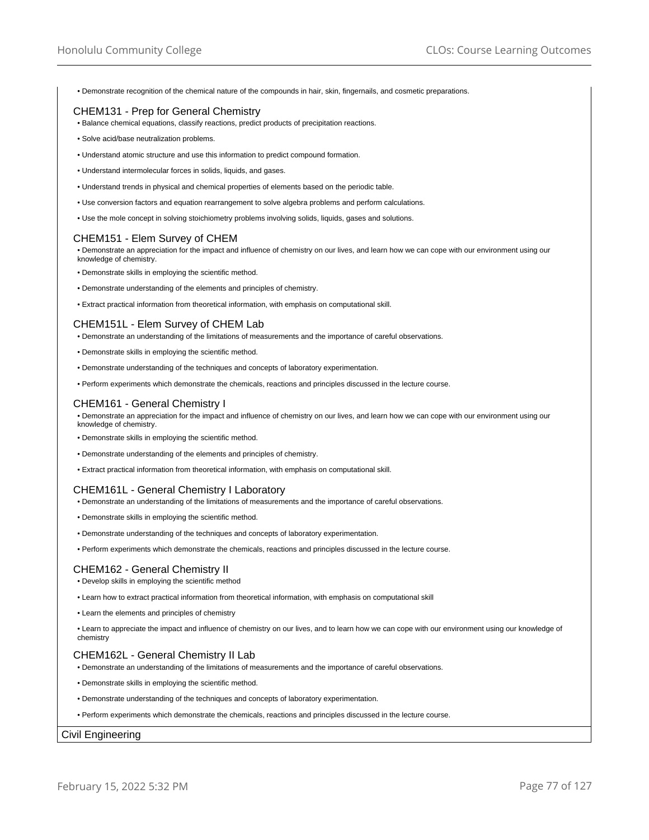• Demonstrate recognition of the chemical nature of the compounds in hair, skin, fingernails, and cosmetic preparations.

## CHEM131 - Prep for General Chemistry

- Balance chemical equations, classify reactions, predict products of precipitation reactions.
- Solve acid/base neutralization problems.
- Understand atomic structure and use this information to predict compound formation.
- Understand intermolecular forces in solids, liquids, and gases.
- Understand trends in physical and chemical properties of elements based on the periodic table.
- Use conversion factors and equation rearrangement to solve algebra problems and perform calculations.
- Use the mole concept in solving stoichiometry problems involving solids, liquids, gases and solutions.

## CHEM151 - Elem Survey of CHEM

• Demonstrate an appreciation for the impact and influence of chemistry on our lives, and learn how we can cope with our environment using our knowledge of chemistry.

- Demonstrate skills in employing the scientific method.
- Demonstrate understanding of the elements and principles of chemistry.
- Extract practical information from theoretical information, with emphasis on computational skill.

# CHEM151L - Elem Survey of CHEM Lab

- Demonstrate an understanding of the limitations of measurements and the importance of careful observations.
- Demonstrate skills in employing the scientific method.
- Demonstrate understanding of the techniques and concepts of laboratory experimentation.
- Perform experiments which demonstrate the chemicals, reactions and principles discussed in the lecture course.

### CHEM161 - General Chemistry I

• Demonstrate an appreciation for the impact and influence of chemistry on our lives, and learn how we can cope with our environment using our knowledge of chemistry.

- Demonstrate skills in employing the scientific method.
- Demonstrate understanding of the elements and principles of chemistry.
- Extract practical information from theoretical information, with emphasis on computational skill.

### CHEM161L - General Chemistry I Laboratory

• Demonstrate an understanding of the limitations of measurements and the importance of careful observations.

- Demonstrate skills in employing the scientific method.
- Demonstrate understanding of the techniques and concepts of laboratory experimentation.
- Perform experiments which demonstrate the chemicals, reactions and principles discussed in the lecture course.

# CHEM162 - General Chemistry II

- Develop skills in employing the scientific method
- Learn how to extract practical information from theoretical information, with emphasis on computational skill
- Learn the elements and principles of chemistry

• Learn to appreciate the impact and influence of chemistry on our lives, and to learn how we can cope with our environment using our knowledge of chemistry

## CHEM162L - General Chemistry II Lab

- Demonstrate an understanding of the limitations of measurements and the importance of careful observations.
- Demonstrate skills in employing the scientific method.
- Demonstrate understanding of the techniques and concepts of laboratory experimentation.
- Perform experiments which demonstrate the chemicals, reactions and principles discussed in the lecture course.

### Civil Engineering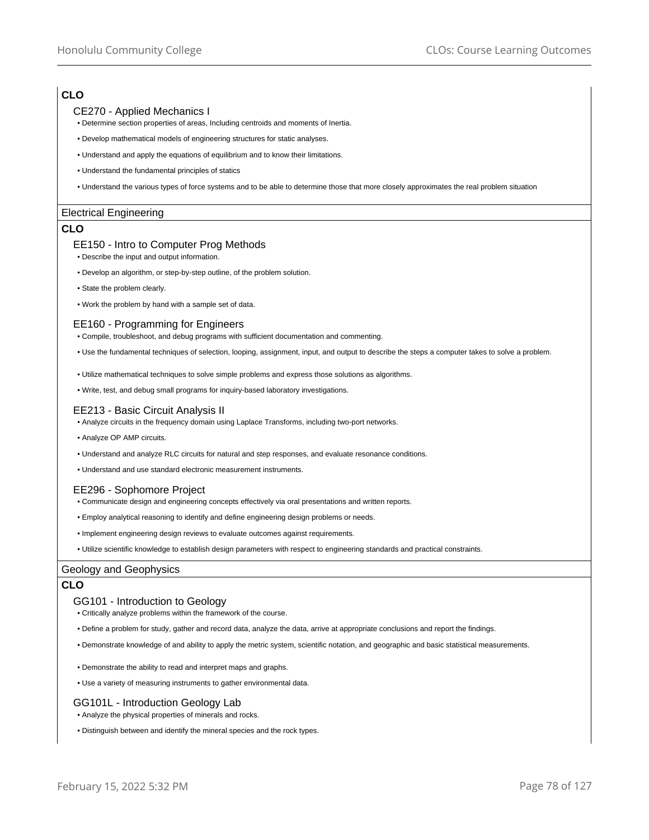# **CLO**

## CE270 - Applied Mechanics I

- Determine section properties of areas, Including centroids and moments of Inertia.
- Develop mathematical models of engineering structures for static analyses.
- Understand and apply the equations of equilibrium and to know their limitations.
- Understand the fundamental principles of statics
- Understand the various types of force systems and to be able to determine those that more closely approximates the real problem situation

## Electrical Engineering

## **CLO**

## EE150 - Intro to Computer Prog Methods

- Describe the input and output information.
- Develop an algorithm, or step-by-step outline, of the problem solution.
- State the problem clearly.
- Work the problem by hand with a sample set of data.

## EE160 - Programming for Engineers

- Compile, troubleshoot, and debug programs with sufficient documentation and commenting.
- Use the fundamental techniques of selection, looping, assignment, input, and output to describe the steps a computer takes to solve a problem.
- Utilize mathematical techniques to solve simple problems and express those solutions as algorithms.
- Write, test, and debug small programs for inquiry-based laboratory investigations.

## EE213 - Basic Circuit Analysis II

- Analyze circuits in the frequency domain using Laplace Transforms, including two-port networks.
- Analyze OP AMP circuits.
- Understand and analyze RLC circuits for natural and step responses, and evaluate resonance conditions.
- Understand and use standard electronic measurement instruments.

### EE296 - Sophomore Project

- Communicate design and engineering concepts effectively via oral presentations and written reports.
- Employ analytical reasoning to identify and define engineering design problems or needs.
- Implement engineering design reviews to evaluate outcomes against requirements.
- Utilize scientific knowledge to establish design parameters with respect to engineering standards and practical constraints.

### Geology and Geophysics

## **CLO**

### GG101 - Introduction to Geology

- Critically analyze problems within the framework of the course.
- Define a problem for study, gather and record data, analyze the data, arrive at appropriate conclusions and report the findings.
- Demonstrate knowledge of and ability to apply the metric system, scientific notation, and geographic and basic statistical measurements.
- Demonstrate the ability to read and interpret maps and graphs.
- Use a variety of measuring instruments to gather environmental data.

### GG101L - Introduction Geology Lab

- Analyze the physical properties of minerals and rocks.
- Distinguish between and identify the mineral species and the rock types.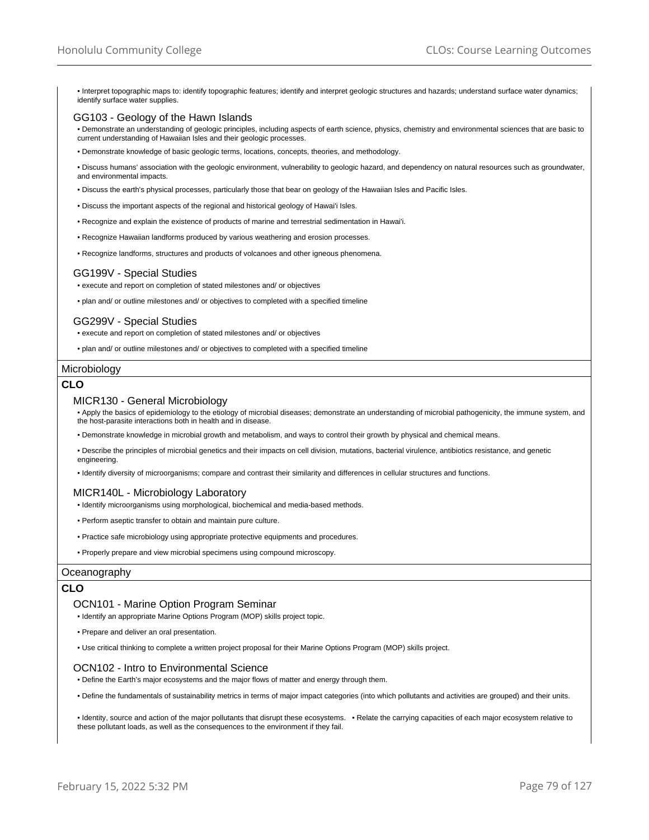• Interpret topographic maps to: identify topographic features; identify and interpret geologic structures and hazards; understand surface water dynamics; identify surface water supplies.

### GG103 - Geology of the Hawn Islands

• Demonstrate an understanding of geologic principles, including aspects of earth science, physics, chemistry and environmental sciences that are basic to current understanding of Hawaiian Isles and their geologic processes.

• Demonstrate knowledge of basic geologic terms, locations, concepts, theories, and methodology.

• Discuss humans' association with the geologic environment, vulnerability to geologic hazard, and dependency on natural resources such as groundwater, and environmental impacts.

• Discuss the earth's physical processes, particularly those that bear on geology of the Hawaiian Isles and Pacific Isles.

- Discuss the important aspects of the regional and historical geology of Hawai'i Isles.
- Recognize and explain the existence of products of marine and terrestrial sedimentation in Hawai'i.
- Recognize Hawaiian landforms produced by various weathering and erosion processes.
- Recognize landforms, structures and products of volcanoes and other igneous phenomena.

## GG199V - Special Studies

• execute and report on completion of stated milestones and/ or objectives

• plan and/ or outline milestones and/ or objectives to completed with a specified timeline

## GG299V - Special Studies

• execute and report on completion of stated milestones and/ or objectives

• plan and/ or outline milestones and/ or objectives to completed with a specified timeline

#### Microbiology

# **CLO**

#### MICR130 - General Microbiology

• Apply the basics of epidemiology to the etiology of microbial diseases; demonstrate an understanding of microbial pathogenicity, the immune system, and the host-parasite interactions both in health and in disease.

• Demonstrate knowledge in microbial growth and metabolism, and ways to control their growth by physical and chemical means.

• Describe the principles of microbial genetics and their impacts on cell division, mutations, bacterial virulence, antibiotics resistance, and genetic engineering.

• Identify diversity of microorganisms; compare and contrast their similarity and differences in cellular structures and functions.

### MICR140L - Microbiology Laboratory

- Identify microorganisms using morphological, biochemical and media-based methods.
- Perform aseptic transfer to obtain and maintain pure culture.
- Practice safe microbiology using appropriate protective equipments and procedures.
- Properly prepare and view microbial specimens using compound microscopy.

### **Oceanography**

## **CLO**

### OCN101 - Marine Option Program Seminar

- Identify an appropriate Marine Options Program (MOP) skills project topic.
- Prepare and deliver an oral presentation.
- Use critical thinking to complete a written project proposal for their Marine Options Program (MOP) skills project.

### OCN102 - Intro to Environmental Science

• Define the Earth's major ecosystems and the major flows of matter and energy through them.

• Define the fundamentals of sustainability metrics in terms of major impact categories (into which pollutants and activities are grouped) and their units.

• Identity, source and action of the major pollutants that disrupt these ecosystems. • Relate the carrying capacities of each major ecosystem relative to these pollutant loads, as well as the consequences to the environment if they fail.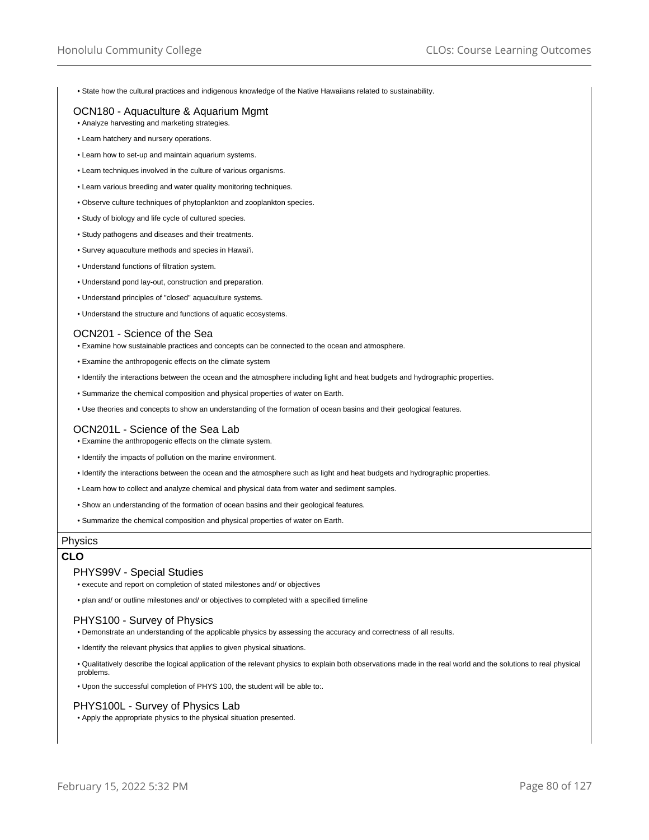• State how the cultural practices and indigenous knowledge of the Native Hawaiians related to sustainability.

## OCN180 - Aquaculture & Aquarium Mgmt

• Analyze harvesting and marketing strategies.

- Learn hatchery and nursery operations.
- Learn how to set-up and maintain aquarium systems.
- Learn techniques involved in the culture of various organisms.
- Learn various breeding and water quality monitoring techniques.
- Observe culture techniques of phytoplankton and zooplankton species.
- Study of biology and life cycle of cultured species.
- Study pathogens and diseases and their treatments.
- Survey aquaculture methods and species in Hawai'i.
- Understand functions of filtration system.
- Understand pond lay-out, construction and preparation.
- Understand principles of "closed" aquaculture systems.
- Understand the structure and functions of aquatic ecosystems.

### OCN201 - Science of the Sea

- Examine how sustainable practices and concepts can be connected to the ocean and atmosphere.
- Examine the anthropogenic effects on the climate system
- Identify the interactions between the ocean and the atmosphere including light and heat budgets and hydrographic properties.
- Summarize the chemical composition and physical properties of water on Earth.
- Use theories and concepts to show an understanding of the formation of ocean basins and their geological features.

## OCN201L - Science of the Sea Lab

- Examine the anthropogenic effects on the climate system.
- Identify the impacts of pollution on the marine environment.
- Identify the interactions between the ocean and the atmosphere such as light and heat budgets and hydrographic properties.
- Learn how to collect and analyze chemical and physical data from water and sediment samples.
- Show an understanding of the formation of ocean basins and their geological features.
- Summarize the chemical composition and physical properties of water on Earth.

## Physics

# **CLO**

### PHYS99V - Special Studies

• execute and report on completion of stated milestones and/ or objectives

• plan and/ or outline milestones and/ or objectives to completed with a specified timeline

### PHYS100 - Survey of Physics

- Demonstrate an understanding of the applicable physics by assessing the accuracy and correctness of all results.
- Identify the relevant physics that applies to given physical situations.

• Qualitatively describe the logical application of the relevant physics to explain both observations made in the real world and the solutions to real physical problems.

• Upon the successful completion of PHYS 100, the student will be able to:.

### PHYS100L - Survey of Physics Lab

• Apply the appropriate physics to the physical situation presented.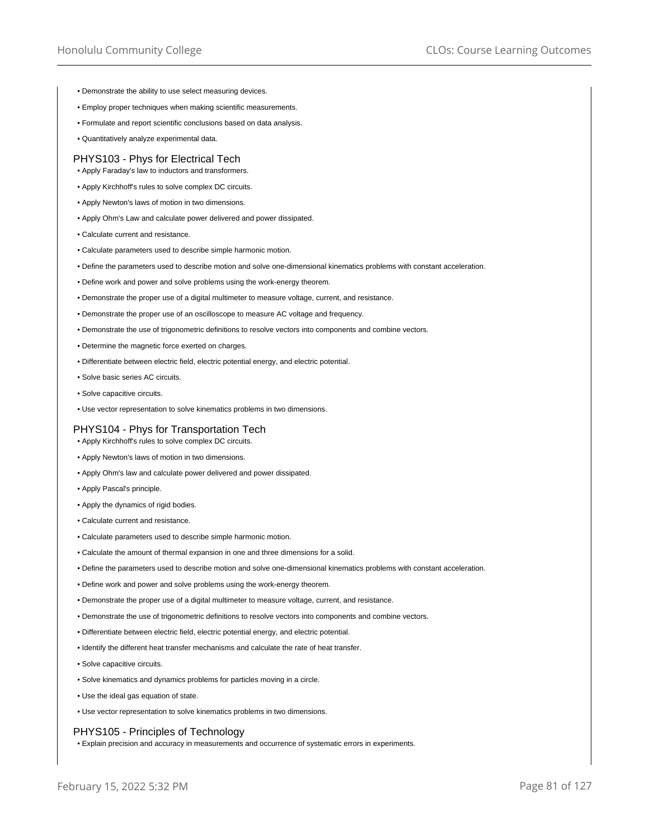- Demonstrate the ability to use select measuring devices.
- Employ proper techniques when making scientific measurements.
- Formulate and report scientific conclusions based on data analysis.
- Quantitatively analyze experimental data.

## PHYS103 - Phys for Electrical Tech

- Apply Faraday's law to inductors and transformers.
- Apply Kirchhoff's rules to solve complex DC circuits.
- Apply Newton's laws of motion in two dimensions.
- Apply Ohm's Law and calculate power delivered and power dissipated.
- Calculate current and resistance.
- Calculate parameters used to describe simple harmonic motion.
- Define the parameters used to describe motion and solve one-dimensional kinematics problems with constant acceleration.
- Define work and power and solve problems using the work-energy theorem.
- Demonstrate the proper use of a digital multimeter to measure voltage, current, and resistance.
- Demonstrate the proper use of an oscilloscope to measure AC voltage and frequency.
- Demonstrate the use of trigonometric definitions to resolve vectors into components and combine vectors.
- Determine the magnetic force exerted on charges.
- Differentiate between electric field, electric potential energy, and electric potential.
- Solve basic series AC circuits.
- Solve capacitive circuits.
- Use vector representation to solve kinematics problems in two dimensions.

## PHYS104 - Phys for Transportation Tech

- Apply Kirchhoff's rules to solve complex DC circuits.
- Apply Newton's laws of motion in two dimensions.
- Apply Ohm's law and calculate power delivered and power dissipated.
- Apply Pascal's principle.
- Apply the dynamics of rigid bodies.
- Calculate current and resistance.
- Calculate parameters used to describe simple harmonic motion.
- Calculate the amount of thermal expansion in one and three dimensions for a solid.
- Define the parameters used to describe motion and solve one-dimensional kinematics problems with constant acceleration.
- Define work and power and solve problems using the work-energy theorem.
- Demonstrate the proper use of a digital multimeter to measure voltage, current, and resistance.
- Demonstrate the use of trigonometric definitions to resolve vectors into components and combine vectors.
- Differentiate between electric field, electric potential energy, and electric potential.
- Identify the different heat transfer mechanisms and calculate the rate of heat transfer.
- Solve capacitive circuits.
- Solve kinematics and dynamics problems for particles moving in a circle.
- Use the ideal gas equation of state.
- Use vector representation to solve kinematics problems in two dimensions.

### PHYS105 - Principles of Technology

• Explain precision and accuracy in measurements and occurrence of systematic errors in experiments.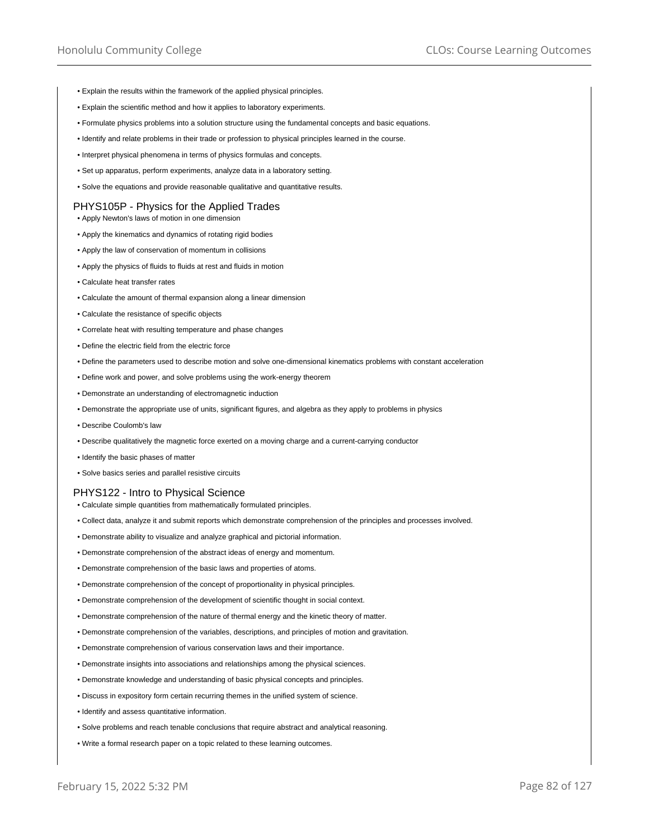- Explain the results within the framework of the applied physical principles.
- Explain the scientific method and how it applies to laboratory experiments.
- Formulate physics problems into a solution structure using the fundamental concepts and basic equations.
- Identify and relate problems in their trade or profession to physical principles learned in the course.
- Interpret physical phenomena in terms of physics formulas and concepts.
- Set up apparatus, perform experiments, analyze data in a laboratory setting.
- Solve the equations and provide reasonable qualitative and quantitative results.

### PHYS105P - Physics for the Applied Trades

- Apply Newton's laws of motion in one dimension
- Apply the kinematics and dynamics of rotating rigid bodies
- Apply the law of conservation of momentum in collisions
- Apply the physics of fluids to fluids at rest and fluids in motion
- Calculate heat transfer rates
- Calculate the amount of thermal expansion along a linear dimension
- Calculate the resistance of specific objects
- Correlate heat with resulting temperature and phase changes
- Define the electric field from the electric force
- Define the parameters used to describe motion and solve one-dimensional kinematics problems with constant acceleration
- Define work and power, and solve problems using the work-energy theorem
- Demonstrate an understanding of electromagnetic induction
- Demonstrate the appropriate use of units, significant figures, and algebra as they apply to problems in physics
- Describe Coulomb's law
- Describe qualitatively the magnetic force exerted on a moving charge and a current-carrying conductor
- Identify the basic phases of matter
- Solve basics series and parallel resistive circuits

## PHYS122 - Intro to Physical Science

- Calculate simple quantities from mathematically formulated principles.
- Collect data, analyze it and submit reports which demonstrate comprehension of the principles and processes involved.
- Demonstrate ability to visualize and analyze graphical and pictorial information.
- Demonstrate comprehension of the abstract ideas of energy and momentum.
- Demonstrate comprehension of the basic laws and properties of atoms.
- Demonstrate comprehension of the concept of proportionality in physical principles.
- Demonstrate comprehension of the development of scientific thought in social context.
- Demonstrate comprehension of the nature of thermal energy and the kinetic theory of matter.
- Demonstrate comprehension of the variables, descriptions, and principles of motion and gravitation.
- Demonstrate comprehension of various conservation laws and their importance.
- Demonstrate insights into associations and relationships among the physical sciences.
- Demonstrate knowledge and understanding of basic physical concepts and principles.
- Discuss in expository form certain recurring themes in the unified system of science.
- Identify and assess quantitative information.
- Solve problems and reach tenable conclusions that require abstract and analytical reasoning.
- Write a formal research paper on a topic related to these learning outcomes.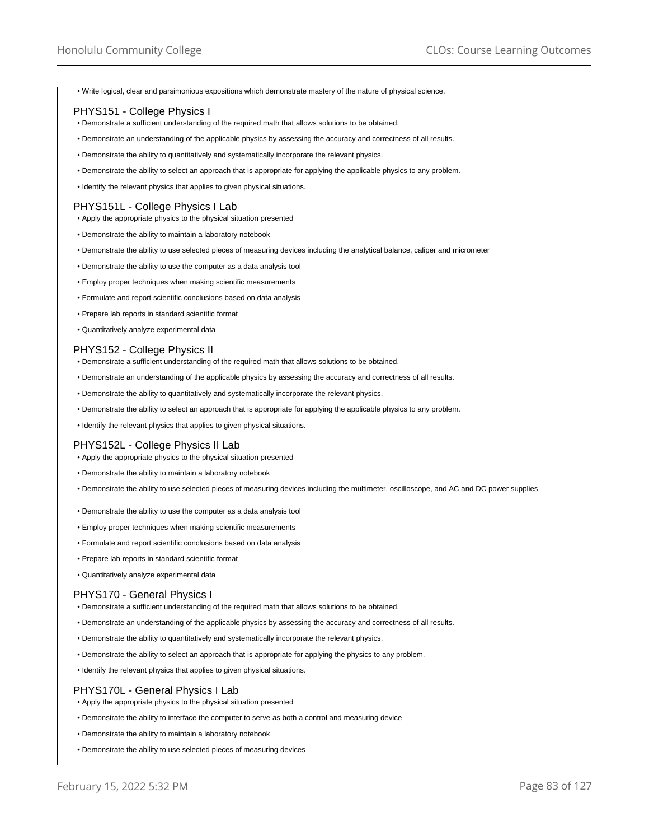• Write logical, clear and parsimonious expositions which demonstrate mastery of the nature of physical science.

## PHYS151 - College Physics I

- Demonstrate a sufficient understanding of the required math that allows solutions to be obtained.
- Demonstrate an understanding of the applicable physics by assessing the accuracy and correctness of all results.
- Demonstrate the ability to quantitatively and systematically incorporate the relevant physics.
- Demonstrate the ability to select an approach that is appropriate for applying the applicable physics to any problem.
- Identify the relevant physics that applies to given physical situations.

### PHYS151L - College Physics I Lab

- Apply the appropriate physics to the physical situation presented
- Demonstrate the ability to maintain a laboratory notebook
- Demonstrate the ability to use selected pieces of measuring devices including the analytical balance, caliper and micrometer
- Demonstrate the ability to use the computer as a data analysis tool
- Employ proper techniques when making scientific measurements
- Formulate and report scientific conclusions based on data analysis
- Prepare lab reports in standard scientific format
- Quantitatively analyze experimental data

#### PHYS152 - College Physics II

- Demonstrate a sufficient understanding of the required math that allows solutions to be obtained.
- Demonstrate an understanding of the applicable physics by assessing the accuracy and correctness of all results.
- Demonstrate the ability to quantitatively and systematically incorporate the relevant physics.
- Demonstrate the ability to select an approach that is appropriate for applying the applicable physics to any problem.
- Identify the relevant physics that applies to given physical situations.

### PHYS152L - College Physics II Lab

- Apply the appropriate physics to the physical situation presented
- Demonstrate the ability to maintain a laboratory notebook
- Demonstrate the ability to use selected pieces of measuring devices including the multimeter, oscilloscope, and AC and DC power supplies
- Demonstrate the ability to use the computer as a data analysis tool
- Employ proper techniques when making scientific measurements
- Formulate and report scientific conclusions based on data analysis
- Prepare lab reports in standard scientific format
- Quantitatively analyze experimental data

## PHYS170 - General Physics I

- Demonstrate a sufficient understanding of the required math that allows solutions to be obtained.
- Demonstrate an understanding of the applicable physics by assessing the accuracy and correctness of all results.
- Demonstrate the ability to quantitatively and systematically incorporate the relevant physics.
- Demonstrate the ability to select an approach that is appropriate for applying the physics to any problem.
- Identify the relevant physics that applies to given physical situations.

## PHYS170L - General Physics I Lab

- Apply the appropriate physics to the physical situation presented
- Demonstrate the ability to interface the computer to serve as both a control and measuring device
- Demonstrate the ability to maintain a laboratory notebook
- Demonstrate the ability to use selected pieces of measuring devices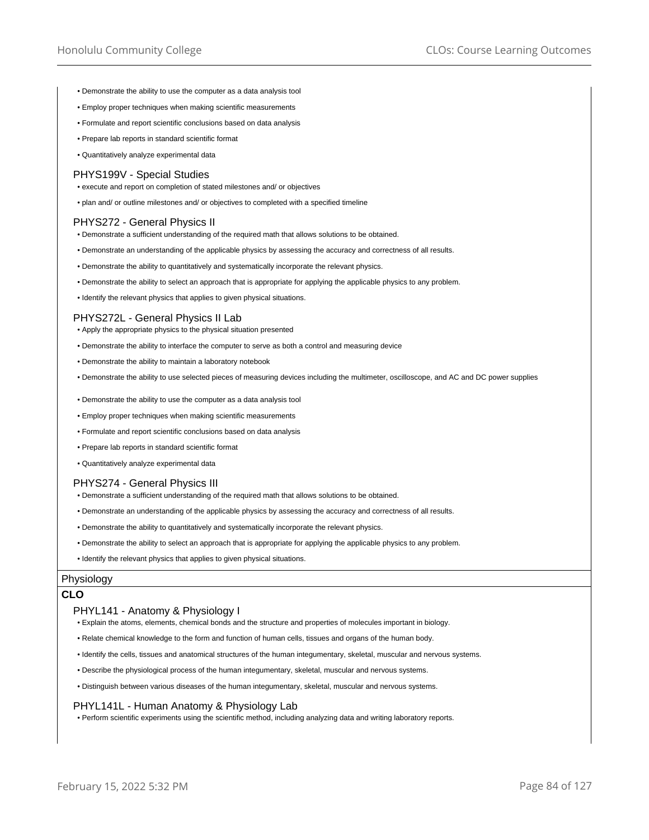- Demonstrate the ability to use the computer as a data analysis tool
- Employ proper techniques when making scientific measurements
- Formulate and report scientific conclusions based on data analysis
- Prepare lab reports in standard scientific format
- Quantitatively analyze experimental data

### PHYS199V - Special Studies

- execute and report on completion of stated milestones and/ or objectives
- plan and/ or outline milestones and/ or objectives to completed with a specified timeline

### PHYS272 - General Physics II

- Demonstrate a sufficient understanding of the required math that allows solutions to be obtained.
- Demonstrate an understanding of the applicable physics by assessing the accuracy and correctness of all results.
- Demonstrate the ability to quantitatively and systematically incorporate the relevant physics.
- Demonstrate the ability to select an approach that is appropriate for applying the applicable physics to any problem.
- Identify the relevant physics that applies to given physical situations.

#### PHYS272L - General Physics II Lab

- Apply the appropriate physics to the physical situation presented
- Demonstrate the ability to interface the computer to serve as both a control and measuring device
- Demonstrate the ability to maintain a laboratory notebook
- Demonstrate the ability to use selected pieces of measuring devices including the multimeter, oscilloscope, and AC and DC power supplies
- Demonstrate the ability to use the computer as a data analysis tool
- Employ proper techniques when making scientific measurements
- Formulate and report scientific conclusions based on data analysis
- Prepare lab reports in standard scientific format
- Quantitatively analyze experimental data

#### PHYS274 - General Physics III

- Demonstrate a sufficient understanding of the required math that allows solutions to be obtained.
- Demonstrate an understanding of the applicable physics by assessing the accuracy and correctness of all results.
- Demonstrate the ability to quantitatively and systematically incorporate the relevant physics.
- Demonstrate the ability to select an approach that is appropriate for applying the applicable physics to any problem.
- Identify the relevant physics that applies to given physical situations.

### Physiology

## **CLO**

#### PHYL141 - Anatomy & Physiology I

- Explain the atoms, elements, chemical bonds and the structure and properties of molecules important in biology.
- Relate chemical knowledge to the form and function of human cells, tissues and organs of the human body.
- Identify the cells, tissues and anatomical structures of the human integumentary, skeletal, muscular and nervous systems.
- Describe the physiological process of the human integumentary, skeletal, muscular and nervous systems.
- Distinguish between various diseases of the human integumentary, skeletal, muscular and nervous systems.

#### PHYL141L - Human Anatomy & Physiology Lab

• Perform scientific experiments using the scientific method, including analyzing data and writing laboratory reports.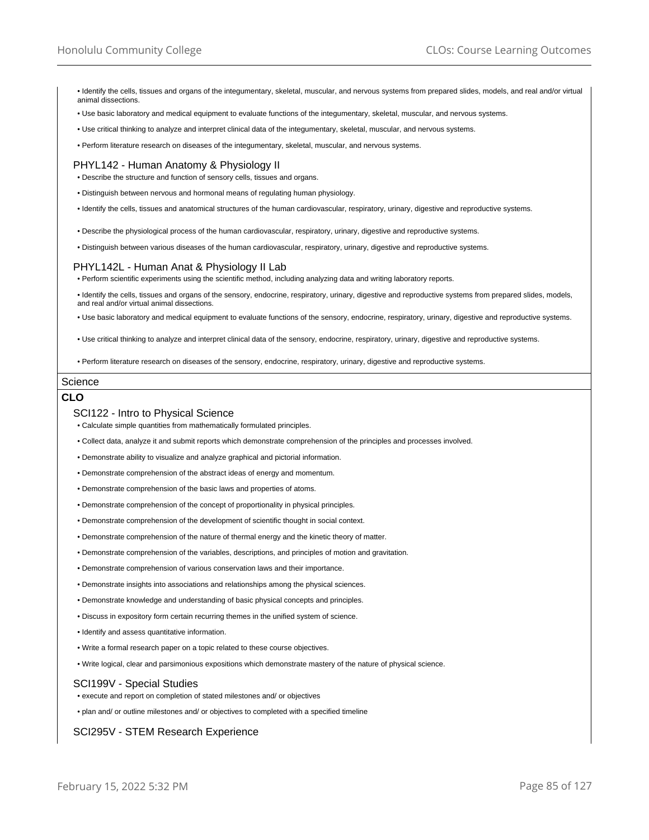• Identify the cells, tissues and organs of the integumentary, skeletal, muscular, and nervous systems from prepared slides, models, and real and/or virtual animal dissections.

- Use basic laboratory and medical equipment to evaluate functions of the integumentary, skeletal, muscular, and nervous systems.
- Use critical thinking to analyze and interpret clinical data of the integumentary, skeletal, muscular, and nervous systems.
- Perform literature research on diseases of the integumentary, skeletal, muscular, and nervous systems.

## PHYL142 - Human Anatomy & Physiology II

- Describe the structure and function of sensory cells, tissues and organs.
- Distinguish between nervous and hormonal means of regulating human physiology.
- Identify the cells, tissues and anatomical structures of the human cardiovascular, respiratory, urinary, digestive and reproductive systems.
- Describe the physiological process of the human cardiovascular, respiratory, urinary, digestive and reproductive systems.
- Distinguish between various diseases of the human cardiovascular, respiratory, urinary, digestive and reproductive systems.

## PHYL142L - Human Anat & Physiology II Lab

• Perform scientific experiments using the scientific method, including analyzing data and writing laboratory reports.

• Identify the cells, tissues and organs of the sensory, endocrine, respiratory, urinary, digestive and reproductive systems from prepared slides, models, and real and/or virtual animal dissections.

• Use basic laboratory and medical equipment to evaluate functions of the sensory, endocrine, respiratory, urinary, digestive and reproductive systems.

• Use critical thinking to analyze and interpret clinical data of the sensory, endocrine, respiratory, urinary, digestive and reproductive systems.

• Perform literature research on diseases of the sensory, endocrine, respiratory, urinary, digestive and reproductive systems.

#### **Science**

# **CLO**

#### SCI122 - Intro to Physical Science

- Calculate simple quantities from mathematically formulated principles.
- Collect data, analyze it and submit reports which demonstrate comprehension of the principles and processes involved.
- Demonstrate ability to visualize and analyze graphical and pictorial information.
- Demonstrate comprehension of the abstract ideas of energy and momentum.
- Demonstrate comprehension of the basic laws and properties of atoms.
- Demonstrate comprehension of the concept of proportionality in physical principles.
- Demonstrate comprehension of the development of scientific thought in social context.
- Demonstrate comprehension of the nature of thermal energy and the kinetic theory of matter.
- Demonstrate comprehension of the variables, descriptions, and principles of motion and gravitation.
- Demonstrate comprehension of various conservation laws and their importance.
- Demonstrate insights into associations and relationships among the physical sciences.
- Demonstrate knowledge and understanding of basic physical concepts and principles.
- Discuss in expository form certain recurring themes in the unified system of science.
- Identify and assess quantitative information.
- Write a formal research paper on a topic related to these course objectives.
- Write logical, clear and parsimonious expositions which demonstrate mastery of the nature of physical science.

### SCI199V - Special Studies

• execute and report on completion of stated milestones and/ or objectives

• plan and/ or outline milestones and/ or objectives to completed with a specified timeline

### SCI295V - STEM Research Experience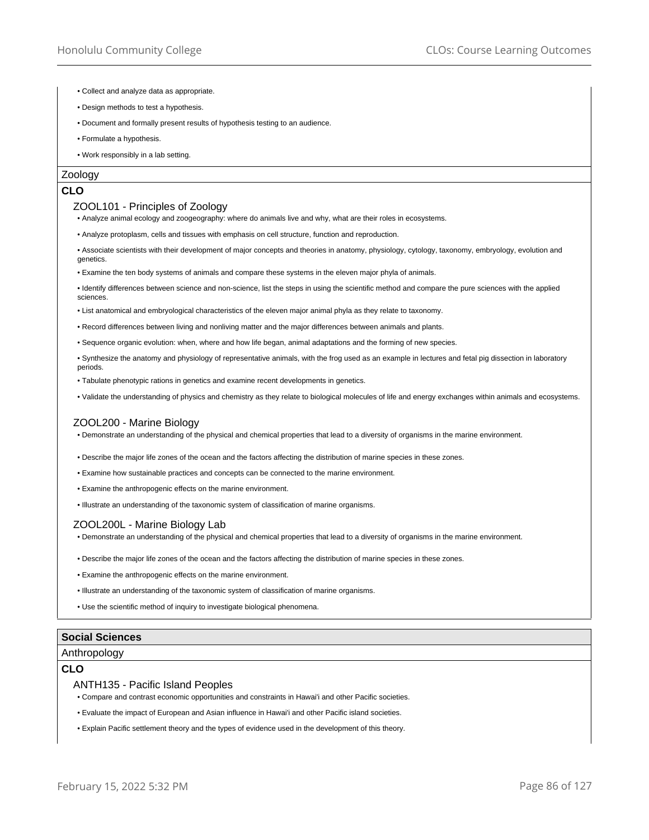- Collect and analyze data as appropriate.
- Design methods to test a hypothesis.
- Document and formally present results of hypothesis testing to an audience.
- Formulate a hypothesis.
- Work responsibly in a lab setting.

### Zoology

## **CLO**

### ZOOL101 - Principles of Zoology

• Analyze animal ecology and zoogeography: where do animals live and why, what are their roles in ecosystems.

- Analyze protoplasm, cells and tissues with emphasis on cell structure, function and reproduction.
- Associate scientists with their development of major concepts and theories in anatomy, physiology, cytology, taxonomy, embryology, evolution and genetics.
- Examine the ten body systems of animals and compare these systems in the eleven major phyla of animals.
- Identify differences between science and non-science, list the steps in using the scientific method and compare the pure sciences with the applied sciences.
- List anatomical and embryological characteristics of the eleven major animal phyla as they relate to taxonomy.
- Record differences between living and nonliving matter and the major differences between animals and plants.
- Sequence organic evolution: when, where and how life began, animal adaptations and the forming of new species.
- Synthesize the anatomy and physiology of representative animals, with the frog used as an example in lectures and fetal pig dissection in laboratory periods.
- Tabulate phenotypic rations in genetics and examine recent developments in genetics.
- Validate the understanding of physics and chemistry as they relate to biological molecules of life and energy exchanges within animals and ecosystems.

## ZOOL200 - Marine Biology

• Demonstrate an understanding of the physical and chemical properties that lead to a diversity of organisms in the marine environment.

- Describe the major life zones of the ocean and the factors affecting the distribution of marine species in these zones.
- Examine how sustainable practices and concepts can be connected to the marine environment.
- Examine the anthropogenic effects on the marine environment.

• Illustrate an understanding of the taxonomic system of classification of marine organisms.

### ZOOL200L - Marine Biology Lab

• Demonstrate an understanding of the physical and chemical properties that lead to a diversity of organisms in the marine environment.

- Describe the major life zones of the ocean and the factors affecting the distribution of marine species in these zones.
- Examine the anthropogenic effects on the marine environment.
- Illustrate an understanding of the taxonomic system of classification of marine organisms.
- Use the scientific method of inquiry to investigate biological phenomena.

## **Social Sciences**

### Anthropology

### **CLO**

#### ANTH135 - Pacific Island Peoples

- Compare and contrast economic opportunities and constraints in Hawai'i and other Pacific societies.
- Evaluate the impact of European and Asian influence in Hawai'i and other Pacific island societies.
- Explain Pacific settlement theory and the types of evidence used in the development of this theory.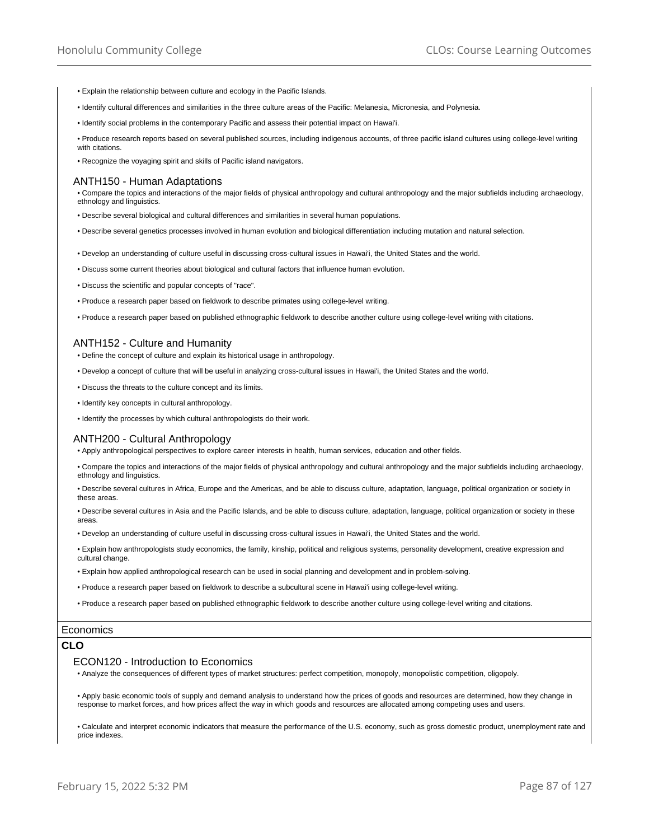- Explain the relationship between culture and ecology in the Pacific Islands.
- Identify cultural differences and similarities in the three culture areas of the Pacific: Melanesia, Micronesia, and Polynesia.
- Identify social problems in the contemporary Pacific and assess their potential impact on Hawai'i.

• Produce research reports based on several published sources, including indigenous accounts, of three pacific island cultures using college-level writing with citations.

• Recognize the voyaging spirit and skills of Pacific island navigators.

### ANTH150 - Human Adaptations

• Compare the topics and interactions of the major fields of physical anthropology and cultural anthropology and the major subfields including archaeology, ethnology and linguistics.

- Describe several biological and cultural differences and similarities in several human populations.
- Describe several genetics processes involved in human evolution and biological differentiation including mutation and natural selection.
- Develop an understanding of culture useful in discussing cross-cultural issues in Hawai'i, the United States and the world.
- Discuss some current theories about biological and cultural factors that influence human evolution.
- Discuss the scientific and popular concepts of "race".
- Produce a research paper based on fieldwork to describe primates using college-level writing.
- Produce a research paper based on published ethnographic fieldwork to describe another culture using college-level writing with citations.

### ANTH152 - Culture and Humanity

- Define the concept of culture and explain its historical usage in anthropology.
- Develop a concept of culture that will be useful in analyzing cross-cultural issues in Hawai'i, the United States and the world.
- Discuss the threats to the culture concept and its limits.
- Identify key concepts in cultural anthropology.
- Identify the processes by which cultural anthropologists do their work.

#### ANTH200 - Cultural Anthropology

• Apply anthropological perspectives to explore career interests in health, human services, education and other fields.

• Compare the topics and interactions of the major fields of physical anthropology and cultural anthropology and the major subfields including archaeology, ethnology and linguistics.

• Describe several cultures in Africa, Europe and the Americas, and be able to discuss culture, adaptation, language, political organization or society in these areas

• Describe several cultures in Asia and the Pacific Islands, and be able to discuss culture, adaptation, language, political organization or society in these areas.

• Develop an understanding of culture useful in discussing cross-cultural issues in Hawai'i, the United States and the world.

- Explain how anthropologists study economics, the family, kinship, political and religious systems, personality development, creative expression and cultural change.
- Explain how applied anthropological research can be used in social planning and development and in problem-solving.
- Produce a research paper based on fieldwork to describe a subcultural scene in Hawai'i using college-level writing.

• Produce a research paper based on published ethnographic fieldwork to describe another culture using college-level writing and citations.

#### **Economics**

#### **CLO**

#### ECON120 - Introduction to Economics

• Analyze the consequences of different types of market structures: perfect competition, monopoly, monopolistic competition, oligopoly.

• Apply basic economic tools of supply and demand analysis to understand how the prices of goods and resources are determined, how they change in response to market forces, and how prices affect the way in which goods and resources are allocated among competing uses and users.

• Calculate and interpret economic indicators that measure the performance of the U.S. economy, such as gross domestic product, unemployment rate and price indexes.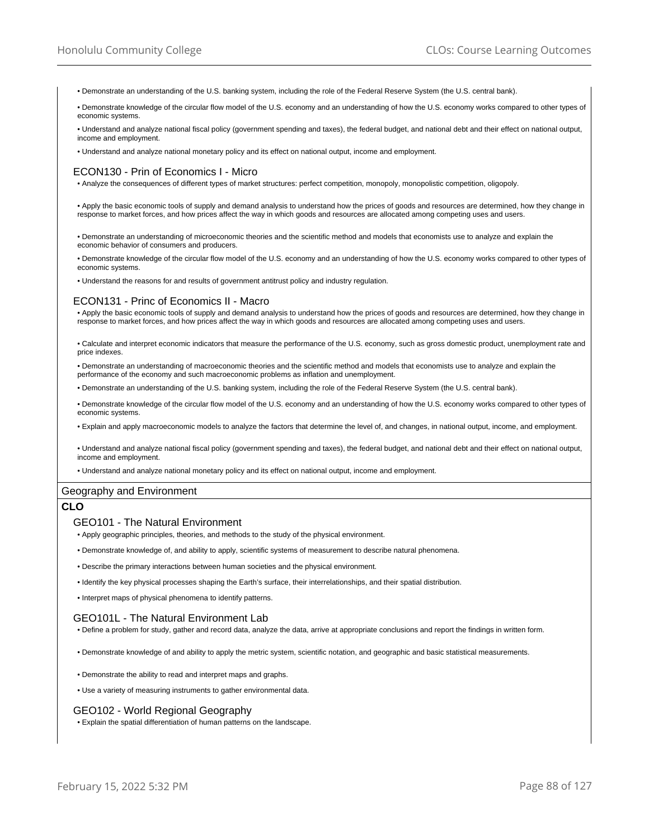- Demonstrate an understanding of the U.S. banking system, including the role of the Federal Reserve System (the U.S. central bank).
- Demonstrate knowledge of the circular flow model of the U.S. economy and an understanding of how the U.S. economy works compared to other types of economic systems.
- Understand and analyze national fiscal policy (government spending and taxes), the federal budget, and national debt and their effect on national output, income and employment.
- Understand and analyze national monetary policy and its effect on national output, income and employment.

### ECON130 - Prin of Economics I - Micro

- Analyze the consequences of different types of market structures: perfect competition, monopoly, monopolistic competition, oligopoly.
- Apply the basic economic tools of supply and demand analysis to understand how the prices of goods and resources are determined, how they change in response to market forces, and how prices affect the way in which goods and resources are allocated among competing uses and users.
- Demonstrate an understanding of microeconomic theories and the scientific method and models that economists use to analyze and explain the economic behavior of consumers and producers.
- Demonstrate knowledge of the circular flow model of the U.S. economy and an understanding of how the U.S. economy works compared to other types of economic systems.
- Understand the reasons for and results of government antitrust policy and industry regulation.

## ECON131 - Princ of Economics II - Macro

• Apply the basic economic tools of supply and demand analysis to understand how the prices of goods and resources are determined, how they change in response to market forces, and how prices affect the way in which goods and resources are allocated among competing uses and users.

• Calculate and interpret economic indicators that measure the performance of the U.S. economy, such as gross domestic product, unemployment rate and price indexes.

• Demonstrate an understanding of macroeconomic theories and the scientific method and models that economists use to analyze and explain the performance of the economy and such macroeconomic problems as inflation and unemployment.

• Demonstrate an understanding of the U.S. banking system, including the role of the Federal Reserve System (the U.S. central bank).

• Demonstrate knowledge of the circular flow model of the U.S. economy and an understanding of how the U.S. economy works compared to other types of economic systems.

• Explain and apply macroeconomic models to analyze the factors that determine the level of, and changes, in national output, income, and employment.

• Understand and analyze national fiscal policy (government spending and taxes), the federal budget, and national debt and their effect on national output, income and employment.

• Understand and analyze national monetary policy and its effect on national output, income and employment.

### Geography and Environment

### **CLO**

#### GEO101 - The Natural Environment

• Apply geographic principles, theories, and methods to the study of the physical environment.

- Demonstrate knowledge of, and ability to apply, scientific systems of measurement to describe natural phenomena.
- Describe the primary interactions between human societies and the physical environment.
- Identify the key physical processes shaping the Earth's surface, their interrelationships, and their spatial distribution.
- Interpret maps of physical phenomena to identify patterns.

### GEO101L - The Natural Environment Lab

• Define a problem for study, gather and record data, analyze the data, arrive at appropriate conclusions and report the findings in written form.

• Demonstrate knowledge of and ability to apply the metric system, scientific notation, and geographic and basic statistical measurements.

- Demonstrate the ability to read and interpret maps and graphs.
- Use a variety of measuring instruments to gather environmental data.

#### GEO102 - World Regional Geography

• Explain the spatial differentiation of human patterns on the landscape.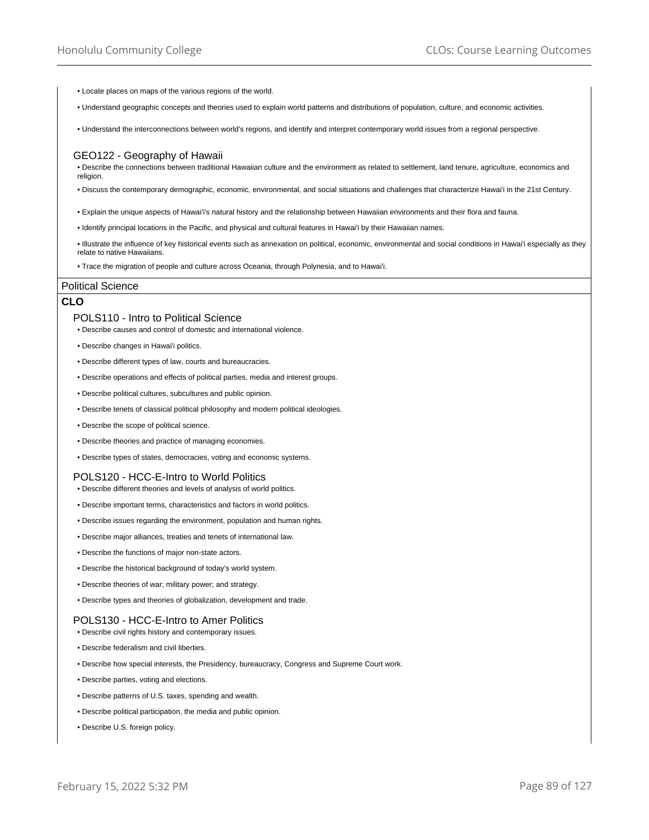- Locate places on maps of the various regions of the world.
- Understand geographic concepts and theories used to explain world patterns and distributions of population, culture, and economic activities.
- Understand the interconnections between world's regions, and identify and interpret contemporary world issues from a regional perspective.

### GEO122 - Geography of Hawaii

• Describe the connections between traditional Hawaiian culture and the environment as related to settlement, land tenure, agriculture, economics and religion.

- Discuss the contemporary demographic, economic, environmental, and social situations and challenges that characterize Hawai'i in the 21st Century.
- Explain the unique aspects of Hawai'i's natural history and the relationship between Hawaiian environments and their flora and fauna.
- Identify principal locations in the Pacific, and physical and cultural features in Hawai'i by their Hawaiian names.
- Illustrate the influence of key historical events such as annexation on political, economic, environmental and social conditions in Hawai'i especially as they relate to native Hawaiians.
- Trace the migration of people and culture across Oceania, through Polynesia, and to Hawai'i.

### Political Science

# **CLO**

## POLS110 - Intro to Political Science

• Describe causes and control of domestic and international violence.

- Describe changes in Hawai'i politics.
- Describe different types of law, courts and bureaucracies.
- Describe operations and effects of political parties, media and interest groups.
- Describe political cultures, subcultures and public opinion.
- Describe tenets of classical political philosophy and modern political ideologies.
- Describe the scope of political science.
- Describe theories and practice of managing economies.
- Describe types of states, democracies, voting and economic systems.

### POLS120 - HCC-E-Intro to World Politics

- Describe different theories and levels of analysis of world politics.
- Describe important terms, characteristics and factors in world politics.
- Describe issues regarding the environment, population and human rights.
- Describe major alliances, treaties and tenets of international law.
- Describe the functions of major non-state actors.
- Describe the historical background of today's world system.
- Describe theories of war; military power; and strategy.
- Describe types and theories of globalization, development and trade.

### POLS130 - HCC-E-Intro to Amer Politics

- Describe civil rights history and contemporary issues.
- Describe federalism and civil liberties.
- Describe how special interests, the Presidency, bureaucracy, Congress and Supreme Court work.
- Describe parties, voting and elections.
- Describe patterns of U.S. taxes, spending and wealth.
- Describe political participation, the media and public opinion.
- Describe U.S. foreign policy.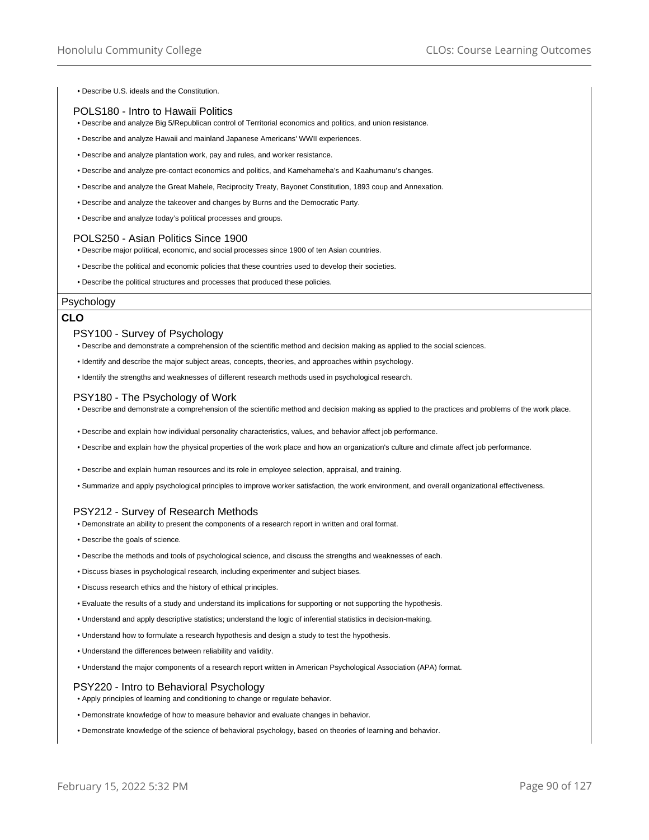• Describe U.S. ideals and the Constitution.

## POLS180 - Intro to Hawaii Politics

- Describe and analyze Big 5/Republican control of Territorial economics and politics, and union resistance.
- Describe and analyze Hawaii and mainland Japanese Americans' WWII experiences.
- Describe and analyze plantation work, pay and rules, and worker resistance.
- Describe and analyze pre-contact economics and politics, and Kamehameha's and Kaahumanu's changes.
- Describe and analyze the Great Mahele, Reciprocity Treaty, Bayonet Constitution, 1893 coup and Annexation.
- Describe and analyze the takeover and changes by Burns and the Democratic Party.
- Describe and analyze today's political processes and groups.

## POLS250 - Asian Politics Since 1900

- Describe major political, economic, and social processes since 1900 of ten Asian countries.
- Describe the political and economic policies that these countries used to develop their societies.
- Describe the political structures and processes that produced these policies.

### Psychology

## **CLO**

### PSY100 - Survey of Psychology

- Describe and demonstrate a comprehension of the scientific method and decision making as applied to the social sciences.
- Identify and describe the major subject areas, concepts, theories, and approaches within psychology.
- Identify the strengths and weaknesses of different research methods used in psychological research.

## PSY180 - The Psychology of Work

- Describe and demonstrate a comprehension of the scientific method and decision making as applied to the practices and problems of the work place.
- Describe and explain how individual personality characteristics, values, and behavior affect job performance.
- Describe and explain how the physical properties of the work place and how an organization's culture and climate affect job performance.
- Describe and explain human resources and its role in employee selection, appraisal, and training.
- Summarize and apply psychological principles to improve worker satisfaction, the work environment, and overall organizational effectiveness.

# PSY212 - Survey of Research Methods

- Demonstrate an ability to present the components of a research report in written and oral format.
- Describe the goals of science.
- Describe the methods and tools of psychological science, and discuss the strengths and weaknesses of each.
- Discuss biases in psychological research, including experimenter and subject biases.
- Discuss research ethics and the history of ethical principles.
- Evaluate the results of a study and understand its implications for supporting or not supporting the hypothesis.
- Understand and apply descriptive statistics; understand the logic of inferential statistics in decision-making.
- Understand how to formulate a research hypothesis and design a study to test the hypothesis.
- Understand the differences between reliability and validity.
- Understand the major components of a research report written in American Psychological Association (APA) format.

## PSY220 - Intro to Behavioral Psychology

- Apply principles of learning and conditioning to change or regulate behavior.
- Demonstrate knowledge of how to measure behavior and evaluate changes in behavior.
- Demonstrate knowledge of the science of behavioral psychology, based on theories of learning and behavior.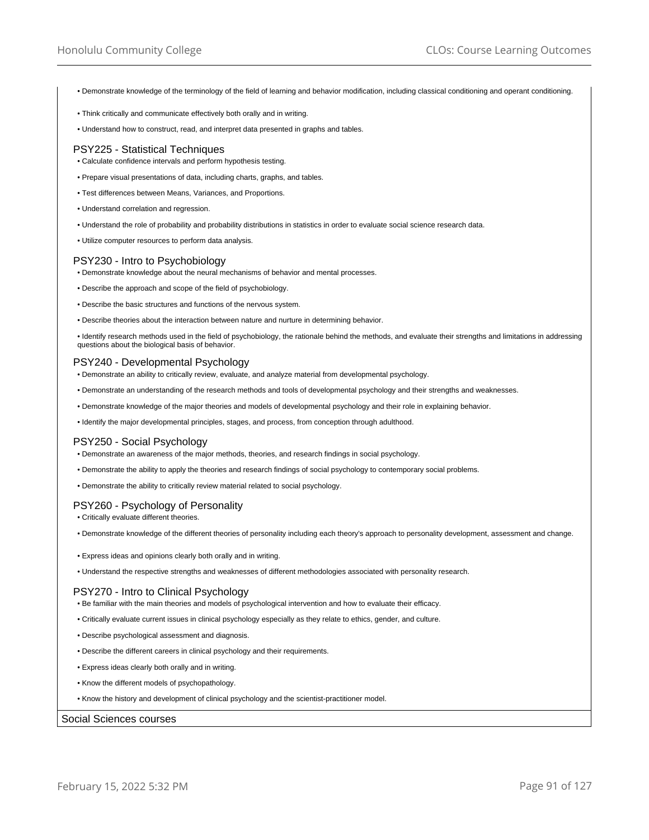- Demonstrate knowledge of the terminology of the field of learning and behavior modification, including classical conditioning and operant conditioning.
- Think critically and communicate effectively both orally and in writing.
- Understand how to construct, read, and interpret data presented in graphs and tables.

### PSY225 - Statistical Techniques

- Calculate confidence intervals and perform hypothesis testing.
- Prepare visual presentations of data, including charts, graphs, and tables.
- Test differences between Means, Variances, and Proportions.
- Understand correlation and regression.
- Understand the role of probability and probability distributions in statistics in order to evaluate social science research data.
- Utilize computer resources to perform data analysis.

#### PSY230 - Intro to Psychobiology

- Demonstrate knowledge about the neural mechanisms of behavior and mental processes.
- Describe the approach and scope of the field of psychobiology.
- Describe the basic structures and functions of the nervous system.
- Describe theories about the interaction between nature and nurture in determining behavior.

• Identify research methods used in the field of psychobiology, the rationale behind the methods, and evaluate their strengths and limitations in addressing questions about the biological basis of behavior.

## PSY240 - Developmental Psychology

- Demonstrate an ability to critically review, evaluate, and analyze material from developmental psychology.
- Demonstrate an understanding of the research methods and tools of developmental psychology and their strengths and weaknesses.
- Demonstrate knowledge of the major theories and models of developmental psychology and their role in explaining behavior.
- Identify the major developmental principles, stages, and process, from conception through adulthood.

### PSY250 - Social Psychology

- Demonstrate an awareness of the major methods, theories, and research findings in social psychology.
- Demonstrate the ability to apply the theories and research findings of social psychology to contemporary social problems.
- Demonstrate the ability to critically review material related to social psychology.

### PSY260 - Psychology of Personality

- Critically evaluate different theories.
- Demonstrate knowledge of the different theories of personality including each theory's approach to personality development, assessment and change.
- Express ideas and opinions clearly both orally and in writing.
- Understand the respective strengths and weaknesses of different methodologies associated with personality research.

### PSY270 - Intro to Clinical Psychology

- Be familiar with the main theories and models of psychological intervention and how to evaluate their efficacy.
- Critically evaluate current issues in clinical psychology especially as they relate to ethics, gender, and culture.
- Describe psychological assessment and diagnosis.
- Describe the different careers in clinical psychology and their requirements.
- Express ideas clearly both orally and in writing.
- Know the different models of psychopathology.
- Know the history and development of clinical psychology and the scientist-practitioner model.

#### Social Sciences courses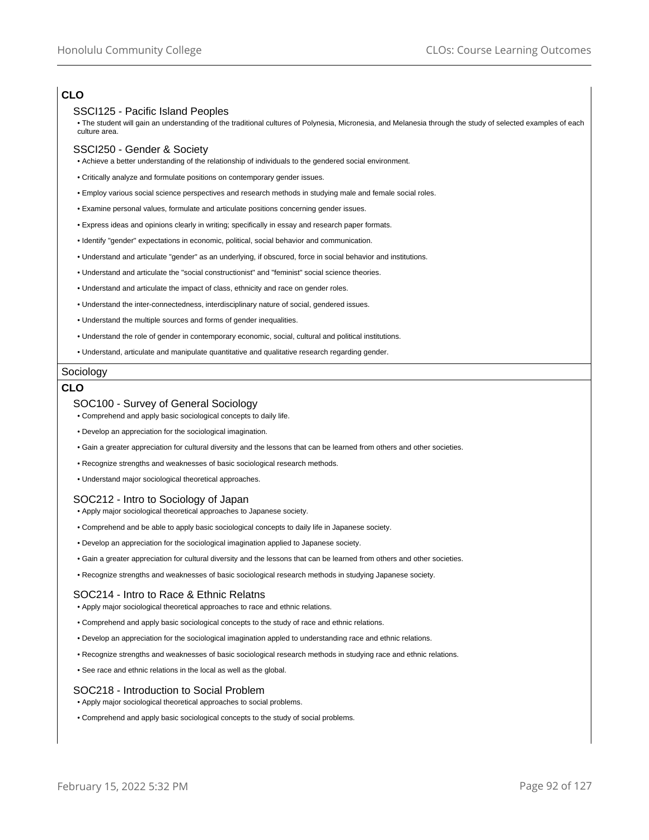# **CLO**

## SSCI125 - Pacific Island Peoples

• The student will gain an understanding of the traditional cultures of Polynesia, Micronesia, and Melanesia through the study of selected examples of each culture area.

## SSCI250 - Gender & Society

- Achieve a better understanding of the relationship of individuals to the gendered social environment.
- Critically analyze and formulate positions on contemporary gender issues.
- Employ various social science perspectives and research methods in studying male and female social roles.
- Examine personal values, formulate and articulate positions concerning gender issues.
- Express ideas and opinions clearly in writing; specifically in essay and research paper formats.
- Identify "gender" expectations in economic, political, social behavior and communication.
- Understand and articulate "gender" as an underlying, if obscured, force in social behavior and institutions.
- Understand and articulate the "social constructionist" and "feminist" social science theories.
- Understand and articulate the impact of class, ethnicity and race on gender roles.
- Understand the inter-connectedness, interdisciplinary nature of social, gendered issues.
- Understand the multiple sources and forms of gender inequalities.
- Understand the role of gender in contemporary economic, social, cultural and political institutions.
- Understand, articulate and manipulate quantitative and qualitative research regarding gender.

### Sociology

### **CLO**

#### SOC100 - Survey of General Sociology

• Comprehend and apply basic sociological concepts to daily life.

- Develop an appreciation for the sociological imagination.
- Gain a greater appreciation for cultural diversity and the lessons that can be learned from others and other societies.
- Recognize strengths and weaknesses of basic sociological research methods.
- Understand major sociological theoretical approaches.

# SOC212 - Intro to Sociology of Japan

- Apply major sociological theoretical approaches to Japanese society.
- Comprehend and be able to apply basic sociological concepts to daily life in Japanese society.
- Develop an appreciation for the sociological imagination applied to Japanese society.
- Gain a greater appreciation for cultural diversity and the lessons that can be learned from others and other societies.
- Recognize strengths and weaknesses of basic sociological research methods in studying Japanese society.

### SOC214 - Intro to Race & Ethnic Relatns

- Apply major sociological theoretical approaches to race and ethnic relations.
- Comprehend and apply basic sociological concepts to the study of race and ethnic relations.
- Develop an appreciation for the sociological imagination appled to understanding race and ethnic relations.
- Recognize strengths and weaknesses of basic sociological research methods in studying race and ethnic relations.
- See race and ethnic relations in the local as well as the global.

### SOC218 - Introduction to Social Problem

- Apply major sociological theoretical approaches to social problems.
- Comprehend and apply basic sociological concepts to the study of social problems.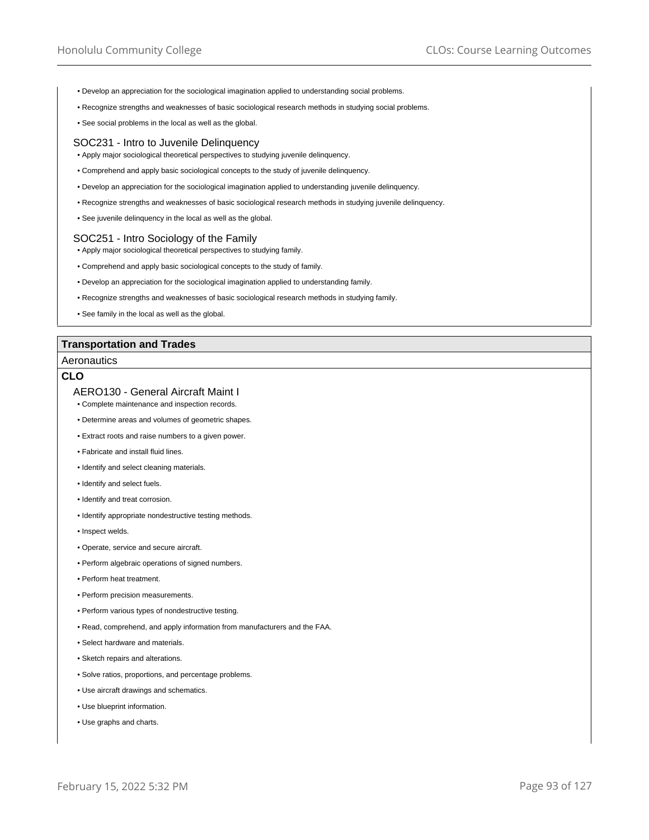- Develop an appreciation for the sociological imagination applied to understanding social problems.
- Recognize strengths and weaknesses of basic sociological research methods in studying social problems.
- See social problems in the local as well as the global.

#### SOC231 - Intro to Juvenile Delinquency

- Apply major sociological theoretical perspectives to studying juvenile delinquency.
- Comprehend and apply basic sociological concepts to the study of juvenile delinquency.
- Develop an appreciation for the sociological imagination applied to understanding juvenile delinquency.
- Recognize strengths and weaknesses of basic sociological research methods in studying juvenile delinquency.
- See juvenile delinquency in the local as well as the global.

### SOC251 - Intro Sociology of the Family

- Apply major sociological theoretical perspectives to studying family.
- Comprehend and apply basic sociological concepts to the study of family.
- Develop an appreciation for the sociological imagination applied to understanding family.
- Recognize strengths and weaknesses of basic sociological research methods in studying family.
- See family in the local as well as the global.

### **Transportation and Trades**

#### Aeronautics

## **CLO**

### AERO130 - General Aircraft Maint I

- Complete maintenance and inspection records.
- Determine areas and volumes of geometric shapes.
- Extract roots and raise numbers to a given power.
- Fabricate and install fluid lines.
- Identify and select cleaning materials.
- Identify and select fuels.
- Identify and treat corrosion.
- Identify appropriate nondestructive testing methods.
- Inspect welds.
- Operate, service and secure aircraft.
- Perform algebraic operations of signed numbers.
- Perform heat treatment.
- Perform precision measurements.
- Perform various types of nondestructive testing.
- Read, comprehend, and apply information from manufacturers and the FAA.
- Select hardware and materials.
- Sketch repairs and alterations.
- Solve ratios, proportions, and percentage problems.
- Use aircraft drawings and schematics.
- Use blueprint information.
- Use graphs and charts.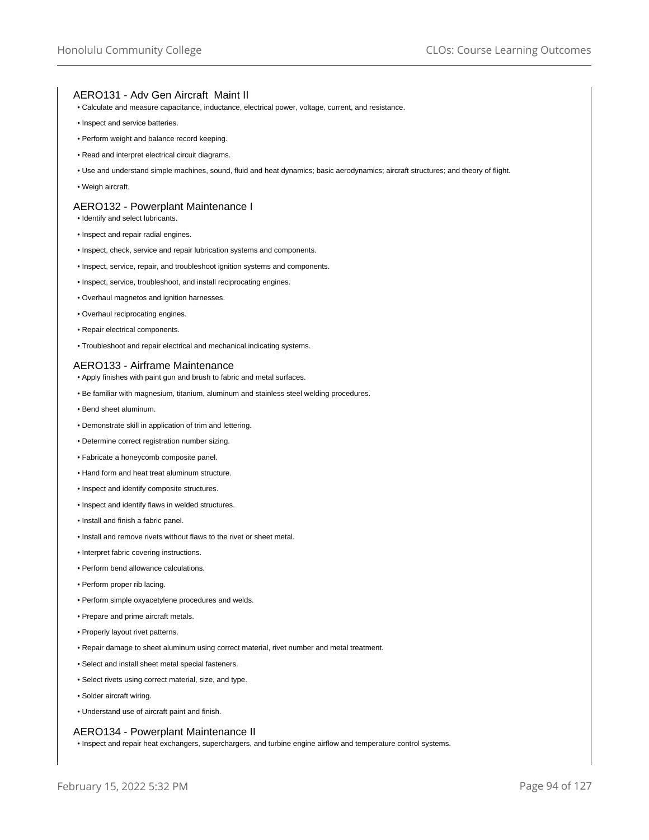## AERO131 - Adv Gen Aircraft Maint II

- Calculate and measure capacitance, inductance, electrical power, voltage, current, and resistance.
- Inspect and service batteries.
- Perform weight and balance record keeping.
- Read and interpret electrical circuit diagrams.
- Use and understand simple machines, sound, fluid and heat dynamics; basic aerodynamics; aircraft structures; and theory of flight.
- Weigh aircraft.

### AERO132 - Powerplant Maintenance I

- Identify and select lubricants.
- Inspect and repair radial engines.
- Inspect, check, service and repair lubrication systems and components.
- Inspect, service, repair, and troubleshoot ignition systems and components.
- Inspect, service, troubleshoot, and install reciprocating engines.
- Overhaul magnetos and ignition harnesses.
- Overhaul reciprocating engines.
- Repair electrical components.
- Troubleshoot and repair electrical and mechanical indicating systems.

#### AERO133 - Airframe Maintenance

- Apply finishes with paint gun and brush to fabric and metal surfaces.
- Be familiar with magnesium, titanium, aluminum and stainless steel welding procedures.
- Bend sheet aluminum.
- Demonstrate skill in application of trim and lettering.
- Determine correct registration number sizing.
- Fabricate a honeycomb composite panel.
- Hand form and heat treat aluminum structure.
- Inspect and identify composite structures.
- Inspect and identify flaws in welded structures.
- Install and finish a fabric panel.
- Install and remove rivets without flaws to the rivet or sheet metal.
- Interpret fabric covering instructions.
- Perform bend allowance calculations.
- Perform proper rib lacing.
- Perform simple oxyacetylene procedures and welds.
- Prepare and prime aircraft metals.
- Properly layout rivet patterns.
- Repair damage to sheet aluminum using correct material, rivet number and metal treatment.
- Select and install sheet metal special fasteners.
- Select rivets using correct material, size, and type.
- Solder aircraft wiring.
- Understand use of aircraft paint and finish.

### AERO134 - Powerplant Maintenance II

• Inspect and repair heat exchangers, superchargers, and turbine engine airflow and temperature control systems.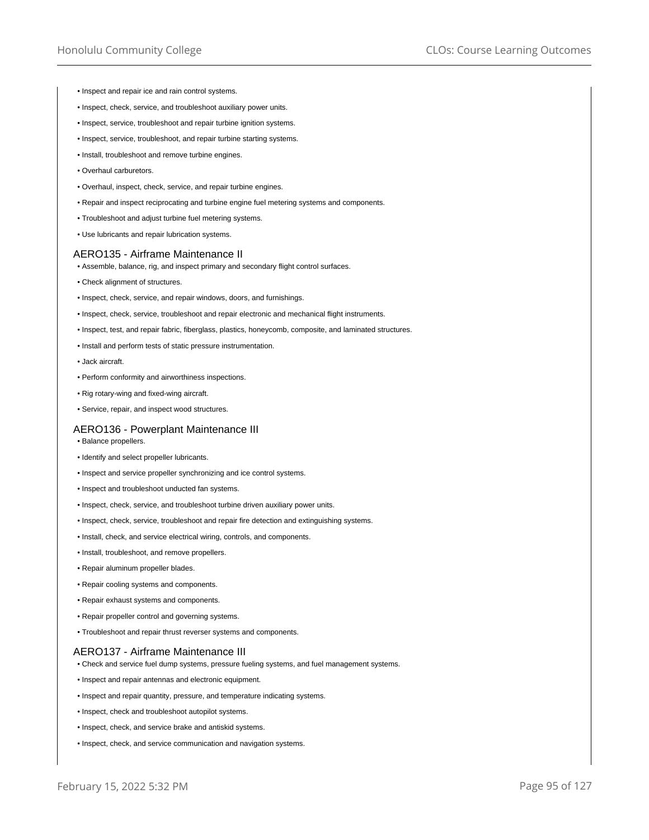- Inspect and repair ice and rain control systems.
- Inspect, check, service, and troubleshoot auxiliary power units.
- Inspect, service, troubleshoot and repair turbine ignition systems.
- Inspect, service, troubleshoot, and repair turbine starting systems.
- Install, troubleshoot and remove turbine engines.
- Overhaul carburetors.
- Overhaul, inspect, check, service, and repair turbine engines.
- Repair and inspect reciprocating and turbine engine fuel metering systems and components.
- Troubleshoot and adjust turbine fuel metering systems.
- Use lubricants and repair lubrication systems.

### AERO135 - Airframe Maintenance II

- Assemble, balance, rig, and inspect primary and secondary flight control surfaces.
- Check alignment of structures.
- Inspect, check, service, and repair windows, doors, and furnishings.
- Inspect, check, service, troubleshoot and repair electronic and mechanical flight instruments.
- Inspect, test, and repair fabric, fiberglass, plastics, honeycomb, composite, and laminated structures.
- Install and perform tests of static pressure instrumentation.
- Jack aircraft.
- Perform conformity and airworthiness inspections.
- Rig rotary-wing and fixed-wing aircraft.
- Service, repair, and inspect wood structures.

### AERO136 - Powerplant Maintenance III

- Balance propellers.
- Identify and select propeller lubricants.
- Inspect and service propeller synchronizing and ice control systems.
- Inspect and troubleshoot unducted fan systems.
- Inspect, check, service, and troubleshoot turbine driven auxiliary power units.
- Inspect, check, service, troubleshoot and repair fire detection and extinguishing systems.
- Install, check, and service electrical wiring, controls, and components.
- Install, troubleshoot, and remove propellers.
- Repair aluminum propeller blades.
- Repair cooling systems and components.
- Repair exhaust systems and components.
- Repair propeller control and governing systems.
- Troubleshoot and repair thrust reverser systems and components.

### AERO137 - Airframe Maintenance III

- Check and service fuel dump systems, pressure fueling systems, and fuel management systems.
- Inspect and repair antennas and electronic equipment.
- Inspect and repair quantity, pressure, and temperature indicating systems.
- Inspect, check and troubleshoot autopilot systems.
- Inspect, check, and service brake and antiskid systems.
- Inspect, check, and service communication and navigation systems.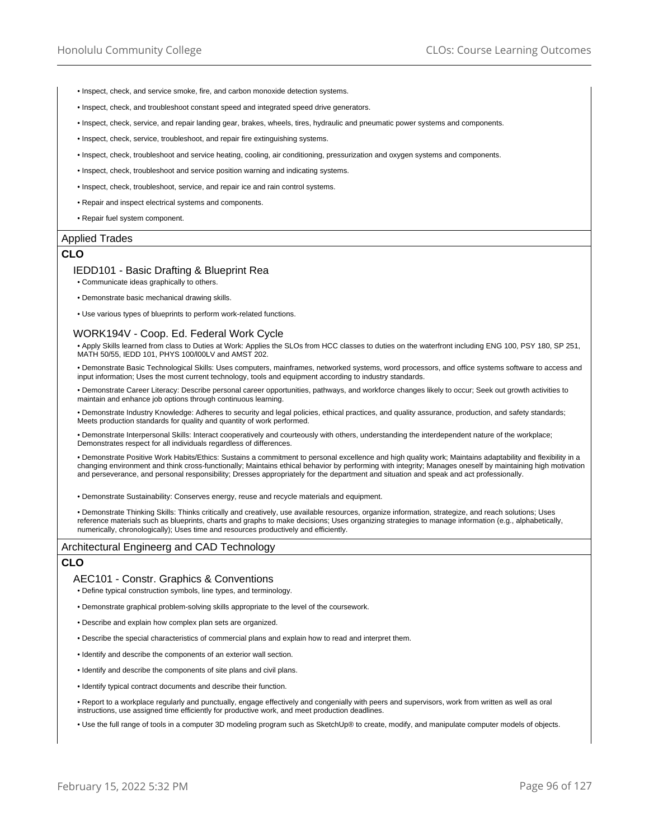- Inspect, check, and service smoke, fire, and carbon monoxide detection systems.
- Inspect, check, and troubleshoot constant speed and integrated speed drive generators.
- Inspect, check, service, and repair landing gear, brakes, wheels, tires, hydraulic and pneumatic power systems and components.
- Inspect, check, service, troubleshoot, and repair fire extinguishing systems.
- Inspect, check, troubleshoot and service heating, cooling, air conditioning, pressurization and oxygen systems and components.
- Inspect, check, troubleshoot and service position warning and indicating systems.
- Inspect, check, troubleshoot, service, and repair ice and rain control systems.
- Repair and inspect electrical systems and components.
- Repair fuel system component.

### Applied Trades

## **CLO**

#### IEDD101 - Basic Drafting & Blueprint Rea

- Communicate ideas graphically to others.
- Demonstrate basic mechanical drawing skills.
- Use various types of blueprints to perform work-related functions.

#### WORK194V - Coop. Ed. Federal Work Cycle

• Apply Skills learned from class to Duties at Work: Applies the SLOs from HCC classes to duties on the waterfront including ENG 100, PSY 180, SP 251, MATH 50/55, IEDD 101, PHYS 100/l00LV and AMST 202.

• Demonstrate Basic Technological Skills: Uses computers, mainframes, networked systems, word processors, and office systems software to access and input information; Uses the most current technology, tools and equipment according to industry standards.

• Demonstrate Career Literacy: Describe personal career opportunities, pathways, and workforce changes likely to occur; Seek out growth activities to maintain and enhance job options through continuous learning.

• Demonstrate Industry Knowledge: Adheres to security and legal policies, ethical practices, and quality assurance, production, and safety standards; Meets production standards for quality and quantity of work performed.

• Demonstrate Interpersonal Skills: Interact cooperatively and courteously with others, understanding the interdependent nature of the workplace; Demonstrates respect for all individuals regardless of differences.

• Demonstrate Positive Work Habits/Ethics: Sustains a commitment to personal excellence and high quality work; Maintains adaptability and flexibility in a changing environment and think cross-functionally; Maintains ethical behavior by performing with integrity; Manages oneself by maintaining high motivation and perseverance, and personal responsibility; Dresses appropriately for the department and situation and speak and act professionally.

• Demonstrate Sustainability: Conserves energy, reuse and recycle materials and equipment.

• Demonstrate Thinking Skills: Thinks critically and creatively, use available resources, organize information, strategize, and reach solutions; Uses reference materials such as blueprints, charts and graphs to make decisions; Uses organizing strategies to manage information (e.g., alphabetically, numerically, chronologically); Uses time and resources productively and efficiently.

### Architectural Engineerg and CAD Technology

### **CLO**

### AEC101 - Constr. Graphics & Conventions

• Define typical construction symbols, line types, and terminology.

• Demonstrate graphical problem-solving skills appropriate to the level of the coursework.

- Describe and explain how complex plan sets are organized.
- Describe the special characteristics of commercial plans and explain how to read and interpret them.
- Identify and describe the components of an exterior wall section.
- Identify and describe the components of site plans and civil plans.

• Identify typical contract documents and describe their function.

• Report to a workplace regularly and punctually, engage effectively and congenially with peers and supervisors, work from written as well as oral instructions, use assigned time efficiently for productive work, and meet production deadlines.

• Use the full range of tools in a computer 3D modeling program such as SketchUp® to create, modify, and manipulate computer models of objects.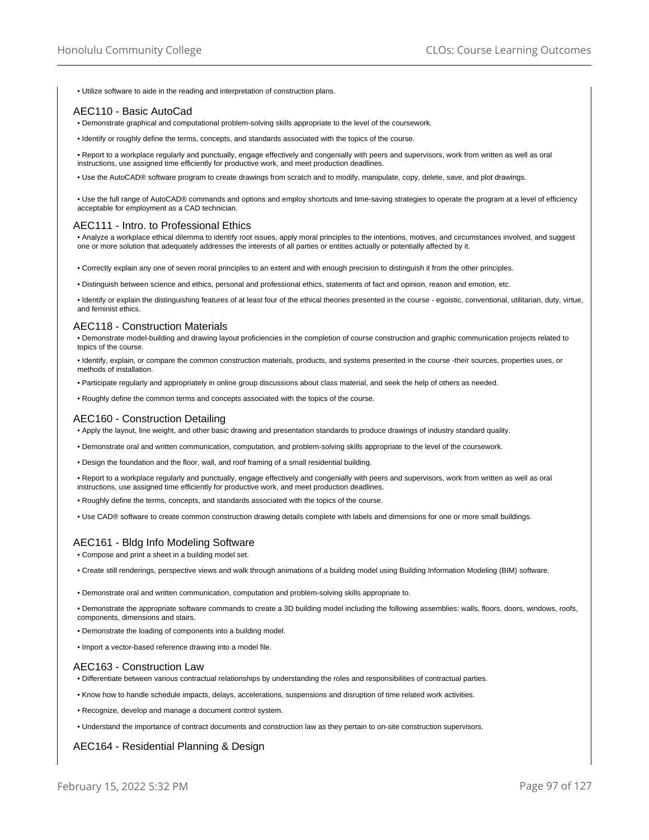• Utilize software to aide in the reading and interpretation of construction plans.

## AEC110 - Basic AutoCad

- Demonstrate graphical and computational problem-solving skills appropriate to the level of the coursework.
- Identify or roughly define the terms, concepts, and standards associated with the topics of the course.

• Report to a workplace regularly and punctually, engage effectively and congenially with peers and supervisors, work from written as well as oral instructions, use assigned time efficiently for productive work, and meet production deadlines.

• Use the AutoCAD® software program to create drawings from scratch and to modify, manipulate, copy, delete, save, and plot drawings.

• Use the full range of AutoCAD® commands and options and employ shortcuts and time-saving strategies to operate the program at a level of efficiency acceptable for employment as a CAD technician.

#### AEC111 - Intro. to Professional Ethics

• Analyze a workplace ethical dilemma to identify root issues, apply moral principles to the intentions, motives, and circumstances involved, and suggest one or more solution that adequately addresses the interests of all parties or entities actually or potentially affected by it.

• Correctly explain any one of seven moral principles to an extent and with enough precision to distinguish it from the other principles.

• Distinguish between science and ethics, personal and professional ethics, statements of fact and opinion, reason and emotion, etc.

• Identify or explain the distinguishing features of at least four of the ethical theories presented in the course - egoistic, conventional, utilitarian, duty, virtue, and feminist ethics.

## AEC118 - Construction Materials

• Demonstrate model-building and drawing layout proficiencies in the completion of course construction and graphic communication projects related to topics of the course.

• Identify, explain, or compare the common construction materials, products, and systems presented in the course -their sources, properties uses, or methods of installation.

• Participate regularly and appropriately in online group discussions about class material, and seek the help of others as needed.

• Roughly define the common terms and concepts associated with the topics of the course.

#### AEC160 - Construction Detailing

• Apply the layout, line weight, and other basic drawing and presentation standards to produce drawings of industry standard quality.

• Demonstrate oral and written communication, computation, and problem-solving skills appropriate to the level of the coursework.

• Design the foundation and the floor, wall, and roof framing of a small residential building.

• Report to a workplace regularly and punctually, engage effectively and congenially with peers and supervisors, work from written as well as oral instructions, use assigned time efficiently for productive work, and meet production deadlines.

• Roughly define the terms, concepts, and standards associated with the topics of the course.

• Use CAD® software to create common construction drawing details complete with labels and dimensions for one or more small buildings.

## AEC161 - Bldg Info Modeling Software

• Compose and print a sheet in a building model set.

• Create still renderings, perspective views and walk through animations of a building model using Building Information Modeling (BIM) software.

• Demonstrate oral and written communication, computation and problem-solving skills appropriate to.

• Demonstrate the appropriate software commands to create a 3D building model including the following assemblies: walls, floors, doors, windows, roofs, components, dimensions and stairs.

- Demonstrate the loading of components into a building model.
- Import a vector-based reference drawing into a model file.

#### AEC163 - Construction Law

• Differentiate between various contractual relationships by understanding the roles and responsibilities of contractual parties.

- Know how to handle schedule impacts, delays, accelerations, suspensions and disruption of time related work activities.
- Recognize, develop and manage a document control system.
- Understand the importance of contract documents and construction law as they pertain to on-site construction supervisors.

## AEC164 - Residential Planning & Design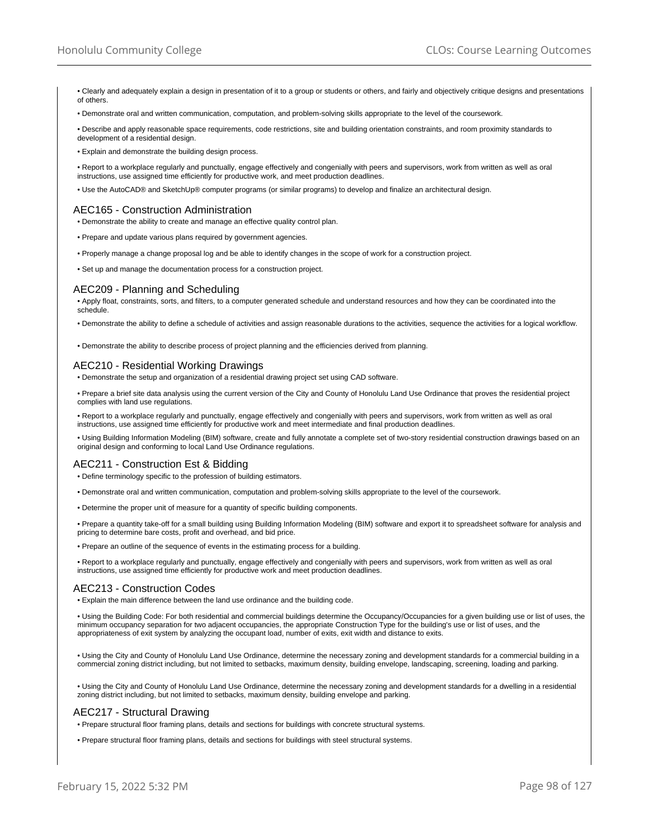- Clearly and adequately explain a design in presentation of it to a group or students or others, and fairly and objectively critique designs and presentations of others.
- Demonstrate oral and written communication, computation, and problem-solving skills appropriate to the level of the coursework.
- Describe and apply reasonable space requirements, code restrictions, site and building orientation constraints, and room proximity standards to development of a residential design.
- Explain and demonstrate the building design process.
- Report to a workplace regularly and punctually, engage effectively and congenially with peers and supervisors, work from written as well as oral instructions, use assigned time efficiently for productive work, and meet production deadlines.
- Use the AutoCAD® and SketchUp® computer programs (or similar programs) to develop and finalize an architectural design.

#### AEC165 - Construction Administration

- Demonstrate the ability to create and manage an effective quality control plan.
- Prepare and update various plans required by government agencies.
- Properly manage a change proposal log and be able to identify changes in the scope of work for a construction project.
- Set up and manage the documentation process for a construction project.

### AEC209 - Planning and Scheduling

• Apply float, constraints, sorts, and filters, to a computer generated schedule and understand resources and how they can be coordinated into the schedule.

- Demonstrate the ability to define a schedule of activities and assign reasonable durations to the activities, sequence the activities for a logical workflow.
- Demonstrate the ability to describe process of project planning and the efficiencies derived from planning.

#### AEC210 - Residential Working Drawings

• Demonstrate the setup and organization of a residential drawing project set using CAD software.

• Prepare a brief site data analysis using the current version of the City and County of Honolulu Land Use Ordinance that proves the residential project complies with land use regulations.

• Report to a workplace regularly and punctually, engage effectively and congenially with peers and supervisors, work from written as well as oral instructions, use assigned time efficiently for productive work and meet intermediate and final production deadlines.

• Using Building Information Modeling (BIM) software, create and fully annotate a complete set of two-story residential construction drawings based on an original design and conforming to local Land Use Ordinance regulations.

## AEC211 - Construction Est & Bidding

• Define terminology specific to the profession of building estimators.

- Demonstrate oral and written communication, computation and problem-solving skills appropriate to the level of the coursework.
- Determine the proper unit of measure for a quantity of specific building components.

• Prepare a quantity take-off for a small building using Building Information Modeling (BIM) software and export it to spreadsheet software for analysis and pricing to determine bare costs, profit and overhead, and bid price.

• Prepare an outline of the sequence of events in the estimating process for a building.

• Report to a workplace regularly and punctually, engage effectively and congenially with peers and supervisors, work from written as well as oral instructions, use assigned time efficiently for productive work and meet production deadlines.

## AEC213 - Construction Codes

• Explain the main difference between the land use ordinance and the building code.

• Using the Building Code: For both residential and commercial buildings determine the Occupancy/Occupancies for a given building use or list of uses, the minimum occupancy separation for two adjacent occupancies, the appropriate Construction Type for the building's use or list of uses, and the appropriateness of exit system by analyzing the occupant load, number of exits, exit width and distance to exits.

• Using the City and County of Honolulu Land Use Ordinance, determine the necessary zoning and development standards for a commercial building in a commercial zoning district including, but not limited to setbacks, maximum density, building envelope, landscaping, screening, loading and parking.

• Using the City and County of Honolulu Land Use Ordinance, determine the necessary zoning and development standards for a dwelling in a residential zoning district including, but not limited to setbacks, maximum density, building envelope and parking.

## AEC217 - Structural Drawing

• Prepare structural floor framing plans, details and sections for buildings with concrete structural systems.

• Prepare structural floor framing plans, details and sections for buildings with steel structural systems.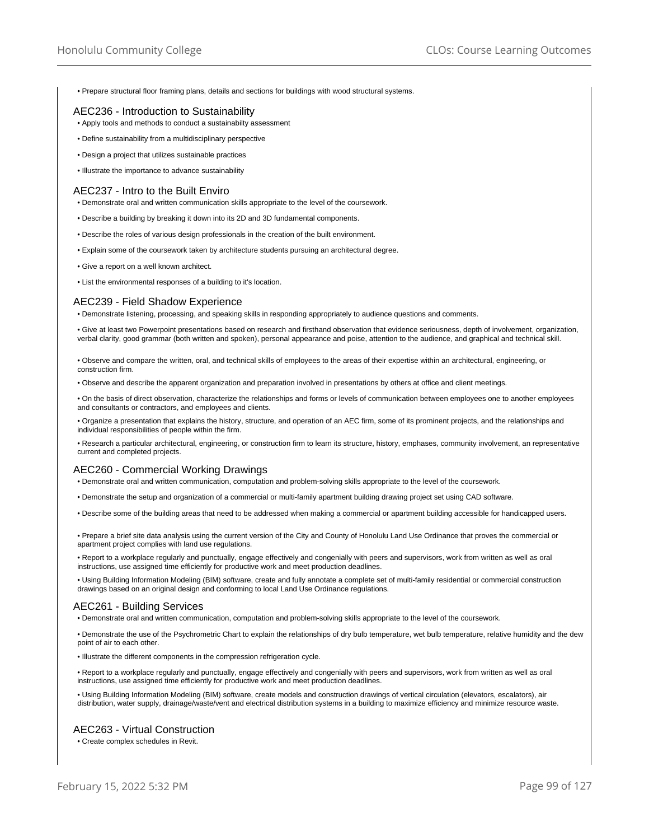• Prepare structural floor framing plans, details and sections for buildings with wood structural systems.

## AEC236 - Introduction to Sustainability

- Apply tools and methods to conduct a sustainabilty assessment
- Define sustainability from a multidisciplinary perspective
- Design a project that utilizes sustainable practices
- Illustrate the importance to advance sustainability

#### AEC237 - Intro to the Built Enviro

- Demonstrate oral and written communication skills appropriate to the level of the coursework.
- Describe a building by breaking it down into its 2D and 3D fundamental components.
- Describe the roles of various design professionals in the creation of the built environment.
- Explain some of the coursework taken by architecture students pursuing an architectural degree.
- Give a report on a well known architect.
- List the environmental responses of a building to it's location.

#### AEC239 - Field Shadow Experience

• Demonstrate listening, processing, and speaking skills in responding appropriately to audience questions and comments.

• Give at least two Powerpoint presentations based on research and firsthand observation that evidence seriousness, depth of involvement, organization, verbal clarity, good grammar (both written and spoken), personal appearance and poise, attention to the audience, and graphical and technical skill.

• Observe and compare the written, oral, and technical skills of employees to the areas of their expertise within an architectural, engineering, or construction firm.

• Observe and describe the apparent organization and preparation involved in presentations by others at office and client meetings.

• On the basis of direct observation, characterize the relationships and forms or levels of communication between employees one to another employees and consultants or contractors, and employees and clients.

• Organize a presentation that explains the history, structure, and operation of an AEC firm, some of its prominent projects, and the relationships and individual responsibilities of people within the firm.

• Research a particular architectural, engineering, or construction firm to learn its structure, history, emphases, community involvement, an representative current and completed projects.

### AEC260 - Commercial Working Drawings

• Demonstrate oral and written communication, computation and problem-solving skills appropriate to the level of the coursework.

- Demonstrate the setup and organization of a commercial or multi-family apartment building drawing project set using CAD software.
- Describe some of the building areas that need to be addressed when making a commercial or apartment building accessible for handicapped users.
- Prepare a brief site data analysis using the current version of the City and County of Honolulu Land Use Ordinance that proves the commercial or apartment project complies with land use regulations.

• Report to a workplace regularly and punctually, engage effectively and congenially with peers and supervisors, work from written as well as oral instructions, use assigned time efficiently for productive work and meet production deadlines.

• Using Building Information Modeling (BIM) software, create and fully annotate a complete set of multi-family residential or commercial construction drawings based on an original design and conforming to local Land Use Ordinance regulations.

## AEC261 - Building Services

• Demonstrate oral and written communication, computation and problem-solving skills appropriate to the level of the coursework.

• Demonstrate the use of the Psychrometric Chart to explain the relationships of dry bulb temperature, wet bulb temperature, relative humidity and the dew point of air to each other.

• Illustrate the different components in the compression refrigeration cycle.

- Report to a workplace regularly and punctually, engage effectively and congenially with peers and supervisors, work from written as well as oral instructions, use assigned time efficiently for productive work and meet production deadlines.
- Using Building Information Modeling (BIM) software, create models and construction drawings of vertical circulation (elevators, escalators), air distribution, water supply, drainage/waste/vent and electrical distribution systems in a building to maximize efficiency and minimize resource waste.

### AEC263 - Virtual Construction

• Create complex schedules in Revit.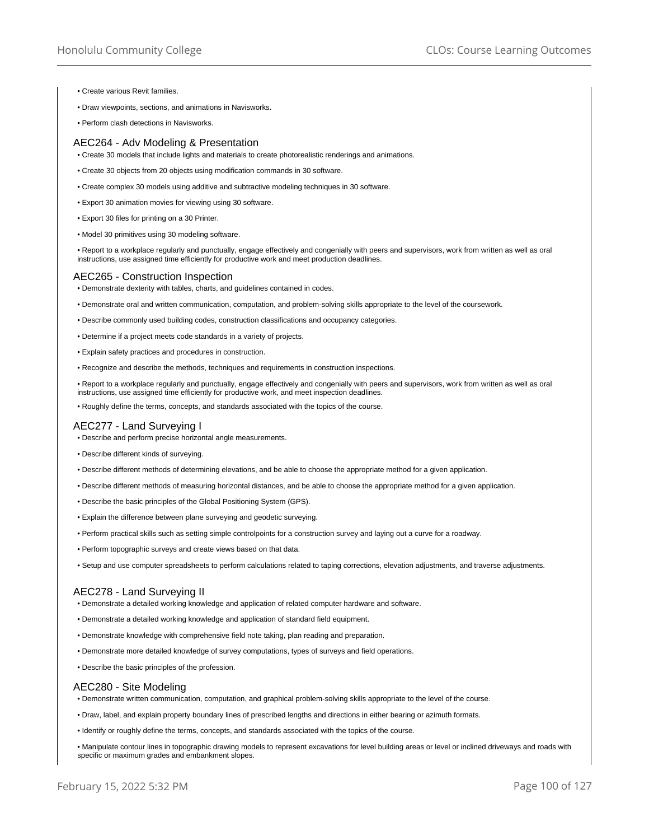- Create various Revit families.
- Draw viewpoints, sections, and animations in Navisworks.
- Perform clash detections in Navisworks.

#### AEC264 - Adv Modeling & Presentation

• Create 30 models that include lights and materials to create photorealistic renderings and animations.

- Create 30 objects from 20 objects using modification commands in 30 software.
- Create complex 30 models using additive and subtractive modeling techniques in 30 software.
- Export 30 animation movies for viewing using 30 software.
- Export 30 files for printing on a 30 Printer.
- Model 30 primitives using 30 modeling software.

• Report to a workplace regularly and punctually, engage effectively and congenially with peers and supervisors, work from written as well as oral instructions, use assigned time efficiently for productive work and meet production deadlines.

#### AEC265 - Construction Inspection

- Demonstrate dexterity with tables, charts, and guidelines contained in codes.
- Demonstrate oral and written communication, computation, and problem-solving skills appropriate to the level of the coursework.
- Describe commonly used building codes, construction classifications and occupancy categories.
- Determine if a project meets code standards in a variety of projects.
- Explain safety practices and procedures in construction.
- Recognize and describe the methods, techniques and requirements in construction inspections.

• Report to a workplace regularly and punctually, engage effectively and congenially with peers and supervisors, work from written as well as oral instructions, use assigned time efficiently for productive work, and meet inspection deadlines.

• Roughly define the terms, concepts, and standards associated with the topics of the course.

## AEC277 - Land Surveying I

- Describe and perform precise horizontal angle measurements.
- Describe different kinds of surveying.
- Describe different methods of determining elevations, and be able to choose the appropriate method for a given application.
- Describe different methods of measuring horizontal distances, and be able to choose the appropriate method for a given application.
- Describe the basic principles of the Global Positioning System (GPS).
- Explain the difference between plane surveying and geodetic surveying.
- Perform practical skills such as setting simple controlpoints for a construction survey and laying out a curve for a roadway.
- Perform topographic surveys and create views based on that data.
- Setup and use computer spreadsheets to perform calculations related to taping corrections, elevation adjustments, and traverse adjustments.

### AEC278 - Land Surveying II

- Demonstrate a detailed working knowledge and application of related computer hardware and software.
- Demonstrate a detailed working knowledge and application of standard field equipment.
- Demonstrate knowledge with comprehensive field note taking, plan reading and preparation.
- Demonstrate more detailed knowledge of survey computations, types of surveys and field operations.
- Describe the basic principles of the profession.

### AEC280 - Site Modeling

- Demonstrate written communication, computation, and graphical problem-solving skills appropriate to the level of the course.
- Draw, label, and explain property boundary lines of prescribed lengths and directions in either bearing or azimuth formats.
- Identify or roughly define the terms, concepts, and standards associated with the topics of the course.
- Manipulate contour lines in topographic drawing models to represent excavations for level building areas or level or inclined driveways and roads with specific or maximum grades and embankment slopes.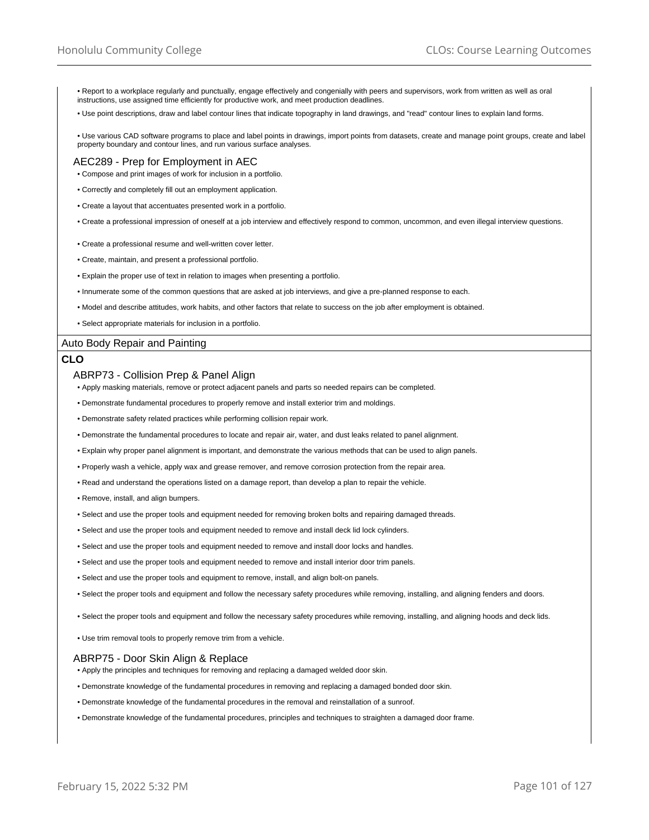• Report to a workplace regularly and punctually, engage effectively and congenially with peers and supervisors, work from written as well as oral instructions, use assigned time efficiently for productive work, and meet production deadlines.

• Use point descriptions, draw and label contour lines that indicate topography in land drawings, and "read" contour lines to explain land forms.

• Use various CAD software programs to place and label points in drawings, import points from datasets, create and manage point groups, create and label property boundary and contour lines, and run various surface analyses.

### AEC289 - Prep for Employment in AEC

• Compose and print images of work for inclusion in a portfolio.

- Correctly and completely fill out an employment application.
- Create a layout that accentuates presented work in a portfolio.
- Create a professional impression of oneself at a job interview and effectively respond to common, uncommon, and even illegal interview questions.
- Create a professional resume and well-written cover letter.
- Create, maintain, and present a professional portfolio.
- Explain the proper use of text in relation to images when presenting a portfolio.
- Innumerate some of the common questions that are asked at job interviews, and give a pre-planned response to each.
- Model and describe attitudes, work habits, and other factors that relate to success on the job after employment is obtained.
- Select appropriate materials for inclusion in a portfolio.

## Auto Body Repair and Painting

#### **CLO**

#### ABRP73 - Collision Prep & Panel Align

- Apply masking materials, remove or protect adjacent panels and parts so needed repairs can be completed.
- Demonstrate fundamental procedures to properly remove and install exterior trim and moldings.
- Demonstrate safety related practices while performing collision repair work.
- Demonstrate the fundamental procedures to locate and repair air, water, and dust leaks related to panel alignment.
- Explain why proper panel alignment is important, and demonstrate the various methods that can be used to align panels.
- Properly wash a vehicle, apply wax and grease remover, and remove corrosion protection from the repair area.
- Read and understand the operations listed on a damage report, than develop a plan to repair the vehicle.
- Remove, install, and align bumpers.
- Select and use the proper tools and equipment needed for removing broken bolts and repairing damaged threads.
- Select and use the proper tools and equipment needed to remove and install deck lid lock cylinders.
- Select and use the proper tools and equipment needed to remove and install door locks and handles.
- Select and use the proper tools and equipment needed to remove and install interior door trim panels.
- Select and use the proper tools and equipment to remove, install, and align bolt-on panels.
- Select the proper tools and equipment and follow the necessary safety procedures while removing, installing, and aligning fenders and doors.
- Select the proper tools and equipment and follow the necessary safety procedures while removing, installing, and aligning hoods and deck lids.
- Use trim removal tools to properly remove trim from a vehicle.

### ABRP75 - Door Skin Align & Replace

- Apply the principles and techniques for removing and replacing a damaged welded door skin.
- Demonstrate knowledge of the fundamental procedures in removing and replacing a damaged bonded door skin.
- Demonstrate knowledge of the fundamental procedures in the removal and reinstallation of a sunroof.
- Demonstrate knowledge of the fundamental procedures, principles and techniques to straighten a damaged door frame.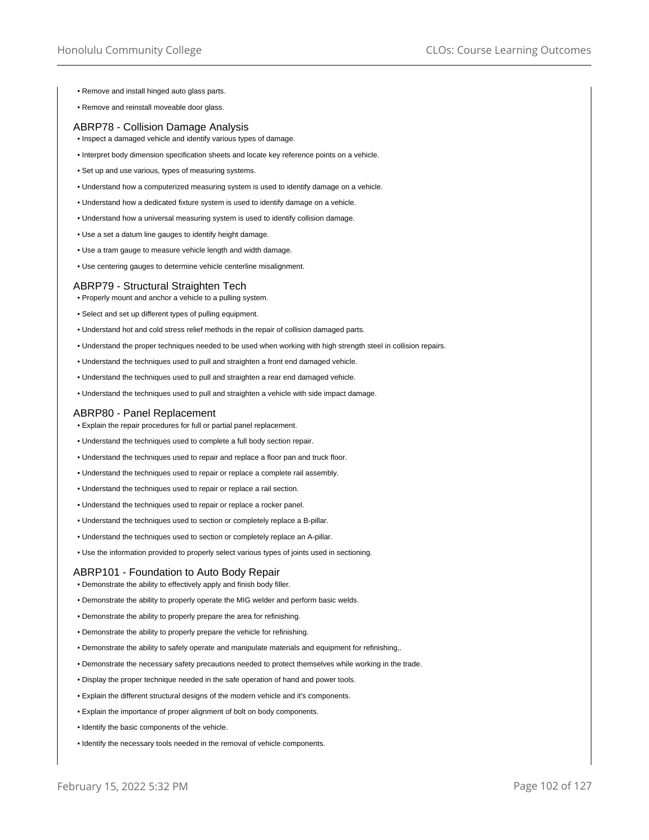- Remove and install hinged auto glass parts.
- Remove and reinstall moveable door glass.

#### ABRP78 - Collision Damage Analysis

- Inspect a damaged vehicle and identify various types of damage.
- Interpret body dimension specification sheets and locate key reference points on a vehicle.
- Set up and use various, types of measuring systems.
- Understand how a computerized measuring system is used to identify damage on a vehicle.
- Understand how a dedicated fixture system is used to identify damage on a vehicle.
- Understand how a universal measuring system is used to identify collision damage.
- Use a set a datum line gauges to identify height damage.
- Use a tram gauge to measure vehicle length and width damage.
- Use centering gauges to determine vehicle centerline misalignment.

### ABRP79 - Structural Straighten Tech

- Properly mount and anchor a vehicle to a pulling system.
- Select and set up different types of pulling equipment.
- Understand hot and cold stress relief methods in the repair of collision damaged parts.
- Understand the proper techniques needed to be used when working with high strength steel in collision repairs.
- Understand the techniques used to pull and straighten a front end damaged vehicle.
- Understand the techniques used to pull and straighten a rear end damaged vehicle.
- Understand the techniques used to pull and straighten a vehicle with side impact damage.

### ABRP80 - Panel Replacement

- Explain the repair procedures for full or partial panel replacement.
- Understand the techniques used to complete a full body section repair.
- Understand the techniques used to repair and replace a floor pan and truck floor.
- Understand the techniques used to repair or replace a complete rail assembly.
- Understand the techniques used to repair or replace a rail section.
- Understand the techniques used to repair or replace a rocker panel.
- Understand the techniques used to section or completely replace a B-pillar.
- Understand the techniques used to section or completely replace an A-pillar.
- Use the information provided to properly select various types of joints used in sectioning.

### ABRP101 - Foundation to Auto Body Repair

- Demonstrate the ability to effectively apply and finish body filler.
- Demonstrate the ability to properly operate the MIG welder and perform basic welds.
- Demonstrate the ability to properly prepare the area for refinishing.
- Demonstrate the ability to properly prepare the vehicle for refinishing.
- Demonstrate the ability to safely operate and manipulate materials and equipment for refinishing,.
- Demonstrate the necessary safety precautions needed to protect themselves while working in the trade.
- Display the proper technique needed in the safe operation of hand and power tools.
- Explain the different structural designs of the modern vehicle and it's components.
- Explain the importance of proper alignment of bolt on body components.
- Identify the basic components of the vehicle.
- Identify the necessary tools needed in the removal of vehicle components.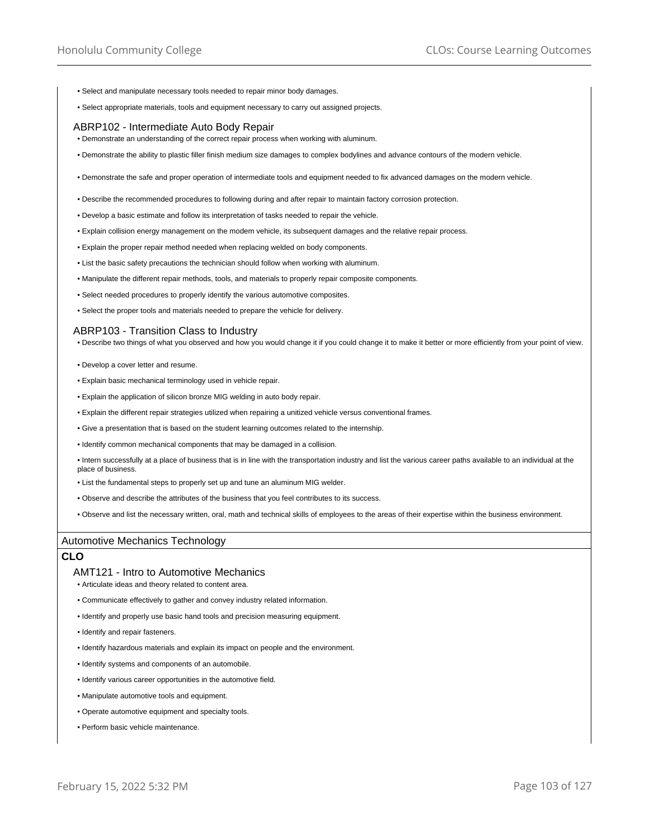- Select and manipulate necessary tools needed to repair minor body damages.
- Select appropriate materials, tools and equipment necessary to carry out assigned projects.

## ABRP102 - Intermediate Auto Body Repair

- Demonstrate an understanding of the correct repair process when working with aluminum.
- Demonstrate the ability to plastic filler finish medium size damages to complex bodylines and advance contours of the modern vehicle.
- Demonstrate the safe and proper operation of intermediate tools and equipment needed to fix advanced damages on the modern vehicle.
- Describe the recommended procedures to following during and after repair to maintain factory corrosion protection.
- Develop a basic estimate and follow its interpretation of tasks needed to repair the vehicle.
- Explain collision energy management on the modem vehicle, its subsequent damages and the relative repair process.
- Explain the proper repair method needed when replacing welded on body components.
- List the basic safety precautions the technician should follow when working with aluminum.
- Manipulate the different repair methods, tools, and materials to properly repair composite components.
- Select needed procedures to properly identify the various automotive composites.
- Select the proper tools and materials needed to prepare the vehicle for delivery.

#### ABRP103 - Transition Class to Industry

• Describe two things of what you observed and how you would change it if you could change it to make it better or more efficiently from your point of view.

- Develop a cover letter and resume.
- Explain basic mechanical terminology used in vehicle repair.
- Explain the application of silicon bronze MIG welding in auto body repair.
- Explain the different repair strategies utilized when repairing a unitized vehicle versus conventional frames.
- Give a presentation that is based on the student learning outcomes related to the internship.
- Identify common mechanical components that may be damaged in a collision.

• Intern successfully at a place of business that is in line with the transportation industry and list the various career paths available to an individual at the place of business.

- List the fundamental steps to properly set up and tune an aluminum MIG welder.
- Observe and describe the attributes of the business that you feel contributes to its success.
- Observe and list the necessary written, oral, math and technical skills of employees to the areas of their expertise within the business environment.

### Automotive Mechanics Technology

# **CLO**

#### AMT121 - Intro to Automotive Mechanics

- Articulate ideas and theory related to content area.
- Communicate effectively to gather and convey industry related information.
- Identify and properly use basic hand tools and precision measuring equipment.
- Identify and repair fasteners.
- Identify hazardous materials and explain its impact on people and the environment.
- Identify systems and components of an automobile.
- Identify various career opportunities in the automotive field.
- Manipulate automotive tools and equipment.
- Operate automotive equipment and specialty tools.
- Perform basic vehicle maintenance.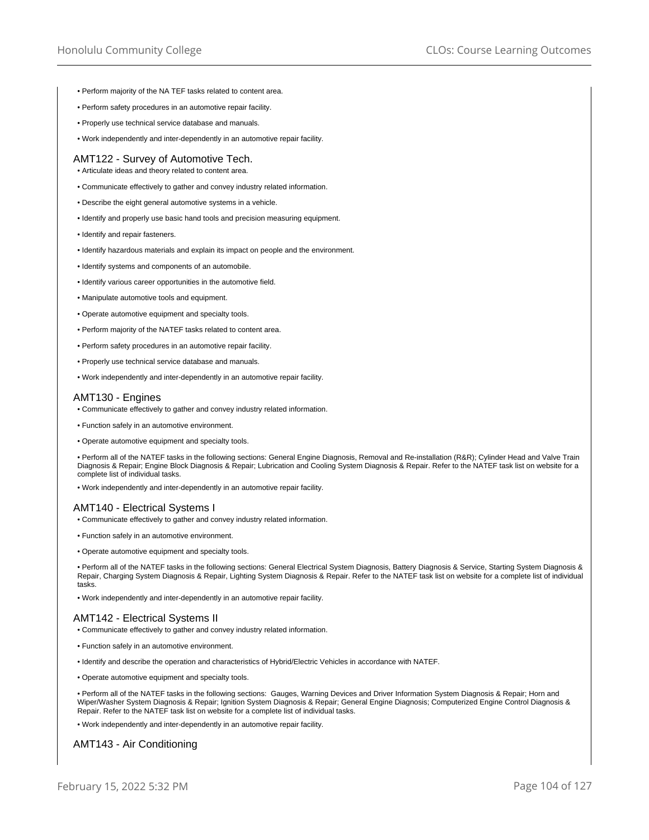- Perform majority of the NA TEF tasks related to content area.
- Perform safety procedures in an automotive repair facility.
- Properly use technical service database and manuals.
- Work independently and inter-dependently in an automotive repair facility.

### AMT122 - Survey of Automotive Tech.

- Articulate ideas and theory related to content area.
- Communicate effectively to gather and convey industry related information.
- Describe the eight general automotive systems in a vehicle.
- Identify and properly use basic hand tools and precision measuring equipment.
- Identify and repair fasteners.
- Identify hazardous materials and explain its impact on people and the environment.
- Identify systems and components of an automobile.
- Identify various career opportunities in the automotive field.
- Manipulate automotive tools and equipment.
- Operate automotive equipment and specialty tools.
- Perform majority of the NATEF tasks related to content area.
- Perform safety procedures in an automotive repair facility.
- Properly use technical service database and manuals.
- Work independently and inter-dependently in an automotive repair facility.

#### AMT130 - Engines

- Communicate effectively to gather and convey industry related information.
- Function safely in an automotive environment.
- Operate automotive equipment and specialty tools.

• Perform all of the NATEF tasks in the following sections: General Engine Diagnosis, Removal and Re-installation (R&R); Cylinder Head and Valve Train Diagnosis & Repair; Engine Block Diagnosis & Repair; Lubrication and Cooling System Diagnosis & Repair. Refer to the NATEF task list on website for a complete list of individual tasks.

• Work independently and inter-dependently in an automotive repair facility.

#### AMT140 - Electrical Systems I

- Communicate effectively to gather and convey industry related information.
- Function safely in an automotive environment.
- Operate automotive equipment and specialty tools.

• Perform all of the NATEF tasks in the following sections: General Electrical System Diagnosis, Battery Diagnosis & Service, Starting System Diagnosis & Repair, Charging System Diagnosis & Repair, Lighting System Diagnosis & Repair. Refer to the NATEF task list on website for a complete list of individual tasks.

• Work independently and inter-dependently in an automotive repair facility.

## AMT142 - Electrical Systems II

- Communicate effectively to gather and convey industry related information.
- Function safely in an automotive environment.
- Identify and describe the operation and characteristics of Hybrid/Electric Vehicles in accordance with NATEF.
- Operate automotive equipment and specialty tools.

• Perform all of the NATEF tasks in the following sections: Gauges, Warning Devices and Driver Information System Diagnosis & Repair; Horn and Wiper/Washer System Diagnosis & Repair; Ignition System Diagnosis & Repair; General Engine Diagnosis; Computerized Engine Control Diagnosis & Repair. Refer to the NATEF task list on website for a complete list of individual tasks.

• Work independently and inter-dependently in an automotive repair facility.

AMT143 - Air Conditioning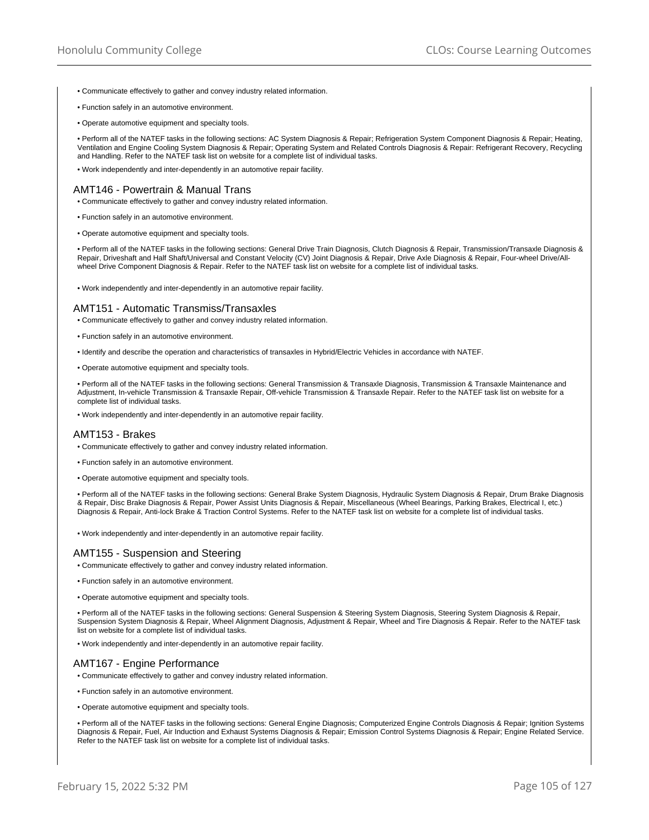- Communicate effectively to gather and convey industry related information.
- Function safely in an automotive environment.
- Operate automotive equipment and specialty tools.

• Perform all of the NATEF tasks in the following sections: AC System Diagnosis & Repair; Refrigeration System Component Diagnosis & Repair; Heating, Ventilation and Engine Cooling System Diagnosis & Repair; Operating System and Related Controls Diagnosis & Repair: Refrigerant Recovery, Recycling and Handling. Refer to the NATEF task list on website for a complete list of individual tasks.

• Work independently and inter-dependently in an automotive repair facility.

## AMT146 - Powertrain & Manual Trans

- Communicate effectively to gather and convey industry related information.
- Function safely in an automotive environment.
- Operate automotive equipment and specialty tools.

• Perform all of the NATEF tasks in the following sections: General Drive Train Diagnosis, Clutch Diagnosis & Repair, Transmission/Transaxle Diagnosis & Repair, Driveshaft and Half Shaft/Universal and Constant Velocity (CV) Joint Diagnosis & Repair, Drive Axle Diagnosis & Repair, Four-wheel Drive/Allwheel Drive Component Diagnosis & Repair. Refer to the NATEF task list on website for a complete list of individual tasks.

• Work independently and inter-dependently in an automotive repair facility.

### AMT151 - Automatic Transmiss/Transaxles

- Communicate effectively to gather and convey industry related information.
- Function safely in an automotive environment.
- Identify and describe the operation and characteristics of transaxles in Hybrid/Electric Vehicles in accordance with NATEF.
- Operate automotive equipment and specialty tools.

• Perform all of the NATEF tasks in the following sections: General Transmission & Transaxle Diagnosis, Transmission & Transaxle Maintenance and Adjustment, In-vehicle Transmission & Transaxle Repair, Off-vehicle Transmission & Transaxle Repair. Refer to the NATEF task list on website for a complete list of individual tasks.

• Work independently and inter-dependently in an automotive repair facility.

### AMT153 - Brakes

- Communicate effectively to gather and convey industry related information.
- Function safely in an automotive environment.
- Operate automotive equipment and specialty tools.

• Perform all of the NATEF tasks in the following sections: General Brake System Diagnosis, Hydraulic System Diagnosis & Repair, Drum Brake Diagnosis & Repair, Disc Brake Diagnosis & Repair, Power Assist Units Diagnosis & Repair, Miscellaneous (Wheel Bearings, Parking Brakes, Electrical I, etc.) Diagnosis & Repair, Anti-lock Brake & Traction Control Systems. Refer to the NATEF task list on website for a complete list of individual tasks.

• Work independently and inter-dependently in an automotive repair facility.

# AMT155 - Suspension and Steering

- Communicate effectively to gather and convey industry related information.
- Function safely in an automotive environment.
- Operate automotive equipment and specialty tools.

• Perform all of the NATEF tasks in the following sections: General Suspension & Steering System Diagnosis, Steering System Diagnosis & Repair, Suspension System Diagnosis & Repair, Wheel Alignment Diagnosis, Adjustment & Repair, Wheel and Tire Diagnosis & Repair. Refer to the NATEF task list on website for a complete list of individual tasks.

• Work independently and inter-dependently in an automotive repair facility.

### AMT167 - Engine Performance

- Communicate effectively to gather and convey industry related information.
- Function safely in an automotive environment.
- Operate automotive equipment and specialty tools.

• Perform all of the NATEF tasks in the following sections: General Engine Diagnosis; Computerized Engine Controls Diagnosis & Repair; Ignition Systems Diagnosis & Repair, Fuel, Air Induction and Exhaust Systems Diagnosis & Repair; Emission Control Systems Diagnosis & Repair; Engine Related Service. Refer to the NATEF task list on website for a complete list of individual tasks.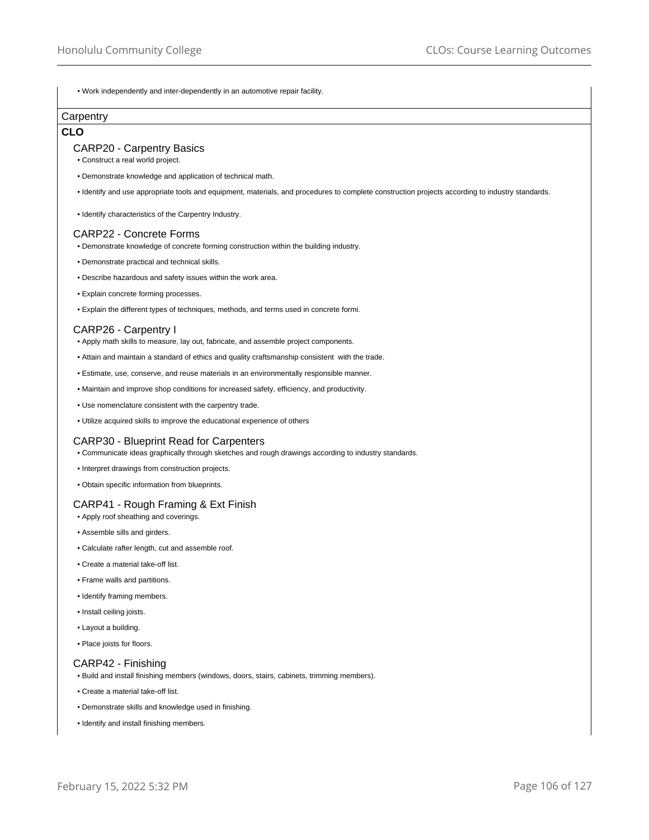• Work independently and inter-dependently in an automotive repair facility.

# **Carpentry**

## **CLO**

### CARP20 - Carpentry Basics

- Construct a real world project.
- Demonstrate knowledge and application of technical math.
- Identify and use appropriate tools and equipment, materials, and procedures to complete construction projects according to industry standards.
- Identify characteristics of the Carpentry Industry.

### CARP22 - Concrete Forms

- Demonstrate knowledge of concrete forming construction within the building industry.
- Demonstrate practical and technical skills.
- Describe hazardous and safety issues within the work area.
- Explain concrete forming processes.
- Explain the different types of techniques, methods, and terms used in concrete formi.

### CARP26 - Carpentry I

- Apply math skills to measure, lay out, fabricate, and assemble project components.
- Attain and maintain a standard of ethics and quality craftsmanship consistent with the trade.
- Estimate, use, conserve, and reuse materials in an environmentally responsible manner.
- Maintain and improve shop conditions for increased safety, efficiency, and productivity.
- Use nomenclature consistent with the carpentry trade.
- Utilize acquired skills to improve the educational experience of others

## CARP30 - Blueprint Read for Carpenters

• Communicate ideas graphically through sketches and rough drawings according to industry standards.

- Interpret drawings from construction projects.
- Obtain specific information from blueprints.

## CARP41 - Rough Framing & Ext Finish

- Apply roof sheathing and coverings.
- Assemble sills and girders.
- Calculate rafter length, cut and assemble roof.
- Create a material take-off list.
- Frame walls and partitions.
- Identify framing members.
- Install ceiling joists.
- Layout a building.
- Place joists for floors.

## CARP42 - Finishing

- Build and install finishing members (windows, doors, stairs, cabinets, trimming members).
- Create a material take-off list.
- Demonstrate skills and knowledge used in finishing.
- Identify and install finishing members.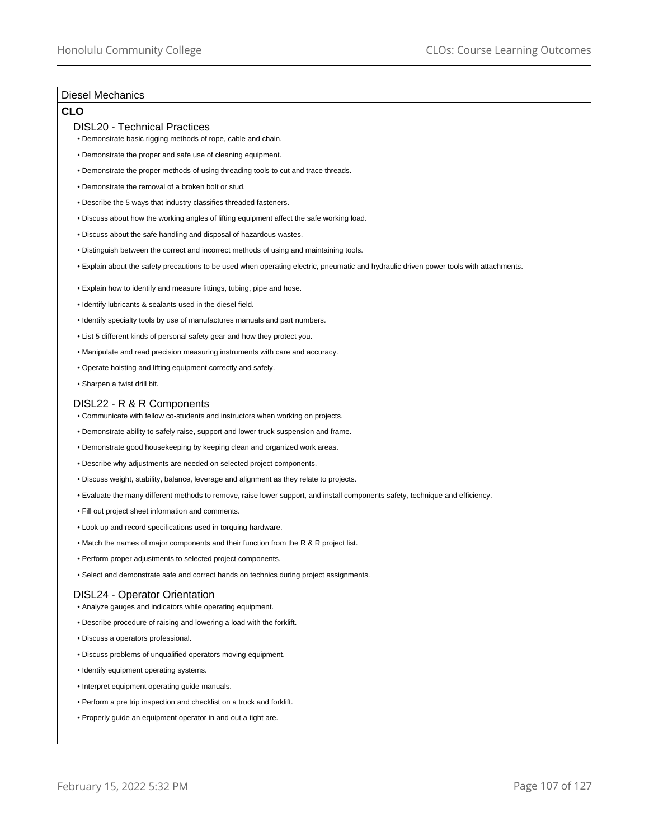# Diesel Mechanics

# **CLO**

### DISL20 - Technical Practices

- Demonstrate basic rigging methods of rope, cable and chain.
- Demonstrate the proper and safe use of cleaning equipment.
- Demonstrate the proper methods of using threading tools to cut and trace threads.
- Demonstrate the removal of a broken bolt or stud.
- Describe the 5 ways that industry classifies threaded fasteners.
- Discuss about how the working angles of lifting equipment affect the safe working load.
- Discuss about the safe handling and disposal of hazardous wastes.
- Distinguish between the correct and incorrect methods of using and maintaining tools.
- Explain about the safety precautions to be used when operating electric, pneumatic and hydraulic driven power tools with attachments.
- Explain how to identify and measure fittings, tubing, pipe and hose.
- Identify lubricants & sealants used in the diesel field.
- Identify specialty tools by use of manufactures manuals and part numbers.
- List 5 different kinds of personal safety gear and how they protect you.
- Manipulate and read precision measuring instruments with care and accuracy.
- Operate hoisting and lifting equipment correctly and safely.
- Sharpen a twist drill bit.

### DISL22 - R & R Components

- Communicate with fellow co-students and instructors when working on projects.
- Demonstrate ability to safely raise, support and lower truck suspension and frame.
- Demonstrate good housekeeping by keeping clean and organized work areas.
- Describe why adjustments are needed on selected project components.
- Discuss weight, stability, balance, leverage and alignment as they relate to projects.
- Evaluate the many different methods to remove, raise lower support, and install components safety, technique and efficiency.
- Fill out project sheet information and comments.
- Look up and record specifications used in torquing hardware.
- Match the names of major components and their function from the R & R project list.
- Perform proper adjustments to selected project components.
- Select and demonstrate safe and correct hands on technics during project assignments.

## DISL24 - Operator Orientation

- Analyze gauges and indicators while operating equipment.
- Describe procedure of raising and lowering a load with the forklift.
- Discuss a operators professional.
- Discuss problems of unqualified operators moving equipment.
- Identify equipment operating systems.
- Interpret equipment operating guide manuals.
- Perform a pre trip inspection and checklist on a truck and forklift.
- Properly guide an equipment operator in and out a tight are.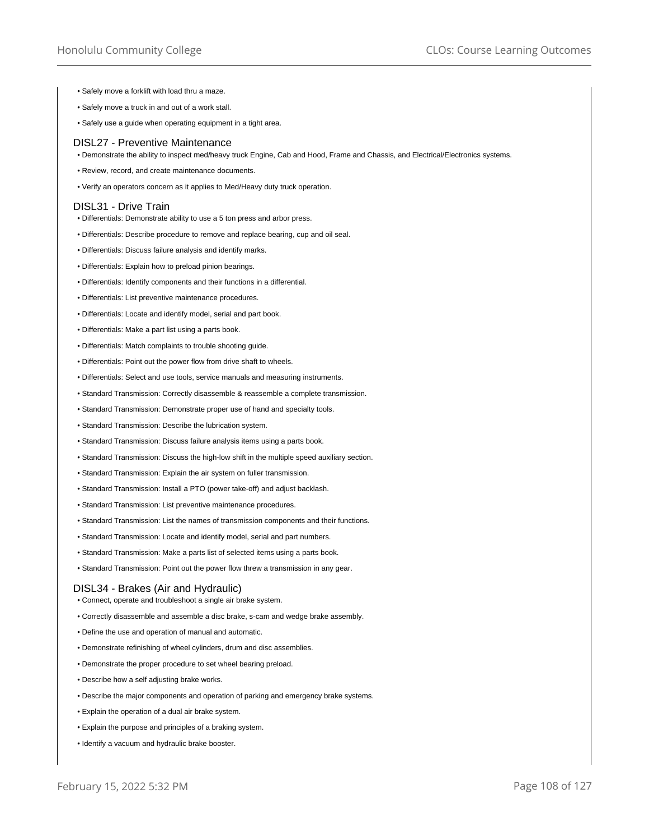- Safely move a forklift with load thru a maze.
- Safely move a truck in and out of a work stall.
- Safely use a guide when operating equipment in a tight area.

#### DISL27 - Preventive Maintenance

• Demonstrate the ability to inspect med/heavy truck Engine, Cab and Hood, Frame and Chassis, and Electrical/Electronics systems.

- Review, record, and create maintenance documents.
- Verify an operators concern as it applies to Med/Heavy duty truck operation.

### DISL31 - Drive Train

- Differentials: Demonstrate ability to use a 5 ton press and arbor press.
- Differentials: Describe procedure to remove and replace bearing, cup and oil seal.
- Differentials: Discuss failure analysis and identify marks.
- Differentials: Explain how to preload pinion bearings.
- Differentials: Identify components and their functions in a differential.
- Differentials: List preventive maintenance procedures.
- Differentials: Locate and identify model, serial and part book.
- Differentials: Make a part list using a parts book.
- Differentials: Match complaints to trouble shooting guide.
- Differentials: Point out the power flow from drive shaft to wheels.
- Differentials: Select and use tools, service manuals and measuring instruments.
- Standard Transmission: Correctly disassemble & reassemble a complete transmission.
- Standard Transmission: Demonstrate proper use of hand and specialty tools.
- Standard Transmission: Describe the lubrication system.
- Standard Transmission: Discuss failure analysis items using a parts book.
- Standard Transmission: Discuss the high-low shift in the multiple speed auxiliary section.
- Standard Transmission: Explain the air system on fuller transmission.
- Standard Transmission: Install a PTO (power take-off) and adjust backlash.
- Standard Transmission: List preventive maintenance procedures.
- Standard Transmission: List the names of transmission components and their functions.
- Standard Transmission: Locate and identify model, serial and part numbers.
- Standard Transmission: Make a parts list of selected items using a parts book.
- Standard Transmission: Point out the power flow threw a transmission in any gear.

## DISL34 - Brakes (Air and Hydraulic)

- Connect, operate and troubleshoot a single air brake system.
- Correctly disassemble and assemble a disc brake, s-cam and wedge brake assembly.
- Define the use and operation of manual and automatic.
- Demonstrate refinishing of wheel cylinders, drum and disc assemblies.
- Demonstrate the proper procedure to set wheel bearing preload.
- Describe how a self adjusting brake works.
- Describe the major components and operation of parking and emergency brake systems.
- Explain the operation of a dual air brake system.
- Explain the purpose and principles of a braking system.
- Identify a vacuum and hydraulic brake booster.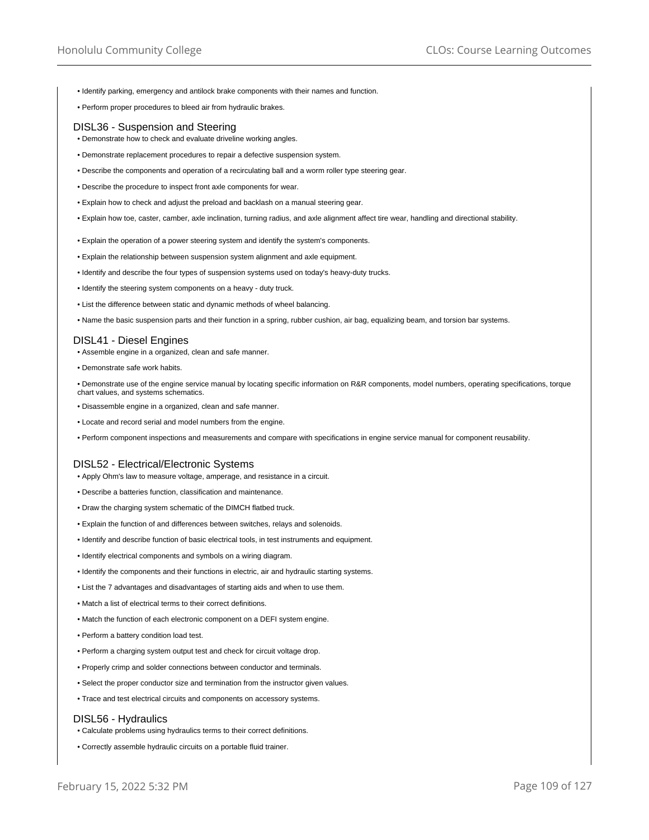- Identify parking, emergency and antilock brake components with their names and function.
- Perform proper procedures to bleed air from hydraulic brakes.

## DISL36 - Suspension and Steering

- Demonstrate how to check and evaluate driveline working angles.
- Demonstrate replacement procedures to repair a defective suspension system.
- Describe the components and operation of a recirculating ball and a worm roller type steering gear.
- Describe the procedure to inspect front axle components for wear.
- Explain how to check and adjust the preload and backlash on a manual steering gear.
- Explain how toe, caster, camber, axle inclination, turning radius, and axle alignment affect tire wear, handling and directional stability.
- Explain the operation of a power steering system and identify the system's components.
- Explain the relationship between suspension system alignment and axle equipment.
- Identify and describe the four types of suspension systems used on today's heavy-duty trucks.
- Identify the steering system components on a heavy duty truck.
- List the difference between static and dynamic methods of wheel balancing.
- Name the basic suspension parts and their function in a spring, rubber cushion, air bag, equalizing beam, and torsion bar systems.

#### DISL41 - Diesel Engines

- Assemble engine in a organized, clean and safe manner.
- Demonstrate safe work habits.

• Demonstrate use of the engine service manual by locating specific information on R&R components, model numbers, operating specifications, torque chart values, and systems schematics.

- Disassemble engine in a organized, clean and safe manner.
- Locate and record serial and model numbers from the engine.
- Perform component inspections and measurements and compare with specifications in engine service manual for component reusability.

## DISL52 - Electrical/Electronic Systems

- Apply Ohm's law to measure voltage, amperage, and resistance in a circuit.
- Describe a batteries function, classification and maintenance.
- Draw the charging system schematic of the DIMCH flatbed truck.
- Explain the function of and differences between switches, relays and solenoids.
- Identify and describe function of basic electrical tools, in test instruments and equipment.
- Identify electrical components and symbols on a wiring diagram.
- Identify the components and their functions in electric, air and hydraulic starting systems.
- List the 7 advantages and disadvantages of starting aids and when to use them.
- Match a list of electrical terms to their correct definitions.
- Match the function of each electronic component on a DEFI system engine.
- Perform a battery condition load test.
- Perform a charging system output test and check for circuit voltage drop.
- Properly crimp and solder connections between conductor and terminals.
- Select the proper conductor size and termination from the instructor given values.
- Trace and test electrical circuits and components on accessory systems.

#### DISL56 - Hydraulics

- Calculate problems using hydraulics terms to their correct definitions.
- Correctly assemble hydraulic circuits on a portable fluid trainer.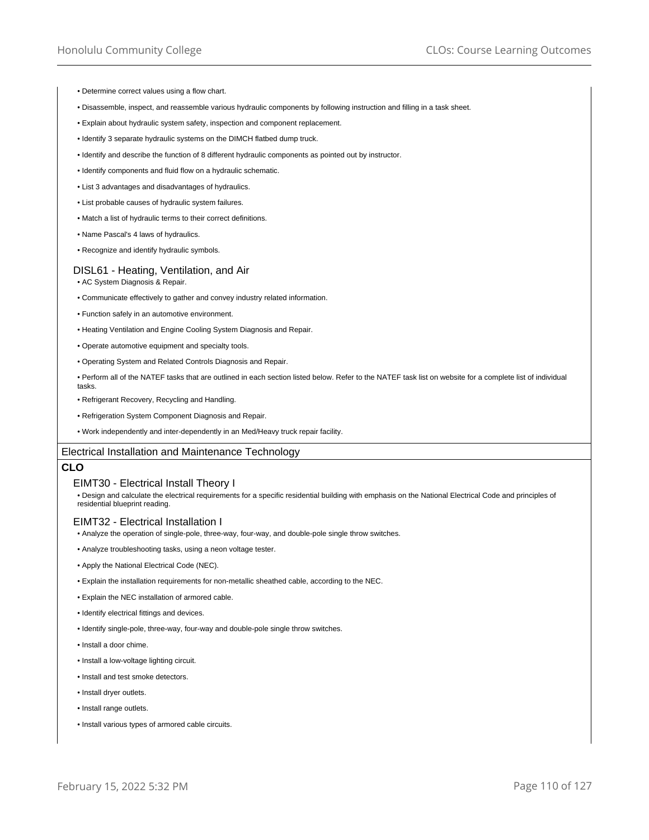- Determine correct values using a flow chart.
- Disassemble, inspect, and reassemble various hydraulic components by following instruction and filling in a task sheet.
- Explain about hydraulic system safety, inspection and component replacement.
- Identify 3 separate hydraulic systems on the DIMCH flatbed dump truck.
- Identify and describe the function of 8 different hydraulic components as pointed out by instructor.
- Identify components and fluid flow on a hydraulic schematic.
- List 3 advantages and disadvantages of hydraulics.
- List probable causes of hydraulic system failures.
- Match a list of hydraulic terms to their correct definitions.
- Name Pascal's 4 laws of hydraulics.
- Recognize and identify hydraulic symbols.

## DISL61 - Heating, Ventilation, and Air

- AC System Diagnosis & Repair.
- Communicate effectively to gather and convey industry related information.
- Function safely in an automotive environment.
- Heating Ventilation and Engine Cooling System Diagnosis and Repair.
- Operate automotive equipment and specialty tools.
- Operating System and Related Controls Diagnosis and Repair.
- Perform all of the NATEF tasks that are outlined in each section listed below. Refer to the NATEF task list on website for a complete list of individual tasks.
- Refrigerant Recovery, Recycling and Handling.
- Refrigeration System Component Diagnosis and Repair.
- Work independently and inter-dependently in an Med/Heavy truck repair facility.

# Electrical Installation and Maintenance Technology

# **CLO**

# EIMT30 - Electrical Install Theory I

• Design and calculate the electrical requirements for a specific residential building with emphasis on the National Electrical Code and principles of residential blueprint reading.

## EIMT32 - Electrical Installation I

- Analyze the operation of single-pole, three-way, four-way, and double-pole single throw switches.
- Analyze troubleshooting tasks, using a neon voltage tester.
- Apply the National Electrical Code (NEC).
- Explain the installation requirements for non-metallic sheathed cable, according to the NEC.
- Explain the NEC installation of armored cable.
- Identify electrical fittings and devices.
- Identify single-pole, three-way, four-way and double-pole single throw switches.
- Install a door chime.
- Install a low-voltage lighting circuit.
- Install and test smoke detectors.
- Install dryer outlets.
- Install range outlets.
- Install various types of armored cable circuits.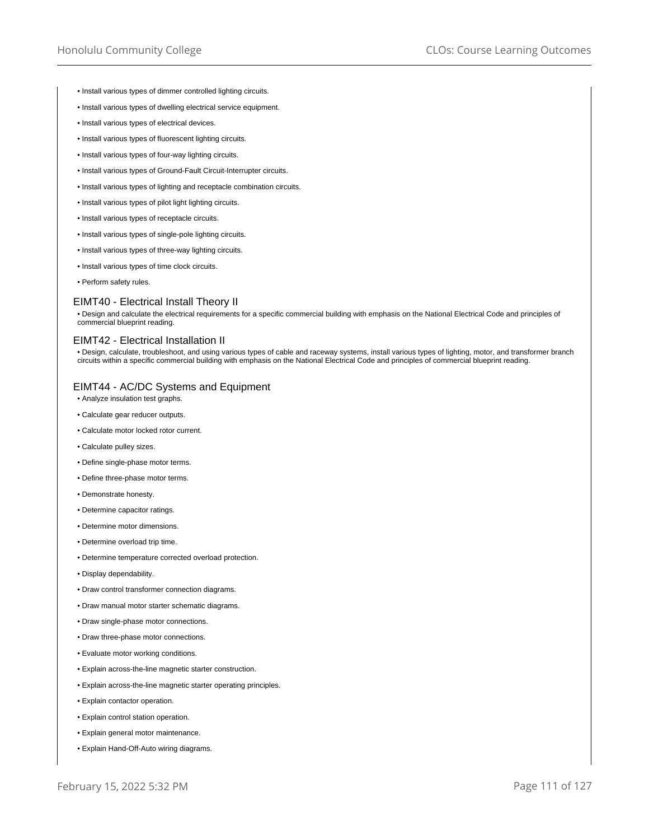- Install various types of dimmer controlled lighting circuits.
- Install various types of dwelling electrical service equipment.
- Install various types of electrical devices.
- Install various types of fluorescent lighting circuits.
- Install various types of four-way lighting circuits.
- Install various types of Ground-Fault Circuit-Interrupter circuits.
- Install various types of lighting and receptacle combination circuits.
- Install various types of pilot light lighting circuits.
- Install various types of receptacle circuits.
- Install various types of single-pole lighting circuits.
- Install various types of three-way lighting circuits.
- Install various types of time clock circuits.
- Perform safety rules.

## EIMT40 - Electrical Install Theory II

• Design and calculate the electrical requirements for a specific commercial building with emphasis on the National Electrical Code and principles of commercial blueprint reading.

## EIMT42 - Electrical Installation II

• Design, calculate, troubleshoot, and using various types of cable and raceway systems, install various types of lighting, motor, and transformer branch circuits within a specific commercial building with emphasis on the National Electrical Code and principles of commercial blueprint reading.

#### EIMT44 - AC/DC Systems and Equipment

- Analyze insulation test graphs.
- Calculate gear reducer outputs.
- Calculate motor locked rotor current.
- Calculate pulley sizes.
- Define single-phase motor terms.
- Define three-phase motor terms.
- Demonstrate honesty.
- Determine capacitor ratings.
- Determine motor dimensions.
- Determine overload trip time.
- Determine temperature corrected overload protection.
- Display dependability.
- Draw control transformer connection diagrams.
- Draw manual motor starter schematic diagrams.
- Draw single-phase motor connections.
- Draw three-phase motor connections.
- Evaluate motor working conditions.
- Explain across-the-line magnetic starter construction.
- Explain across-the-line magnetic starter operating principles.
- Explain contactor operation.
- Explain control station operation.
- Explain general motor maintenance.
- Explain Hand-Off-Auto wiring diagrams.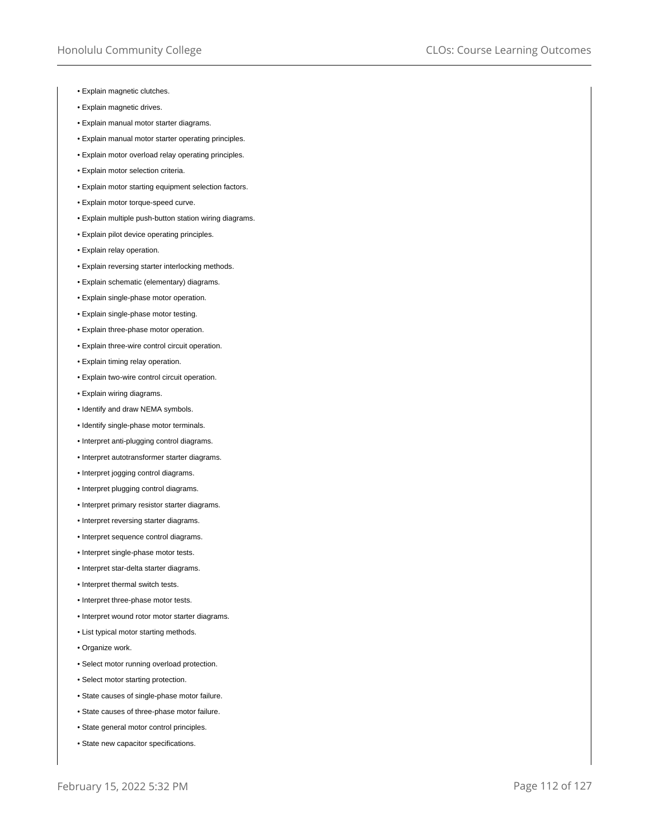- Explain magnetic clutches.
- Explain magnetic drives.
- Explain manual motor starter diagrams.
- Explain manual motor starter operating principles.
- Explain motor overload relay operating principles.
- Explain motor selection criteria.
- Explain motor starting equipment selection factors.
- Explain motor torque-speed curve.
- Explain multiple push-button station wiring diagrams.
- Explain pilot device operating principles.
- Explain relay operation.
- Explain reversing starter interlocking methods.
- Explain schematic (elementary) diagrams.
- Explain single-phase motor operation.
- Explain single-phase motor testing.
- Explain three-phase motor operation.
- Explain three-wire control circuit operation.
- Explain timing relay operation.
- Explain two-wire control circuit operation.
- Explain wiring diagrams.
- Identify and draw NEMA symbols.
- Identify single-phase motor terminals.
- Interpret anti-plugging control diagrams.
- Interpret autotransformer starter diagrams.
- Interpret jogging control diagrams.
- Interpret plugging control diagrams.
- Interpret primary resistor starter diagrams.
- Interpret reversing starter diagrams.
- Interpret sequence control diagrams.
- Interpret single-phase motor tests.
- Interpret star-delta starter diagrams.
- Interpret thermal switch tests.
- Interpret three-phase motor tests.
- Interpret wound rotor motor starter diagrams.
- List typical motor starting methods.
- Organize work.
- Select motor running overload protection.
- Select motor starting protection.
- State causes of single-phase motor failure.
- State causes of three-phase motor failure.
- State general motor control principles.
- State new capacitor specifications.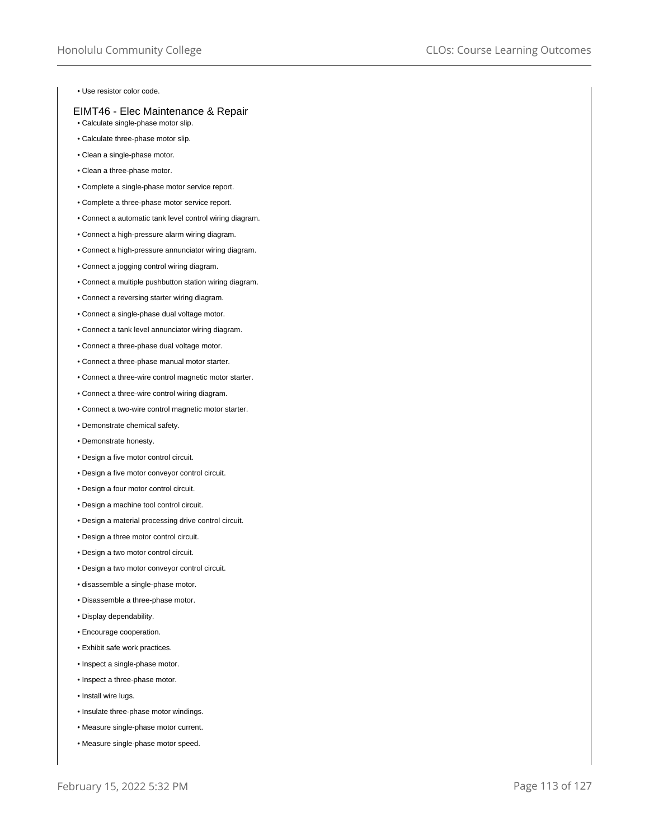• Use resistor color code.

# EIMT46 - Elec Maintenance & Repair

- Calculate single-phase motor slip.
- Calculate three-phase motor slip.
- Clean a single-phase motor.
- Clean a three-phase motor.
- Complete a single-phase motor service report.
- Complete a three-phase motor service report.
- Connect a automatic tank level control wiring diagram.
- Connect a high-pressure alarm wiring diagram.
- Connect a high-pressure annunciator wiring diagram.
- Connect a jogging control wiring diagram.
- Connect a multiple pushbutton station wiring diagram.
- Connect a reversing starter wiring diagram.
- Connect a single-phase dual voltage motor.
- Connect a tank level annunciator wiring diagram.
- Connect a three-phase dual voltage motor.
- Connect a three-phase manual motor starter.
- Connect a three-wire control magnetic motor starter.
- Connect a three-wire control wiring diagram.
- Connect a two-wire control magnetic motor starter.
- Demonstrate chemical safety.
- Demonstrate honesty.
- Design a five motor control circuit.
- Design a five motor conveyor control circuit.
- Design a four motor control circuit.
- Design a machine tool control circuit.
- Design a material processing drive control circuit.
- Design a three motor control circuit.
- Design a two motor control circuit.
- Design a two motor conveyor control circuit.
- disassemble a single-phase motor.
- Disassemble a three-phase motor.
- Display dependability.
- Encourage cooperation.
- Exhibit safe work practices.
- Inspect a single-phase motor.
- Inspect a three-phase motor.
- Install wire lugs.
- Insulate three-phase motor windings.
- Measure single-phase motor current.
- Measure single-phase motor speed.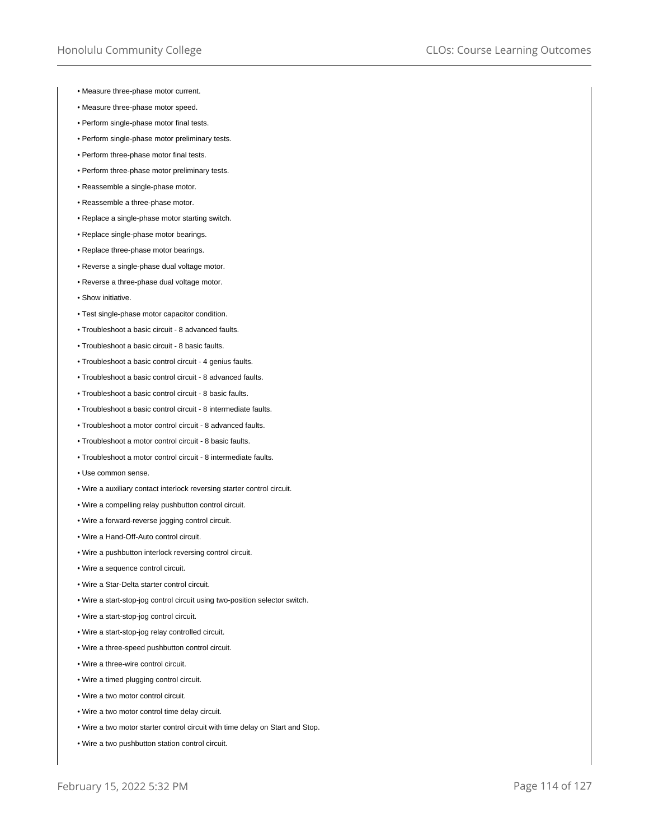- Measure three-phase motor current.
- Measure three-phase motor speed.
- Perform single-phase motor final tests.
- Perform single-phase motor preliminary tests.
- Perform three-phase motor final tests.
- Perform three-phase motor preliminary tests.
- Reassemble a single-phase motor.
- Reassemble a three-phase motor.
- Replace a single-phase motor starting switch.
- Replace single-phase motor bearings.
- Replace three-phase motor bearings.
- Reverse a single-phase dual voltage motor.
- Reverse a three-phase dual voltage motor.
- Show initiative.
- Test single-phase motor capacitor condition.
- Troubleshoot a basic circuit 8 advanced faults.
- Troubleshoot a basic circuit 8 basic faults.
- Troubleshoot a basic control circuit 4 genius faults.
- Troubleshoot a basic control circuit 8 advanced faults.
- Troubleshoot a basic control circuit 8 basic faults.
- Troubleshoot a basic control circuit 8 intermediate faults.
- Troubleshoot a motor control circuit 8 advanced faults.
- Troubleshoot a motor control circuit 8 basic faults.
- Troubleshoot a motor control circuit 8 intermediate faults.
- Use common sense.
- Wire a auxiliary contact interlock reversing starter control circuit.
- Wire a compelling relay pushbutton control circuit.
- Wire a forward-reverse jogging control circuit.
- Wire a Hand-Off-Auto control circuit.
- Wire a pushbutton interlock reversing control circuit.
- Wire a sequence control circuit.
- Wire a Star-Delta starter control circuit.
- Wire a start-stop-jog control circuit using two-position selector switch.
- Wire a start-stop-jog control circuit.
- Wire a start-stop-jog relay controlled circuit.
- Wire a three-speed pushbutton control circuit.
- Wire a three-wire control circuit.
- Wire a timed plugging control circuit.
- Wire a two motor control circuit.
- Wire a two motor control time delay circuit.
- Wire a two motor starter control circuit with time delay on Start and Stop.
- Wire a two pushbutton station control circuit.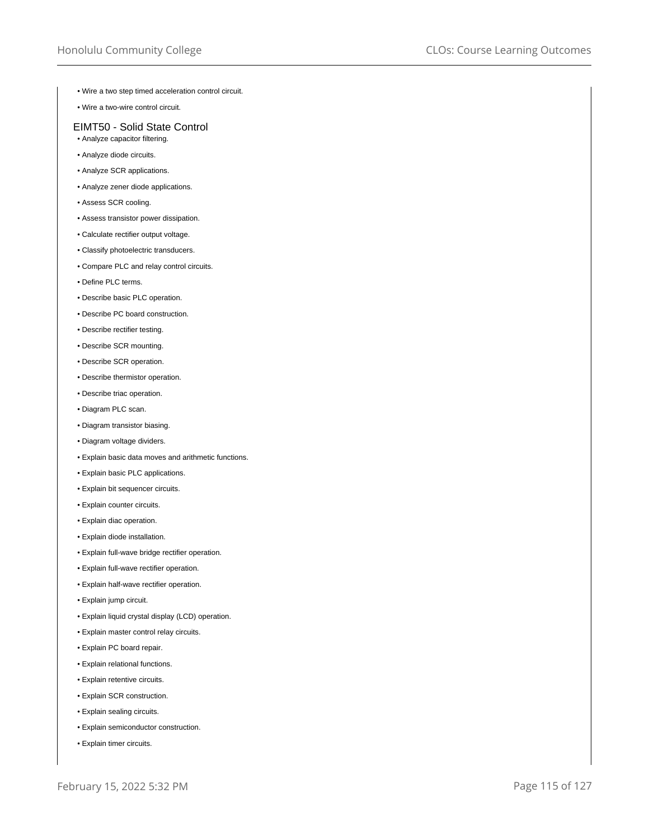- Wire a two step timed acceleration control circuit.
- Wire a two-wire control circuit.

# EIMT50 - Solid State Control

- Analyze capacitor filtering.
- Analyze diode circuits.
- Analyze SCR applications.
- Analyze zener diode applications.
- Assess SCR cooling.
- Assess transistor power dissipation.
- Calculate rectifier output voltage.
- Classify photoelectric transducers.
- Compare PLC and relay control circuits.
- Define PLC terms.
- Describe basic PLC operation.
- Describe PC board construction.
- Describe rectifier testing.
- Describe SCR mounting.
- Describe SCR operation.
- Describe thermistor operation.
- Describe triac operation.
- Diagram PLC scan.
- Diagram transistor biasing.
- Diagram voltage dividers.
- Explain basic data moves and arithmetic functions.
- Explain basic PLC applications.
- Explain bit sequencer circuits.
- Explain counter circuits.
- Explain diac operation.
- Explain diode installation.
- Explain full-wave bridge rectifier operation.
- Explain full-wave rectifier operation.
- Explain half-wave rectifier operation.
- Explain jump circuit.
- Explain liquid crystal display (LCD) operation.
- Explain master control relay circuits.
- Explain PC board repair.
- Explain relational functions.
- Explain retentive circuits.
- Explain SCR construction.
- Explain sealing circuits.
- Explain semiconductor construction.
- Explain timer circuits.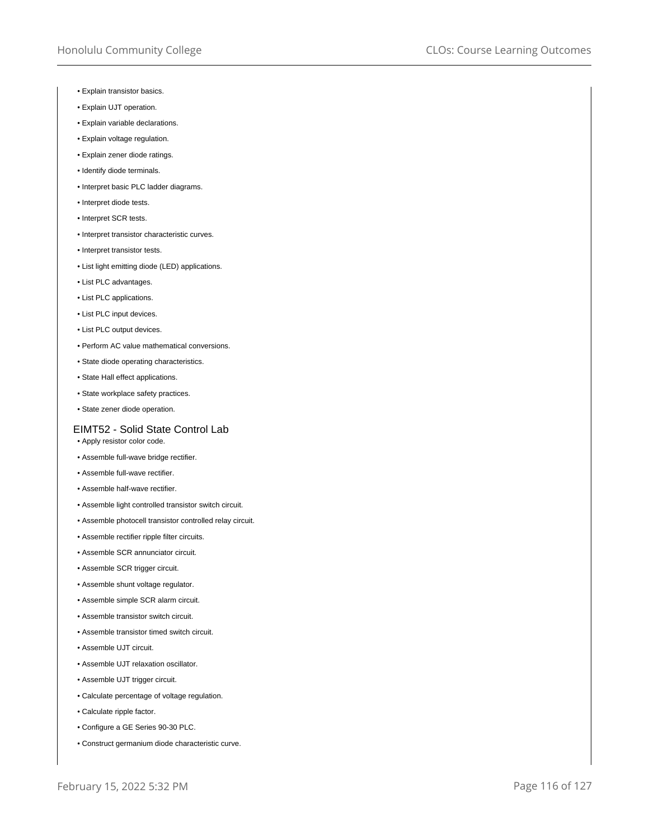- Explain transistor basics.
- Explain UJT operation.
- Explain variable declarations.
- Explain voltage regulation.
- Explain zener diode ratings.
- Identify diode terminals.
- Interpret basic PLC ladder diagrams.
- Interpret diode tests.
- Interpret SCR tests.
- Interpret transistor characteristic curves.
- Interpret transistor tests.
- List light emitting diode (LED) applications.
- List PLC advantages.
- List PLC applications.
- List PLC input devices.
- List PLC output devices.
- Perform AC value mathematical conversions.
- State diode operating characteristics.
- State Hall effect applications.
- State workplace safety practices.
- State zener diode operation.

# EIMT52 - Solid State Control Lab

- Apply resistor color code.
- Assemble full-wave bridge rectifier.
- Assemble full-wave rectifier.
- Assemble half-wave rectifier.
- Assemble light controlled transistor switch circuit.
- Assemble photocell transistor controlled relay circuit.
- Assemble rectifier ripple filter circuits.
- Assemble SCR annunciator circuit.
- Assemble SCR trigger circuit.
- Assemble shunt voltage regulator.
- Assemble simple SCR alarm circuit.
- Assemble transistor switch circuit.
- Assemble transistor timed switch circuit.
- Assemble UJT circuit.
- Assemble UJT relaxation oscillator.
- Assemble UJT trigger circuit.
- Calculate percentage of voltage regulation.
- Calculate ripple factor.
- Configure a GE Series 90-30 PLC.
- Construct germanium diode characteristic curve.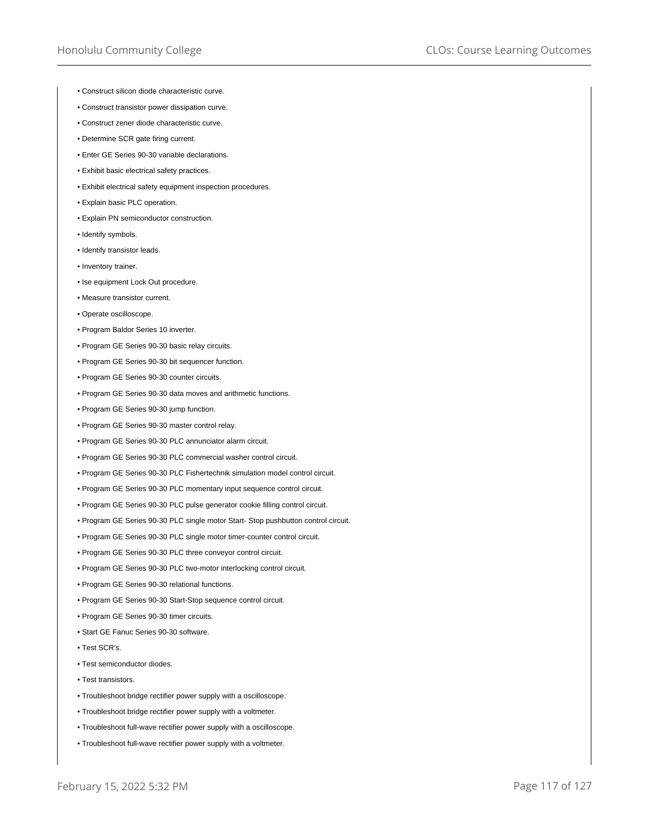- Construct silicon diode characteristic curve.
- Construct transistor power dissipation curve.
- Construct zener diode characteristic curve.
- Determine SCR gate firing current.
- Enter GE Series 90-30 variable declarations.
- Exhibit basic electrical safety practices.
- Exhibit electrical safety equipment inspection procedures.
- Explain basic PLC operation.
- Explain PN semiconductor construction.
- Identify symbols.
- Identify transistor leads.
- Inventory trainer.
- Ise equipment Lock Out procedure.
- Measure transistor current.
- Operate oscilloscope.
- Program Baldor Series 10 inverter.
- Program GE Series 90-30 basic relay circuits.
- Program GE Series 90-30 bit sequencer function.
- Program GE Series 90-30 counter circuits.
- Program GE Series 90-30 data moves and arithmetic functions.
- Program GE Series 90-30 jump function.
- Program GE Series 90-30 master control relay.
- Program GE Series 90-30 PLC annunciator alarm circuit.
- Program GE Series 90-30 PLC commercial washer control circuit.
- Program GE Series 90-30 PLC Fishertechnik simulation model control circuit.
- Program GE Series 90-30 PLC momentary input sequence control circuit.
- Program GE Series 90-30 PLC pulse generator cookie filling control circuit.
- Program GE Series 90-30 PLC single motor Start- Stop pushbutton control circuit.
- Program GE Series 90-30 PLC single motor timer-counter control circuit.
- Program GE Series 90-30 PLC three conveyor control circuit.
- Program GE Series 90-30 PLC two-motor interlocking control circuit.
- Program GE Series 90-30 relational functions.
- Program GE Series 90-30 Start-Stop sequence control circuit.
- Program GE Series 90-30 timer circuits.
- Start GE Fanuc Series 90-30 software.
- Test SCR's.
- Test semiconductor diodes.
- Test transistors.
- Troubleshoot bridge rectifier power supply with a oscilloscope.
- Troubleshoot bridge rectifier power supply with a voltmeter.
- Troubleshoot full-wave rectifier power supply with a oscilloscope.
- Troubleshoot full-wave rectifier power supply with a voltmeter.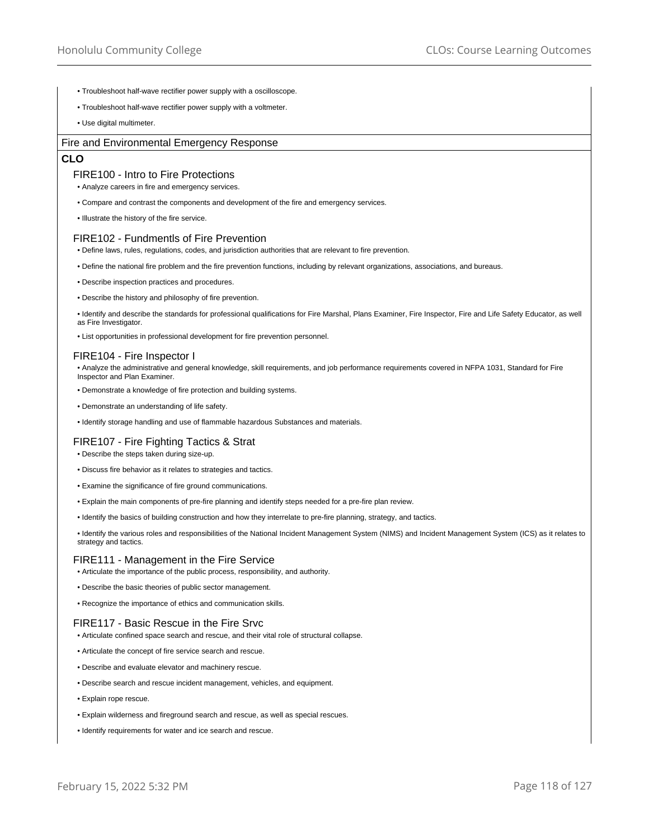- Troubleshoot half-wave rectifier power supply with a oscilloscope.
- Troubleshoot half-wave rectifier power supply with a voltmeter.
- Use digital multimeter.

# Fire and Environmental Emergency Response

# **CLO**

# FIRE100 - Intro to Fire Protections

• Analyze careers in fire and emergency services.

- Compare and contrast the components and development of the fire and emergency services.
- Illustrate the history of the fire service.

# FIRE102 - Fundmentls of Fire Prevention

- Define laws, rules, regulations, codes, and jurisdiction authorities that are relevant to fire prevention.
- Define the national fire problem and the fire prevention functions, including by relevant organizations, associations, and bureaus.
- Describe inspection practices and procedures.
- Describe the history and philosophy of fire prevention.

• Identify and describe the standards for professional qualifications for Fire Marshal, Plans Examiner, Fire Inspector, Fire and Life Safety Educator, as well as Fire Investigator.

• List opportunities in professional development for fire prevention personnel.

# FIRE104 - Fire Inspector I

• Analyze the administrative and general knowledge, skill requirements, and job performance requirements covered in NFPA 1031, Standard for Fire Inspector and Plan Examiner.

- Demonstrate a knowledge of fire protection and building systems.
- Demonstrate an understanding of life safety.
- Identify storage handling and use of flammable hazardous Substances and materials.

# FIRE107 - Fire Fighting Tactics & Strat

- Describe the steps taken during size-up.
- Discuss fire behavior as it relates to strategies and tactics.
- Examine the significance of fire ground communications.
- Explain the main components of pre-fire planning and identify steps needed for a pre-fire plan review.
- Identify the basics of building construction and how they interrelate to pre-fire planning, strategy, and tactics.

• Identify the various roles and responsibilities of the National Incident Management System (NIMS) and Incident Management System (ICS) as it relates to strategy and tactics.

#### FIRE111 - Management in the Fire Service

• Articulate the importance of the public process, responsibility, and authority.

- Describe the basic theories of public sector management.
- Recognize the importance of ethics and communication skills.

# FIRE117 - Basic Rescue in the Fire Srvc

- Articulate confined space search and rescue, and their vital role of structural collapse.
- Articulate the concept of fire service search and rescue.
- Describe and evaluate elevator and machinery rescue.
- Describe search and rescue incident management, vehicles, and equipment.
- Explain rope rescue.
- Explain wilderness and fireground search and rescue, as well as special rescues.
- Identify requirements for water and ice search and rescue.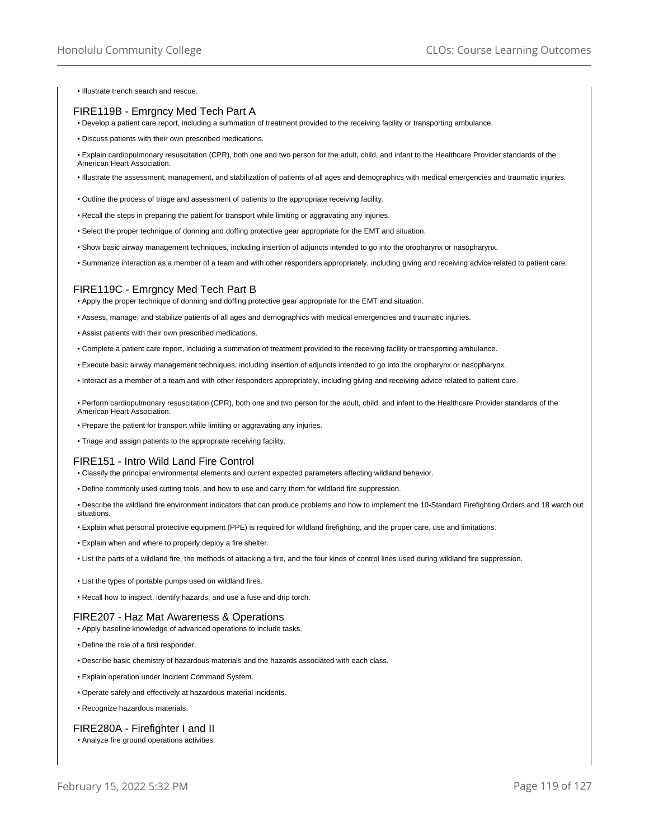• Illustrate trench search and rescue.

# FIRE119B - Emrgncy Med Tech Part A

- Develop a patient care report, including a summation of treatment provided to the receiving facility or transporting ambulance.
- Discuss patients with their own prescribed medications.

• Explain cardiopulmonary resuscitation (CPR), both one and two person for the adult, child, and infant to the Healthcare Provider standards of the American Heart Association.

- Illustrate the assessment, management, and stabilization of patients of all ages and demographics with medical emergencies and traumatic injuries.
- Outline the process of triage and assessment of patients to the appropriate receiving facility.
- Recall the steps in preparing the patient for transport while limiting or aggravating any injuries.
- Select the proper technique of donning and doffing protective gear appropriate for the EMT and situation.
- Show basic airway management techniques, including insertion of adjuncts intended to go into the oropharynx or nasopharynx.
- Summarize interaction as a member of a team and with other responders appropriately, including giving and receiving advice related to patient care.

# FIRE119C - Emrgncy Med Tech Part B

• Apply the proper technique of donning and doffing protective gear appropriate for the EMT and situation.

- Assess, manage, and stabilize patients of all ages and demographics with medical emergencies and traumatic injuries.
- Assist patients with their own prescribed medications.
- Complete a patient care report, including a summation of treatment provided to the receiving facility or transporting ambulance.
- Execute basic airway management techniques, including insertion of adjuncts intended to go into the oropharynx or nasopharynx.
- Interact as a member of a team and with other responders appropriately, including giving and receiving advice related to patient care.

• Perform cardiopulmonary resuscitation (CPR), both one and two person for the adult, child, and infant to the Healthcare Provider standards of the American Heart Association.

- Prepare the patient for transport while limiting or aggravating any injuries.
- Triage and assign patients to the appropriate receiving facility.

# FIRE151 - Intro Wild Land Fire Control

- Classify the principal environmental elements and current expected parameters affecting wildland behavior.
- Define commonly used cutting tools, and how to use and carry them for wildland fire suppression.

• Describe the wildland fire environment indicators that can produce problems and how to implement the 10-Standard Firefighting Orders and 18 watch out situations.

- Explain what personal protective equipment (PPE) is required for wildland firefighting, and the proper care, use and limitations.
- Explain when and where to properly deploy a fire shelter.
- List the parts of a wildland fire, the methods of attacking a fire, and the four kinds of control lines used during wildland fire suppression.
- List the types of portable pumps used on wildland fires.
- Recall how to inspect, identify hazards, and use a fuse and drip torch.

## FIRE207 - Haz Mat Awareness & Operations

- Apply baseline knowledge of advanced operations to include tasks.
- Define the role of a first responder.
- Describe basic chemistry of hazardous materials and the hazards associated with each class.
- Explain operation under Incident Command System.
- Operate safely and effectively at hazardous material incidents.
- Recognize hazardous materials.

# FIRE280A - Firefighter I and II

• Analyze fire ground operations activities.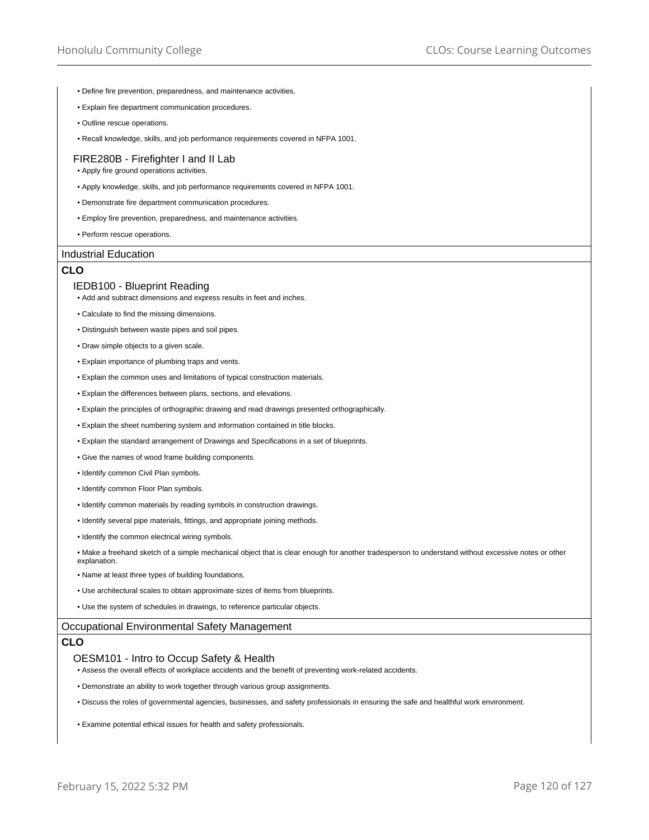- Define fire prevention, preparedness, and maintenance activities.
- Explain fire department communication procedures.
- Outline rescue operations.
- Recall knowledge, skills, and job performance requirements covered in NFPA 1001.

# FIRE280B - Firefighter I and II Lab

- Apply fire ground operations activities.
- Apply knowledge, skills, and job performance requirements covered in NFPA 1001.
- Demonstrate fire department communication procedures.
- Employ fire prevention, preparedness, and maintenance activities.
- Perform rescue operations.

## Industrial Education

# **CLO**

# IEDB100 - Blueprint Reading

- Add and subtract dimensions and express results in feet and inches.
- Calculate to find the missing dimensions.
- Distinguish between waste pipes and soil pipes.
- Draw simple objects to a given scale.
- Explain importance of plumbing traps and vents.
- Explain the common uses and limitations of typical construction materials.
- Explain the differences between plans, sections, and elevations.
- Explain the principles of orthographic drawing and read drawings presented orthographically.
- Explain the sheet numbering system and information contained in title blocks.
- Explain the standard arrangement of Drawings and Specifications in a set of blueprints.
- Give the names of wood frame building components.
- Identify common Civil Plan symbols.
- Identify common Floor Plan symbols.
- Identify common materials by reading symbols in construction drawings.
- Identify several pipe materials, fittings, and appropriate joining methods.
- Identify the common electrical wiring symbols.
- Make a freehand sketch of a simple mechanical object that is clear enough for another tradesperson to understand without excessive notes or other explanation.
- Name at least three types of building foundations.
- Use architectural scales to obtain approximate sizes of items from blueprints.
- Use the system of schedules in drawings, to reference particular objects.

## Occupational Environmental Safety Management

# **CLO**

# OESM101 - Intro to Occup Safety & Health

- Assess the overall effects of workplace accidents and the benefit of preventing work-related accidents.
- Demonstrate an ability to work together through various group assignments.
- Discuss the roles of governmental agencies, businesses, and safety professionals in ensuring the safe and healthful work environment.
- Examine potential ethical issues for health and safety professionals.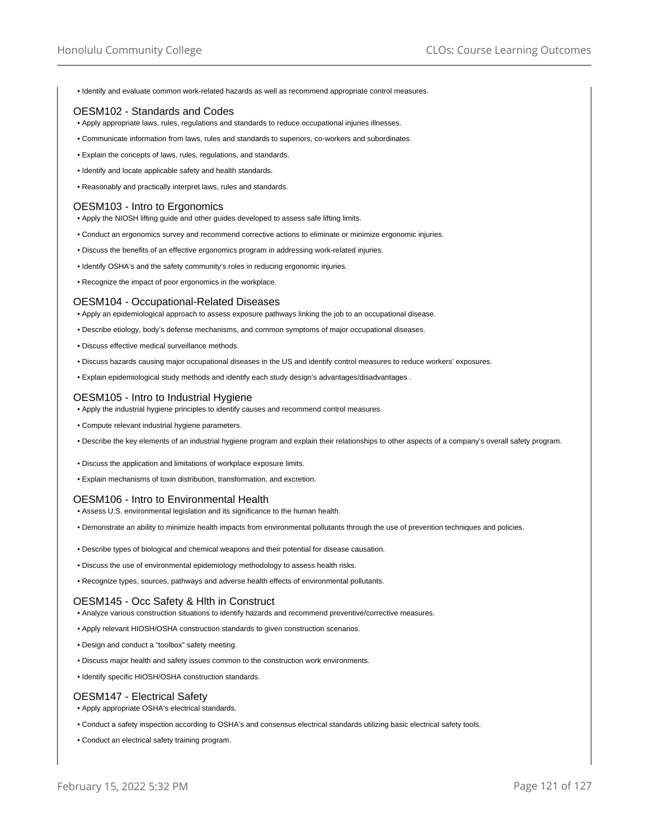• Identify and evaluate common work-related hazards as well as recommend appropriate control measures.

# OESM102 - Standards and Codes

- Apply appropriate laws, rules, regulations and standards to reduce occupational injuries illnesses.
- Communicate information from laws, rules and standards to superiors, co-workers and subordinates.
- Explain the concepts of laws, rules, regulations, and standards.
- Identify and locate applicable safety and health standards.
- Reasonably and practically interpret laws, rules and standards.

# OESM103 - Intro to Ergonomics

- Apply the NIOSH lifting guide and other guides developed to assess safe lifting limits.
- Conduct an ergonomics survey and recommend corrective actions to eliminate or minimize ergonomic injuries.
- Discuss the benefits of an effective ergonomics program in addressing work-related injuries.
- Identify OSHA's and the safety community's roles in reducing ergonomic injuries.
- Recognize the impact of poor ergonomics in the workplace.

## OESM104 - Occupational-Related Diseases

- Apply an epidemiological approach to assess exposure pathways linking the job to an occupational disease.
- Describe etiology, body's defense mechanisms, and common symptoms of major occupational diseases.
- Discuss effective medical surveillance methods.
- Discuss hazards causing major occupational diseases in the US and identify control measures to reduce workers' exposures.
- Explain epidemiological study methods and identify each study design's advantages/disadvantages .

# OESM105 - Intro to Industrial Hygiene

- Apply the industrial hygiene principles to identify causes and recommend control measures.
- Compute relevant industrial hygiene parameters.
- Describe the key elements of an industrial hygiene program and explain their relationships to other aspects of a company's overall safety program.
- Discuss the application and limitations of workplace exposure limits.
- Explain mechanisms of toxin distribution, transformation, and excretion.

# OESM106 - Intro to Environmental Health

- Assess U.S. environmental legislation and its significance to the human health.
- Demonstrate an ability to minimize health impacts from environmental pollutants through the use of prevention techniques and policies.
- Describe types of biological and chemical weapons and their potential for disease causation.
- Discuss the use of environmental epidemiology methodology to assess health risks.
- Recognize types, sources, pathways and adverse health effects of environmental pollutants.

# OESM145 - Occ Safety & Hlth in Construct

- Analyze various construction situations to identify hazards and recommend preventive/corrective measures.
- Apply relevant HIOSH/OSHA construction standards to given construction scenarios.
- Design and conduct a "toolbox" safety meeting.
- Discuss major health and safety issues common to the construction work environments.
- Identify specific HIOSH/OSHA construction standards.

# OESM147 - Electrical Safety

- Apply appropriate OSHA's electrical standards.
- Conduct a safety inspection according to OSHA's and consensus electrical standards utilizing basic electrical safety tools.
- Conduct an electrical safety training program.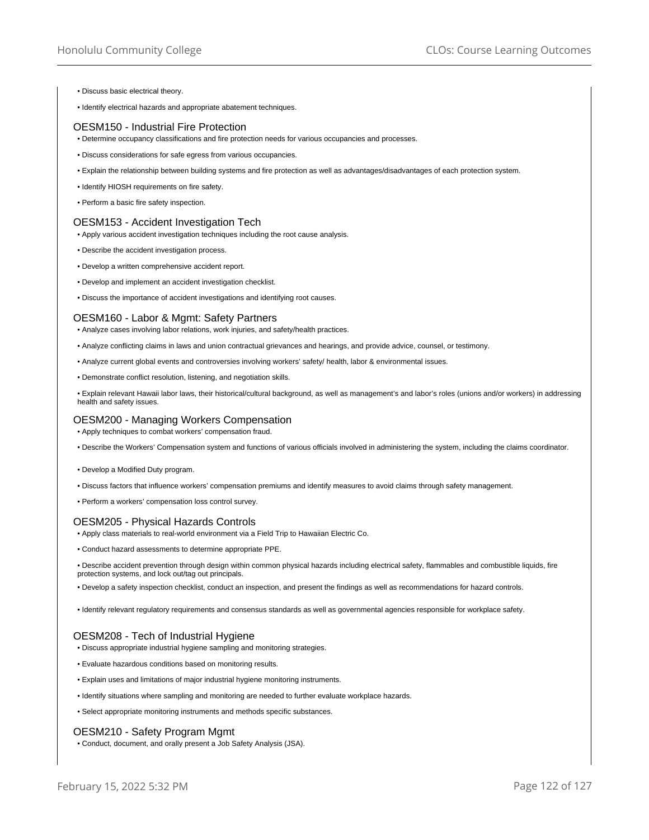- Discuss basic electrical theory.
- Identify electrical hazards and appropriate abatement techniques.

# OESM150 - Industrial Fire Protection

- Determine occupancy classifications and fire protection needs for various occupancies and processes.
- Discuss considerations for safe egress from various occupancies.
- Explain the relationship between building systems and fire protection as well as advantages/disadvantages of each protection system.
- Identify HIOSH requirements on fire safety.
- Perform a basic fire safety inspection.

# OESM153 - Accident Investigation Tech

- Apply various accident investigation techniques including the root cause analysis.
- Describe the accident investigation process.
- Develop a written comprehensive accident report.
- Develop and implement an accident investigation checklist.
- Discuss the importance of accident investigations and identifying root causes.

# OESM160 - Labor & Mgmt: Safety Partners

- Analyze cases involving labor relations, work injuries, and safety/health practices.
- Analyze conflicting claims in laws and union contractual grievances and hearings, and provide advice, counsel, or testimony.
- Analyze current global events and controversies involving workers' safety/ health, labor & environmental issues.
- Demonstrate conflict resolution, listening, and negotiation skills.

• Explain relevant Hawaii labor laws, their historical/cultural background, as well as management's and labor's roles (unions and/or workers) in addressing health and safety issues.

## OESM200 - Managing Workers Compensation

• Apply techniques to combat workers' compensation fraud.

- Describe the Workers' Compensation system and functions of various officials involved in administering the system, including the claims coordinator.
- Develop a Modified Duty program.
- Discuss factors that influence workers' compensation premiums and identify measures to avoid claims through safety management.
- Perform a workers' compensation loss control survey.

# OESM205 - Physical Hazards Controls

• Apply class materials to real-world environment via a Field Trip to Hawaiian Electric Co.

• Conduct hazard assessments to determine appropriate PPE.

• Describe accident prevention through design within common physical hazards including electrical safety, flammables and combustible liquids, fire protection systems, and lock out/tag out principals.

• Develop a safety inspection checklist, conduct an inspection, and present the findings as well as recommendations for hazard controls.

• Identify relevant regulatory requirements and consensus standards as well as governmental agencies responsible for workplace safety.

# OESM208 - Tech of Industrial Hygiene

- Discuss appropriate industrial hygiene sampling and monitoring strategies.
- Evaluate hazardous conditions based on monitoring results.
- Explain uses and limitations of major industrial hygiene monitoring instruments.
- Identify situations where sampling and monitoring are needed to further evaluate workplace hazards.
- Select appropriate monitoring instruments and methods specific substances.

# OESM210 - Safety Program Mgmt

• Conduct, document, and orally present a Job Safety Analysis (JSA).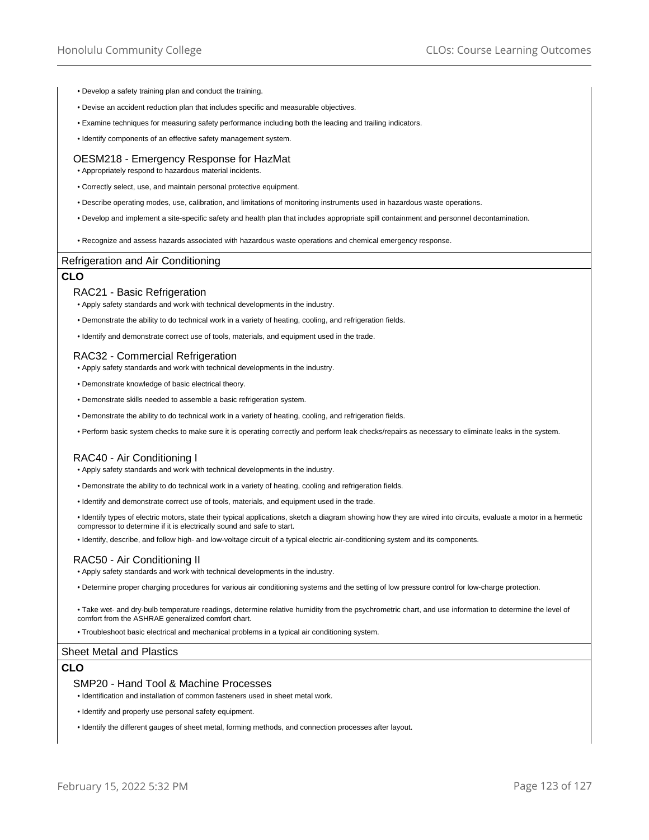- Develop a safety training plan and conduct the training.
- Devise an accident reduction plan that includes specific and measurable objectives.
- Examine techniques for measuring safety performance including both the leading and trailing indicators.
- Identify components of an effective safety management system.

#### OESM218 - Emergency Response for HazMat

• Appropriately respond to hazardous material incidents.

- Correctly select, use, and maintain personal protective equipment.
- Describe operating modes, use, calibration, and limitations of monitoring instruments used in hazardous waste operations.
- Develop and implement a site-specific safety and health plan that includes appropriate spill containment and personnel decontamination.
- Recognize and assess hazards associated with hazardous waste operations and chemical emergency response.

## Refrigeration and Air Conditioning

## **CLO**

## RAC21 - Basic Refrigeration

• Apply safety standards and work with technical developments in the industry.

- Demonstrate the ability to do technical work in a variety of heating, cooling, and refrigeration fields.
- Identify and demonstrate correct use of tools, materials, and equipment used in the trade.

## RAC32 - Commercial Refrigeration

- Apply safety standards and work with technical developments in the industry.
- Demonstrate knowledge of basic electrical theory.
- Demonstrate skills needed to assemble a basic refrigeration system.
- Demonstrate the ability to do technical work in a variety of heating, cooling, and refrigeration fields.
- Perform basic system checks to make sure it is operating correctly and perform leak checks/repairs as necessary to eliminate leaks in the system.

#### RAC40 - Air Conditioning I

- Apply safety standards and work with technical developments in the industry.
- Demonstrate the ability to do technical work in a variety of heating, cooling and refrigeration fields.
- Identify and demonstrate correct use of tools, materials, and equipment used in the trade.
- Identify types of electric motors, state their typical applications, sketch a diagram showing how they are wired into circuits, evaluate a motor in a hermetic compressor to determine if it is electrically sound and safe to start.

• Identify, describe, and follow high- and low-voltage circuit of a typical electric air-conditioning system and its components.

#### RAC50 - Air Conditioning II

- Apply safety standards and work with technical developments in the industry.
- Determine proper charging procedures for various air conditioning systems and the setting of low pressure control for low-charge protection.

• Take wet- and dry-bulb temperature readings, determine relative humidity from the psychrometric chart, and use information to determine the level of comfort from the ASHRAE generalized comfort chart.

• Troubleshoot basic electrical and mechanical problems in a typical air conditioning system.

#### Sheet Metal and Plastics

## **CLO**

#### SMP20 - Hand Tool & Machine Processes

• Identification and installation of common fasteners used in sheet metal work.

- Identify and properly use personal safety equipment.
- Identify the different gauges of sheet metal, forming methods, and connection processes after layout.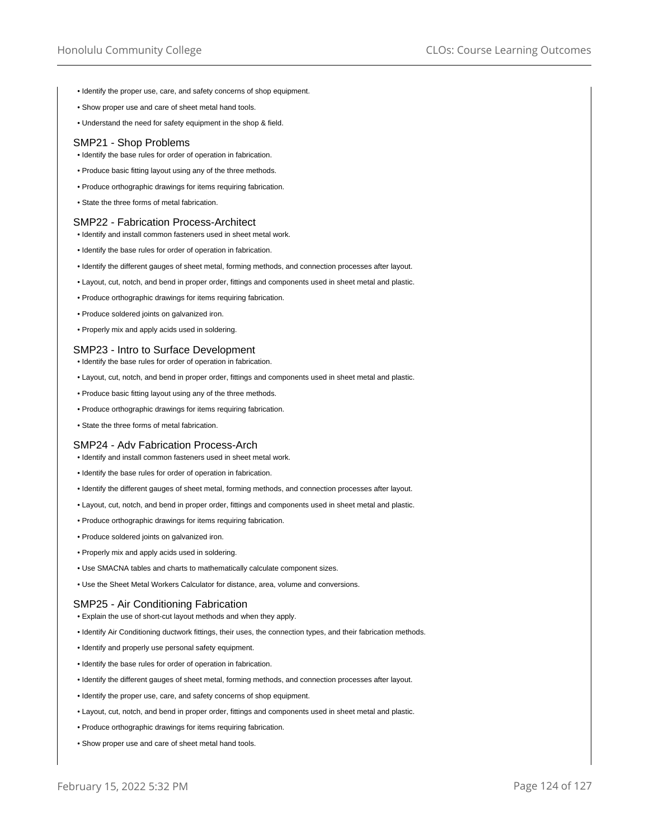- Identify the proper use, care, and safety concerns of shop equipment.
- Show proper use and care of sheet metal hand tools.
- Understand the need for safety equipment in the shop & field.

#### SMP21 - Shop Problems

- Identify the base rules for order of operation in fabrication.
- Produce basic fitting layout using any of the three methods.
- Produce orthographic drawings for items requiring fabrication.
- State the three forms of metal fabrication.

# SMP22 - Fabrication Process-Architect

- Identify and install common fasteners used in sheet metal work.
- Identify the base rules for order of operation in fabrication.
- Identify the different gauges of sheet metal, forming methods, and connection processes after layout.
- Layout, cut, notch, and bend in proper order, fittings and components used in sheet metal and plastic.
- Produce orthographic drawings for items requiring fabrication.
- Produce soldered joints on galvanized iron.
- Properly mix and apply acids used in soldering.

#### SMP23 - Intro to Surface Development

- Identify the base rules for order of operation in fabrication.
- Layout, cut, notch, and bend in proper order, fittings and components used in sheet metal and plastic.
- Produce basic fitting layout using any of the three methods.
- Produce orthographic drawings for items requiring fabrication.
- State the three forms of metal fabrication.

## SMP24 - Adv Fabrication Process-Arch

- Identify and install common fasteners used in sheet metal work.
- Identify the base rules for order of operation in fabrication.
- Identify the different gauges of sheet metal, forming methods, and connection processes after layout.
- Layout, cut, notch, and bend in proper order, fittings and components used in sheet metal and plastic.
- Produce orthographic drawings for items requiring fabrication.
- Produce soldered joints on galvanized iron.
- Properly mix and apply acids used in soldering.
- Use SMACNA tables and charts to mathematically calculate component sizes.
- Use the Sheet Metal Workers Calculator for distance, area, volume and conversions.

# SMP25 - Air Conditioning Fabrication

- Explain the use of short-cut layout methods and when they apply.
- Identify Air Conditioning ductwork fittings, their uses, the connection types, and their fabrication methods.
- Identify and properly use personal safety equipment.
- Identify the base rules for order of operation in fabrication.
- Identify the different gauges of sheet metal, forming methods, and connection processes after layout.
- Identify the proper use, care, and safety concerns of shop equipment.
- Layout, cut, notch, and bend in proper order, fittings and components used in sheet metal and plastic.
- Produce orthographic drawings for items requiring fabrication.
- Show proper use and care of sheet metal hand tools.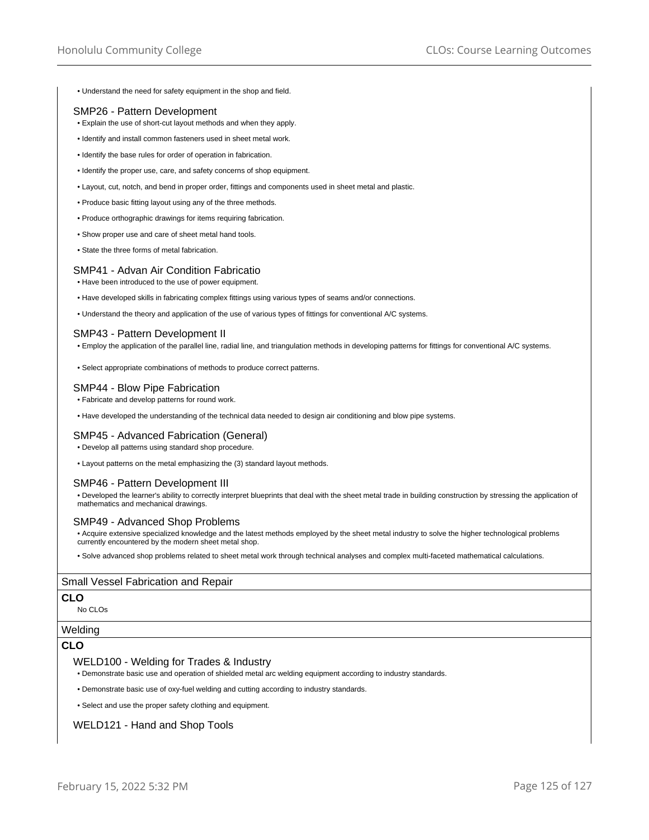• Understand the need for safety equipment in the shop and field.

# SMP26 - Pattern Development

- Explain the use of short-cut layout methods and when they apply.
- Identify and install common fasteners used in sheet metal work.
- Identify the base rules for order of operation in fabrication.
- Identify the proper use, care, and safety concerns of shop equipment.
- Layout, cut, notch, and bend in proper order, fittings and components used in sheet metal and plastic.
- Produce basic fitting layout using any of the three methods.
- Produce orthographic drawings for items requiring fabrication.
- Show proper use and care of sheet metal hand tools.
- State the three forms of metal fabrication.

# SMP41 - Advan Air Condition Fabricatio

- Have been introduced to the use of power equipment.
- Have developed skills in fabricating complex fittings using various types of seams and/or connections.
- Understand the theory and application of the use of various types of fittings for conventional A/C systems.

#### SMP43 - Pattern Development II

- Employ the application of the parallel line, radial line, and triangulation methods in developing patterns for fittings for conventional A/C systems.
- Select appropriate combinations of methods to produce correct patterns.

## SMP44 - Blow Pipe Fabrication

• Fabricate and develop patterns for round work.

• Have developed the understanding of the technical data needed to design air conditioning and blow pipe systems.

## SMP45 - Advanced Fabrication (General)

• Develop all patterns using standard shop procedure.

• Layout patterns on the metal emphasizing the (3) standard layout methods.

## SMP46 - Pattern Development III

• Developed the learner's ability to correctly interpret blueprints that deal with the sheet metal trade in building construction by stressing the application of mathematics and mechanical drawings.

## SMP49 - Advanced Shop Problems

• Acquire extensive specialized knowledge and the latest methods employed by the sheet metal industry to solve the higher technological problems currently encountered by the modern sheet metal shop.

• Solve advanced shop problems related to sheet metal work through technical analyses and complex multi-faceted mathematical calculations.

## Small Vessel Fabrication and Repair

# **CLO**

No CLOs

#### Welding

# **CLO**

#### WELD100 - Welding for Trades & Industry

• Demonstrate basic use and operation of shielded metal arc welding equipment according to industry standards.

• Demonstrate basic use of oxy-fuel welding and cutting according to industry standards.

• Select and use the proper safety clothing and equipment.

## WELD121 - Hand and Shop Tools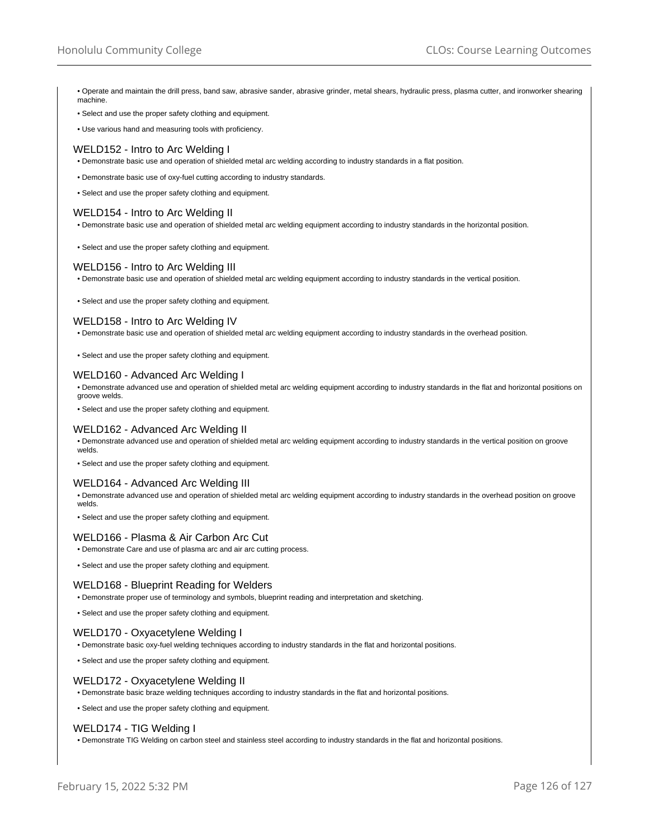- Operate and maintain the drill press, band saw, abrasive sander, abrasive grinder, metal shears, hydraulic press, plasma cutter, and ironworker shearing machine.
- Select and use the proper safety clothing and equipment.
- Use various hand and measuring tools with proficiency.

# WELD152 - Intro to Arc Welding I

- Demonstrate basic use and operation of shielded metal arc welding according to industry standards in a flat position.
- Demonstrate basic use of oxy-fuel cutting according to industry standards.
- Select and use the proper safety clothing and equipment.

## WELD154 - Intro to Arc Welding II

- Demonstrate basic use and operation of shielded metal arc welding equipment according to industry standards in the horizontal position.
- Select and use the proper safety clothing and equipment.

## WELD156 - Intro to Arc Welding III

• Demonstrate basic use and operation of shielded metal arc welding equipment according to industry standards in the vertical position.

• Select and use the proper safety clothing and equipment.

# WELD158 - Intro to Arc Welding IV

• Demonstrate basic use and operation of shielded metal arc welding equipment according to industry standards in the overhead position.

• Select and use the proper safety clothing and equipment.

## WELD160 - Advanced Arc Welding I

• Demonstrate advanced use and operation of shielded metal arc welding equipment according to industry standards in the flat and horizontal positions on groove welds.

• Select and use the proper safety clothing and equipment.

## WELD162 - Advanced Arc Welding II

• Demonstrate advanced use and operation of shielded metal arc welding equipment according to industry standards in the vertical position on groove welds.

• Select and use the proper safety clothing and equipment.

## WELD164 - Advanced Arc Welding III

• Demonstrate advanced use and operation of shielded metal arc welding equipment according to industry standards in the overhead position on groove welds.

• Select and use the proper safety clothing and equipment.

## WELD166 - Plasma & Air Carbon Arc Cut

- Demonstrate Care and use of plasma arc and air arc cutting process.
- Select and use the proper safety clothing and equipment.

## WELD168 - Blueprint Reading for Welders

- Demonstrate proper use of terminology and symbols, blueprint reading and interpretation and sketching.
- Select and use the proper safety clothing and equipment.

## WELD170 - Oxyacetylene Welding I

• Demonstrate basic oxy-fuel welding techniques according to industry standards in the flat and horizontal positions.

• Select and use the proper safety clothing and equipment.

## WELD172 - Oxyacetylene Welding II

• Demonstrate basic braze welding techniques according to industry standards in the flat and horizontal positions.

• Select and use the proper safety clothing and equipment.

## WELD174 - TIG Welding I

• Demonstrate TIG Welding on carbon steel and stainless steel according to industry standards in the flat and horizontal positions.